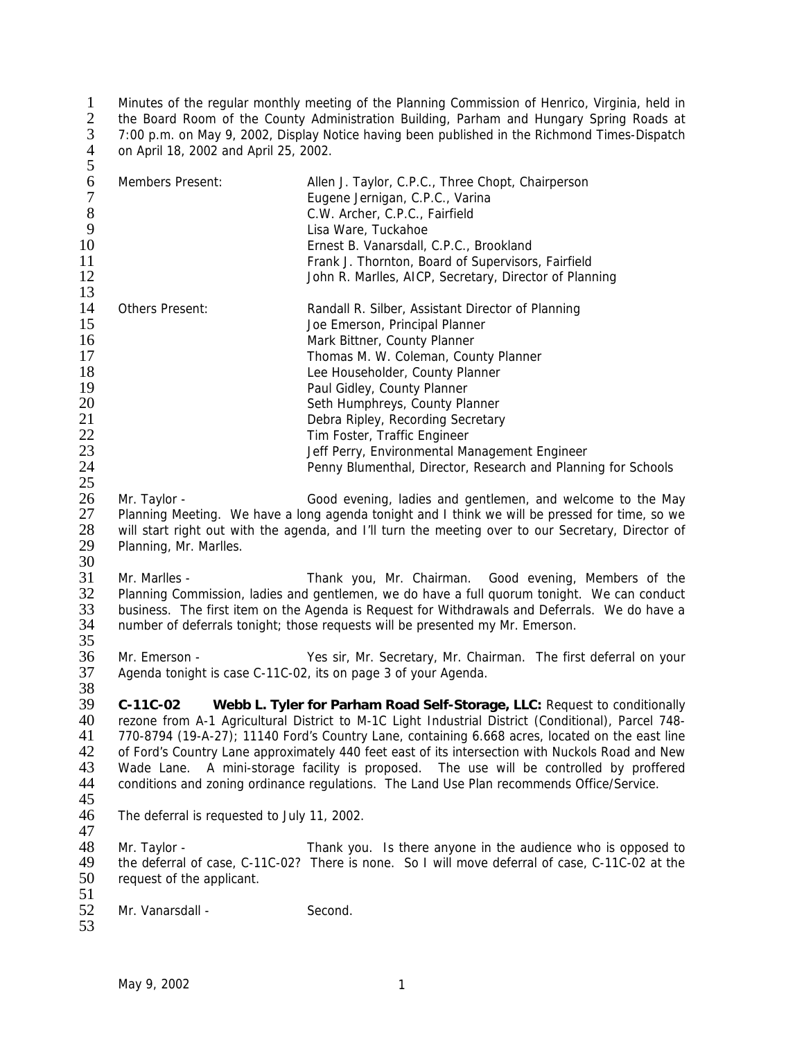Minutes of the regular monthly meeting of the Planning Commission of Henrico, Virginia, held in 2 the Board Room of the County Administration Building, Parham and Hungary Spring Roads at 7:00 p.m. on May 9, 2002, Display Notice having been published in the Richmond Times-Dispatch on April 18, 2002 and April 25, 2002.  $\begin{array}{c} 2 \\ 3 \\ 4 \\ 5 \end{array}$ 

| ັ<br>6<br>$\boldsymbol{7}$<br>8<br>9<br>10<br>11<br>12<br>13             | Members Present:                                                                                                                                                                                                                                                                                                                                                                                                                                                                                                                                                                                | Allen J. Taylor, C.P.C., Three Chopt, Chairperson<br>Eugene Jernigan, C.P.C., Varina<br>C.W. Archer, C.P.C., Fairfield<br>Lisa Ware, Tuckahoe<br>Ernest B. Vanarsdall, C.P.C., Brookland<br>Frank J. Thornton, Board of Supervisors, Fairfield<br>John R. Marlles, AICP, Secretary, Director of Planning                                                                                                                                               |  |
|--------------------------------------------------------------------------|-------------------------------------------------------------------------------------------------------------------------------------------------------------------------------------------------------------------------------------------------------------------------------------------------------------------------------------------------------------------------------------------------------------------------------------------------------------------------------------------------------------------------------------------------------------------------------------------------|--------------------------------------------------------------------------------------------------------------------------------------------------------------------------------------------------------------------------------------------------------------------------------------------------------------------------------------------------------------------------------------------------------------------------------------------------------|--|
| 14<br>15<br>16<br>17<br>18<br>19<br>20<br>21<br>22<br>23<br>24<br>$25\,$ | Others Present:                                                                                                                                                                                                                                                                                                                                                                                                                                                                                                                                                                                 | Randall R. Silber, Assistant Director of Planning<br>Joe Emerson, Principal Planner<br>Mark Bittner, County Planner<br>Thomas M. W. Coleman, County Planner<br>Lee Householder, County Planner<br>Paul Gidley, County Planner<br>Seth Humphreys, County Planner<br>Debra Ripley, Recording Secretary<br>Tim Foster, Traffic Engineer<br>Jeff Perry, Environmental Management Engineer<br>Penny Blumenthal, Director, Research and Planning for Schools |  |
| 26<br>27<br>28<br>29<br>30                                               | Mr. Taylor -<br>Planning, Mr. Marlles.                                                                                                                                                                                                                                                                                                                                                                                                                                                                                                                                                          | Good evening, ladies and gentlemen, and welcome to the May<br>Planning Meeting. We have a long agenda tonight and I think we will be pressed for time, so we<br>will start right out with the agenda, and I'll turn the meeting over to our Secretary, Director of                                                                                                                                                                                     |  |
| 31<br>32<br>33<br>34<br>35                                               | Mr. Marlles -                                                                                                                                                                                                                                                                                                                                                                                                                                                                                                                                                                                   | Thank you, Mr. Chairman. Good evening, Members of the<br>Planning Commission, ladies and gentlemen, we do have a full quorum tonight. We can conduct<br>business. The first item on the Agenda is Request for Withdrawals and Deferrals. We do have a<br>number of deferrals tonight; those requests will be presented my Mr. Emerson.                                                                                                                 |  |
| 36<br>37<br>38                                                           | Mr. Emerson -                                                                                                                                                                                                                                                                                                                                                                                                                                                                                                                                                                                   | Yes sir, Mr. Secretary, Mr. Chairman. The first deferral on your<br>Agenda tonight is case C-11C-02, its on page 3 of your Agenda.                                                                                                                                                                                                                                                                                                                     |  |
| 39<br>40<br>41<br>42<br>43<br>44<br>45                                   | Webb L. Tyler for Parham Road Self-Storage, LLC: Request to conditionally<br>$C-11C-02$<br>rezone from A-1 Agricultural District to M-1C Light Industrial District (Conditional), Parcel 748-<br>770-8794 (19-A-27); 11140 Ford's Country Lane, containing 6.668 acres, located on the east line<br>of Ford's Country Lane approximately 440 feet east of its intersection with Nuckols Road and New<br>A mini-storage facility is proposed. The use will be controlled by proffered<br>Wade Lane.<br>conditions and zoning ordinance regulations. The Land Use Plan recommends Office/Service. |                                                                                                                                                                                                                                                                                                                                                                                                                                                        |  |
| 46<br>47                                                                 | The deferral is requested to July 11, 2002.                                                                                                                                                                                                                                                                                                                                                                                                                                                                                                                                                     |                                                                                                                                                                                                                                                                                                                                                                                                                                                        |  |
| 48<br>49<br>50<br>51                                                     | Mr. Taylor -<br>request of the applicant.                                                                                                                                                                                                                                                                                                                                                                                                                                                                                                                                                       | Thank you. Is there anyone in the audience who is opposed to<br>the deferral of case, C-11C-02? There is none. So I will move deferral of case, C-11C-02 at the                                                                                                                                                                                                                                                                                        |  |
| 52<br>53                                                                 | Mr. Vanarsdall -                                                                                                                                                                                                                                                                                                                                                                                                                                                                                                                                                                                | Second.                                                                                                                                                                                                                                                                                                                                                                                                                                                |  |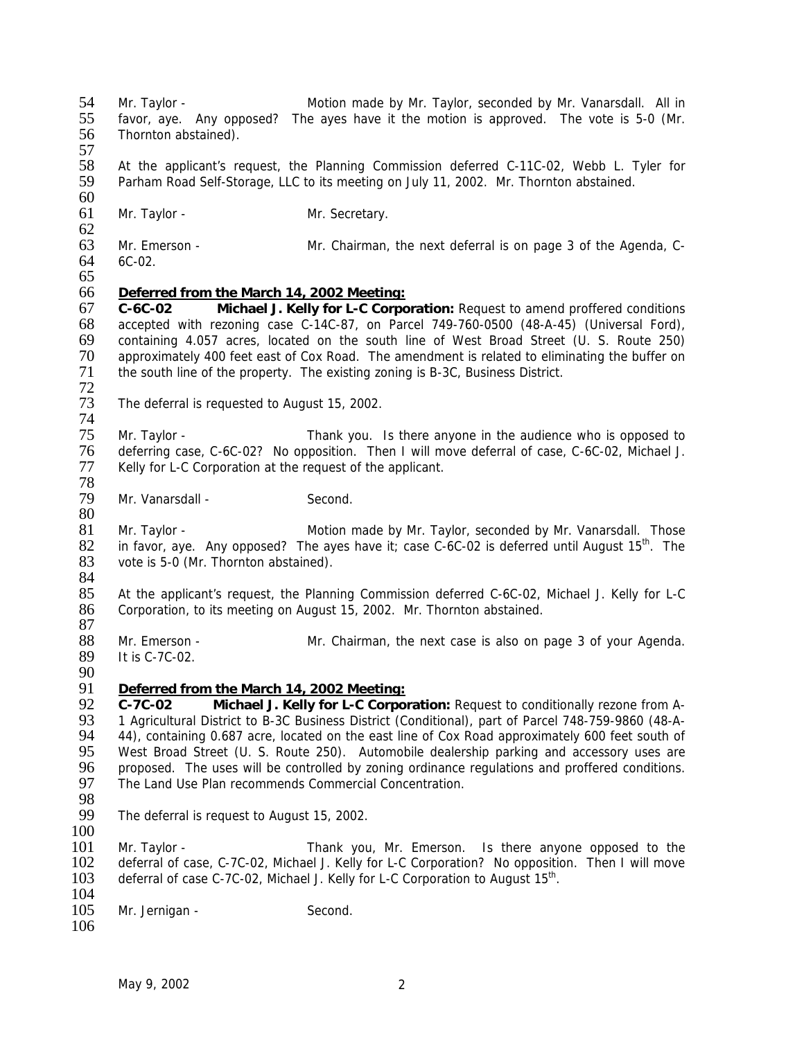54 Mr. Taylor - Motion made by Mr. Taylor, seconded by Mr. Vanarsdall. All in 55 favor, aye. Any opposed? The ayes have it the motion is approved. The vote is 5-0 (Mr. 56 Thornton abstained). 57<br>58 58 At the applicant's request, the Planning Commission deferred C-11C-02, Webb L. Tyler for 59 Parham Road Self-Storage, LLC to its meeting on July 11, 2002. Mr. Thornton abstained.  $\frac{60}{61}$ Mr. Taylor - Mr. Secretary. 62<br>63 63 Mr. Emerson - Mr. Chairman, the next deferral is on page 3 of the Agenda, C-<br>64 6C-02.  $6C-02.$ 65 66 *Deferred from the March 14, 2002 Meeting:* 67 **C-6C-02 Michael J. Kelly for L-C Corporation:** Request to amend proffered conditions 68 accepted with rezoning case C-14C-87, on Parcel 749-760-0500 (48-A-45) (Universal Ford), 69 containing 4.057 acres, located on the south line of West Broad Street (U. S. Route 250) 70 approximately 400 feet east of Cox Road. The amendment is related to eliminating the buffer on 71 the south line of the property. The existing zoning is B-3C. Business District. the south line of the property. The existing zoning is B-3C, Business District. 72 The deferral is requested to August 15, 2002. 74<br>75 Mr. Taylor - Thank you. Is there anyone in the audience who is opposed to 76 deferring case, C-6C-02? No opposition. Then I will move deferral of case, C-6C-02, Michael J. 77 Kelly for L-C Corporation at the request of the applicant. 78 Mr. Vanarsdall - Second. 80 81 Mr. Taylor - Motion made by Mr. Taylor, seconded by Mr. Vanarsdall. Those<br>82 in favor, ave. Any opposed? The aves have it: case C-6C-02 is deferred until August 15<sup>th</sup>. The 82 in favor, aye. Any opposed? The ayes have it; case C-6C-02 is deferred until August 15<sup>th</sup>. The 83 vote is 5-0 (Mr. Thornton abstained). vote is 5-0 (Mr. Thornton abstained). 84<br>85 85 At the applicant's request, the Planning Commission deferred C-6C-02, Michael J. Kelly for L-C<br>86 Corporation, to its meeting on August 15, 2002. Mr. Thornton abstained. Corporation, to its meeting on August 15, 2002. Mr. Thornton abstained. 87 88 Mr. Emerson - Mr. Chairman, the next case is also on page 3 of your Agenda.<br>89 It is C-7C-02. It is C-7C-02. 90 91 *Deferred from the March 14, 2002 Meeting:* 92 **C-7C-02 Michael J. Kelly for L-C Corporation:** Request to conditionally rezone from A-93 1 Agricultural District to B-3C Business District (Conditional), part of Parcel 748-759-9860 (48-A-<br>94 44), containing 0.687 acre, located on the east line of Cox Road approximately 600 feet south of 94 44), containing 0.687 acre, located on the east line of Cox Road approximately 600 feet south of 95 west Broad Street (U. S. Route 250). Automobile dealership parking and accessory uses are 95 West Broad Street (U. S. Route 250). Automobile dealership parking and accessory uses are 96 proposed. The uses will be controlled by zoning ordinance regulations and proffered conditions. 96 proposed. The uses will be controlled by zoning ordinance regulations and proffered conditions.<br>97 The Land Use Plan recommends Commercial Concentration. The Land Use Plan recommends Commercial Concentration. 98<br>99 The deferral is request to August 15, 2002. 100 101 Mr. Taylor - Thank you, Mr. Emerson. Is there anyone opposed to the 102 deferral of case, C-7C-02, Michael J. Kelly for L-C Corporation? No opposition. Then I will move 103 deferral of case C-7C-02. Michael J. Kelly for L-C Corporation to August 15<sup>th</sup>. deferral of case C-7C-02, Michael J. Kelly for L-C Corporation to August  $15<sup>th</sup>$ .  $\frac{104}{105}$ Mr. Jernigan - Second. 106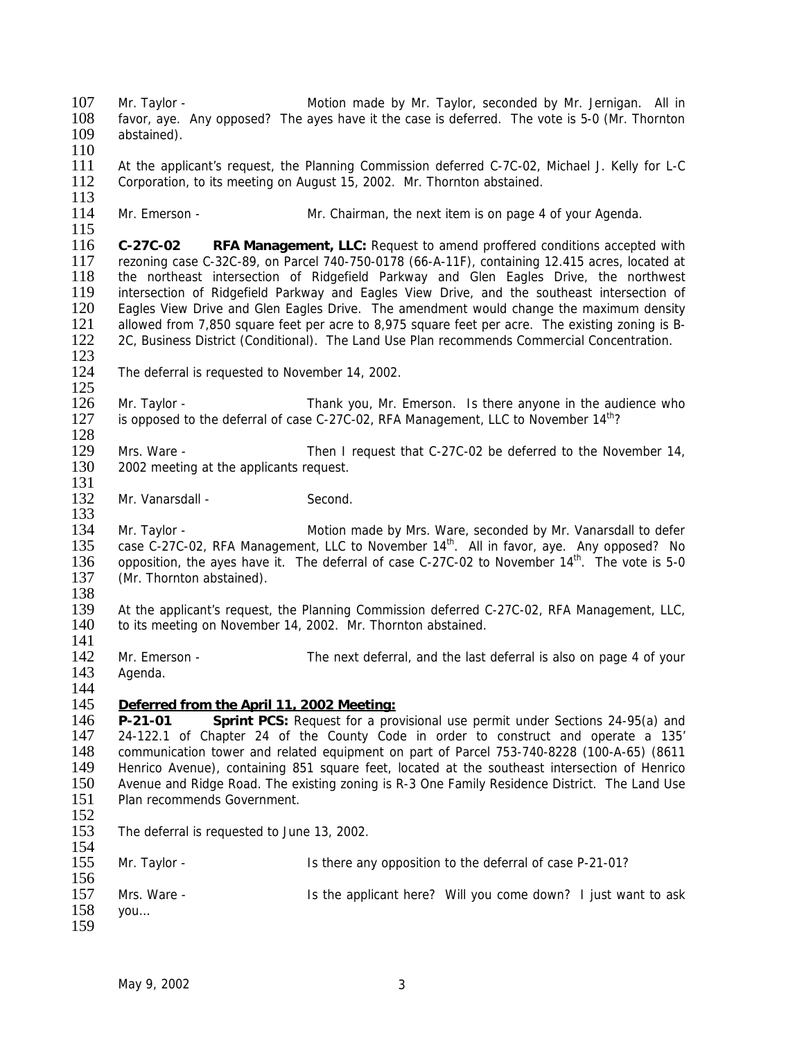107 Mr. Taylor - Motion made by Mr. Taylor, seconded by Mr. Jernigan. All in 108 favor, aye. Any opposed? The ayes have it the case is deferred. The vote is 5-0 (Mr. Thornton 109 abstained). abstained).  $\frac{110}{111}$ At the applicant's request, the Planning Commission deferred C-7C-02, Michael J. Kelly for L-C 112 Corporation, to its meeting on August 15, 2002. Mr. Thornton abstained.  $\frac{113}{114}$ Mr. Emerson - The Mr. Chairman, the next item is on page 4 of your Agenda.  $\frac{115}{116}$ 116 **C-27C-02 RFA Management, LLC:** Request to amend proffered conditions accepted with 117 rezoning case C-32C-89, on Parcel 740-750-0178 (66-A-11F), containing 12.415 acres, located at 118 the northwest intersection of Ridgefield Parkway and Glen Eagles Drive. the northwest the northeast intersection of Ridgefield Parkway and Glen Eagles Drive, the northwest 119 intersection of Ridgefield Parkway and Eagles View Drive, and the southeast intersection of 120 Eagles View Drive and Glen Eagles Drive. The amendment would change the maximum density 121 allowed from 7,850 square feet per acre to 8,975 square feet per acre. The existing zoning is B-121 allowed from 7,850 square feet per acre to 8,975 square feet per acre. The existing zoning is B-<br>122 2C, Business District (Conditional). The Land Use Plan recommends Commercial Concentration. 122 2C, Business District (Conditional). The Land Use Plan recommends Commercial Concentration.  $\frac{123}{124}$ The deferral is requested to November 14, 2002.  $\frac{125}{126}$ 126 Mr. Taylor - Thank you, Mr. Emerson. Is there anyone in the audience who is there is opposed to the deferral of case C-27C-02. RFA Management. LLC to November  $14<sup>th</sup>$ ? is opposed to the deferral of case C-27C-02, RFA Management, LLC to November  $14<sup>th</sup>$ ? 128 129 Mrs. Ware - Then I request that C-27C-02 be deferred to the November 14, 130 2002 meeting at the applicants request.  $\frac{131}{132}$ Mr. Vanarsdall - Second. 133 134 Mr. Taylor - Motion made by Mrs. Ware, seconded by Mr. Vanarsdall to defer<br>135 case C-27C-02. RFA Management. LLC to November 14<sup>th</sup>. All in favor, ave. Any opposed? No 135 case C-27C-02, RFA Management, LLC to November  $14<sup>th</sup>$ . All in favor, aye. Any opposed? No 136 opposetion, the aves have it. The deferral of case C-27C-02 to November  $14<sup>th</sup>$ . The vote is 5-0 136 opposition, the ayes have it. The deferral of case C-27C-02 to November  $14^{\text{th}}$ . The vote is 5-0  $137$  (Mr. Thornton abstained). (Mr. Thornton abstained). 138<br>139 139 At the applicant's request, the Planning Commission deferred C-27C-02, RFA Management, LLC, 140 to its meeting on November 14, 2002. Mr. Thornton abstained. to its meeting on November 14, 2002. Mr. Thornton abstained.  $\frac{141}{142}$ 142 Mr. Emerson - The next deferral, and the last deferral is also on page 4 of your 143 Agenda. 144<br>145 145 *Deferred from the April 11, 2002 Meeting:* 146 **P-21-01 Sprint PCS:** Request for a provisional use permit under Sections 24-95(a) and 147 24-122.1 of Chapter 24 of the County Code in order to construct and operate a 135' 148 communication tower and related equipment on part of Parcel 753-740-8228 (100-A-65) (8611 149 Henrico Avenue), containing 851 square feet, located at the southeast intersection of Henrico<br>150 Avenue and Ridge Road. The existing zoning is R-3 One Family Residence District. The Land Use Avenue and Ridge Road. The existing zoning is R-3 One Family Residence District. The Land Use 151 Plan recommends Government. 152<br>153 The deferral is requested to June 13, 2002.  $\frac{154}{155}$ 155 Mr. Taylor - Is there any opposition to the deferral of case P-21-01?  $\frac{156}{157}$ 157 Mrs. Ware - Is the applicant here? Will you come down? I just want to ask 158 you... you… 159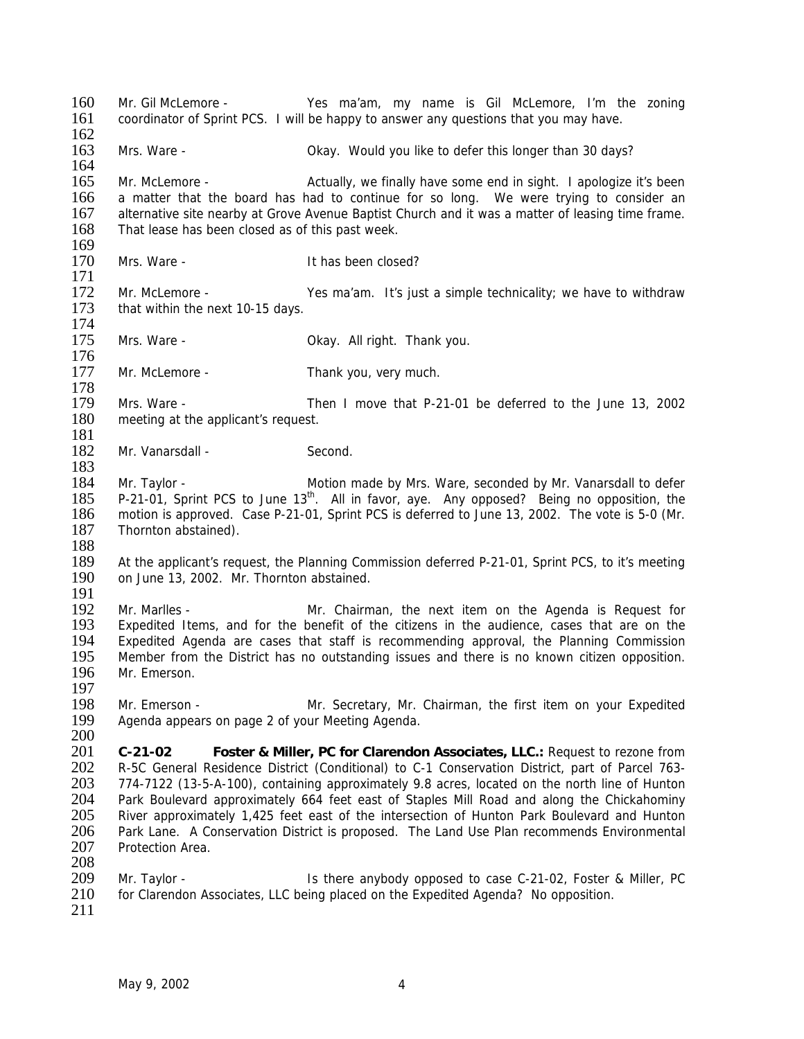160 Mr. Gil McLemore - Yes ma'am, my name is Gil McLemore, I'm the zoning 161 coordinator of Sprint PCS. I will be happy to answer any questions that you may have. 162 163 Mrs. Ware - Okay. Would you like to defer this longer than 30 days? 164 165 Mr. McLemore - Actually, we finally have some end in sight. I apologize it's been 166 a matter that the board has had to continue for so long. We were trying to consider an 167 alternative site nearby at Grove Avenue Baptist Church and it was a matter of leasing time frame. alternative site nearby at Grove Avenue Baptist Church and it was a matter of leasing time frame. 168 That lease has been closed as of this past week.  $\frac{169}{170}$ Mrs. Ware - Thas been closed? 171 172 Mr. McLemore - Yes ma'am. It's just a simple technicality; we have to withdraw that within the next 10-15 days. that within the next 10-15 days. 174<br>175 Mrs. Ware - Cassic Charles Charles Charles Okay. All right. Thank you.  $\frac{176}{177}$ Mr. McLemore - Thank you, very much. 178<br>179 179 Mrs. Ware - Then I move that P-21-01 be deferred to the June 13, 2002<br>180 meeting at the applicant's request. meeting at the applicant's request. 181 182 Mr. Vanarsdall - Second. 183 184 Mr. Taylor - Motion made by Mrs. Ware, seconded by Mr. Vanarsdall to defer 185 P-21-01, Sprint PCS to June  $13<sup>th</sup>$ . All in favor, aye. Any opposed? Being no opposition, the 186 motion is approved. Case P-21-01, Sprint PCS is deferred to June 13, 2002. The vote is 5-0 (Mr. 187 Thornton abstained). 188<br>189 189 At the applicant's request, the Planning Commission deferred P-21-01, Sprint PCS, to it's meeting 190 on June 13, 2002. Mr. Thornton abstained. on June 13, 2002. Mr. Thornton abstained.  $\frac{191}{192}$ 192 Mr. Marlles - Mr. Chairman, the next item on the Agenda is Request for Expedited Items, and for the benefit of the citizens in the audience, cases that are on the Expedited Items, and for the benefit of the citizens in the audience, cases that are on the 194 Expedited Agenda are cases that staff is recommending approval, the Planning Commission<br>195 Member from the District has no outstanding issues and there is no known citizen opposition. Member from the District has no outstanding issues and there is no known citizen opposition. 196 Mr. Emerson. 197<br>198 198 Mr. Emerson - Mr. Secretary, Mr. Chairman, the first item on your Expedited Agenda appears on page 2 of your Meeting Agenda. Agenda appears on page 2 of your Meeting Agenda.  $\frac{200}{201}$ 201 **C-21-02 Foster & Miller, PC for Clarendon Associates, LLC.:** Request to rezone from 202 R-5C General Residence District (Conditional) to C-1 Conservation District, part of Parcel 763-<br>203 774-7122 (13-5-A-100), containing approximately 9.8 acres, located on the north line of Hunton 774-7122 (13-5-A-100), containing approximately 9.8 acres, located on the north line of Hunton 204 Park Boulevard approximately 664 feet east of Staples Mill Road and along the Chickahominy<br>205 River approximately 1,425 feet east of the intersection of Hunton Park Boulevard and Hunton 205 River approximately 1,425 feet east of the intersection of Hunton Park Boulevard and Hunton<br>206 Park Lane. A Conservation District is proposed. The Land Use Plan recommends Environmental Park Lane. A Conservation District is proposed. The Land Use Plan recommends Environmental 207 Protection Area. 208 209 Mr. Taylor - Is there anybody opposed to case C-21-02, Foster & Miller, PC<br>210 for Clarendon Associates. LLC being placed on the Expedited Agenda? No opposition. for Clarendon Associates, LLC being placed on the Expedited Agenda? No opposition. 211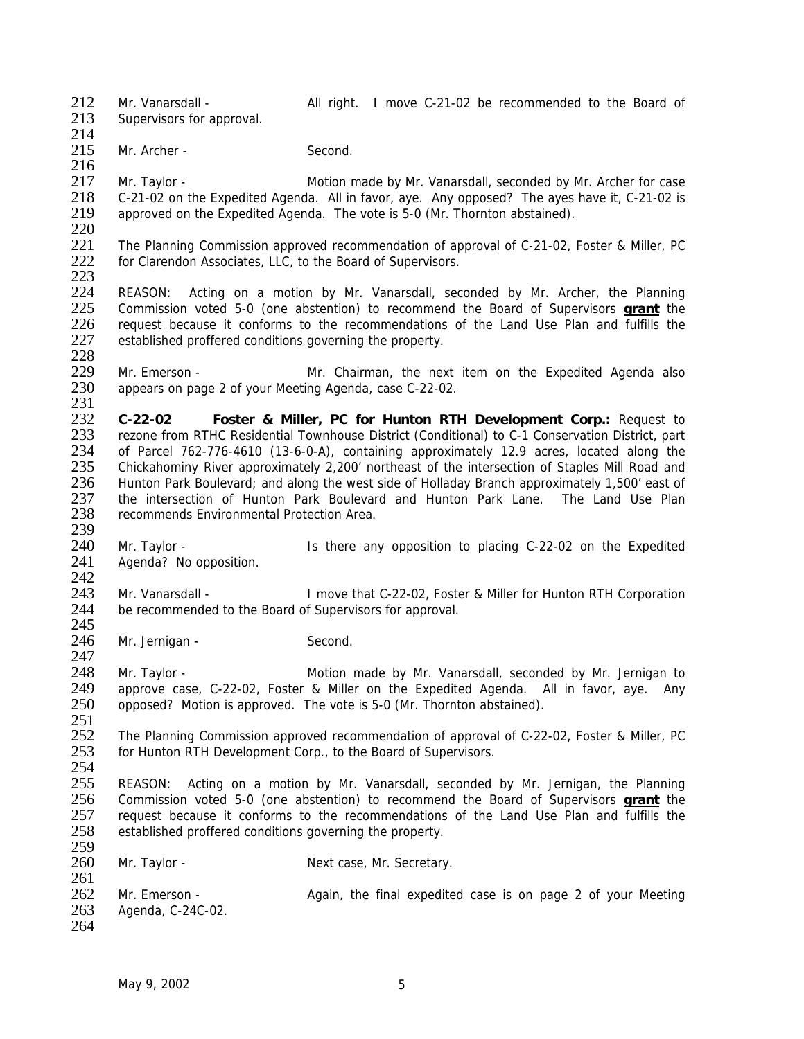212 Mr. Vanarsdall - All right. I move C-21-02 be recommended to the Board of

213 Supervisors for approval.

214

216

215 Mr. Archer - Second.

217 Mr. Taylor - Motion made by Mr. Vanarsdall, seconded by Mr. Archer for case<br>218 C-21-02 on the Expedited Agenda. All in favor, ave. Any opposed? The aves have it, C-21-02 is 218 C-21-02 on the Expedited Agenda. All in favor, aye. Any opposed? The ayes have it, C-21-02 is 219 approved on the Expedited Agenda. The vote is 5-0 (Mr. Thornton abstained). approved on the Expedited Agenda. The vote is 5-0 (Mr. Thornton abstained).

 $\frac{220}{221}$ 221 The Planning Commission approved recommendation of approval of C-21-02, Foster & Miller, PC<br>222 for Clarendon Associates. LLC, to the Board of Supervisors. for Clarendon Associates, LLC, to the Board of Supervisors.

223

247

 REASON: Acting on a motion by Mr. Vanarsdall, seconded by Mr. Archer, the Planning Commission voted 5-0 (one abstention) to recommend the Board of Supervisors **grant** the request because it conforms to the recommendations of the Land Use Plan and fulfills the 227 established proffered conditions governing the property.

228<br>229 229 Mr. Emerson - Mr. Chairman, the next item on the Expedited Agenda also<br>230 appears on page 2 of your Meeting Agenda, case C-22-02. appears on page 2 of your Meeting Agenda, case C-22-02.

- $\frac{231}{232}$ 232 **C-22-02 Foster & Miller, PC for Hunton RTH Development Corp.:** Request to rezone from RTHC Residential Townhouse District (Conditional) to C-1 Conservation District, part 234 of Parcel 762-776-4610 (13-6-0-A), containing approximately 12.9 acres, located along the 235 Chickahominy River approximately 2,200' northeast of the intersection of Staples Mill Road and 236 Hunton Park Boulevard; and along the west side of Holladay Branch approximately 1,500' east of 237 the intersection of Hunton Park Boulevard and Hunton Park Lane. The Land Use Plan 237 the intersection of Hunton Park Boulevard and Hunton Park Lane. The Land Use Plan<br>238 recommends Environmental Protection Area. recommends Environmental Protection Area.
- 239<br>240 240 Mr. Taylor - Is there any opposition to placing C-22-02 on the Expedited 241 Agenda? No opposition. Agenda? No opposition.
- $\frac{242}{243}$ 243 Mr. Vanarsdall - I move that C-22-02, Foster & Miller for Hunton RTH Corporation 244 be recommended to the Board of Supervisors for approval. be recommended to the Board of Supervisors for approval. 245
- 246 Mr. Jernigan Second.

248 Mr. Taylor - Motion made by Mr. Vanarsdall, seconded by Mr. Jernigan to 249 approve case. C-22-02. Foster & Miller on the Expedited Agenda. All in favor, aye. Any 249 approve case, C-22-02, Foster & Miller on the Expedited Agenda. All in favor, aye. Any 250 opposed? Motion is approved. The vote is 5-0 (Mr. Thornton abstained). opposed? Motion is approved. The vote is 5-0 (Mr. Thornton abstained).

251<br>252 252 The Planning Commission approved recommendation of approval of C-22-02, Foster & Miller, PC<br>253 for Hunton RTH Development Corp., to the Board of Supervisors. for Hunton RTH Development Corp., to the Board of Supervisors.

 $\frac{254}{255}$ REASON: Acting on a motion by Mr. Vanarsdall, seconded by Mr. Jernigan, the Planning 256 Commission voted 5-0 (one abstention) to recommend the Board of Supervisors **grant** the 257 request because it conforms to the recommendations of the Land Use Plan and fulfills the 258 established proffered conditions governing the property. established proffered conditions governing the property.

259<br>260 Mr. Taylor - Next case, Mr. Secretary.

 $\frac{261}{262}$ 262 Mr. Emerson - <br>263 Agenda, C-24C-02. **Again, the final expedited case is on page 2** of your Meeting Agenda, C-24C-02. 264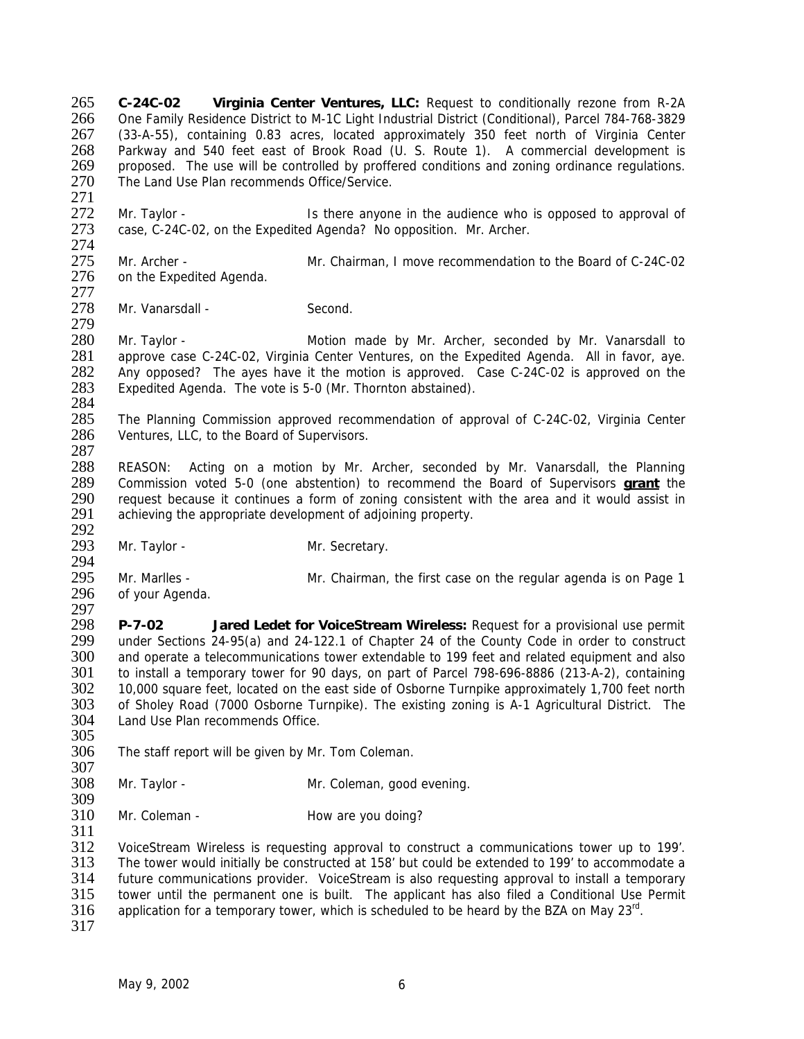**C-24C-02 Virginia Center Ventures, LLC:** Request to conditionally rezone from R-2A One Family Residence District to M-1C Light Industrial District (Conditional), Parcel 784-768-3829 (33-A-55), containing 0.83 acres, located approximately 350 feet north of Virginia Center Parkway and 540 feet east of Brook Road (U. S. Route 1). A commercial development is 269 proposed. The use will be controlled by proffered conditions and zoning ordinance regulations. 270 The Land Use Plan recommends Office/Service.

271<br>272 272 Mr. Taylor - Is there anyone in the audience who is opposed to approval of 273 case. C-24C-02. on the Expedited Agenda? No opposition. Mr. Archer. case, C-24C-02, on the Expedited Agenda? No opposition. Mr. Archer.

274<br>275 275 Mr. Archer - Mr. Chairman, I move recommendation to the Board of C-24C-02<br>276 on the Expedited Agenda. on the Expedited Agenda.

277<br>278 Mr. Vanarsdall - Second. 279

280 Mr. Taylor - **Motion made by Mr. Archer, seconded by Mr. Vanarsdall to** 281 approve case C-24C-02. Virginia Center Ventures, on the Expedited Agenda. All in favor, ave. 281 approve case C-24C-02, Virginia Center Ventures, on the Expedited Agenda. All in favor, aye.<br>282 Any opposed? The aves have it the motion is approved. Case C-24C-02 is approved on the 282 Any opposed? The ayes have it the motion is approved. Case C-24C-02 is approved on the 283 Expedited Agenda. The vote is 5-0 (Mr. Thornton abstained). Expedited Agenda. The vote is 5-0 (Mr. Thornton abstained).

284<br>285 285 The Planning Commission approved recommendation of approval of C-24C-02, Virginia Center 286 Ventures. LLC. to the Board of Supervisors. Ventures, LLC, to the Board of Supervisors.

287

288 REASON: Acting on a motion by Mr. Archer, seconded by Mr. Vanarsdall, the Planning 289 Commission voted 5-0 (one abstention) to recommend the Board of Supervisors **grant** the 290 request because it continues a form of zoning consistent with the area and it would assist in 291 achieving the appropriate development of adioining property. achieving the appropriate development of adjoining property.

292<br>293 Mr. Taylor - Mr. Secretary.

294<br>295 295 Mr. Marlles - Mr. Chairman, the first case on the regular agenda is on Page 1<br>296 of vour Agenda. of your Agenda.

297<br>298 298 **P-7-02 Jared Ledet for VoiceStream Wireless:** Request for a provisional use permit 299 under Sections 24-95(a) and 24-122.1 of Chapter 24 of the County Code in order to construct<br>300 and operate a telecommunications tower extendable to 199 feet and related equipment and also and operate a telecommunications tower extendable to 199 feet and related equipment and also 301 to install a temporary tower for 90 days, on part of Parcel 798-696-8886 (213-A-2), containing 302 10,000 square feet, located on the east side of Osborne Turnpike approximately 1,700 feet north<br>303 of Sholev Road (7000 Osborne Turnpike). The existing zoning is A-1 Agricultural District. The 303 of Sholey Road (7000 Osborne Turnpike). The existing zoning is A-1 Agricultural District. The 304 Land Use Plan recommends Office. Land Use Plan recommends Office.

- 305<br>306 The staff report will be given by Mr. Tom Coleman.
- 307<br>308

311

Mr. Taylor - Mr. Coleman, good evening.

309<br>310 Mr. Coleman - **How are you doing?** 

312 VoiceStream Wireless is requesting approval to construct a communications tower up to 199'. 313 The tower would initially be constructed at 158' but could be extended to 199' to accommodate a 314 future communications provider. VoiceStream is also requesting approval to install a temporary<br>315 tower until the permanent one is built. The applicant has also filed a Conditional Use Permit 315 tower until the permanent one is built. The applicant has also filed a Conditional Use Permit 316 application for a temporary tower, which is scheduled to be heard by the BZA on May  $23^{\text{rd}}$ . application for a temporary tower, which is scheduled to be heard by the BZA on May  $23^{\text{rd}}$ .

317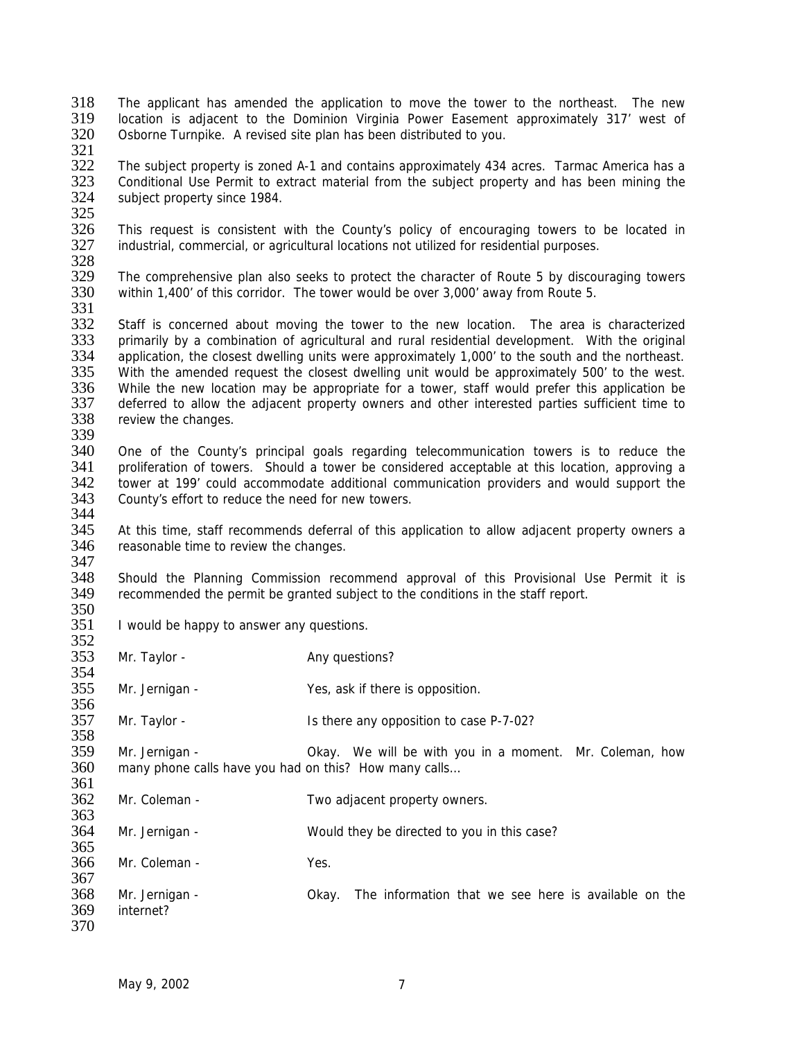- 318 The applicant has amended the application to move the tower to the northeast. The new 319 location is adjacent to the Dominion Virginia Power Easement approximately 317' west of 320 Osborne Turnpike. A revised site plan has been distributed to you.
- 321<br>322

The subject property is zoned A-1 and contains approximately 434 acres. Tarmac America has a 323 Conditional Use Permit to extract material from the subject property and has been mining the subject property since 1984. subject property since 1984.

325<br>326

326 This request is consistent with the County's policy of encouraging towers to be located in 327 industrial, commercial, or agricultural locations not utilized for residential purposes. industrial, commercial, or agricultural locations not utilized for residential purposes.

328<br>329

The comprehensive plan also seeks to protect the character of Route 5 by discouraging towers 330 within 1,400' of this corridor. The tower would be over 3,000' away from Route 5.

331<br>332

Staff is concerned about moving the tower to the new location. The area is characterized 333 primarily by a combination of agricultural and rural residential development. With the original 334 application, the closest dwelling units were approximately 1,000' to the south and the northeast. 334 application, the closest dwelling units were approximately 1,000' to the south and the northeast.<br>335 With the amended request the closest dwelling unit would be approximately 500' to the west. 335 With the amended request the closest dwelling unit would be approximately 500' to the west.<br>336 While the new location may be appropriate for a tower, staff would prefer this application be 336 While the new location may be appropriate for a tower, staff would prefer this application be 337 deferred to allow the adjacent property owners and other interested parties sufficient time to 337 deferred to allow the adjacent property owners and other interested parties sufficient time to 338 review the changes. review the changes.

339

340 One of the County's principal goals regarding telecommunication towers is to reduce the 341 proliferation of towers. Should a tower be considered acceptable at this location, approving a 342 tower at 199' could accommodate additional communication providers and would support the 343 County's effort to reduce the need for new towers. County's effort to reduce the need for new towers. 344

345 At this time, staff recommends deferral of this application to allow adjacent property owners a<br>346 reasonable time to review the changes. reasonable time to review the changes.

347<br>348 348 Should the Planning Commission recommend approval of this Provisional Use Permit it is 349 recommended the permit be granted subject to the conditions in the staff report. recommended the permit be granted subject to the conditions in the staff report.

- 350<br>351 I would be happy to answer any questions.
- 352<br>353 Mr. Taylor - Any questions? 354

355 Mr. Jernigan - Yes, ask if there is opposition.

356<br>357 Mr. Taylor - Is there any opposition to case P-7-02?

358<br>359 359 Mr. Jernigan - Okay. We will be with you in a moment. Mr. Coleman, how 360 many phone calls have you had on this? How many calls... many phone calls have you had on this? How many calls... 361

362 Mr. Coleman - Two adjacent property owners. 363

364 Mr. Jernigan - Would they be directed to you in this case? 365

366 Mr. Coleman - Yes.

367<br>368 368 Mr. Jernigan - Sokay. The information that we see here is available on the 369 internet? internet? 370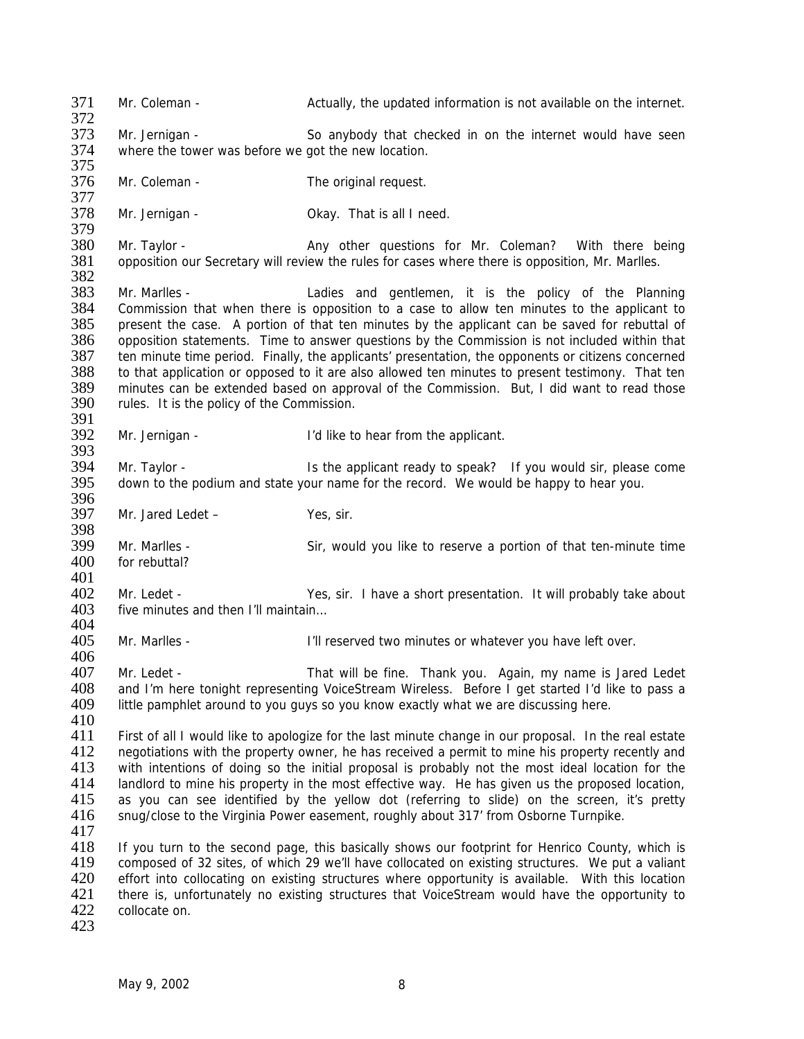371 Mr. Coleman - Actually, the updated information is not available on the internet. 372 373 Mr. Jernigan - So anybody that checked in on the internet would have seen 374 where the tower was before we got the new location. 375 376 Mr. Coleman - The original request. 377<br>378 Mr. Jernigan - Cassic Collection Collection Collection Collection Mr. Jernald Mr. Jernald Mr. 2016. 379<br>380 380 Mr. Taylor - **Any other questions for Mr. Coleman?** With there being 381 opposition our Secretary will review the rules for cases where there is opposition, Mr. Marlles. opposition our Secretary will review the rules for cases where there is opposition, Mr. Marlles. 382 383 Mr. Marlles - Ladies and gentlemen, it is the policy of the Planning 384 Commission that when there is opposition to a case to allow ten minutes to the applicant to 385 present the case. A portion of that ten minutes by the applicant can be saved for rebuttal of present the case. A portion of that ten minutes by the applicant can be saved for rebuttal of 386 opposition statements. Time to answer questions by the Commission is not included within that 387 ten minute time period. Finally, the applicants' presentation, the opponents or citizens concerned 387 ten minute time period. Finally, the applicants' presentation, the opponents or citizens concerned 388 to that application or opposed to it are also allowed ten minutes to present testimony. That ten 388 to that application or opposed to it are also allowed ten minutes to present testimony. That ten<br>389 minutes can be extended based on approval of the Commission. But. I did want to read those 389 minutes can be extended based on approval of the Commission. But, I did want to read those 390 rules. It is the policy of the Commission. rules. It is the policy of the Commission. 391<br>392 Mr. Jernigan - T'd like to hear from the applicant. 393<br>394 Mr. Taylor - **IS the applicant ready to speak?** If you would sir, please come 395 down to the podium and state your name for the record. We would be happy to hear you. 396<br>397 Mr. Jared Ledet – Yes, sir. 398<br>399 399 Mr. Marlles - Sir, would you like to reserve a portion of that ten-minute time 400 for rebuttal? for rebuttal?  $\frac{401}{402}$ 402 Mr. Ledet - Yes, sir. I have a short presentation. It will probably take about 403 five minutes and then I'll maintain... five minutes and then I'll maintain... 404 405 Mr. Marlles - I'll reserved two minutes or whatever you have left over. 406 407 Mr. Ledet - That will be fine. Thank you. Again, my name is Jared Ledet 408 and I'm here tonight representing VoiceStream Wireless. Before I get started I'd like to pass a<br>409 little pamphlet around to vou guys so you know exactly what we are discussing here. little pamphlet around to you guys so you know exactly what we are discussing here. 410<br>411 411 First of all I would like to apologize for the last minute change in our proposal. In the real estate 412 negotiations with the property owner, he has received a permit to mine his property recently and 112 negotiations with the property owner, he has received a permit to mine his property recently and<br>413 with intentions of doing so the initial proposal is probably not the most ideal location for the 413 with intentions of doing so the initial proposal is probably not the most ideal location for the 414 landlord to mine his property in the most effective way. He has given us the proposed location. landlord to mine his property in the most effective way. He has given us the proposed location, 415 as you can see identified by the yellow dot (referring to slide) on the screen, it's pretty 416 snug/close to the Virginia Power easement, roughly about 317' from Osborne Turnpike. snug/close to the Virginia Power easement, roughly about 317' from Osborne Turnpike. 417 418 If you turn to the second page, this basically shows our footprint for Henrico County, which is 419 composed of 32 sites, of which 29 we'll have collocated on existing structures. We put a valiant 420 effort into collocating on existing structures where opportunity is available. With this location 420 effort into collocating on existing structures where opportunity is available. With this location<br>421 there is, unfortunately no existing structures that VoiceStream would have the opportunity to 421 there is, unfortunately no existing structures that VoiceStream would have the opportunity to collocate on. collocate on. 423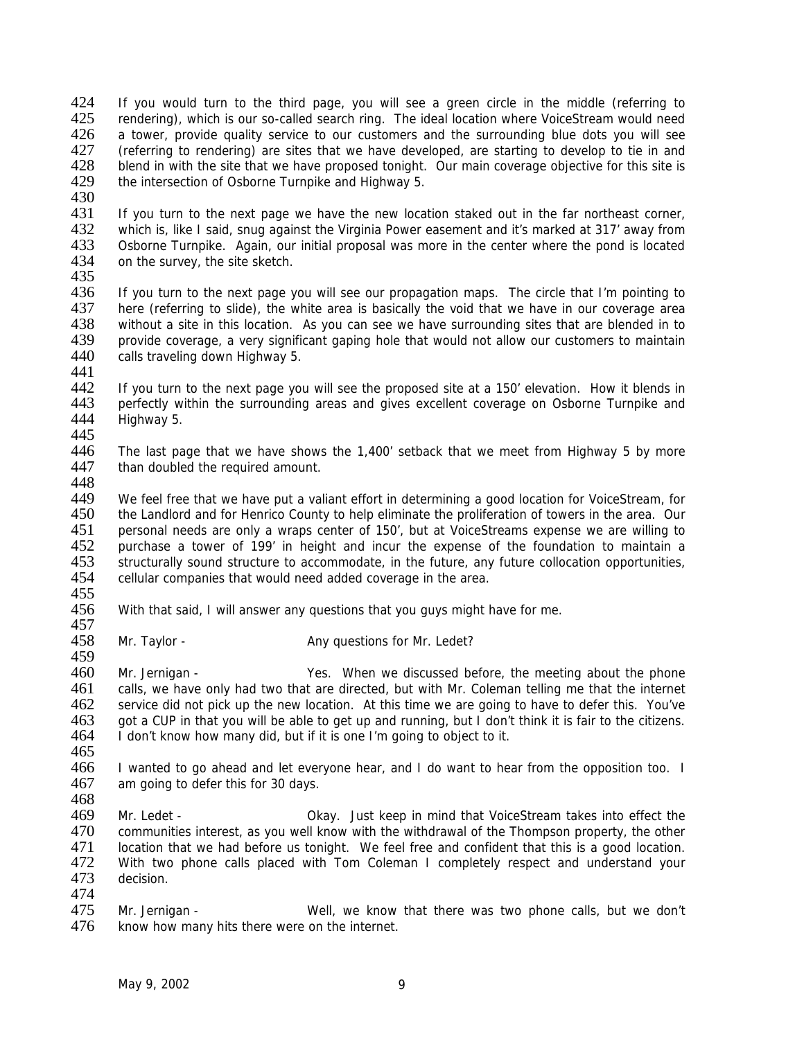424 If you would turn to the third page, you will see a green circle in the middle (referring to 425 rendering), which is our so-called search ring. The ideal location where VoiceStream would need 426 a tower, provide quality service to our customers and the surrounding blue dots you will see 427 (referring to rendering) are sites that we have developed, are starting to develop to tie in and<br>428 blend in with the site that we have proposed tonight. Our main coverage objective for this site is 428 blend in with the site that we have proposed tonight. Our main coverage objective for this site is 429 the intersection of Osborne Turnpike and Highway 5. the intersection of Osborne Turnpike and Highway 5.

430<br>431

431 If you turn to the next page we have the new location staked out in the far northeast corner,<br>432 IV which is, like I said, snug against the Virginia Power easement and it's marked at 317' away from 432 which is, like I said, snug against the Virginia Power easement and it's marked at 317' away from<br>433 Osborne Turnpike. Again, our initial proposal was more in the center where the pond is located 433 Osborne Turnpike. Again, our initial proposal was more in the center where the pond is located 434 on the survey, the site sketch. on the survey, the site sketch.

435

436 If you turn to the next page you will see our propagation maps. The circle that I'm pointing to 437 here (referring to slide), the white area is basically the void that we have in our coverage area<br>438 without a site in this location. As you can see we have surrounding sites that are blended in to 438 without a site in this location. As you can see we have surrounding sites that are blended in to 439 provide coverage, a very significant gaping hole that would not allow our customers to maintain<br>440 calls traveling down Highway 5. calls traveling down Highway 5.

441<br>442 442 If you turn to the next page you will see the proposed site at a 150' elevation. How it blends in 443 perfectly within the surrounding areas and gives excellent coverage on Osborne Turnpike and 443 perfectly within the surrounding areas and gives excellent coverage on Osborne Turnpike and 444 Highway 5. Highway 5.

445

446 The last page that we have shows the 1,400' setback that we meet from Highway 5 by more 447 than doubled the required amount.

448<br>449

We feel free that we have put a valiant effort in determining a good location for VoiceStream, for 450 the Landlord and for Henrico County to help eliminate the proliferation of towers in the area. Our 451 personal needs are only a wraps center of 150', but at VoiceStreams expense we are willing to<br>452 purchase a tower of 199' in height and incur the expense of the foundation to maintain a 452 purchase a tower of 199' in height and incur the expense of the foundation to maintain a<br>453 structurally sound structure to accommodate, in the future, any future collocation opportunities, 453 structurally sound structure to accommodate, in the future, any future collocation opportunities,<br>454 cellular companies that would need added coverage in the area. cellular companies that would need added coverage in the area.

455<br>456

With that said, I will answer any questions that you guys might have for me. 457

458 Mr. Taylor - Any questions for Mr. Ledet? 459

460 Mr. Jernigan - Yes. When we discussed before, the meeting about the phone 461 calls, we have only had two that are directed, but with Mr. Coleman telling me that the internet 462 service did not pick up the new location. At this time we are going to have to defer this. You've 462 service did not pick up the new location. At this time we are going to have to defer this. You've 463 got a CUP in that you will be able to get up and running, but I don't think it is fair to the citizens.<br>464 I don't know how many did, but if it is one I'm going to object to it. I don't know how many did, but if it is one I'm going to object to it.

465<br>466

466 I wanted to go ahead and let everyone hear, and I do want to hear from the opposition too. I<br>467 am going to defer this for 30 days. am going to defer this for 30 days.

468<br>469

469 Mr. Ledet - Okay. Just keep in mind that VoiceStream takes into effect the 470 communities interest, as you well know with the withdrawal of the Thompson property, the other 471 location that we had before us tonight. We feel free and confident that this is a good location.<br>472 With two phone calls placed with Tom Coleman I completely respect and understand your 472 With two phone calls placed with Tom Coleman I completely respect and understand your 473 decision. decision.

474<br>475 475 Mr. Jernigan - Well, we know that there was two phone calls, but we don't 476 know how many hits there were on the internet. know how many hits there were on the internet.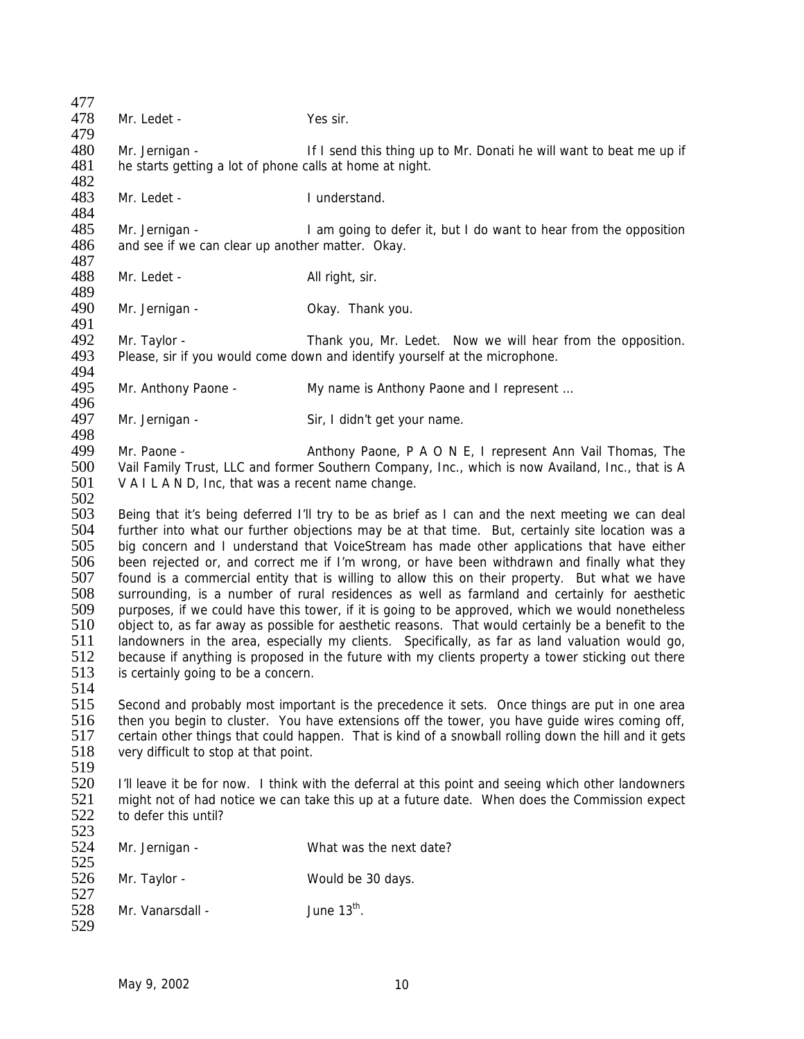| 477 |                                                                                                                                          |                                                                                                    |  |
|-----|------------------------------------------------------------------------------------------------------------------------------------------|----------------------------------------------------------------------------------------------------|--|
| 478 | Mr. Ledet -                                                                                                                              | Yes sir.                                                                                           |  |
| 479 |                                                                                                                                          |                                                                                                    |  |
| 480 | Mr. Jernigan -                                                                                                                           | If I send this thing up to Mr. Donati he will want to beat me up if                                |  |
| 481 | he starts getting a lot of phone calls at home at night.                                                                                 |                                                                                                    |  |
| 482 |                                                                                                                                          |                                                                                                    |  |
| 483 | Mr. Ledet -                                                                                                                              | I understand.                                                                                      |  |
| 484 |                                                                                                                                          |                                                                                                    |  |
| 485 | Mr. Jernigan -                                                                                                                           | I am going to defer it, but I do want to hear from the opposition                                  |  |
| 486 | and see if we can clear up another matter. Okay.                                                                                         |                                                                                                    |  |
| 487 |                                                                                                                                          |                                                                                                    |  |
| 488 | Mr. Ledet -                                                                                                                              | All right, sir.                                                                                    |  |
| 489 |                                                                                                                                          |                                                                                                    |  |
| 490 |                                                                                                                                          |                                                                                                    |  |
|     | Mr. Jernigan -                                                                                                                           | Okay. Thank you.                                                                                   |  |
| 491 |                                                                                                                                          |                                                                                                    |  |
| 492 | Mr. Taylor -                                                                                                                             | Thank you, Mr. Ledet. Now we will hear from the opposition.                                        |  |
| 493 |                                                                                                                                          | Please, sir if you would come down and identify yourself at the microphone.                        |  |
| 494 |                                                                                                                                          |                                                                                                    |  |
| 495 | Mr. Anthony Paone -                                                                                                                      | My name is Anthony Paone and I represent                                                           |  |
| 496 |                                                                                                                                          |                                                                                                    |  |
| 497 | Mr. Jernigan -                                                                                                                           | Sir, I didn't get your name.                                                                       |  |
| 498 |                                                                                                                                          |                                                                                                    |  |
| 499 | Mr. Paone -                                                                                                                              | Anthony Paone, P A O N E, I represent Ann Vail Thomas, The                                         |  |
| 500 |                                                                                                                                          | Vail Family Trust, LLC and former Southern Company, Inc., which is now Availand, Inc., that is A   |  |
| 501 | V A I L A N D, Inc, that was a recent name change.                                                                                       |                                                                                                    |  |
| 502 |                                                                                                                                          |                                                                                                    |  |
| 503 |                                                                                                                                          | Being that it's being deferred I'll try to be as brief as I can and the next meeting we can deal   |  |
| 504 |                                                                                                                                          | further into what our further objections may be at that time. But, certainly site location was a   |  |
| 505 | big concern and I understand that VoiceStream has made other applications that have either                                               |                                                                                                    |  |
| 506 | been rejected or, and correct me if I'm wrong, or have been withdrawn and finally what they                                              |                                                                                                    |  |
| 507 | found is a commercial entity that is willing to allow this on their property. But what we have                                           |                                                                                                    |  |
| 508 |                                                                                                                                          | surrounding, is a number of rural residences as well as farmland and certainly for aesthetic       |  |
| 509 |                                                                                                                                          | purposes, if we could have this tower, if it is going to be approved, which we would nonetheless   |  |
| 510 |                                                                                                                                          | object to, as far away as possible for aesthetic reasons. That would certainly be a benefit to the |  |
| 511 |                                                                                                                                          | landowners in the area, especially my clients. Specifically, as far as land valuation would go,    |  |
| 512 |                                                                                                                                          |                                                                                                    |  |
| 513 | because if anything is proposed in the future with my clients property a tower sticking out there<br>is certainly going to be a concern. |                                                                                                    |  |
| 514 |                                                                                                                                          |                                                                                                    |  |
| 515 |                                                                                                                                          | Second and probably most important is the precedence it sets. Once things are put in one area      |  |
| 516 |                                                                                                                                          |                                                                                                    |  |
| 517 | then you begin to cluster. You have extensions off the tower, you have guide wires coming off,                                           |                                                                                                    |  |
|     | certain other things that could happen. That is kind of a snowball rolling down the hill and it gets                                     |                                                                                                    |  |
| 518 | very difficult to stop at that point.                                                                                                    |                                                                                                    |  |
| 519 |                                                                                                                                          |                                                                                                    |  |
| 520 | I'll leave it be for now. I think with the deferral at this point and seeing which other landowners                                      |                                                                                                    |  |
| 521 | might not of had notice we can take this up at a future date. When does the Commission expect                                            |                                                                                                    |  |
| 522 | to defer this until?                                                                                                                     |                                                                                                    |  |
| 523 |                                                                                                                                          |                                                                                                    |  |
| 524 | Mr. Jernigan -                                                                                                                           | What was the next date?                                                                            |  |
| 525 |                                                                                                                                          |                                                                                                    |  |
| 526 | Mr. Taylor -                                                                                                                             | Would be 30 days.                                                                                  |  |
| 527 |                                                                                                                                          |                                                                                                    |  |
| 528 | Mr. Vanarsdall -                                                                                                                         | June $13^{\text{th}}$ .                                                                            |  |
| 529 |                                                                                                                                          |                                                                                                    |  |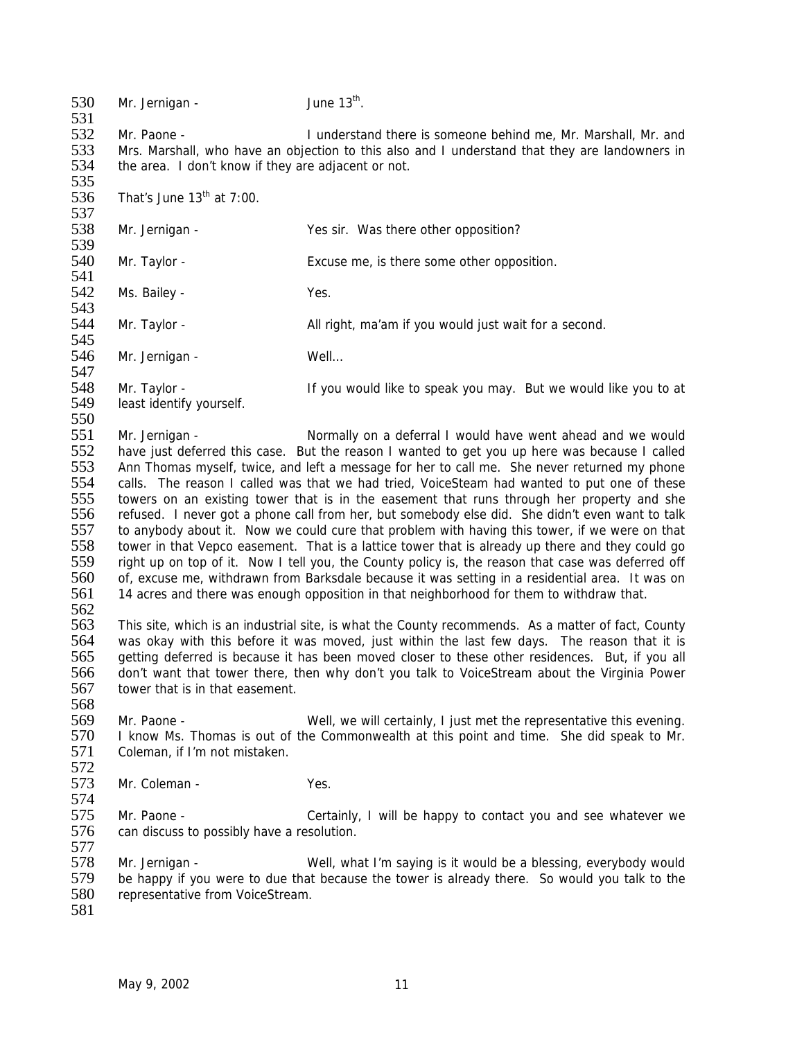$530$  Mr. Jernigan - June  $13<sup>th</sup>$ . 531<br>532 532 Mr. Paone - I understand there is someone behind me, Mr. Marshall, Mr. and 533 Mrs. Marshall, who have an objection to this also and I understand that they are landowners in 534 the area. I don't know if they are adiacent or not. the area. I don't know if they are adjacent or not. 535<br>536 That's June  $13<sup>th</sup>$  at 7:00. 537<br>538 Mr. Jernigan - Yes sir. Was there other opposition? 539<br>540 Mr. Taylor - Excuse me, is there some other opposition. 541 542 Ms. Bailey - Yes. 543<br>544 Mr. Taylor - **All right, ma'am if you would just wait for a second.** 545<br>546 Mr. Jernigan - Well... 547<br>548 548 Mr. Taylor - If you would like to speak you may. But we would like you to at 549 least identify yourself. least identify yourself. 550<br>551 551 Mr. Jernigan - Normally on a deferral I would have went ahead and we would 552 have just deferred this case. But the reason I wanted to get you up here was because I called 553 Ann Thomas myself, twice, and left a message for her to call me. She never returned my phone 554 calls. The reason I called was that we had tried, VoiceSteam had wanted to put one of these<br>555 towers on an existing tower that is in the easement that runs through her property and she towers on an existing tower that is in the easement that runs through her property and she 556 refused. I never got a phone call from her, but somebody else did. She didn't even want to talk 557 to anybody about it. Now we could cure that problem with having this tower, if we were on that 558 tower in that Vepco easement. That is a lattice tower that is already up there and they could go 558 tower in that Vepco easement. That is a lattice tower that is already up there and they could go<br>559 right up on top of it. Now I tell you, the County policy is, the reason that case was deferred off 559 right up on top of it. Now I tell you, the County policy is, the reason that case was deferred off 560 of excuse me, withdrawn from Barksdale because it was setting in a residential area. It was on 560 of, excuse me, withdrawn from Barksdale because it was setting in a residential area. It was on 561 14 acres and there was enough opposition in that neighborhood for them to withdraw that. 14 acres and there was enough opposition in that neighborhood for them to withdraw that. 562 563 This site, which is an industrial site, is what the County recommends. As a matter of fact, County 564 was okay with this before it was moved, just within the last few days. The reason that it is<br>565 getting deferred is because it has been moved closer to these other residences. But, if you all getting deferred is because it has been moved closer to these other residences. But, if you all 566 don't want that tower there, then why don't you talk to VoiceStream about the Virginia Power 567 tower that is in that easement. 568 569 Mr. Paone - Well, we will certainly, I just met the representative this evening.<br>570 I know Ms. Thomas is out of the Commonwealth at this point and time. She did speak to Mr. 570 I know Ms. Thomas is out of the Commonwealth at this point and time. She did speak to Mr.<br>571 Coleman. if I'm not mistaken. Coleman, if I'm not mistaken. 572<br>573 Mr. Coleman - Yes. 574<br>575 Mr. Paone - Certainly, I will be happy to contact you and see whatever we 576 can discuss to possibly have a resolution. 577 578 Mr. Jernigan - Well, what I'm saying is it would be a blessing, everybody would<br>579 be happy if you were to due that because the tower is already there. So would you talk to the 579 be happy if you were to due that because the tower is already there. So would you talk to the 580 representative from VoiceStream. representative from VoiceStream. 581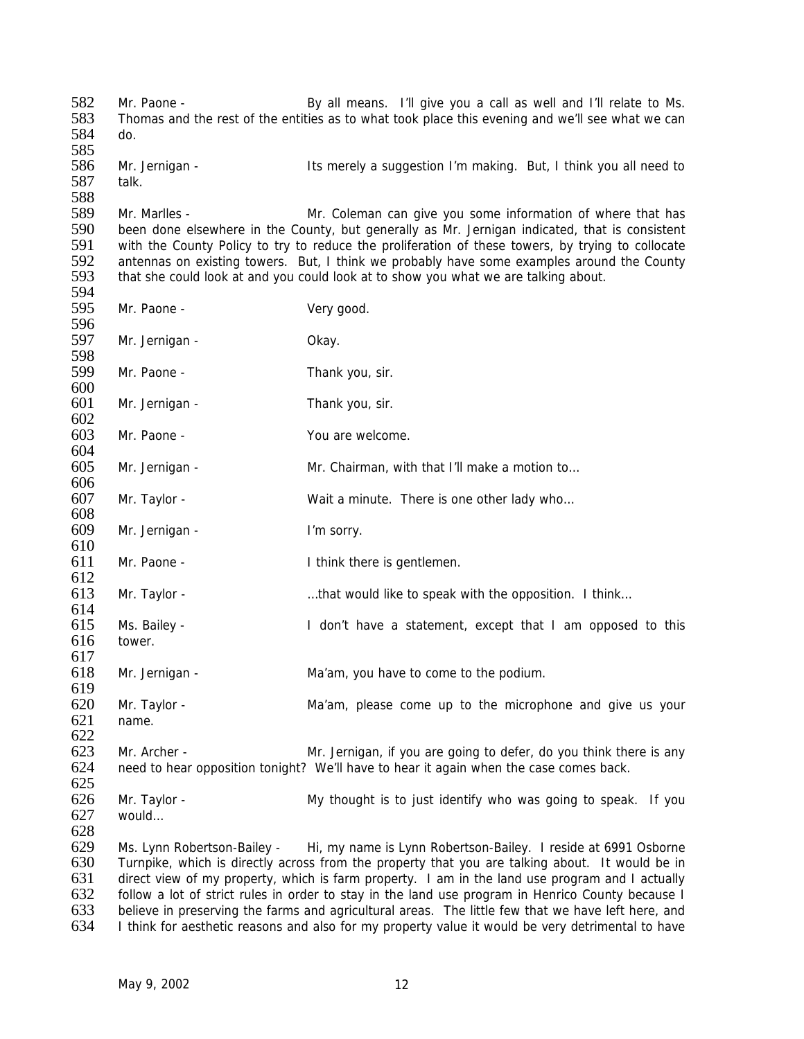582 Mr. Paone - By all means. I'll give you a call as well and I'll relate to Ms. 583 Thomas and the rest of the entities as to what took place this evening and we'll see what we can 584 do. 585<br>586 586 Mr. Jernigan - Its merely a suggestion I'm making. But, I think you all need to 587 talk. 588 589 Mr. Marlles - Mr. Coleman can give you some information of where that has<br>590 been done elsewhere in the County, but generally as Mr. Jernigan indicated, that is consistent 590 been done elsewhere in the County, but generally as Mr. Jernigan indicated, that is consistent 591 with the County Policy to try to reduce the proliferation of these towers, by trying to collocate 591 with the County Policy to try to reduce the proliferation of these towers, by trying to collocate<br>592 antennas on existing towers. But, I think we probably have some examples around the County 592 antennas on existing towers. But, I think we probably have some examples around the County<br>593 that she could look at and you could look at to show you what we are talking about. that she could look at and you could look at to show you what we are talking about. 594 595 Mr. Paone - Very good. 596<br>597 Mr. Jernigan - Chay. 598<br>599 Mr. Paone - Thank you, sir. 600 Mr. Jernigan - Thank you, sir.  $602$ <br> $603$ Mr. Paone - You are welcome. 604 605 Mr. Jernigan - Mr. Chairman, with that I'll make a motion to… 606<br>607 Mr. Taylor - Wait a minute. There is one other lady who... 608 609 Mr. Jernigan - I'm sorry.  $610$ <br> $611$ Mr. Paone - Think there is gentlemen.  $612$ <br> $613$ Mr. Taylor - … …that would like to speak with the opposition. I think... 614 615 Ms. Bailey - I don't have a statement, except that I am opposed to this 616 tower. 617 618 Mr. Jernigan - Ma'am, you have to come to the podium. 619<br>620 620 Mr. Taylor - Ma'am, please come up to the microphone and give us your 621 name. name.  $622$ <br> $623$ 623 Mr. Archer - Mr. Jernigan, if you are going to defer, do you think there is any<br>624 need to hear opposition tonight? We'll have to hear it again when the case comes back. heed to hear opposition tonight? We'll have to hear it again when the case comes back. 625 626 Mr. Taylor - My thought is to just identify who was going to speak. If you would... would… 628 629 Ms. Lynn Robertson-Bailey - Hi, my name is Lynn Robertson-Bailey. I reside at 6991 Osborne 630 Turnpike, which is directly across from the property that you are talking about. It would be in 631 direct view of my property, which is farm property. I am in the land use program and I actually 632 follow a lot of strict rules in order to stay in the land use program in Henrico County because I 632 follow a lot of strict rules in order to stay in the land use program in Henrico County because I 633 believe in preserving the farms and agricultural areas. The little few that we have left here, and 634 I think for aesthetic reasons and also for my property value it would be very detrimental to have

I think for aesthetic reasons and also for my property value it would be very detrimental to have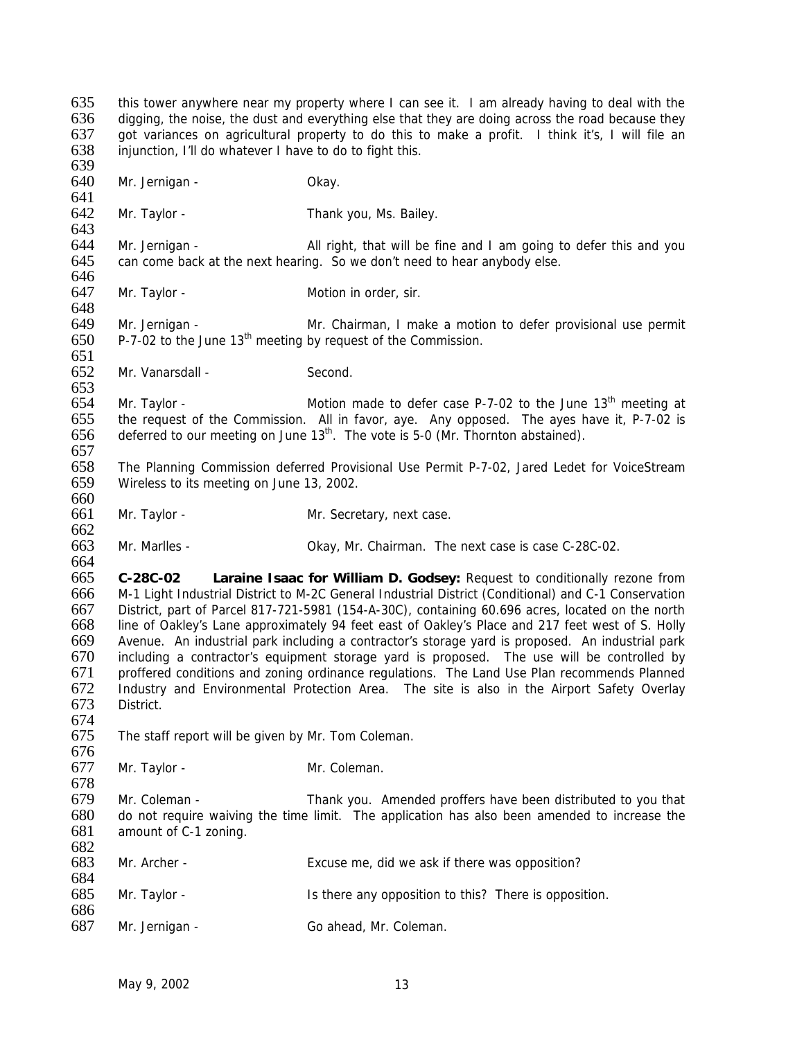635 this tower anywhere near my property where I can see it. I am already having to deal with the 636 digging, the noise, the dust and everything else that they are doing across the road because they 637 got variances on agricultural property to do this to make a profit. I think it's, I will file an 638 injunction, I'll do whatever I have to do to fight this. 639 640 Mr. Jernigan - Okay. 641<br>642 Mr. Taylor - Thank you, Ms. Bailey. 643<br>644 644 Mr. Jernigan -  $\phantom{0}$  All right, that will be fine and I am going to defer this and you 645 can come back at the next hearing. So we don't need to hear anybody else. can come back at the next hearing. So we don't need to hear anybody else. 646 647 Mr. Taylor - Motion in order, sir. 648<br>649 Mr. Jernigan - **Mr. Chairman, I make a motion to defer provisional use permit**  $650$  P-7-02 to the June 13<sup>th</sup> meeting by request of the Commission. 651<br>652 Mr. Vanarsdall - Second. 653<br>654 Mr. Taylor -  $\blacksquare$  Motion made to defer case P-7-02 to the June 13<sup>th</sup> meeting at 655 the request of the Commission. All in favor, aye. Any opposed. The ayes have it, P-7-02 is 656 deferred to our meeting on June  $13<sup>th</sup>$ . The vote is 5-0 (Mr. Thornton abstained). deferred to our meeting on June  $13<sup>th</sup>$ . The vote is 5-0 (Mr. Thornton abstained). 657 658 The Planning Commission deferred Provisional Use Permit P-7-02, Jared Ledet for VoiceStream 659 Wireless to its meeting on June 13, 2002. 660 661 Mr. Taylor - Mr. Secretary, next case. 662<br>663 Mr. Marlles - Chairman. The next case is case C-28C-02. 664<br>665 665 **C-28C-02 Laraine Isaac for William D. Godsey:** Request to conditionally rezone from 666 M-1 Light Industrial District to M-2C General Industrial District (Conditional) and C-1 Conservation 667 District, part of Parcel 817-721-5981 (154-A-30C), containing 60.696 acres, located on the north 668 line of Oakley's Lane approximately 94 feet east of Oakley's Place and 217 feet west of S. Holly 669 Avenue. An industrial park including a contractor's storage yard is proposed. An industrial park including a contractor's equipment storage yard is proposed. The use will be controlled by 671 proffered conditions and zoning ordinance regulations. The Land Use Plan recommends Planned 672 Industry and Environmental Protection Area. The site is also in the Airport Safety Overlay<br>673 District. District. 674 The staff report will be given by Mr. Tom Coleman. 676<br>677 Mr. Taylor - Mr. Coleman. 678 679 Mr. Coleman - Thank you. Amended proffers have been distributed to you that 680 do not require waiving the time limit. The application has also been amended to increase the 681 amount of C-1 zoning. 682 683 Mr. Archer - Excuse me, did we ask if there was opposition? 684<br>685 Mr. Taylor - **IS there any opposition to this?** There is opposition. 686<br>687 Mr. Jernigan - Go ahead, Mr. Coleman.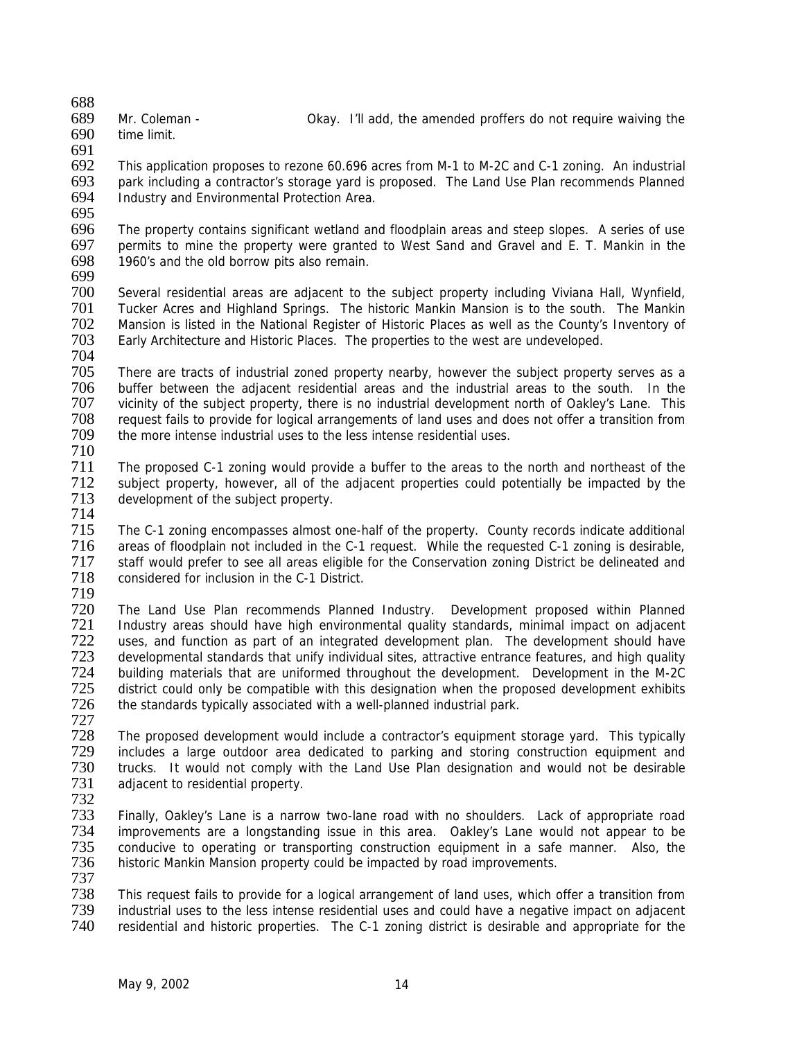688

690 time limit.

691<br>692 This application proposes to rezone 60.696 acres from M-1 to M-2C and C-1 zoning. An industrial 693 park including a contractor's storage yard is proposed. The Land Use Plan recommends Planned<br>694 Undustry and Environmental Protection Area. Industry and Environmental Protection Area.

695<br>696

696 The property contains significant wetland and floodplain areas and steep slopes. A series of use 697 permits to mine the property were granted to West Sand and Gravel and E. T. Mankin in the 698 1960's and the old borrow pits also remain. 1960's and the old borrow pits also remain.

699

700 Several residential areas are adjacent to the subject property including Viviana Hall, Wynfield, 701 Tucker Acres and Highland Springs. The historic Mankin Mansion is to the south. The Mankin<br>702 Mansion is listed in the National Register of Historic Places as well as the County's Inventory of 702 Mansion is listed in the National Register of Historic Places as well as the County's Inventory of 703 Early Architecture and Historic Places. The properties to the west are undeveloped. Early Architecture and Historic Places. The properties to the west are undeveloped.

704

705 There are tracts of industrial zoned property nearby, however the subject property serves as a<br>706 buffer between the adiacent residential areas and the industrial areas to the south. In the 706 buffer between the adjacent residential areas and the industrial areas to the south. In the 707 vicinity of the subject property, there is no industrial development north of Oakley's Lane. This 707 vicinity of the subject property, there is no industrial development north of Oakley's Lane. This<br>708 request fails to provide for logical arrangements of land uses and does not offer a transition from 708 request fails to provide for logical arrangements of land uses and does not offer a transition from<br>709 the more intense industrial uses to the less intense residential uses. the more intense industrial uses to the less intense residential uses.

710

711 The proposed C-1 zoning would provide a buffer to the areas to the north and northeast of the 712 subject property, however, all of the adjacent properties could potentially be impacted by the 713 development of the subject property. development of the subject property.

714 The C-1 zoning encompasses almost one-half of the property. County records indicate additional<br>716 areas of floodplain not included in the C-1 request. While the requested C-1 zoning is desirable. 716 areas of floodplain not included in the C-1 request. While the requested C-1 zoning is desirable, 717 staff would prefer to see all areas eligible for the Conservation zoning District be delineated and 718 considered for inclusion in the C-1 District. considered for inclusion in the C-1 District.

719

720 The Land Use Plan recommends Planned Industry. Development proposed within Planned Industry areas should have high environmental quality standards, minimal impact on adjacent 722 uses, and function as part of an integrated development plan. The development should have<br>723 developmental standards that unify individual sites, attractive entrance features, and high quality developmental standards that unify individual sites, attractive entrance features, and high quality 724 building materials that are uniformed throughout the development. Development in the M-2C<br>725 district could only be compatible with this designation when the proposed development exhibits 725 district could only be compatible with this designation when the proposed development exhibits<br>726 the standards typically associated with a well-planned industrial park. the standards typically associated with a well-planned industrial park.

727 728 The proposed development would include a contractor's equipment storage yard. This typically 729 includes a large outdoor area dedicated to parking and storing construction equipment and 730 trucks. It would not comply with the Land Use Plan designation and would not be desirable 730 trucks. It would not comply with the Land Use Plan designation and would not be desirable<br>731 adiacent to residential property. adjacent to residential property.

732

733 Finally, Oakley's Lane is a narrow two-lane road with no shoulders. Lack of appropriate road improvements are a longstanding issue in this area. Oakley's Lane would not appear to be 735 conducive to operating or transporting construction equipment in a safe manner. Also, the 736 historic Mankin Mansion property could be impacted by road improvements. historic Mankin Mansion property could be impacted by road improvements.

737<br>738 738 This request fails to provide for a logical arrangement of land uses, which offer a transition from 739 industrial uses to the less intense residential uses and could have a negative impact on adjacent residential and historic properties. The C-1 zoning district is desirable and appropriate for the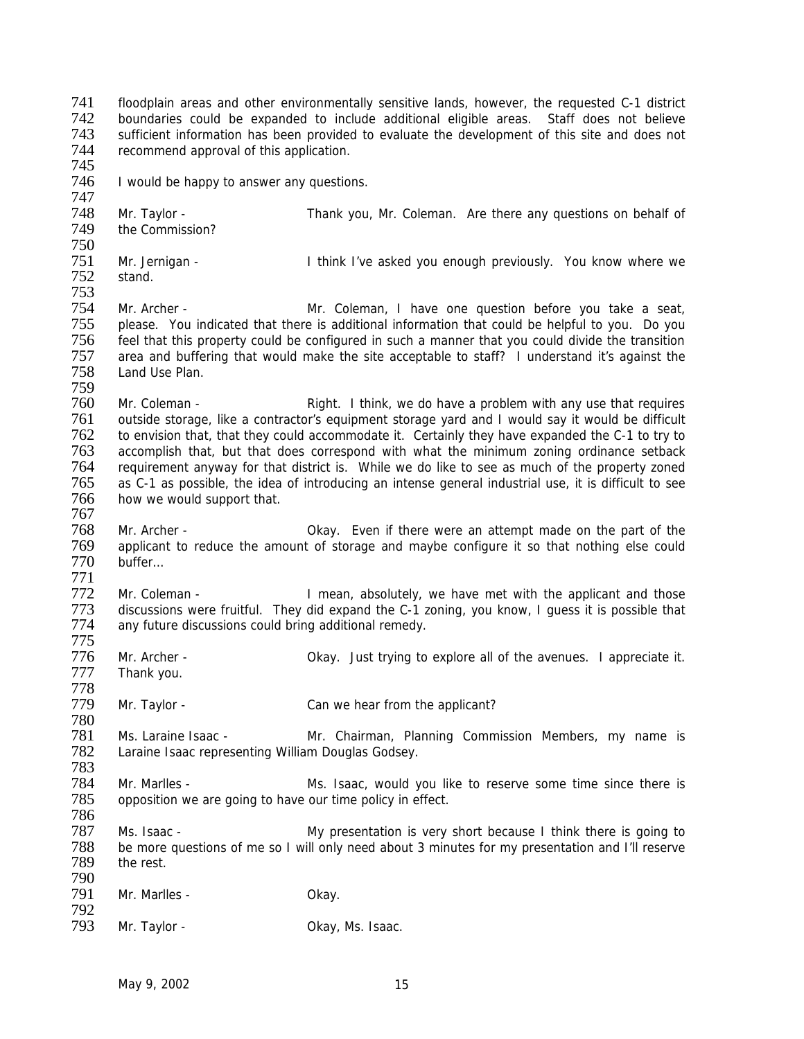741 floodplain areas and other environmentally sensitive lands, however, the requested C-1 district 742 boundaries could be expanded to include additional eligible areas. Staff does not believe<br>743 sufficient information has been provided to evaluate the development of this site and does not sufficient information has been provided to evaluate the development of this site and does not 744 recommend approval of this application. 745 746 I would be happy to answer any questions. 747 748 Mr. Taylor - Thank you, Mr. Coleman. Are there any questions on behalf of 749 the Commission? the Commission? 750 751 Mr. Jernigan - I think I've asked you enough previously. You know where we<br>752 stand. stand. 753 The Mr. Archer - The Mr. Coleman, I have one question before you take a seat,<br>755 please. You indicated that there is additional information that could be helpful to you. Do you please. You indicated that there is additional information that could be helpful to you. Do you 756 feel that this property could be configured in such a manner that you could divide the transition<br>757 area and buffering that would make the site acceptable to staff? I understand it's against the 757 area and buffering that would make the site acceptable to staff? I understand it's against the Land Use Plan. 759 760 Mr. Coleman - Right. I think, we do have a problem with any use that requires<br>761 outside storage, like a contractor's equipment storage vard and I would say it would be difficult 761 outside storage, like a contractor's equipment storage yard and I would say it would be difficult<br>762 to envision that, that they could accommodate it. Certainly they have expanded the C-1 to try to 762 to envision that, that they could accommodate it. Certainly they have expanded the C-1 to try to 763 accomplish that, but that does correspond with what the minimum zoning ordinance setback 764 requirement anyway for that district is. While we do like to see as much of the property zoned 765 as C-1 as possible, the idea of introducing an intense general industrial use, it is difficult to see 766 how we would support that. 767 768 Mr. Archer - Okay. Even if there were an attempt made on the part of the 769 applicant to reduce the amount of storage and maybe configure it so that nothing else could 769 applicant to reduce the amount of storage and maybe configure it so that nothing else could 770 buffer... buffer… 771 Thean, absolutely, we have met with the applicant and those<br>773 discussions were fruitful. They did expand the C-1 zoning, you know. I quess it is possible that 773 discussions were fruitful. They did expand the C-1 zoning, you know, I guess it is possible that 774 any future discussions could bring additional remedy. any future discussions could bring additional remedy. 775 Mr. Archer - Chay. Just trying to explore all of the avenues. I appreciate it. 777 Thank you. 778 Mr. Taylor - Can we hear from the applicant? 780 781 Ms. Laraine Isaac - Mr. Chairman, Planning Commission Members, my name is 782 Laraine Isaac representing William Douglas Godsey. Laraine Isaac representing William Douglas Godsey. 783 Mr. Marlles - The Mr. Isaac, would you like to reserve some time since there is 785 opposition we are going to have our time policy in effect. 786 Ms. Isaac - This issue is the My presentation is very short because I think there is going to 788 be more questions of me so I will only need about 3 minutes for my presentation and I'll reserve<br>789 the rest. the rest. 790 Mr. Marlles - Cassing Communication of Okay. 792<br>793 Mr. Taylor - Cassic Collection Collection Collection Collection Collection Collection Collection Collection Collection Collection Collection Collection Collection Collection Collection Collection Collection Collection Coll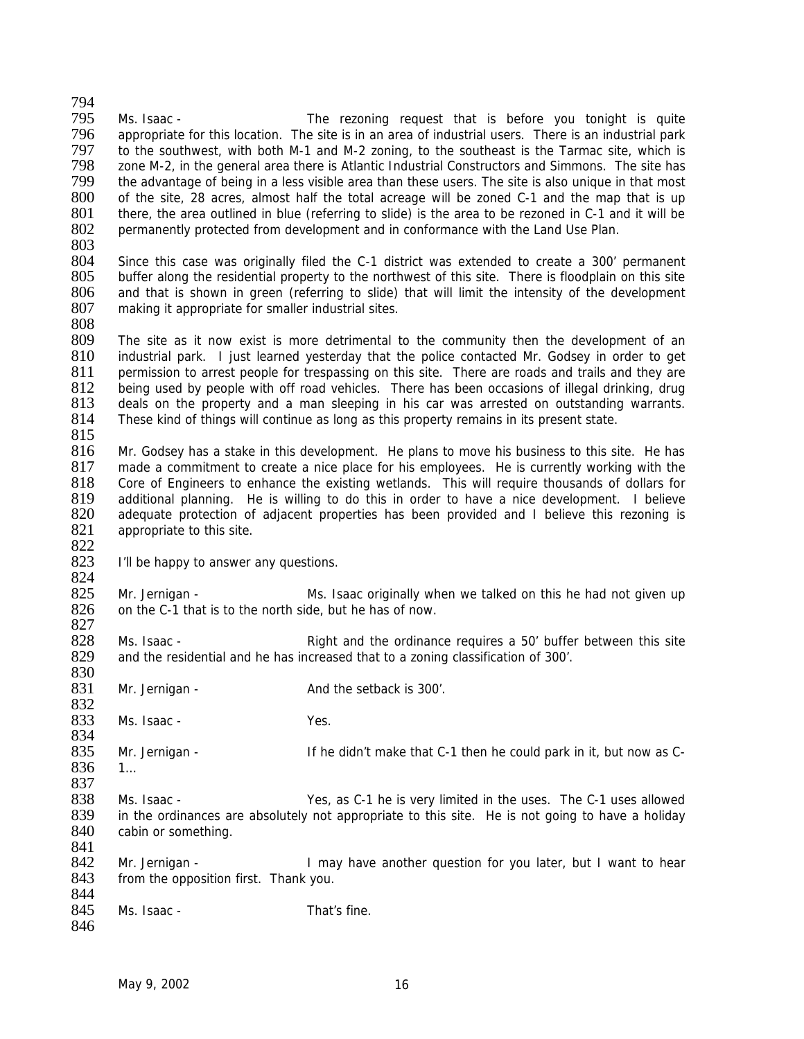794 Ms. Isaac - The rezoning request that is before you tonight is quite 796 appropriate for this location. The site is in an area of industrial users. There is an industrial park 797 to the southwest, with both M-1 and M-2 zoning, to the southeast is the Tarmac site, which is<br>798 zone M-2, in the general area there is Atlantic Industrial Constructors and Simmons. The site has 798 zone M-2, in the general area there is Atlantic Industrial Constructors and Simmons. The site has 799 the advantage of being in a less visible area than these users. The site is also unique in that most 800 of the site, 28 acres, almost half the total acreage will be zoned C-1 and the map that is up 801 there, the area outlined in blue (referring to slide) is the area to be rezoned in C-1 and it will be 801 there, the area outlined in blue (referring to slide) is the area to be rezoned in C-1 and it will be 802 permanently protected from development and in conformance with the Land Use Plan. 802 permanently protected from development and in conformance with the Land Use Plan.  $\frac{803}{804}$ 804 Since this case was originally filed the C-1 district was extended to create a 300' permanent buffer along the residential property to the northwest of this site. There is floodplain on this site 806 and that is shown in green (referring to slide) that will limit the intensity of the development 807 making it appropriate for smaller industrial sites. 808 809 The site as it now exist is more detrimental to the community then the development of an 810 industrial park. I just learned vesterday that the police contacted Mr. Godsey in order to get 810 industrial park. I just learned yesterday that the police contacted Mr. Godsey in order to get 811 permission to arrest people for trespassing on this site. There are roads and trails and they are 811 permission to arrest people for trespassing on this site. There are roads and trails and they are<br>812 being used by people with off road vehicles. There has been occasions of illegal drinking, drug 812 being used by people with off road vehicles. There has been occasions of illegal drinking, drug<br>813 deals on the property and a man sleeping in his car was arrested on outstanding warrants. 813 deals on the property and a man sleeping in his car was arrested on outstanding warrants.<br>814 These kind of things will continue as long as this property remains in its present state. These kind of things will continue as long as this property remains in its present state.  $815$ <br>816 Mr. Godsey has a stake in this development. He plans to move his business to this site. He has 817 made a commitment to create a nice place for his employees. He is currently working with the 818 Core of Engineers to enhance the existing wetlands. This will require thousands of dollars for 819 additional planning. He is willing to do this in order to have a nice development. I believe additional planning. He is willing to do this in order to have a nice development. I believe 820 adequate protection of adjacent properties has been provided and I believe this rezoning is 821 appropriate to this site. 822<br>823 I'll be happy to answer any questions. 824<br>825 825 Mr. Jernigan - Ms. Isaac originally when we talked on this he had not given up  $826$  on the C-1 that is to the north side, but he has of now. on the C-1 that is to the north side, but he has of now. 827 828 Ms. Isaac - Right and the ordinance requires a 50' buffer between this site and the residential and he has increased that to a zoning classification of 300'. and the residential and he has increased that to a zoning classification of 300'. 830 831 Mr. Jernigan - And the setback is 300'. 832<br>833 Ms. Isaac - Yes. 834<br>835 Mr. Jernigan - The South of the didn't make that C-1 then he could park in it, but now as C-836 1… 837 838 Ms. Isaac - Yes, as C-1 he is very limited in the uses. The C-1 uses allowed 839 in the ordinances are absolutely not appropriate to this site. He is not going to have a holiday in the ordinances are absolutely not appropriate to this site. He is not going to have a holiday 840 cabin or something. 841<br>842 842 Mr. Jernigan - I may have another question for you later, but I want to hear 843 from the opposition first. Thank you. from the opposition first. Thank you. 844<br>845 Ms. Isaac - That's fine. 846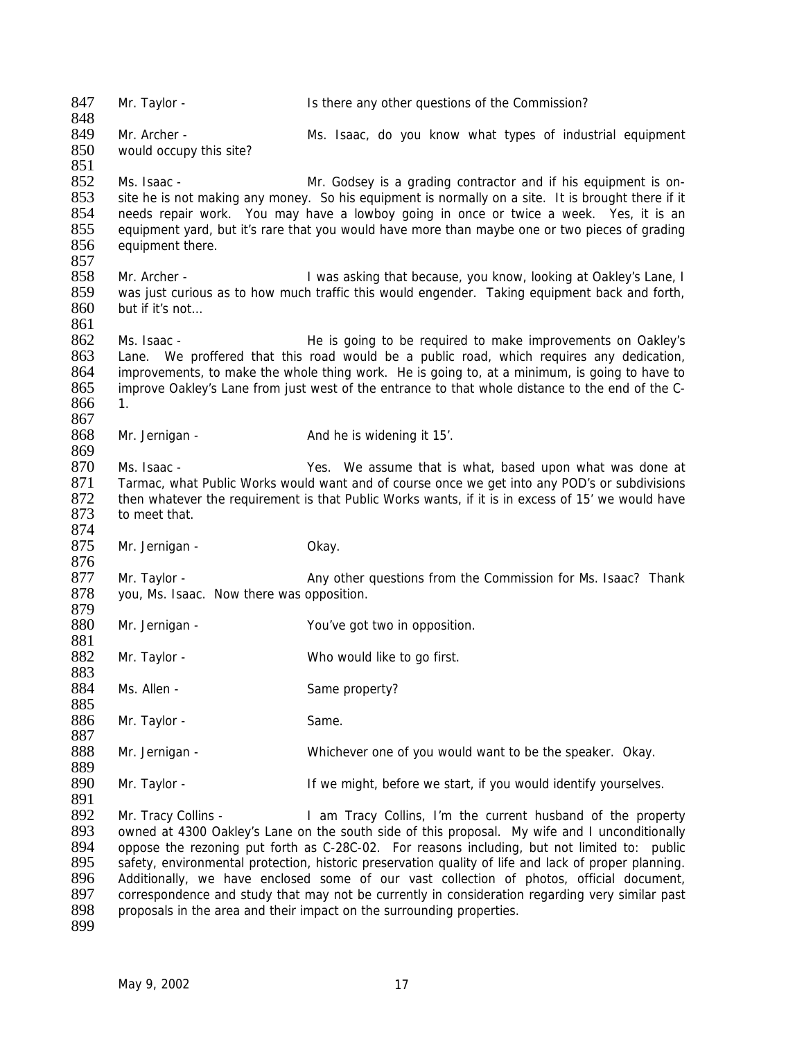847 Mr. Taylor - Is there any other questions of the Commission? 848 849 Mr. Archer - Ms. Isaac, do you know what types of industrial equipment 850 would occupy this site? would occupy this site? 851 Ms. Isaac - Mr. Godsey is a grading contractor and if his equipment is on-<br>853 site he is not making any money. So his equipment is normally on a site. It is brought there if it 853 site he is not making any money. So his equipment is normally on a site. It is brought there if it 854 needs repair work. You may have a lowboy going in once or twice a week. Yes, it is an 854 needs repair work. You may have a lowboy going in once or twice a week. Yes, it is an 855 equipment vard, but it's rare that you would have more than maybe one or two pieces of grading 855 equipment yard, but it's rare that you would have more than maybe one or two pieces of grading 856 equipment there. equipment there. 857<br>858 858 Mr. Archer - I was asking that because, you know, looking at Oakley's Lane, I 859 was just curious as to how much traffic this would engender. Taking equipment back and forth, 860 but if it's not… 861 862 Ms. Isaac - He is going to be required to make improvements on Oakley's<br>863 Hane. We proffered that this road would be a public road, which requires any dedication. Lane. We proffered that this road would be a public road, which requires any dedication, 864 improvements, to make the whole thing work. He is going to, at a minimum, is going to have to 865 improve Oakley's Lane from just west of the entrance to that whole distance to the end of the Cimprove Oakley's Lane from just west of the entrance to that whole distance to the end of the C-866 1. 867<br>868 Mr. Jernigan - And he is widening it 15'. 869 870 Ms. Isaac - Yes. We assume that is what, based upon what was done at 871 Tarmac, what Public Works would want and of course once we get into any POD's or subdivisions<br>872 then whatever the requirement is that Public Works wants, if it is in excess of 15' we would have then whatever the requirement is that Public Works wants, if it is in excess of 15' we would have 873 to meet that. 874<br>875 Mr. Jernigan - Okay. 876<br>877 877 Mr. Taylor - Any other questions from the Commission for Ms. Isaac? Thank 878 vou. Ms. Isaac. Now there was opposition. you, Ms. Isaac. Now there was opposition. 879<br>880 Mr. Jernigan - You've got two in opposition. 881 Mr. Taylor - Who would like to go first. 883 884 Ms. Allen - Same property? 885 886 Mr. Taylor - Same. 887<br>888 888 Mr. Jernigan - Whichever one of you would want to be the speaker. Okay. 889<br>890 Mr. Taylor - The Section of the might, before we start, if you would identify yourselves. 891<br>892 Mr. Tracy Collins - I am Tracy Collins, I'm the current husband of the property 893 owned at 4300 Oakley's Lane on the south side of this proposal. My wife and I unconditionally 894 oppose the rezoning put forth as C-28C-02. For reasons including, but not limited to: public 895 safety, environmental protection, historic preservation quality of life and lack of proper planning.<br>896 Additionally, we have enclosed some of our vast collection of photos, official document, 896 Additionally, we have enclosed some of our vast collection of photos, official document, 897 correspondence and study that may not be currently in consideration regarding very similar past 897 correspondence and study that may not be currently in consideration regarding very similar past 898 proposals in the area and their impact on the surrounding proporties. proposals in the area and their impact on the surrounding properties.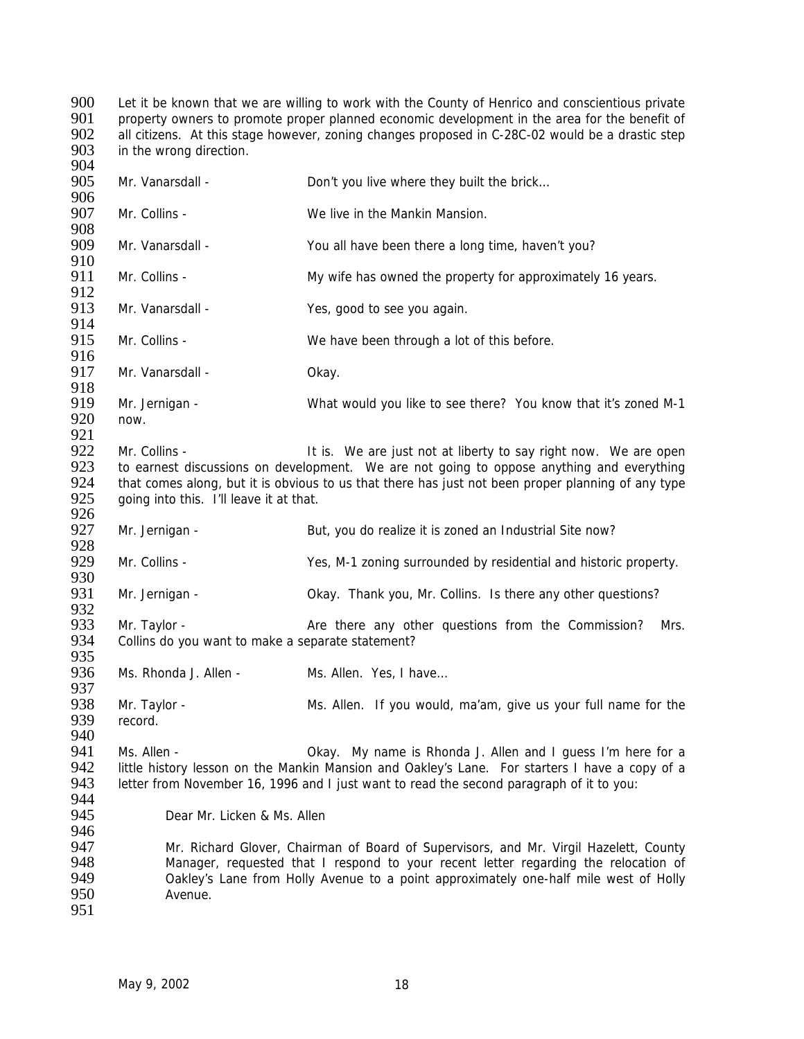900 Let it be known that we are willing to work with the County of Henrico and conscientious private<br>901 property owners to promote proper planned economic development in the area for the benefit of 901 property owners to promote proper planned economic development in the area for the benefit of 902 all citizens. At this stage however, zoning changes proposed in C-28C-02 would be a drastic step all citizens. At this stage however, zoning changes proposed in C-28C-02 would be a drastic step 903 in the wrong direction.

904<br>905 Mr. Vanarsdall - Don't you live where they built the brick... 906<br>907 Mr. Collins - We live in the Mankin Mansion. 908 909 Mr. Vanarsdall - You all have been there a long time, haven't you? 910<br>911 Mr. Collins - My wife has owned the property for approximately 16 years. 912 913 Mr. Vanarsdall - Yes, good to see you again. 914<br>915 Mr. Collins - We have been through a lot of this before. 916<br>917 Mr. Vanarsdall - Okay. 918<br>919 919 Mr. Jernigan - What would you like to see there? You know that it's zoned M-1<br>920 now. now. 921 922 Mr. Collins - It is. We are just not at liberty to say right now. We are open 923 to earnest discussions on development. We are not going to oppose anything and everything 924 that comes along, but it is obvious to us that there has just not been proper planning of any type<br>925 ooing into this. I'll leave it at that. going into this. I'll leave it at that. 926 927 Mr. Jernigan - But, you do realize it is zoned an Industrial Site now? 928<br>929 Mr. Collins - Yes, M-1 zoning surrounded by residential and historic property. 930<br>931 Mr. Jernigan - Chay. Thank you, Mr. Collins. Is there any other questions? 932<br>933 Mr. Taylor - Are there any other questions from the Commission? Mrs. 934 Collins do you want to make a separate statement? 935 936 Ms. Rhonda J. Allen - Ms. Allen. Yes, I have... 937<br>938 938 Mr. Taylor - Mis. Allen. If you would, ma'am, give us your full name for the 939 record. record. 940<br>941 941 Ms. Allen - Okay. My name is Rhonda J. Allen and I guess I'm here for a<br>942 little history lesson on the Mankin Mansion and Oakley's Lane. For starters I have a copy of a 942 little history lesson on the Mankin Mansion and Oakley's Lane. For starters I have a copy of a<br>943 letter from November 16, 1996 and I just want to read the second paragraph of it to you: letter from November 16, 1996 and I just want to read the second paragraph of it to you: 944<br>945 Dear Mr. Licken & Ms. Allen 946 947 Mr. Richard Glover, Chairman of Board of Supervisors, and Mr. Virgil Hazelett, County 948 Manager, requested that I respond to your recent letter regarding the relocation of 949 (949) Solid Calicu 949 Oakley's Lane from Holly Avenue to a point approximately one-half mile west of Holly<br>950 Menue. Avenue. 951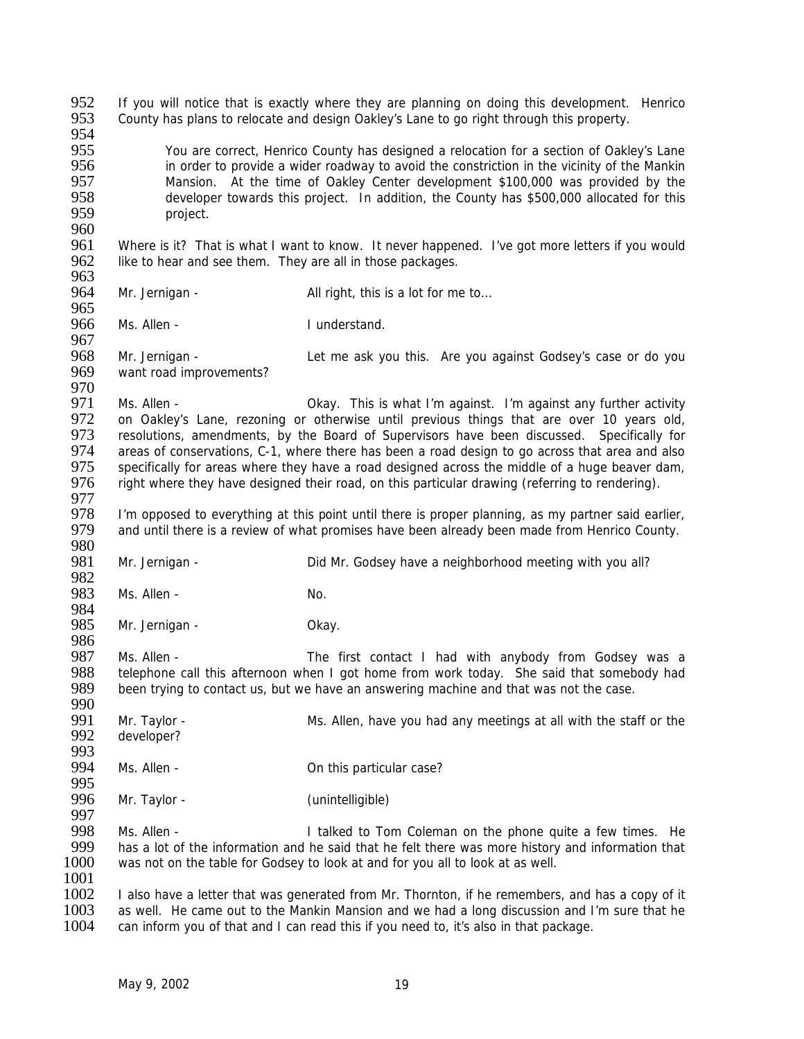952 If you will notice that is exactly where they are planning on doing this development. Henrico 953 County has plans to relocate and design Oakley's Lane to go right through this property. 954 955 You are correct, Henrico County has designed a relocation for a section of Oakley's Lane<br>956 in order to provide a wider roadway to avoid the constriction in the vicinity of the Mankin 956 in order to provide a wider roadway to avoid the constriction in the vicinity of the Mankin<br>957 Mansion. At the time of Oaklev Center development \$100.000 was provided by the 957 Mansion. At the time of Oakley Center development \$100,000 was provided by the<br>958 developer towards this project. In addition, the County has \$500,000 allocated for this 958 developer towards this project. In addition, the County has \$500,000 allocated for this 959 project. 960<br>961 961 Where is it? That is what I want to know. It never happened. I've got more letters if you would 962 like to hear and see them. They are all in those packages. like to hear and see them. They are all in those packages. 963 964 Mr. Jernigan - All right, this is a lot for me to... 965<br>966 Ms. Allen - I understand. 967<br>968 968 Mr. Jernigan - Let me ask you this. Are you against Godsey's case or do you<br>969 want road improvements? want road improvements? 970<br>971 971 Ms. Allen - Okay. This is what I'm against. I'm against any further activity<br>972 on Oaklev's Lane, rezoning or otherwise until previous things that are over 10 years old. 972 on Oakley's Lane, rezoning or otherwise until previous things that are over 10 years old,<br>973 resolutions, amendments, by the Board of Supervisors have been discussed. Specifically for 973 resolutions, amendments, by the Board of Supervisors have been discussed. Specifically for 974 areas of conservations. C-1, where there has been a road design to go across that area and also areas of conservations, C-1, where there has been a road design to go across that area and also 975 specifically for areas where they have a road designed across the middle of a huge beaver dam, 976 right where they have designed their road, on this particular drawing (referring to rendering). 977<br>978 I'm opposed to everything at this point until there is proper planning, as my partner said earlier, 979 and until there is a review of what promises have been already been made from Henrico County. 980<br>981 Mr. Jernigan - Did Mr. Godsey have a neighborhood meeting with you all? 982<br>983 Ms. Allen - No. 984<br>985 Mr. Jernigan - Okay. 986<br>987 987 Ms. Allen - The first contact I had with anybody from Godsey was a<br>988 telephone call this afternoon when I got home from work today. She said that somebody had 988 telephone call this afternoon when I got home from work today. She said that somebody had<br>989 been trying to contact us, but we have an answering machine and that was not the case. been trying to contact us, but we have an answering machine and that was not the case. 990<br>991 991 Mr. Taylor - Ms. Allen, have you had any meetings at all with the staff or the 992 developer? developer? 993<br>994 Ms. Allen - Common Common Common Control and Ms. Allen - On this particular case? 995<br>996 Mr. Taylor - (unintelligible) 997<br>998 998 Ms. Allen - I talked to Tom Coleman on the phone quite a few times. He 999 has a lot of the information and he said that he felt there was more history and information that 999 has a lot of the information and he said that he felt there was more history and information that 1000 was not on the table for Godsey to look at and for you all to look at as well. was not on the table for Godsey to look at and for you all to look at as well. 1001<br>1002 1002 I also have a letter that was generated from Mr. Thornton, if he remembers, and has a copy of it 1003 as well. He came out to the Mankin Mansion and we had a long discussion and I'm sure that he 1003 as well. He came out to the Mankin Mansion and we had a long discussion and I'm sure that he 1004 and the<br>1004 can inform you of that and I can read this if you need to, it's also in that package. can inform you of that and I can read this if you need to, it's also in that package.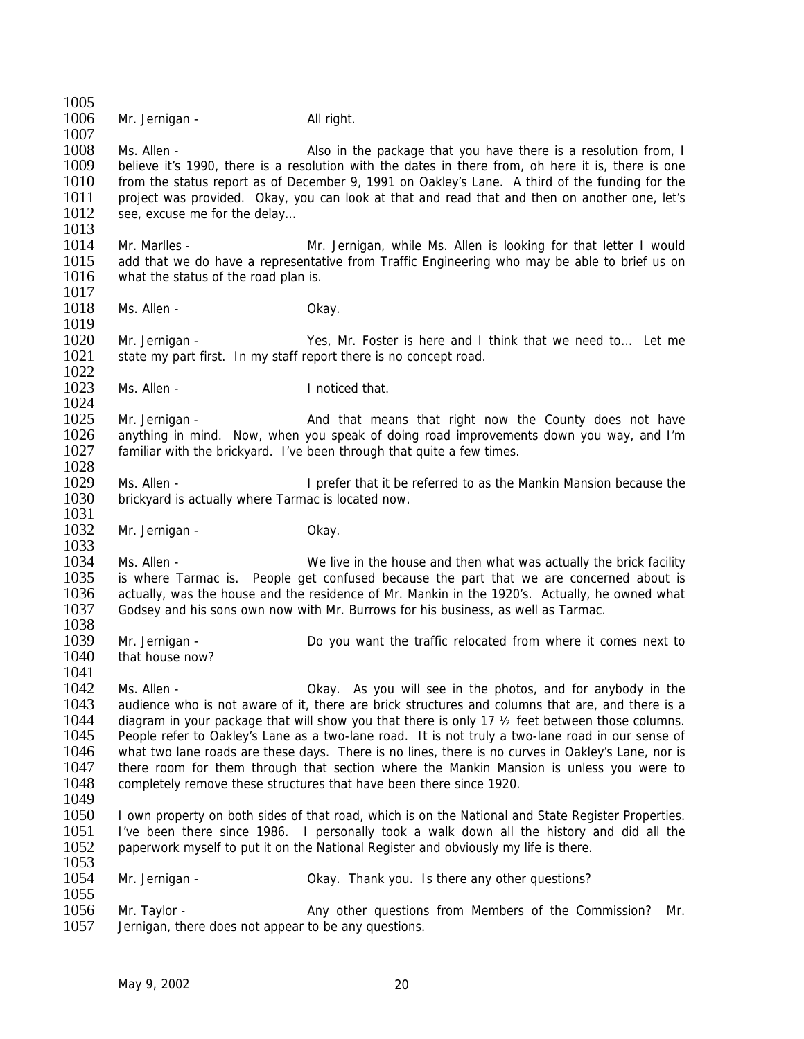1005 1006 Mr. Jernigan - All right. 1007 1008 Ms. Allen - Also in the package that you have there is a resolution from, I 1009 believe it's 1990, there is a resolution with the dates in there from, oh here it is, there is one 1010 from the status report as of December 9, 1991 on Oakley's Lane. A third of the funding for the 1011 project was provided. Okay, you can look at that and read that and then on another one. let's 1011 project was provided. Okay, you can look at that and read that and then on another one, let's 1012 see, excuse me for the delay... see, excuse me for the delay...  $\frac{1013}{1014}$ 1014 Mr. Marlles - Mr. Jernigan, while Ms. Allen is looking for that letter I would<br>1015 add that we do have a representative from Traffic Engineering who may be able to brief us on add that we do have a representative from Traffic Engineering who may be able to brief us on 1016 what the status of the road plan is. 1017 1018 Ms. Allen - Chay. 1019 1020 Mr. Jernigan - Yes, Mr. Foster is here and I think that we need to... Let me<br>1021 state my part first. In my staff report there is no concept road. state my part first. In my staff report there is no concept road. 1022<br>1023 Ms. Allen - **I** noticed that. 1024<br>1025 1025 Mr. Jernigan - And that means that right now the County does not have 1026 anything in mind. Now, when you speak of doing road improvements down you way, and I'm anything in mind. Now, when you speak of doing road improvements down you way, and I'm 1027 familiar with the brickyard. I've been through that quite a few times. 1028 1029 Ms. Allen - I prefer that it be referred to as the Mankin Mansion because the 1030 brickvard is actually where Tarmac is located now. brickyard is actually where Tarmac is located now. 1031 1032 Mr. Jernigan - Chay. 1033<br>1034 1034 Ms. Allen - We live in the house and then what was actually the brick facility<br>1035 is where Tarmac is. People get confused because the part that we are concerned about is 1035 is where Tarmac is. People get confused because the part that we are concerned about is 1036 actually, was the house and the residence of Mr. Mankin in the 1920's. Actually, he owned what 1036 actually, was the house and the residence of Mr. Mankin in the 1920's. Actually, he owned what 1037 Godsey and his sons own now with Mr. Burrows for his business, as well as Tarmac. Godsey and his sons own now with Mr. Burrows for his business, as well as Tarmac. 1038 1039 Mr. Jernigan - Do you want the traffic relocated from where it comes next to 1040 that house now? 1041 1042 Ms. Allen - Ckay. As you will see in the photos, and for anybody in the 1043 audience who is not aware of it, there are brick structures and columns that are, and there is a audience who is not aware of it, there are brick structures and columns that are, and there is a 1044 diagram in your package that will show you that there is only 17  $\frac{1}{2}$  feet between those columns.<br>1045 People refer to Oakley's Lane as a two-lane road. It is not truly a two-lane road in our sense of 1045 People refer to Oakley's Lane as a two-lane road. It is not truly a two-lane road in our sense of 1046 what two lane roads are these days. There is no lines, there is no curves in Oakley's Lane, nor is 1046 what two lane roads are these days. There is no lines, there is no curves in Oakley's Lane, nor is 1047 there room for them through that section where the Mankin Mansion is unless you were to there room for them through that section where the Mankin Mansion is unless you were to 1048 completely remove these structures that have been there since 1920. 1049 1050 I own property on both sides of that road, which is on the National and State Register Properties. 1051 I've been there since 1986. I personally took a walk down all the history and did all the 1052 paperwork myself to put it on the National Register and obviously my life is there.  $\frac{1053}{1054}$ Mr. Jernigan - Changel Collect Contains thank you. Is there any other questions? 1055<br>1056 1056 Mr. Taylor - Any other questions from Members of the Commission? Mr.<br>1057 Jernigan, there does not appear to be any questions. Jernigan, there does not appear to be any questions.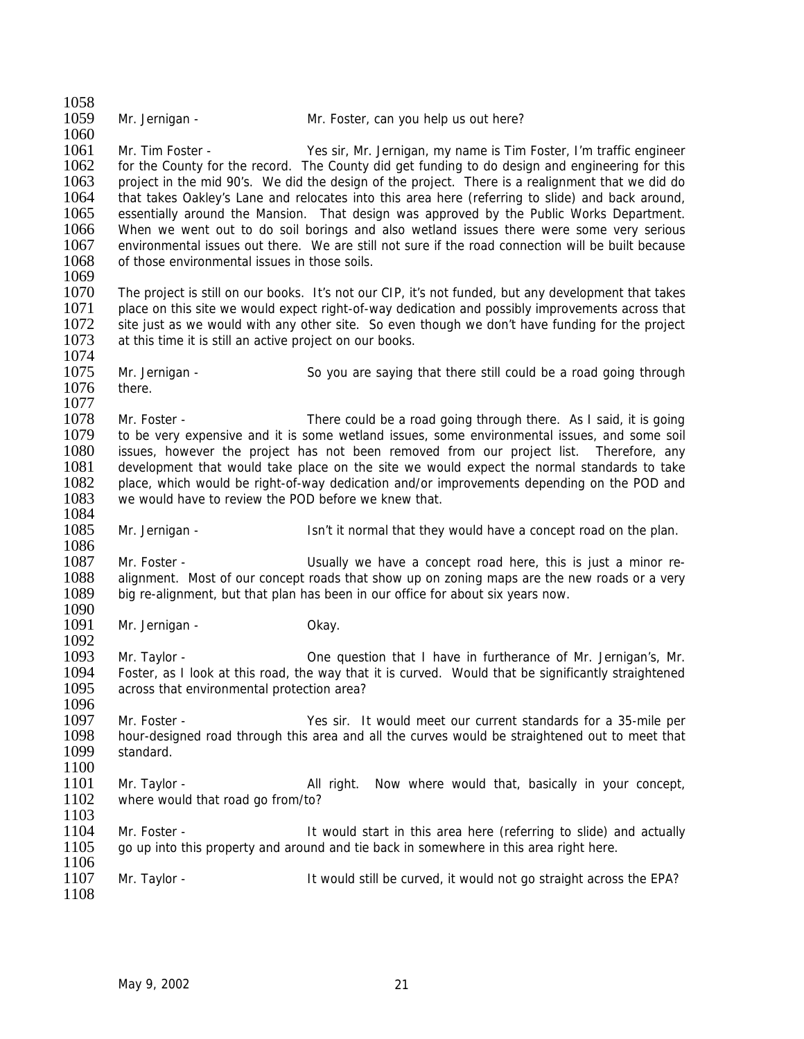| 1058         |                                                          |                                                                                                                                                                                        |
|--------------|----------------------------------------------------------|----------------------------------------------------------------------------------------------------------------------------------------------------------------------------------------|
| 1059         | Mr. Jernigan -                                           | Mr. Foster, can you help us out here?                                                                                                                                                  |
| 1060         |                                                          |                                                                                                                                                                                        |
| 1061         | Mr. Tim Foster -                                         | Yes sir, Mr. Jernigan, my name is Tim Foster, I'm traffic engineer                                                                                                                     |
| 1062         |                                                          | for the County for the record. The County did get funding to do design and engineering for this                                                                                        |
| 1063         |                                                          | project in the mid 90's. We did the design of the project. There is a realignment that we did do                                                                                       |
| 1064         |                                                          | that takes Oakley's Lane and relocates into this area here (referring to slide) and back around,                                                                                       |
| 1065         |                                                          | essentially around the Mansion. That design was approved by the Public Works Department.                                                                                               |
| 1066         |                                                          | When we went out to do soil borings and also wetland issues there were some very serious                                                                                               |
| 1067         |                                                          | environmental issues out there. We are still not sure if the road connection will be built because                                                                                     |
| 1068         | of those environmental issues in those soils.            |                                                                                                                                                                                        |
| 1069         |                                                          |                                                                                                                                                                                        |
| 1070         |                                                          | The project is still on our books. It's not our CIP, it's not funded, but any development that takes                                                                                   |
| 1071         |                                                          | place on this site we would expect right-of-way dedication and possibly improvements across that                                                                                       |
| 1072         |                                                          | site just as we would with any other site. So even though we don't have funding for the project                                                                                        |
| 1073         | at this time it is still an active project on our books. |                                                                                                                                                                                        |
| 1074         |                                                          |                                                                                                                                                                                        |
| 1075         | Mr. Jernigan -                                           | So you are saying that there still could be a road going through                                                                                                                       |
| 1076         | there.                                                   |                                                                                                                                                                                        |
| 1077         |                                                          |                                                                                                                                                                                        |
| 1078<br>1079 | Mr. Foster -                                             | There could be a road going through there. As I said, it is going                                                                                                                      |
| 1080         |                                                          | to be very expensive and it is some wetland issues, some environmental issues, and some soil<br>issues, however the project has not been removed from our project list. Therefore, any |
| 1081         |                                                          | development that would take place on the site we would expect the normal standards to take                                                                                             |
| 1082         |                                                          | place, which would be right-of-way dedication and/or improvements depending on the POD and                                                                                             |
| 1083         | we would have to review the POD before we knew that.     |                                                                                                                                                                                        |
| 1084         |                                                          |                                                                                                                                                                                        |
| 1085         | Mr. Jernigan -                                           | Isn't it normal that they would have a concept road on the plan.                                                                                                                       |
| 1086         |                                                          |                                                                                                                                                                                        |
| 1087         | Mr. Foster -                                             | Usually we have a concept road here, this is just a minor re-                                                                                                                          |
| 1088         |                                                          | alignment. Most of our concept roads that show up on zoning maps are the new roads or a very                                                                                           |
| 1089         |                                                          | big re-alignment, but that plan has been in our office for about six years now.                                                                                                        |
| 1090         |                                                          |                                                                                                                                                                                        |
| 1091         | Mr. Jernigan -                                           | Okay.                                                                                                                                                                                  |
| 1092         |                                                          |                                                                                                                                                                                        |
| 1093         | Mr. Taylor -                                             | One question that I have in furtherance of Mr. Jernigan's, Mr.                                                                                                                         |
| 1094         |                                                          | Foster, as I look at this road, the way that it is curved. Would that be significantly straightened                                                                                    |
| 1095         | across that environmental protection area?               |                                                                                                                                                                                        |
| 1096         |                                                          |                                                                                                                                                                                        |
| 1097         | Mr. Foster -                                             | Yes sir. It would meet our current standards for a 35-mile per                                                                                                                         |
| 1098         |                                                          | hour-designed road through this area and all the curves would be straightened out to meet that                                                                                         |
| 1099         | standard.                                                |                                                                                                                                                                                        |
| 1100         |                                                          |                                                                                                                                                                                        |
| 1101         | Mr. Taylor -                                             | All right.<br>Now where would that, basically in your concept,                                                                                                                         |
| 1102         | where would that road go from/to?                        |                                                                                                                                                                                        |
| 1103         |                                                          |                                                                                                                                                                                        |
| 1104         | Mr. Foster -                                             | It would start in this area here (referring to slide) and actually                                                                                                                     |
| 1105         |                                                          | go up into this property and around and tie back in somewhere in this area right here.                                                                                                 |
| 1106<br>1107 |                                                          |                                                                                                                                                                                        |
| 1108         | Mr. Taylor -                                             | It would still be curved, it would not go straight across the EPA?                                                                                                                     |
|              |                                                          |                                                                                                                                                                                        |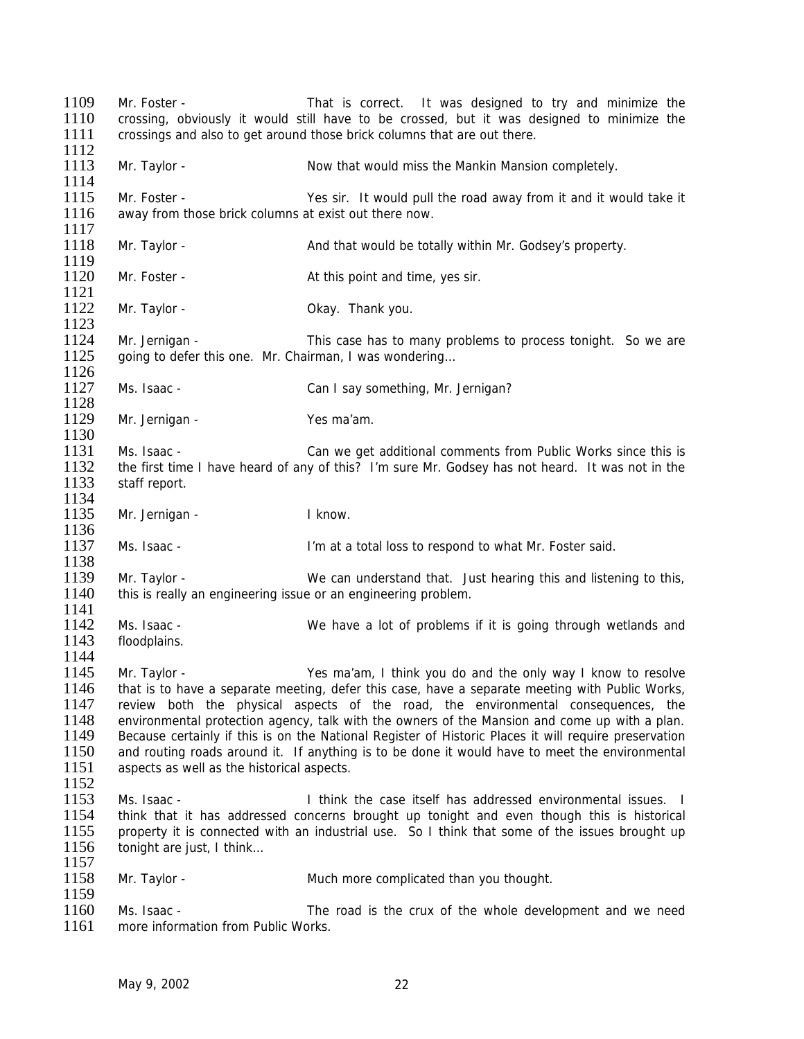1109 Mr. Foster - That is correct. It was designed to try and minimize the 1110 crossing, obviously it would still have to be crossed, but it was designed to minimize the 1111 crossings and also to get around those brick columns that are out there.  $\frac{1112}{1113}$ Mr. Taylor - The Superson Mow that would miss the Mankin Mansion completely. 1114 1115 Mr. Foster - Yes sir. It would pull the road away from it and it would take it 1116 away from those brick columns at exist out there now. away from those brick columns at exist out there now. 1117<br>1118 Mr. Taylor - **And that would be totally within Mr. Godsey's property.** 1119<br>1120 Mr. Foster - At this point and time, yes sir. 1121 1122 Mr. Taylor - Chang Chay. Thank you. 1123 1124 Mr. Jernigan - This case has to many problems to process tonight. So we are 1125 aoing to defer this one. Mr. Chairman. I was wondering... going to defer this one. Mr. Chairman, I was wondering... 1126<br>1127 Ms. Isaac - Can I say something, Mr. Jernigan? 1128<br>1129 Mr. Jernigan - Yes ma'am. 1130 1131 Ms. Isaac - Can we get additional comments from Public Works since this is<br>1132 the first time I have heard of any of this? I'm sure Mr. Godsey has not heard. It was not in the the first time I have heard of any of this? I'm sure Mr. Godsey has not heard. It was not in the 1133 staff report. 1134 1135 Mr. Jernigan - I know. 1136<br>1137 Ms. Isaac - **I'm at a total loss to respond to what Mr. Foster said.** 1138<br>1139 1139 Mr. Taylor - We can understand that. Just hearing this and listening to this,<br>1140 this is really an engineering issue or an engineering problem. this is really an engineering issue or an engineering problem. 1141<br>1142 Ms. Isaac - We have a lot of problems if it is going through wetlands and 1143 floodplains. 1144 1145 Mr. Taylor - Yes ma'am, I think you do and the only way I know to resolve 1146 that is to have a separate meeting, defer this case, have a separate meeting with Public Works, 1147 review both the physical aspects of the road, the environmental consequences, the 1148 environmental protection agency, talk with the owners of the Mansion and come up with a plan.<br>1149 Because certainly if this is on the National Register of Historic Places it will require preservation 1149 Because certainly if this is on the National Register of Historic Places it will require preservation<br>1150 and routing roads around it. If anything is to be done it would have to meet the environmental 1150 and routing roads around it. If anything is to be done it would have to meet the environmental 1151 aspects as well as the historical aspects aspects as well as the historical aspects. 1152 1153 Ms. Isaac - I think the case itself has addressed environmental issues. I 1154 think that it has addressed concerns brought up tonight and even though this is historical 1155 property it is connected with an industrial use. So I think that some of the issues brought up 1156 tonight are just, I think… 1157<br>1158 Mr. Taylor - The Much more complicated than you thought. 1159<br>1160 1160 Ms. Isaac - The road is the crux of the whole development and we need<br>1161 more information from Public Works. more information from Public Works.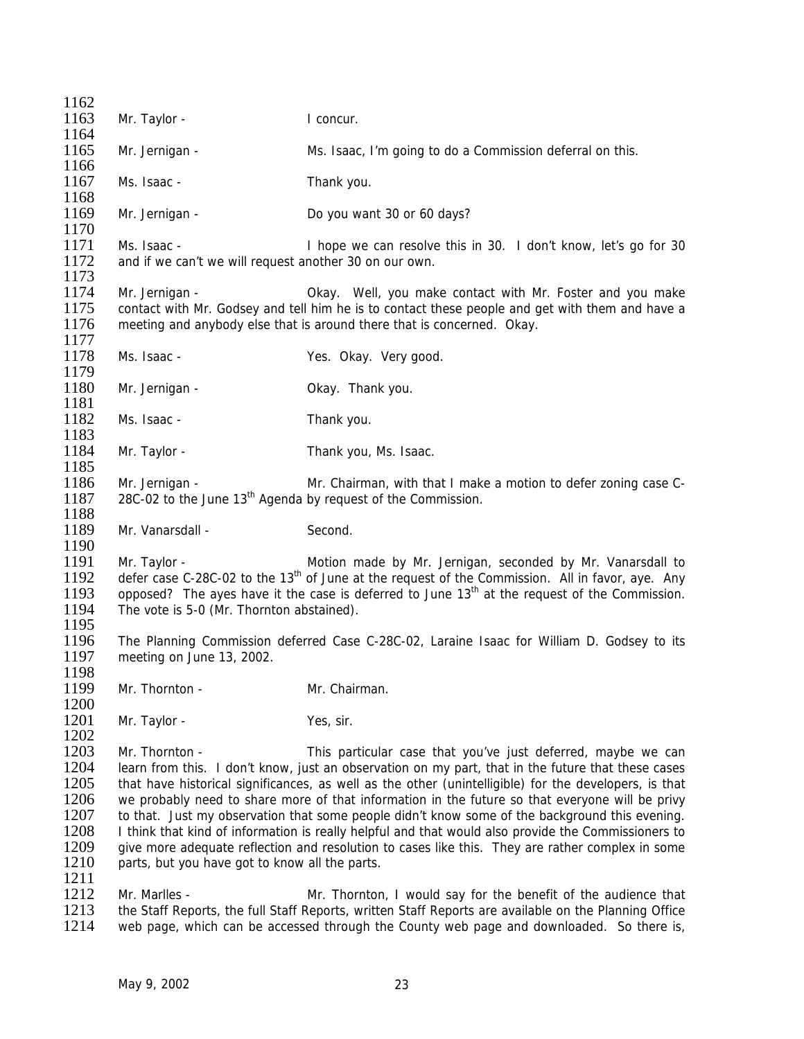| 1162         |                                                                                                                         |                                                                                                                                                                                                   |  |
|--------------|-------------------------------------------------------------------------------------------------------------------------|---------------------------------------------------------------------------------------------------------------------------------------------------------------------------------------------------|--|
| 1163         | Mr. Taylor -                                                                                                            | I concur.                                                                                                                                                                                         |  |
| 1164         |                                                                                                                         |                                                                                                                                                                                                   |  |
| 1165<br>1166 | Mr. Jernigan -                                                                                                          | Ms. Isaac, I'm going to do a Commission deferral on this.                                                                                                                                         |  |
| 1167         | Ms. Isaac -                                                                                                             | Thank you.                                                                                                                                                                                        |  |
| 1168<br>1169 | Mr. Jernigan -                                                                                                          | Do you want 30 or 60 days?                                                                                                                                                                        |  |
| 1170         |                                                                                                                         |                                                                                                                                                                                                   |  |
| 1171<br>1172 | Ms. Isaac -<br>and if we can't we will request another 30 on our own.                                                   | I hope we can resolve this in 30. I don't know, let's go for 30                                                                                                                                   |  |
| 1173         |                                                                                                                         |                                                                                                                                                                                                   |  |
| 1174<br>1175 | Mr. Jernigan -                                                                                                          | Okay. Well, you make contact with Mr. Foster and you make<br>contact with Mr. Godsey and tell him he is to contact these people and get with them and have a                                      |  |
| 1176<br>1177 |                                                                                                                         | meeting and anybody else that is around there that is concerned. Okay.                                                                                                                            |  |
| 1178<br>1179 | Ms. Isaac -                                                                                                             | Yes. Okay. Very good.                                                                                                                                                                             |  |
| 1180         | Mr. Jernigan -                                                                                                          | Okay. Thank you.                                                                                                                                                                                  |  |
| 1181         |                                                                                                                         |                                                                                                                                                                                                   |  |
| 1182         | Ms. Isaac -                                                                                                             | Thank you.                                                                                                                                                                                        |  |
| 1183         |                                                                                                                         |                                                                                                                                                                                                   |  |
| 1184         | Mr. Taylor -                                                                                                            | Thank you, Ms. Isaac.                                                                                                                                                                             |  |
| 1185         |                                                                                                                         |                                                                                                                                                                                                   |  |
| 1186         | Mr. Jernigan -                                                                                                          | Mr. Chairman, with that I make a motion to defer zoning case C-                                                                                                                                   |  |
| 1187         | 28C-02 to the June 13 <sup>th</sup> Agenda by request of the Commission.                                                |                                                                                                                                                                                                   |  |
| 1188         |                                                                                                                         |                                                                                                                                                                                                   |  |
| 1189         | Mr. Vanarsdall -                                                                                                        | Second.                                                                                                                                                                                           |  |
| 1190         |                                                                                                                         |                                                                                                                                                                                                   |  |
| 1191         | Mr. Taylor -                                                                                                            | Motion made by Mr. Jernigan, seconded by Mr. Vanarsdall to                                                                                                                                        |  |
| 1192         |                                                                                                                         | defer case C-28C-02 to the 13 <sup>th</sup> of June at the request of the Commission. All in favor, aye. Any                                                                                      |  |
| 1193         |                                                                                                                         | opposed? The ayes have it the case is deferred to June 13 <sup>th</sup> at the request of the Commission.                                                                                         |  |
| 1194         | The vote is 5-0 (Mr. Thornton abstained).                                                                               |                                                                                                                                                                                                   |  |
| 1195<br>1196 |                                                                                                                         |                                                                                                                                                                                                   |  |
| 1197         | The Planning Commission deferred Case C-28C-02, Laraine Isaac for William D. Godsey to its<br>meeting on June 13, 2002. |                                                                                                                                                                                                   |  |
| 1198         |                                                                                                                         |                                                                                                                                                                                                   |  |
| 1199         | Mr. Thornton -                                                                                                          | Mr. Chairman.                                                                                                                                                                                     |  |
| 1200         |                                                                                                                         |                                                                                                                                                                                                   |  |
| 1201         | Mr. Taylor -                                                                                                            | Yes, sir.                                                                                                                                                                                         |  |
| 1202         |                                                                                                                         |                                                                                                                                                                                                   |  |
| 1203         | Mr. Thornton -                                                                                                          | This particular case that you've just deferred, maybe we can                                                                                                                                      |  |
| 1204         |                                                                                                                         | learn from this. I don't know, just an observation on my part, that in the future that these cases                                                                                                |  |
| 1205         | that have historical significances, as well as the other (unintelligible) for the developers, is that                   |                                                                                                                                                                                                   |  |
| 1206         | we probably need to share more of that information in the future so that everyone will be privy                         |                                                                                                                                                                                                   |  |
| 1207         |                                                                                                                         | to that. Just my observation that some people didn't know some of the background this evening.                                                                                                    |  |
| 1208         |                                                                                                                         | I think that kind of information is really helpful and that would also provide the Commissioners to                                                                                               |  |
| 1209         |                                                                                                                         | give more adequate reflection and resolution to cases like this. They are rather complex in some                                                                                                  |  |
| 1210         | parts, but you have got to know all the parts.                                                                          |                                                                                                                                                                                                   |  |
| 1211         |                                                                                                                         |                                                                                                                                                                                                   |  |
| 1212         | Mr. Marlles -                                                                                                           | Mr. Thornton, I would say for the benefit of the audience that                                                                                                                                    |  |
| 1213<br>1214 |                                                                                                                         | the Staff Reports, the full Staff Reports, written Staff Reports are available on the Planning Office<br>web page, which can be accessed through the County web page and downloaded. So there is, |  |
|              |                                                                                                                         |                                                                                                                                                                                                   |  |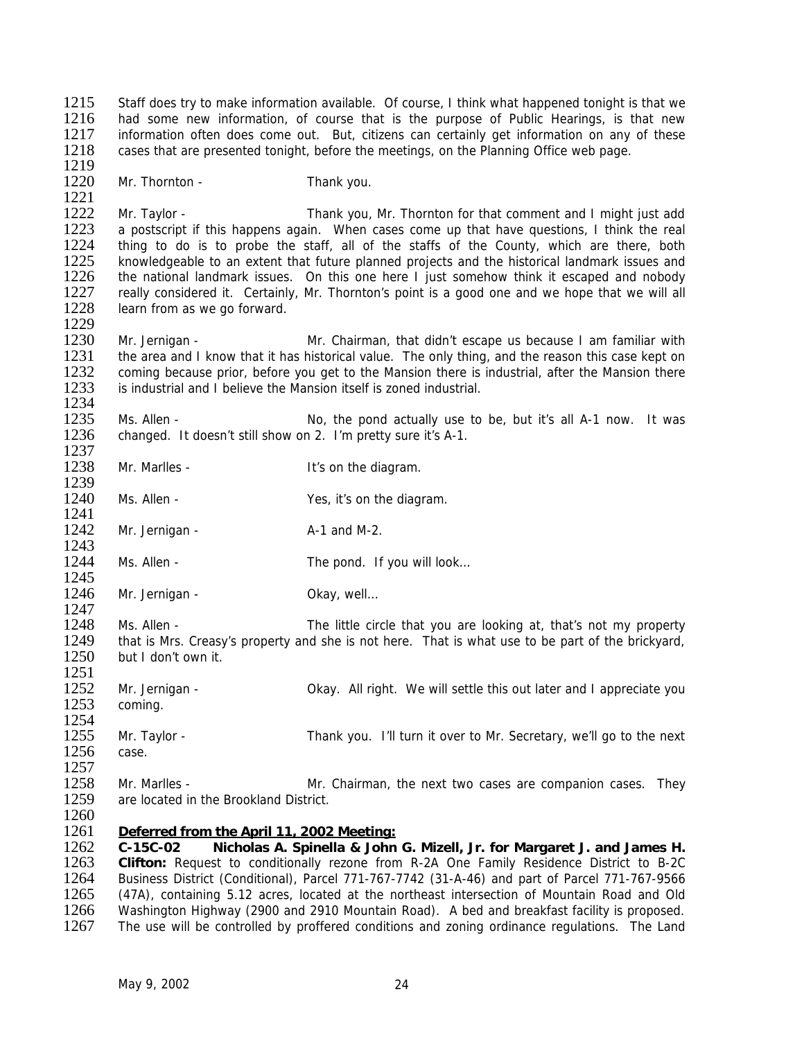Staff does try to make information available. Of course, I think what happened tonight is that we had some new information, of course that is the purpose of Public Hearings, is that new information often does come out. But, citizens can certainly get information on any of these cases that are presented tonight, before the meetings, on the Planning Office web page. 1219

1220 Mr. Thornton - Thank you.

1229

1237

1241

1260

1221<br>1222 1222 Mr. Taylor - Thank you, Mr. Thornton for that comment and I might just add<br>1223 A postscript if this happens again. When cases come up that have questions. I think the real 1223 a postscript if this happens again. When cases come up that have questions, I think the real 1224 thing to do is to probe the staff, all of the staffs of the County, which are there, both 1224 thing to do is to probe the staff, all of the staffs of the County, which are there, both 1225 knowledgeable to an extent that future planned projects and the historical landmark issues and 1225 knowledgeable to an extent that future planned projects and the historical landmark issues and<br>1226 the national landmark issues. On this one here I just somehow think it escaped and nobody the national landmark issues. On this one here I just somehow think it escaped and nobody 1227 really considered it. Certainly, Mr. Thornton's point is a good one and we hope that we will all 1228 learn from as we go forward.

1230 Mr. Jernigan - Mr. Chairman, that didn't escape us because I am familiar with 1231 the area and I know that it has historical value. The only thing, and the reason this case kept on 1231 the area and I know that it has historical value. The only thing, and the reason this case kept on 1232 coming because prior, before you get to the Mansion there is industrial, after the Mansion there 1232 coming because prior, before you get to the Mansion there is industrial, after the Mansion there 1233 is industrial and I believe the Mansion itself is zoned industrial. is industrial and I believe the Mansion itself is zoned industrial.

1234<br>1235 1235 Ms. Allen - No, the pond actually use to be, but it's all A-1 now. It was 1236 changed. It doesn't still show on 2. I'm pretty sure it's A-1. changed. It doesn't still show on 2. I'm pretty sure it's A-1.

1239<br>1240 Ms. Allen - The Yes, it's on the diagram.

1238 Mr. Marlles - It's on the diagram.

1242 Mr. Jernigan - A-1 and M-2.

1243<br>1244 Ms. Allen - The pond. If you will look...

1245<br>1246 Mr. Jernigan - Chav, well...

1247<br>1248 Ms. Allen - The little circle that you are looking at, that's not my property 1249 that is Mrs. Creasy's property and she is not here. That is what use to be part of the brickyard,<br>1250 but I don't own it. but I don't own it.

1251 1252 Mr. Jernigan - Ckay. All right. We will settle this out later and I appreciate you<br>1253 coming. coming. 1254<br>1255 Mr. Taylor - Thank you. I'll turn it over to Mr. Secretary, we'll go to the next 1256 case. 1257 1258 Mr. Marlles - Mr. Chairman, the next two cases are companion cases. They

1259 are located in the Brookland District.

## 1261 *Deferred from the April 11, 2002 Meeting:*

1262 **C-15C-02 Nicholas A. Spinella & John G. Mizell, Jr. for Margaret J. and James H.** 1263 **Clifton:** Request to conditionally rezone from R-2A One Family Residence District to B-2C 1264 Business District (Conditional), Parcel 771-767-7742 (31-A-46) and part of Parcel 771-767-9566<br>1265 (47A), containing 5.12 acres, located at the northeast intersection of Mountain Road and Old 1265 (47A), containing 5.12 acres, located at the northeast intersection of Mountain Road and Old<br>1266 Washington Highway (2900 and 2910 Mountain Road). A bed and breakfast facility is proposed. 1266 Washington Highway (2900 and 2910 Mountain Road). A bed and breakfast facility is proposed.<br>1267 The use will be controlled by proffered conditions and zoning ordinance regulations. The Land The use will be controlled by proffered conditions and zoning ordinance regulations. The Land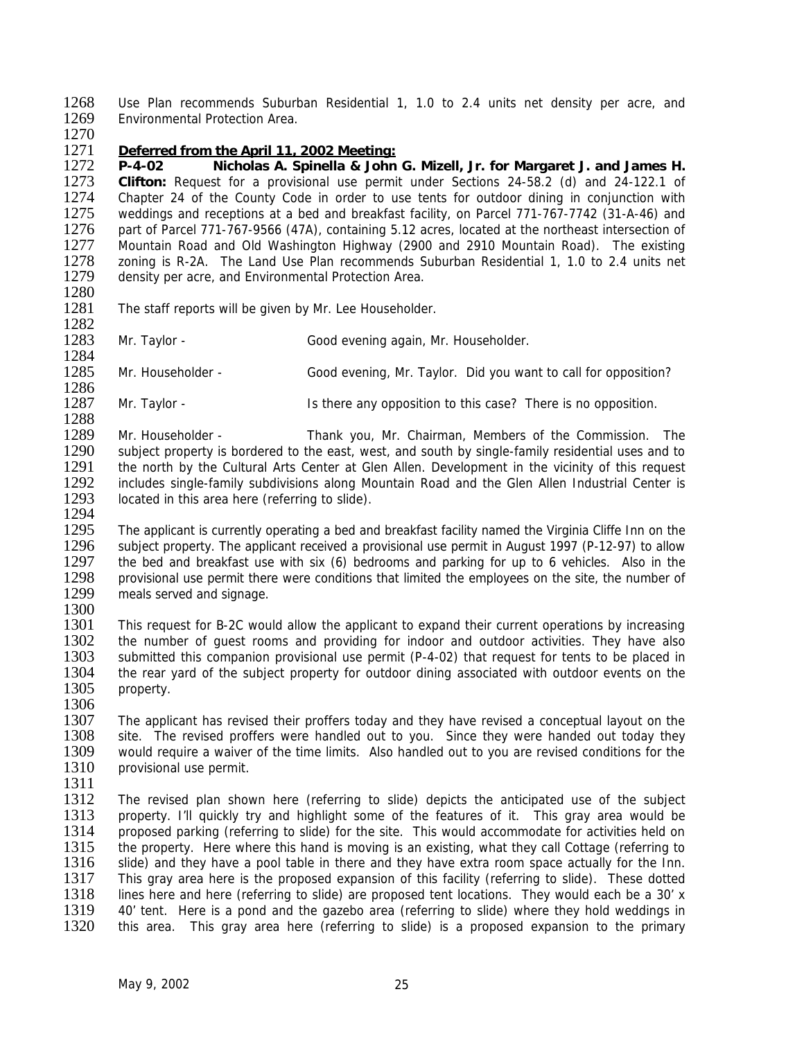1268 Use Plan recommends Suburban Residential 1, 1.0 to 2.4 units net density per acre, and 1269 Environmental Protection Area.

1270

## 1271 *Deferred from the April 11, 2002 Meeting:*

1272 **P-4-02 Nicholas A. Spinella & John G. Mizell, Jr. for Margaret J. and James H.** 1273 **Clifton:** Request for a provisional use permit under Sections 24-58.2 (d) and 24-122.1 of 1274 Chapter 24 of the County Code in order to use tents for outdoor dining in conjunction with 1275 weddings and receptions at a bed and breakfast facility, on Parcel 771-767-7742 (31-A-46) and 1275 weddings and receptions at a bed and breakfast facility, on Parcel 771-767-7742 (31-A-46) and<br>1276 part of Parcel 771-767-9566 (47A), containing 5.12 acres, located at the northeast intersection of 1276 part of Parcel 771-767-9566 (47A), containing 5.12 acres, located at the northeast intersection of 1277 Mountain Road and Old Washington Highway (2900 and 2910 Mountain Road and Old Washington Highway (2900 and 2910 M 1277 Mountain Road and Old Washington Highway (2900 and 2910 Mountain Road). The existing 1278 zoning is R-2A. The Land Use Plan recommends Suburban Residential 1, 1.0 to 2.4 units net 1279 density per acre, and Environmental Protection Area. density per acre, and Environmental Protection Area.

- 1280
- 1281 The staff reports will be given by Mr. Lee Householder.
- 1282
- 1283 Mr. Taylor Good evening again, Mr. Householder.
- 1284<br>1285 Mr. Householder - Good evening, Mr. Taylor. Did you want to call for opposition?
- 1286 Mr. Taylor - **IS there any opposition to this case?** There is no opposition.
- 1288<br>1289 1289 Mr. Householder - Thank you, Mr. Chairman, Members of the Commission. The 1290 subject property is bordered to the east, west, and south by single-family residential uses and to 1291 the north by the Cultural Arts Center at Glen Allen. Development in the vicinity of this request 1292 includes single-family subdivisions along Mountain Road and the Glen Allen Industrial Center is 1293 located in this area here (referring to slide). located in this area here (referring to slide). 1294
- 1295 The applicant is currently operating a bed and breakfast facility named the Virginia Cliffe Inn on the 1296 subject property. The applicant received a provisional use permit in August 1997 (P-12-97) to allow 1296 subject property. The applicant received a provisional use permit in August 1997 (P-12-97) to allow 1297 the bed and breakfast use with six (6) bedrooms and parking for up to 6 vehicles. Also in the 1297 the bed and breakfast use with six (6) bedrooms and parking for up to 6 vehicles. Also in the 1298 provisional use permit there were conditions that limited the employees on the site, the number of 1298 provisional use permit there were conditions that limited the employees on the site, the number of 1299 meals served and signage. meals served and signage.
- 1300<br>1301
- This request for B-2C would allow the applicant to expand their current operations by increasing 1302 the number of guest rooms and providing for indoor and outdoor activities. They have also<br>1303 submitted this companion provisional use permit (P-4-02) that request for tents to be placed in submitted this companion provisional use permit (P-4-02) that request for tents to be placed in 1304 the rear yard of the subject property for outdoor dining associated with outdoor events on the 1305 property.
- 1306<br>1307 1307 The applicant has revised their proffers today and they have revised a conceptual layout on the 1308 site. The revised proffers were handled out to you. Since they were handed out today they 1308 site. The revised proffers were handled out to you. Since they were handed out today they<br>1309 would require a waiver of the time limits. Also handled out to you are revised conditions for the 1309 would require a waiver of the time limits. Also handled out to you are revised conditions for the 1310 provisional use permit. provisional use permit.
- 1311
- 1312 The revised plan shown here (referring to slide) depicts the anticipated use of the subject 1313 property. I'll quickly try and highlight some of the features of it. This gray area would be 1314 proposed parking (referring to slide) for the site. This would accommodate for activities held on proposed parking (referring to slide) for the site. This would accommodate for activities held on 1315 the property. Here where this hand is moving is an existing, what they call Cottage (referring to 1316 slide) and they have a pool table in there and they have extra room space actually for the Inn.<br>1317 This grav area here is the proposed expansion of this facility (referring to slide). These dotted 1317 This gray area here is the proposed expansion of this facility (referring to slide). These dotted 1318 lines here and here (referring to slide) are proposed tent locations. They would each be a 30' x 1318 lines here and here (referring to slide) are proposed tent locations. They would each be a 30' x<br>1319 40' tent. Here is a pond and the gazebo area (referring to slide) where they hold weddings in 1319 40' tent. Here is a pond and the gazebo area (referring to slide) where they hold weddings in 1320 this area. This gray area here (referring to slide) is a proposed expansion to the primary this area. This gray area here (referring to slide) is a proposed expansion to the primary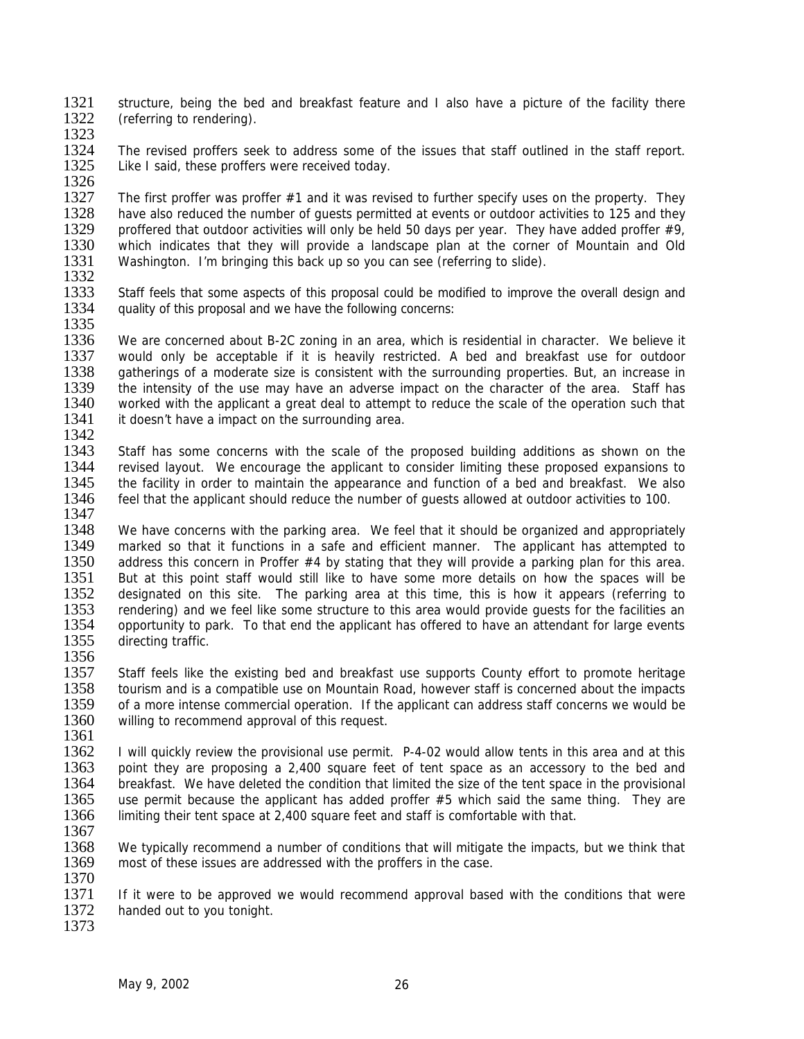1321 structure, being the bed and breakfast feature and I also have a picture of the facility there 1322 (referring to rendering). (referring to rendering).

1323

1324 The revised proffers seek to address some of the issues that staff outlined in the staff report.<br>1325 Like I said, these proffers were received todav. Like I said, these proffers were received today.

1326<br>1327 1327 The first proffer was proffer #1 and it was revised to further specify uses on the property. They<br>1328 have also reduced the number of quests permitted at events or outdoor activities to 125 and they 1328 have also reduced the number of guests permitted at events or outdoor activities to 125 and they 1329 proffered that outdoor activities will only be held 50 days per year. They have added proffer  $\#9$ . 1329 proffered that outdoor activities will only be held 50 days per year. They have added proffer #9, 1330 which indicates that they will provide a landscape plan at the corner of Mountain and Old 1330 which indicates that they will provide a landscape plan at the corner of Mountain and Old 1331 Washington. I'm bringing this back up so you can see (referring to slide). Washington. I'm bringing this back up so you can see (referring to slide). 1332

1333 Staff feels that some aspects of this proposal could be modified to improve the overall design and 1334 quality of this proposal and we have the following concerns: 1335

1336 We are concerned about B-2C zoning in an area, which is residential in character. We believe it 1337 would only be acceptable if it is heavily restricted. A bed and breakfast use for outdoor 1337 would only be acceptable if it is heavily restricted. A bed and breakfast use for outdoor 1338 aatherings of a moderate size is consistent with the surrounding properties. But, an increase in 1338 gatherings of a moderate size is consistent with the surrounding properties. But, an increase in 1339 the intensity of the use may have an adverse impact on the character of the area. Staff has 1339 the intensity of the use may have an adverse impact on the character of the area. Staff has<br>1340 vorked with the applicant a great deal to attempt to reduce the scale of the operation such that 1340 worked with the applicant a great deal to attempt to reduce the scale of the operation such that 1341 it doesn't have a impact on the surrounding area. it doesn't have a impact on the surrounding area.

1342

1343 Staff has some concerns with the scale of the proposed building additions as shown on the 1344 revised layout. We encourage the applicant to consider limiting these proposed expansions to 1345 the facility in order to maintain the appearance and function of a bed and breakfast. We also<br>1346 feel that the applicant should reduce the number of quests allowed at outdoor activities to 100. feel that the applicant should reduce the number of quests allowed at outdoor activities to 100. 1347

1348 We have concerns with the parking area. We feel that it should be organized and appropriately<br>1349 marked so that it functions in a safe and efficient manner. The applicant has attempted to 1349 marked so that it functions in a safe and efficient manner. The applicant has attempted to 1350 address this concern in Proffer #4 by stating that they will provide a parking plan for this area. 1350 address this concern in Proffer #4 by stating that they will provide a parking plan for this area.<br>1351 But at this point staff would still like to have some more details on how the spaces will be 1351 But at this point staff would still like to have some more details on how the spaces will be 1352 designated on this site. The parking area at this time, this is how it appears (referring to 1352 designated on this site. The parking area at this time, this is how it appears (referring to 1353 rendering) and we feel like some structure to this area would provide quests for the facilities an 1353 rendering) and we feel like some structure to this area would provide guests for the facilities an 1354 opportunity to park. To that end the applicant has offered to have an attendant for large events opportunity to park. To that end the applicant has offered to have an attendant for large events 1355 directing traffic.

1356 1357 Staff feels like the existing bed and breakfast use supports County effort to promote heritage 1358 tourism and is a compatible use on Mountain Road, however staff is concerned about the impacts<br>1359 of a more intense commercial operation. If the applicant can address staff concerns we would be 1359 of a more intense commercial operation. If the applicant can address staff concerns we would be 1360 villing to recommend approval of this request. willing to recommend approval of this request.

1361<br>1362 1362 I will quickly review the provisional use permit. P-4-02 would allow tents in this area and at this 1363 point they are proposing a 2.400 square feet of tent space as an accessory to the bed and point they are proposing a 2,400 square feet of tent space as an accessory to the bed and 1364 breakfast. We have deleted the condition that limited the size of the tent space in the provisional 1365 use permit because the applicant has added proffer #5 which said the same thing. They are 1366 limiting their tent space at 2,400 square feet and staff is comfortable with that.

1367

1368 We typically recommend a number of conditions that will mitigate the impacts, but we think that 1369 most of these issues are addressed with the proffers in the case.

1370<br>1371 1371 If it were to be approved we would recommend approval based with the conditions that were 1372 handed out to vou tonight. handed out to you tonight.

1373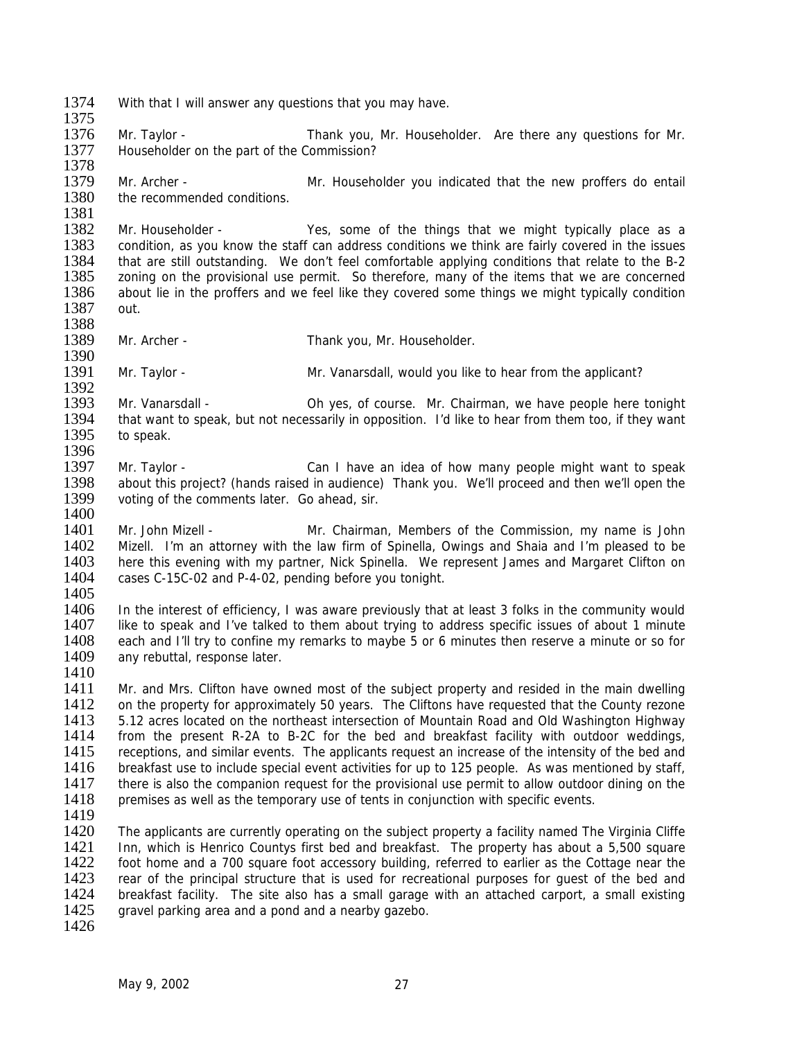- 1374 With that I will answer any questions that you may have.
- 1376 Mr. Taylor Thank you, Mr. Householder. Are there any questions for Mr. 1377 Householder on the part of the Commission?
- 1378<br>1379 1379 Mr. Archer - Mr. Householder you indicated that the new proffers do entail<br>1380 the recommended conditions. the recommended conditions.
- 1381<br>1382 1382 Mr. Householder - Yes, some of the things that we might typically place as a<br>1383 condition, as you know the staff can address conditions we think are fairly covered in the issues 1383 condition, as you know the staff can address conditions we think are fairly covered in the issues<br>1384 that are still outstanding. We don't feel comfortable applying conditions that relate to the B-2 1384 that are still outstanding. We don't feel comfortable applying conditions that relate to the B-2<br>1385 zoning on the provisional use permit. So therefore, many of the items that we are concerned zoning on the provisional use permit. So therefore, many of the items that we are concerned 1386 about lie in the proffers and we feel like they covered some things we might typically condition 1387 out.
- 1388

1375

- 1389 Mr. Archer Thank you, Mr. Householder.
- 1390<br>1391 Mr. Taylor - Mr. Vanarsdall, would you like to hear from the applicant?
- 1392<br>1393 1393 Mr. Vanarsdall - Oh yes, of course. Mr. Chairman, we have people here tonight 1394 that want to speak, but not necessarily in opposition. I'd like to hear from them too, if they want 1394 that want to speak, but not necessarily in opposition. I'd like to hear from them too, if they want 1395 to speak. to speak.
- 1396<br>1397 Mr. Taylor - Can I have an idea of how many people might want to speak 1398 about this project? (hands raised in audience) Thank you. We'll proceed and then we'll open the 1399 voting of the comments later. Go ahead, sir. voting of the comments later. Go ahead, sir. 1400
- 1401 Mr. John Mizell Mr. Chairman, Members of the Commission, my name is John<br>1402 Mizell. I'm an attorney with the law firm of Spinella. Owings and Shaia and I'm pleased to be 1402 Mizell. I'm an attorney with the law firm of Spinella, Owings and Shaia and I'm pleased to be 1403 here this evening with my partner. Nick Spinella. We represent James and Margaret Clifton on 1403 here this evening with my partner, Nick Spinella. We represent James and Margaret Clifton on 1404 cases C-15C-02 and P-4-02, pending before you tonight. cases C-15C-02 and P-4-02, pending before you tonight.
- 1405<br>1406

1406 In the interest of efficiency, I was aware previously that at least 3 folks in the community would 1407 like to speak and I've talked to them about trying to address specific issues of about 1 minute like to speak and I've talked to them about trying to address specific issues of about 1 minute 1408 each and I'll try to confine my remarks to maybe 5 or 6 minutes then reserve a minute or so for 1409 any rebuttal, response later. any rebuttal, response later.

1410

1411 Mr. and Mrs. Clifton have owned most of the subject property and resided in the main dwelling 1412 on the property for approximately 50 years. The Cliftons have requested that the County rezone 1412 on the property for approximately 50 years. The Cliftons have requested that the County rezone 1413 5.12 acres located on the northeast intersection of Mountain Road and Old Washington Highway 1413 5.12 acres located on the northeast intersection of Mountain Road and Old Washington Highway<br>1414 from the present R-2A to B-2C for the bed and breakfast facility with outdoor weddings. 1414 from the present R-2A to B-2C for the bed and breakfast facility with outdoor weddings, 1415 receptions, and similar events. The applicants request an increase of the intensity of the bed and 1415 receptions, and similar events. The applicants request an increase of the intensity of the bed and 1416 breakfast use to include special event activities for up to 125 people. As was mentioned by staff. breakfast use to include special event activities for up to 125 people. As was mentioned by staff, 1417 there is also the companion request for the provisional use permit to allow outdoor dining on the 1418 premises as well as the temporary use of tents in conjunction with specific events.

1419<br>1420

The applicants are currently operating on the subject property a facility named The Virginia Cliffe 1421 Inn, which is Henrico Countys first bed and breakfast. The property has about a 5,500 square 1422 foot home and a 700 square foot accessory building, referred to earlier as the Cottage near the 1423 rear of the principal structure that is used for recreational purposes for quest of the bed and 1423 rear of the principal structure that is used for recreational purposes for guest of the bed and 1424 breakfast facility. The site also has a small garage with an attached carport, a small existing 1424 breakfast facility. The site also has a small garage with an attached carport, a small existing 1425 gravel parking area and a pond and a nearby gazebo. gravel parking area and a pond and a nearby gazebo.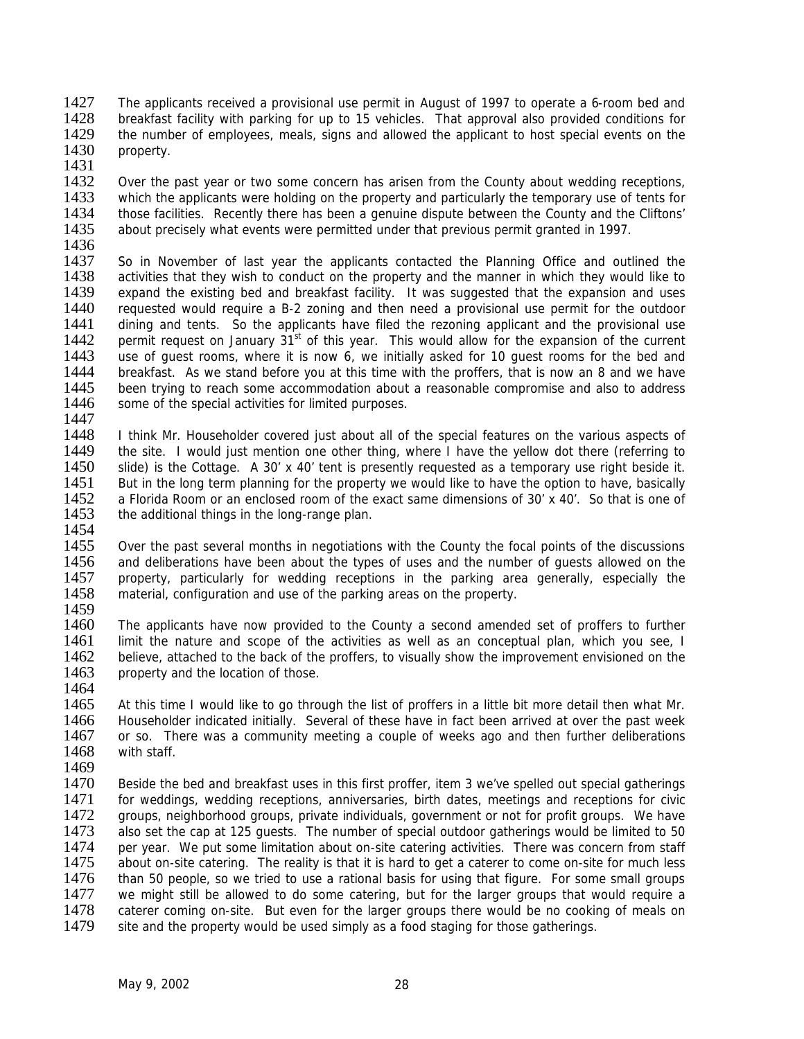- 1427 The applicants received a provisional use permit in August of 1997 to operate a 6-room bed and 1428 breakfast facility with parking for up to 15 vehicles. That approval also provided conditions for 1429 the number of employees, meals, signs and allowed the applicant to host special events on the the number of employees, meals, signs and allowed the applicant to host special events on the 1430 property.
- 1431<br>1432

1432 Over the past year or two some concern has arisen from the County about wedding receptions,<br>1433 Which the applicants were holding on the property and particularly the temporary use of tents for 1433 which the applicants were holding on the property and particularly the temporary use of tents for 1434 those facilities. Recently there has been a genuine dispute between the County and the Cliftons' 1434 those facilities. Recently there has been a genuine dispute between the County and the Cliftons'<br>1435 about precisely what events were permitted under that previous permit granted in 1997. about precisely what events were permitted under that previous permit granted in 1997.

- 
- 1436<br>1437 1437 So in November of last year the applicants contacted the Planning Office and outlined the 1438 activities that they wish to conduct on the property and the manner in which they would like to activities that they wish to conduct on the property and the manner in which they would like to 1439 expand the existing bed and breakfast facility. It was suggested that the expansion and uses 1440 requested would require a B-2 zoning and then need a provisional use permit for the outdoor<br>1441 dining and tents. So the applicants have filed the rezoning applicant and the provisional use dining and tents. So the applicants have filed the rezoning applicant and the provisional use 1442 permit request on January  $31^{st}$  of this year. This would allow for the expansion of the current 1443 use of quest rooms, where it is now 6, we initially asked for 10 quest rooms for the bed and 1443 use of guest rooms, where it is now 6, we initially asked for 10 guest rooms for the bed and 1444 breakfast. As we stand before vou at this time with the proffers, that is now an 8 and we have 1444 breakfast. As we stand before you at this time with the proffers, that is now an 8 and we have 1445 been trying to reach some accommodation about a reasonable compromise and also to address 1445 been trying to reach some accommodation about a reasonable compromise and also to address 1446 some of the special activities for limited purposes. some of the special activities for limited purposes.
- 1447<br>1448 I think Mr. Householder covered just about all of the special features on the various aspects of 1449 the site. I would just mention one other thing, where I have the yellow dot there (referring to 1450 slide) is the Cottage. A 30' x 40' tent is presently requested as a temporary use right beside it. 1451 But in the long term planning for the property we would like to have the option to have, basically 1452 a Florida Room or an enclosed room of the exact same dimensions of 30' x 40'. So that is one of a Florida Room or an enclosed room of the exact same dimensions of 30' x 40'. So that is one of 1453 the additional things in the long-range plan.
- 1454<br>1455 1455 Over the past several months in negotiations with the County the focal points of the discussions 1456 and deliberations have been about the types of uses and the number of quests allowed on the 1456 and deliberations have been about the types of uses and the number of guests allowed on the 1457 property, particularly for wedding receptions in the parking area generally, especially the 1457 property, particularly for wedding receptions in the parking area generally, especially the 1458 material configuration and use of the parking areas on the property. material, configuration and use of the parking areas on the property.
- 1459<br>1460
- The applicants have now provided to the County a second amended set of proffers to further 1461 limit the nature and scope of the activities as well as an conceptual plan, which you see, I<br>1462 believe, attached to the back of the proffers, to visually show the improvement envisioned on the believe, attached to the back of the proffers, to visually show the improvement envisioned on the 1463 property and the location of those. 1464
- 1465 At this time I would like to go through the list of proffers in a little bit more detail then what Mr. 1466 Householder indicated initially. Several of these have in fact been arrived at over the past week<br>1467 or so. There was a community meeting a couple of weeks ago and then further deliberations 1467 or so. There was a community meeting a couple of weeks ago and then further deliberations 1468 with staff. with staff.
- 1469
- 1470 Beside the bed and breakfast uses in this first proffer, item 3 we've spelled out special gatherings 1471 for weddings, wedding receptions, anniversaries, birth dates, meetings and receptions for civic<br>1472 aroups, neighborhood groups, private individuals, government or not for profit groups. We have 1472 groups, neighborhood groups, private individuals, government or not for profit groups. We have<br>1473 also set the cap at 125 quests. The number of special outdoor gatherings would be limited to 50 also set the cap at 125 guests. The number of special outdoor gatherings would be limited to 50 1474 per year. We put some limitation about on-site catering activities. There was concern from staff 1475 about on-site catering. The reality is that it is hard to get a caterer to come on-site for much less 1476 than 50 people, so we tried to use a rational basis for using that figure. For some small groups 1476 than 50 people, so we tried to use a rational basis for using that figure. For some small groups 1477 we might still be allowed to do some catering, but for the larger groups that would require a 1477 we might still be allowed to do some catering, but for the larger groups that would require a<br>1478 caterer coming on-site. But even for the larger groups there would be no cooking of meals on 1478 caterer coming on-site. But even for the larger groups there would be no cooking of meals on 1479 site and the property would be used simply as a food staging for those gatherings. site and the property would be used simply as a food staging for those gatherings.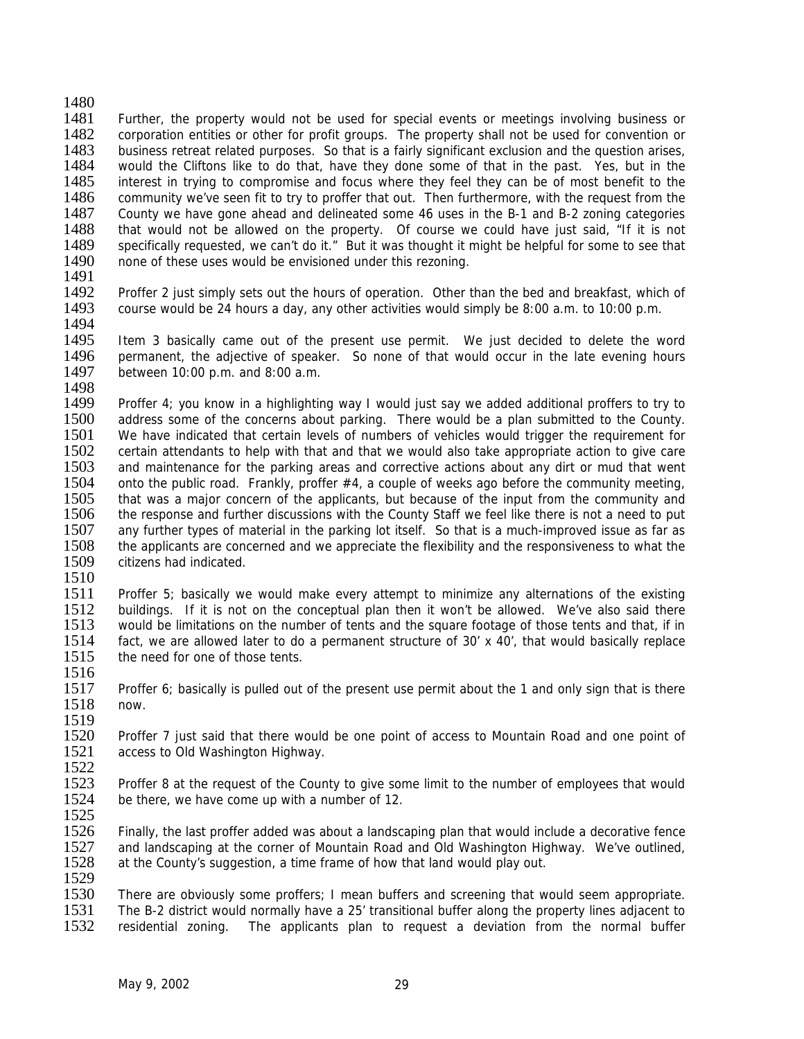1481 Further, the property would not be used for special events or meetings involving business or 1482 corporation entities or other for profit groups. The property shall not be used for convention or 1483 business retreat related purposes. So that is a fairly significant exclusion and the question arises, 1484 vould the Cliftons like to do that. have they done some of that in the past. Yes, but in the 1484 would the Cliftons like to do that, have they done some of that in the past. Yes, but in the 1485 interest in trying to compromise and focus where they feel they can be of most benefit to the 1485 interest in trying to compromise and focus where they feel they can be of most benefit to the 1486 community we've seen fit to try to proffer that out. Then furthermore, with the request from the 1486 community we've seen fit to try to proffer that out. Then furthermore, with the request from the 1487 County we have gone ahead and delineated some 46 uses in the B-1 and B-2 zoning categories 1487 County we have gone ahead and delineated some 46 uses in the B-1 and B-2 zoning categories<br>1488 that would not be allowed on the property. Of course we could have just said. "If it is not 1488 that would not be allowed on the property. Of course we could have just said, "If it is not 1489 specifically requested, we can't do it." But it was thought it might be helpful for some to see that 1489 specifically requested, we can't do it." But it was thought it might be helpful for some to see that 1490 none of these uses would be envisioned under this rezoning. none of these uses would be envisioned under this rezoning.

1491

1480

- 1492 Proffer 2 just simply sets out the hours of operation. Other than the bed and breakfast, which of 1493 course would be 24 hours a day, any other activities would simply be 8:00 a.m. to 10:00 p.m.
- 1494<br>1495 1495 Item 3 basically came out of the present use permit. We just decided to delete the word<br>1496 permanent, the adjective of speaker. So none of that would occur in the late evening hours 1496 permanent, the adjective of speaker. So none of that would occur in the late evening hours 1497 between 10:00 p.m. and 8:00 a.m. between  $10:00$  p.m. and  $8:00$  a.m.
- 1498<br>1499 1499 Proffer 4; you know in a highlighting way I would just say we added additional proffers to try to 1500 address some of the concerns about parking. There would be a plan submitted to the County. 1500 address some of the concerns about parking. There would be a plan submitted to the County.<br>1501 We have indicated that certain levels of numbers of vehicles would trigger the requirement for We have indicated that certain levels of numbers of vehicles would trigger the requirement for 1502 certain attendants to help with that and that we would also take appropriate action to give care 1503 and maintenance for the parking areas and corrective actions about any dirt or mud that went 1504 onto the public road. Frankly, proffer #4, a couple of weeks ago before the community meeting,<br>1505 that was a maior concern of the applicants, but because of the input from the community and that was a major concern of the applicants, but because of the input from the community and 1506 the response and further discussions with the County Staff we feel like there is not a need to put 1507 any further types of material in the parking lot itself. So that is a much-improved issue as far as 1508 the applicants are concerned and we appreciate the flexibility and the responsiveness to what the 1508 the applicants are concerned and we appreciate the flexibility and the responsiveness to what the 1509 citizens had indicated. citizens had indicated.
- 1510<br>1511

1511 Proffer 5; basically we would make every attempt to minimize any alternations of the existing<br>1512 buildings. If it is not on the conceptual plan then it won't be allowed. We've also said there 1512 buildings. If it is not on the conceptual plan then it won't be allowed. We've also said there<br>1513 would be limitations on the number of tents and the square footage of those tents and that, if in would be limitations on the number of tents and the square footage of those tents and that, if in 1514 fact, we are allowed later to do a permanent structure of 30' x 40', that would basically replace 1515 the need for one of those tents. the need for one of those tents. 1516

- 1517 Proffer 6; basically is pulled out of the present use permit about the 1 and only sign that is there 1518 now.
- 1519<br>1520 1520 Proffer 7 just said that there would be one point of access to Mountain Road and one point of 1521 access to Old Washington Highway. access to Old Washington Highway.
- $\frac{1522}{1523}$ Proffer 8 at the request of the County to give some limit to the number of employees that would 1524 be there, we have come up with a number of 12.

1525<br>1526 Finally, the last proffer added was about a landscaping plan that would include a decorative fence 1527 and landscaping at the corner of Mountain Road and Old Washington Highway. We've outlined, 1528 at the County's suggestion, a time frame of how that land would play out.

1529<br>1530 1530 There are obviously some proffers; I mean buffers and screening that would seem appropriate.<br>1531 The B-2 district would normally have a 25' transitional buffer along the property lines adiacent to 1531 The B-2 district would normally have a 25' transitional buffer along the property lines adjacent to 1532 residential zoning. The applicants plan to request a deviation from the normal buffer residential zoning. The applicants plan to request a deviation from the normal buffer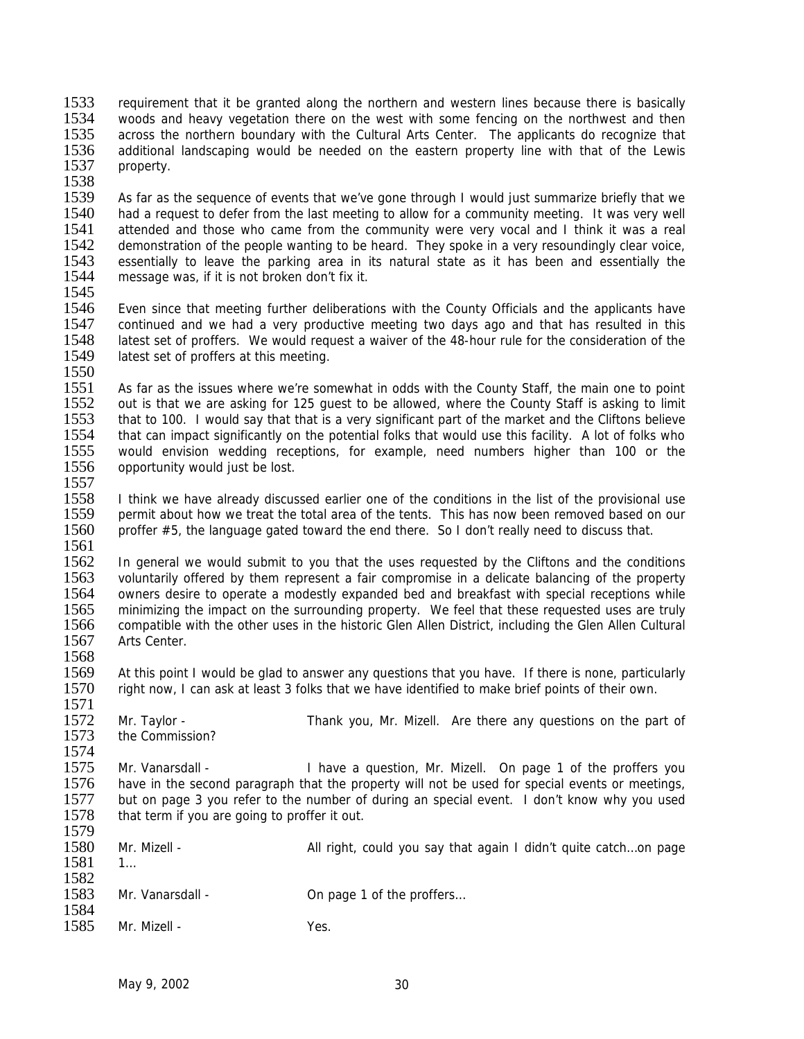1533 requirement that it be granted along the northern and western lines because there is basically<br>1534 voods and heavy vegetation there on the west with some fencing on the northwest and then 1534 woods and heavy vegetation there on the west with some fencing on the northwest and then<br>1535 across the northern boundary with the Cultural Arts Center. The applicants do recognize that across the northern boundary with the Cultural Arts Center. The applicants do recognize that 1536 additional landscaping would be needed on the eastern property line with that of the Lewis<br>1537 property. property.

1538<br>1539 1539 As far as the sequence of events that we've gone through I would just summarize briefly that we<br>1540 had a request to defer from the last meeting to allow for a community meeting. It was very well 1540 had a request to defer from the last meeting to allow for a community meeting. It was very well<br>1541 attended and those who came from the community were very vocal and I think it was a real 1541 attended and those who came from the community were very vocal and I think it was a real 1542 demonstration of the people wanting to be heard. They spoke in a very resoundingly clear voice. 1542 demonstration of the people wanting to be heard. They spoke in a very resoundingly clear voice,<br>1543 essentially to leave the parking area in its natural state as it has been and essentially the 1543 essentially to leave the parking area in its natural state as it has been and essentially the 1544 message was if it is not broken don't fix it. message was, if it is not broken don't fix it.

1545

1546 Even since that meeting further deliberations with the County Officials and the applicants have 1547 continued and we had a very productive meeting two days ago and that has resulted in this continued and we had a very productive meeting two days ago and that has resulted in this 1548 latest set of proffers. We would request a waiver of the 48-hour rule for the consideration of the 1549 latest set of proffers at this meeting. latest set of proffers at this meeting.

1550<br>1551

1551 As far as the issues where we're somewhat in odds with the County Staff, the main one to point 1552 out is that we are asking for 125 quest to be allowed, where the County Staff is asking to limit 1552 out is that we are asking for 125 guest to be allowed, where the County Staff is asking to limit 1553 that to 100. I would say that that is a very significant part of the market and the Cliftons believe 1553 that to 100. I would say that that is a very significant part of the market and the Cliftons believe<br>1554 that can impact significantly on the potential folks that would use this facility. A lot of folks who that can impact significantly on the potential folks that would use this facility. A lot of folks who 1555 would envision wedding receptions, for example, need numbers higher than 100 or the 1556 opportunity would just be lost.

1557<br>1558 I think we have already discussed earlier one of the conditions in the list of the provisional use 1559 permit about how we treat the total area of the tents. This has now been removed based on our 1560 proffer #5, the language gated toward the end there. So I don't really need to discuss that.

1561<br>1562 1562 In general we would submit to you that the uses requested by the Cliftons and the conditions<br>1563 voluntarily offered by them represent a fair compromise in a delicate balancing of the property 1563 voluntarily offered by them represent a fair compromise in a delicate balancing of the property<br>1564 owners desire to operate a modestly expanded bed and breakfast with special receptions while 1564 owners desire to operate a modestly expanded bed and breakfast with special receptions while<br>1565 minimizing the impact on the surrounding property. We feel that these requested uses are truly 1565 minimizing the impact on the surrounding property. We feel that these requested uses are truly<br>1566 compatible with the other uses in the historic Glen Allen District, including the Glen Allen Cultural compatible with the other uses in the historic Glen Allen District, including the Glen Allen Cultural 1567 Arts Center. 1568

1569 At this point I would be glad to answer any questions that you have. If there is none, particularly 1570 right now. I can ask at least 3 folks that we have identified to make brief points of their own. right now, I can ask at least 3 folks that we have identified to make brief points of their own.

1571<br>1572 1572 Mr. Taylor - Thank you, Mr. Mizell. Are there any questions on the part of 1573 the Commission? the Commission?

1574<br>1575 1575 Mr. Vanarsdall - I have a question, Mr. Mizell. On page 1 of the proffers you<br>1576 have in the second paragraph that the property will not be used for special events or meetings. have in the second paragraph that the property will not be used for special events or meetings, 1577 but on page 3 you refer to the number of during an special event. I don't know why you used 1578 that term if you are going to proffer it out. that term if you are going to proffer it out. 1579

| 1580<br>1581         | Mr. Mizell -     | All right, could you say that again I didn't quite catchon page |
|----------------------|------------------|-----------------------------------------------------------------|
| 1582<br>1583<br>1584 | Mr. Vanarsdall - | On page 1 of the proffers                                       |
| 1585                 | Mr. Mizell -     | Yes.                                                            |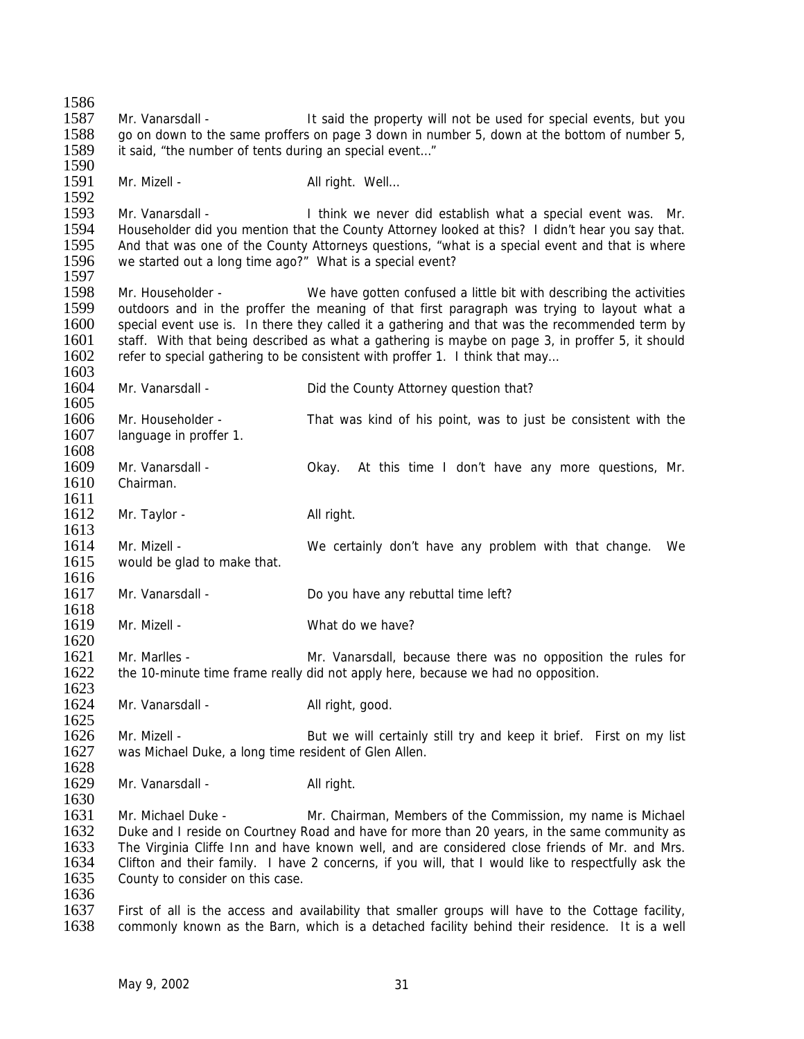1586 1587 Mr. Vanarsdall - It said the property will not be used for special events, but you 1588 go on down to the same proffers on page 3 down in number 5, down at the bottom of number 5, 1589 it said, "the number of tents during an special event…" 1590 1591 Mr. Mizell - All right. Well... 1592<br>1593 Mr. Vanarsdall - I think we never did establish what a special event was. Mr. 1594 Householder did you mention that the County Attorney looked at this? I didn't hear you say that.<br>1595 And that was one of the County Attorneys questions, "what is a special event and that is where 1595 And that was one of the County Attorneys questions, "what is a special event and that is where<br>1596 we started out a long time ago?" What is a special event? we started out a long time ago?" What is a special event? 1597 1598 Mr. Householder - We have gotten confused a little bit with describing the activities 1599 outdoors and in the proffer the meaning of that first paragraph was trying to layout what a<br>1600 special event use is. In there they called it a gathering and that was the recommended term by special event use is. In there they called it a gathering and that was the recommended term by 1601 staff. With that being described as what a gathering is maybe on page 3, in proffer 5, it should 1602 refer to special gathering to be consistent with proffer 1. I think that may refer to special gathering to be consistent with proffer 1. I think that may... 1603<br>1604 Mr. Vanarsdall - **Did the County Attorney question that?** 1605<br>1606 1606 Mr. Householder - That was kind of his point, was to just be consistent with the 1607 language in proffer 1. language in proffer 1. 1608 1609 Mr. Vanarsdall - Okay. At this time I don't have any more questions, Mr. 1610 Chairman. 1611 1612 Mr. Taylor - All right. 1613<br>1614 1614 Mr. Mizell - We certainly don't have any problem with that change. We <br>1615 would be alad to make that. would be glad to make that. 1616<br>1617 Mr. Vanarsdall - Do you have any rebuttal time left? 1618 1619 Mr. Mizell - What do we have? 1620<br>1621 Mr. Marlles - The Mr. Vanarsdall, because there was no opposition the rules for 1622 the 10-minute time frame really did not apply here, because we had no opposition. 1623<br>1624 Mr. Vanarsdall - All right, good. 1625<br>1626 Mr. Mizell - **But we will certainly still try and keep it brief.** First on my list 1627 was Michael Duke, a long time resident of Glen Allen. 1628 1629 Mr. Vanarsdall - All right. 1630 1631 Mr. Michael Duke - Mr. Chairman, Members of the Commission, my name is Michael 1632 Duke and I reside on Courtney Road and have for more than 20 years, in the same community as 1633 The Virginia Cliffe Inn and have known well, and are considered close friends of Mr. and Mrs. 1634 Clifton and their family. I have 2 concerns, if you will, that I would like to respectfully ask the 1635 County to consider on this case. County to consider on this case. 1636<br>1637 1637 First of all is the access and availability that smaller groups will have to the Cottage facility, 1638 commonly known as the Barn, which is a detached facility behind their residence. It is a well commonly known as the Barn, which is a detached facility behind their residence. It is a well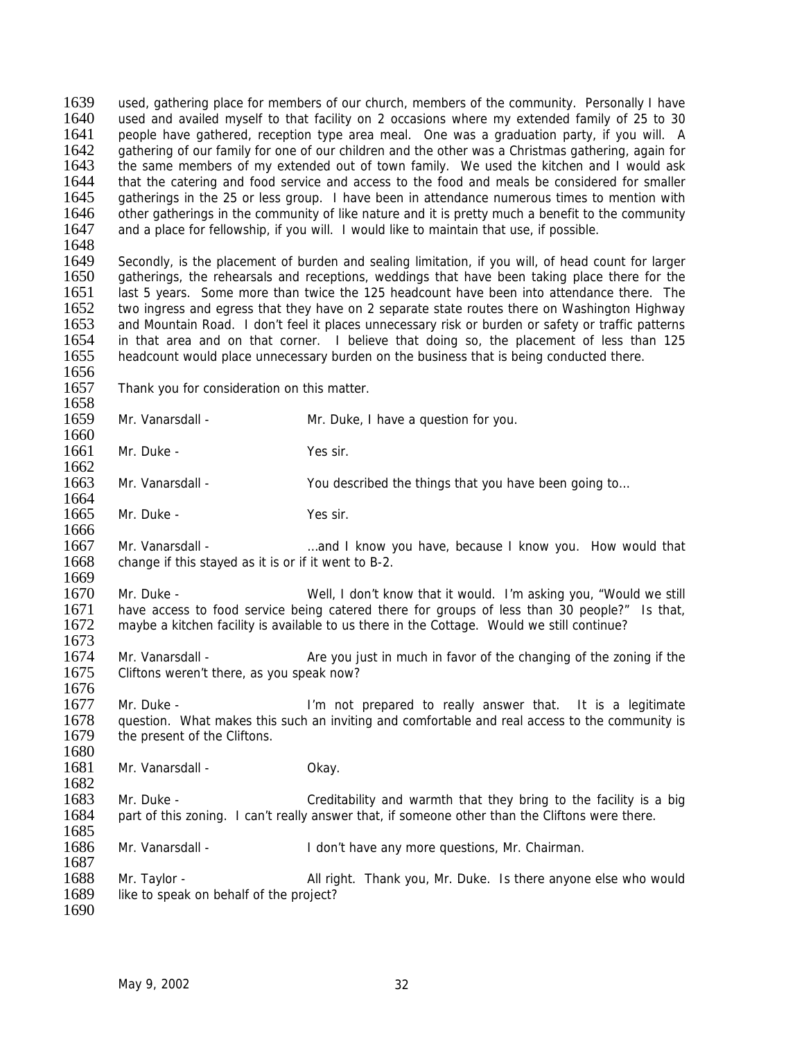1639 used, gathering place for members of our church, members of the community. Personally I have 1640 used and availed myself to that facility on 2 occasions where my extended family of 25 to 30 1641 people have gathered, reception type area meal. One was a graduation party, if you will. A 1642 gathering of our family for one of our children and the other was a Christmas gathering, again for 1643 the same members of my extended out of town family. We used the kitchen and I would ask the same members of my extended out of town family. We used the kitchen and I would ask 1644 that the catering and food service and access to the food and meals be considered for smaller 1645 cathering in the 25 or less group. I have been in attendance numerous times to mention with 1645 gatherings in the 25 or less group. I have been in attendance numerous times to mention with 1646 other gatherings in the community of like nature and it is pretty much a benefit to the community 1646 other gatherings in the community of like nature and it is pretty much a benefit to the community 1647 and a place for fellowship, if you will. I would like to maintain that use, if possible. and a place for fellowship, if you will. I would like to maintain that use, if possible. 1648<br>1649 1649 Secondly, is the placement of burden and sealing limitation, if you will, of head count for larger<br>1650 aatherings, the rehearsals and receptions, weddings that have been taking place there for the 1650 gatherings, the rehearsals and receptions, weddings that have been taking place there for the 1651 last 5 years. Some more than twice the 125 headcount have been into attendance there. The 1652 two ingress and egress that they have on 2 separate state routes there on Washington Highway<br>1653 and Mountain Road. I don't feel it places unnecessary risk or burden or safety or traffic patterns and Mountain Road. I don't feel it places unnecessary risk or burden or safety or traffic patterns 1654 in that area and on that corner. I believe that doing so, the placement of less than 125<br>1655 headcount would place unnecessary burden on the business that is being conducted there. headcount would place unnecessary burden on the business that is being conducted there. 1656<br>1657 Thank you for consideration on this matter. 1658<br>1659 Mr. Vanarsdall - Mr. Duke, I have a question for you. 1660 1661 Mr. Duke - Yes sir. 1662 1663 Mr. Vanarsdall - You described the things that you have been going to... 1664 1665 Mr. Duke - Yes sir. 1666<br>1667 1667 Mr. Vanarsdall - …and I know you have, because I know you. How would that 1668 change if this staved as it is or if it went to B-2. change if this stayed as it is or if it went to B-2. 1669<br>1670 1670 Mr. Duke - Well, I don't know that it would. I'm asking you, "Would we still<br>1671 have access to food service being catered there for groups of less than 30 people?" Is that have access to food service being catered there for groups of less than 30 people?" Is that, 1672 maybe a kitchen facility is available to us there in the Cottage. Would we still continue? 1673<br>1674 Mr. Vanarsdall - Are you just in much in favor of the changing of the zoning if the 1675 Cliftons weren't there, as you speak now? 1676<br>1677 Mr. Duke - The same state of the U'm not prepared to really answer that. It is a legitimate 1678 question. What makes this such an inviting and comfortable and real access to the community is 1679 the present of the Cliftons. the present of the Cliftons. 1680<br>1681 Mr. Vanarsdall - Chay. 1682 1683 Mr. Duke - Creditability and warmth that they bring to the facility is a big 1684 part of this zoning. I can't really answer that, if someone other than the Cliftons were there. 1685 1686 Mr. Vanarsdall - I don't have any more questions, Mr. Chairman. 1687<br>1688 1688 Mr. Taylor - All right. Thank you, Mr. Duke. Is there anyone else who would 1689 like to speak on behalf of the project? like to speak on behalf of the project? 1690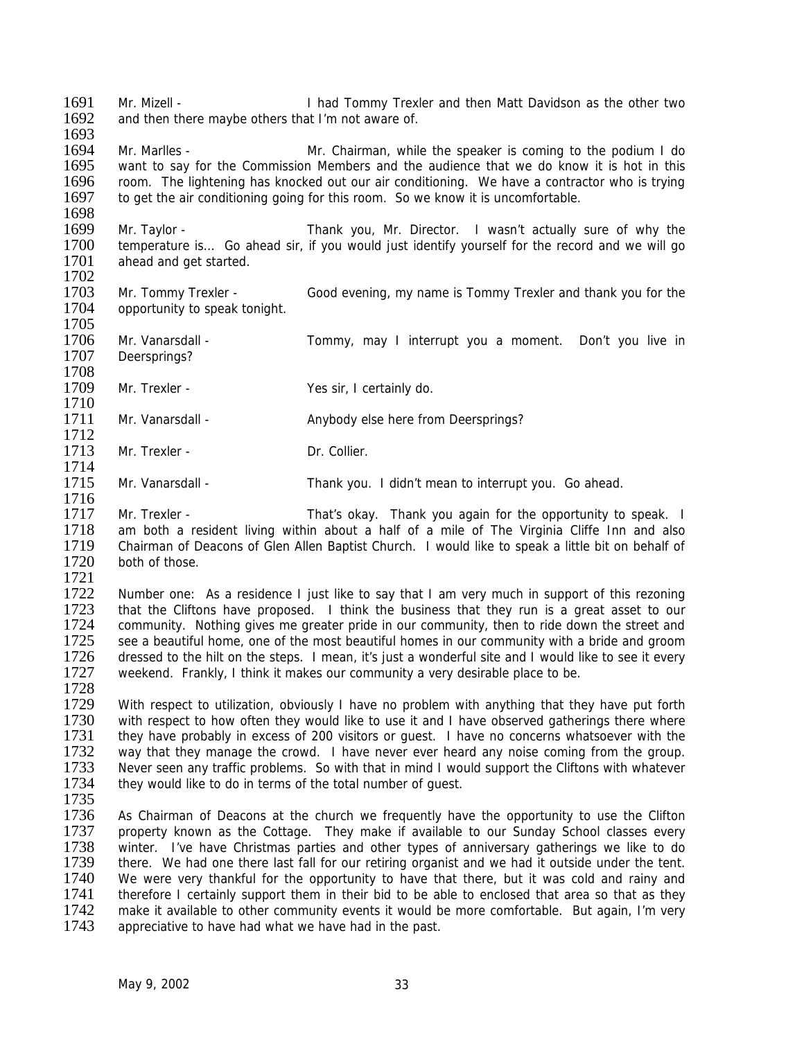1691 Mr. Mizell - I had Tommy Trexler and then Matt Davidson as the other two 1692 and then there maybe others that I'm not aware of. 1693

1694 Mr. Marlles - Mr. Chairman, while the speaker is coming to the podium I do<br>1695 want to sav for the Commission Members and the audience that we do know it is hot in this want to say for the Commission Members and the audience that we do know it is hot in this 1696 room. The lightening has knocked out our air conditioning. We have a contractor who is trying 1697 to get the air conditioning going for this room. So we know it is uncomfortable. to get the air conditioning going for this room. So we know it is uncomfortable.

1698<br>1699 1699 Mr. Taylor - Thank you, Mr. Director. I wasn't actually sure of why the 1700 temperature is... Go ahead sir, if you would just identify vourself for the record and we will go 1700 temperature is... Go ahead sir, if you would just identify yourself for the record and we will go 1701 ahead and get started. ahead and get started. 1702

- 1703 Mr. Tommy Trexler Good evening, my name is Tommy Trexler and thank you for the 1704 opportunity to speak tonight. 1705
- 1706 Mr. Vanarsdall Tommy, may I interrupt you a moment. Don't you live in 1707 Deersprings? Deersprings?
- 1708<br>1709 Mr. Trexler - Yes sir, I certainly do.
- 1710<br>1711 Mr. Vanarsdall - Anybody else here from Deersprings?
- 1713 Mr. Trexler Dr. Collier.
- 1715 Mr. Vanarsdall Thank you. I didn't mean to interrupt you. Go ahead. 1716
- 1717 Mr. Trexler That's okay. Thank you again for the opportunity to speak. I 1718 am both a resident living within about a half of a mile of The Virginia Cliffe Inn and also<br>1719 Chairman of Deacons of Glen Allen Baptist Church. I would like to speak a little bit on behalf of 1719 Chairman of Deacons of Glen Allen Baptist Church. I would like to speak a little bit on behalf of 1720 both of those. both of those.

1721

1712

1714

1722 Number one: As a residence I just like to say that I am very much in support of this rezoning<br>1723 that the Cliftons have proposed. I think the business that they run is a great asset to our 1723 that the Cliftons have proposed. I think the business that they run is a great asset to our 1724 community. Nothing gives me greater pride in our community, then to ride down the street and community. Nothing gives me greater pride in our community, then to ride down the street and 1725 see a beautiful home, one of the most beautiful homes in our community with a bride and groom<br>1726 dressed to the hilt on the steps. I mean, it's just a wonderful site and I would like to see it every dressed to the hilt on the steps. I mean, it's just a wonderful site and I would like to see it every 1727 weekend. Frankly, I think it makes our community a very desirable place to be.

1728<br>1729 1729 With respect to utilization, obviously I have no problem with anything that they have put forth 1730 with respect to how often they would like to use it and I have observed gatherings there where 1730 with respect to how often they would like to use it and I have observed gatherings there where<br>1731 they have probably in excess of 200 visitors or quest. I have no concerns whatsoever with the 1731 they have probably in excess of 200 visitors or guest. I have no concerns whatsoever with the 1732 way that they manage the crowd. I have never ever heard any noise coming from the group. 1732 way that they manage the crowd. I have never ever heard any noise coming from the group.<br>1733 Never seen any traffic problems. So with that in mind I would support the Cliftons with whatever 1733 Never seen any traffic problems. So with that in mind I would support the Cliftons with whatever 1734 they would like to do in terms of the total number of quest. they would like to do in terms of the total number of quest.

1735<br>1736

1736 As Chairman of Deacons at the church we frequently have the opportunity to use the Clifton<br>1737 property known as the Cottage. They make if available to our Sunday School classes every property known as the Cottage. They make if available to our Sunday School classes every 1738 winter. I've have Christmas parties and other types of anniversary gatherings we like to do 1739 there. We had one there last fall for our retiring organist and we had it outside under the tent.<br>1740 We were very thankful for the opportunity to have that there, but it was cold and rainy and 1740 We were very thankful for the opportunity to have that there, but it was cold and rainy and 1741 therefore I certainly support them in their bid to be able to enclosed that area so that as they 1741 therefore I certainly support them in their bid to be able to enclosed that area so that as they<br>1742 make it available to other community events it would be more comfortable. But again, I'm very 1742 make it available to other community events it would be more comfortable. But again, I'm very 1743 appreciative to have had what we have had in the past. appreciative to have had what we have had in the past.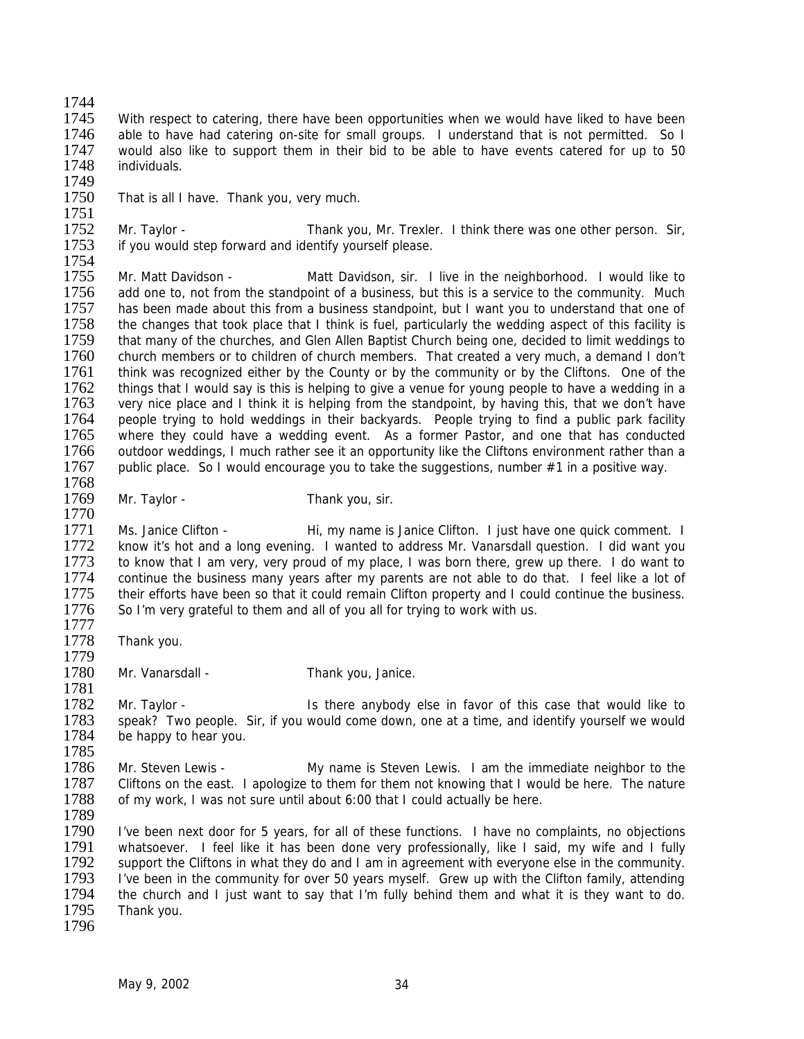1744

1745 With respect to catering, there have been opportunities when we would have liked to have been 1746 able to have had catering on-site for small groups. I understand that is not permitted. So I 1747 would also like to support them in their bid to be able to have events catered for up to 50<br>1748 individuals. individuals.

1749<br>1750

1770

1777

1779

That is all I have. Thank you, very much.

1751<br>1752 1752 Mr. Taylor - Thank you, Mr. Trexler. I think there was one other person. Sir, 1753 if you would step forward and identify yourself please. if you would step forward and identify yourself please.

1754<br>1755 Mr. Matt Davidson - Matt Davidson, sir. I live in the neighborhood. I would like to 1756 add one to, not from the standpoint of a business, but this is a service to the community. Much 1757 has been made about this from a business standpoint, but I want you to understand that one of 1758 the changes that took place that I think is fuel, particularly the wedding aspect of this facility is the changes that took place that I think is fuel, particularly the wedding aspect of this facility is 1759 that many of the churches, and Glen Allen Baptist Church being one, decided to limit weddings to 1760 church members or to children of church members. That created a very much, a demand I don't 1760 church members or to children of church members. That created a very much, a demand I don't 1761 think was recognized either by the County or by the community or by the Cliftons. One of the 1761 think was recognized either by the County or by the community or by the Cliftons. One of the 1762 things that I would say is this is helping to give a venue for young people to have a wedding in a 1762 things that I would say is this is helping to give a venue for young people to have a wedding in a<br>1763 very nice place and I think it is helping from the standpoint, by having this, that we don't have 1763 very nice place and I think it is helping from the standpoint, by having this, that we don't have<br>1764 people trying to hold weddings in their backvards. People trying to find a public park facility 1764 people trying to hold weddings in their backyards. People trying to find a public park facility 1765 where they could have a wedding event. As a former Pastor, and one that has conducted where they could have a wedding event. As a former Pastor, and one that has conducted 1766 outdoor weddings, I much rather see it an opportunity like the Cliftons environment rather than a 1767 public place. So I would encourage you to take the suggestions, number  $#1$  in a positive way. 1768

- 1769 Mr. Taylor Thank you, sir.
	-

1771 Ms. Janice Clifton - Thi, my name is Janice Clifton. I just have one quick comment. I<br>1772 The Know it's hot and a long evening. I wanted to address Mr. Vanarsdall question. I did want you 1772 know it's hot and a long evening. I wanted to address Mr. Vanarsdall question. I did want you<br>1773 to know that I am very, very proud of my place. I was born there, grew up there. I do want to 1773 to know that I am very, very proud of my place, I was born there, grew up there. I do want to 1774 continue the business many vears after my parents are not able to do that. I feel like a lot of 1774 continue the business many years after my parents are not able to do that. I feel like a lot of 1775 their efforts have been so that it could remain Clifton property and I could continue the business. 1775 their efforts have been so that it could remain Clifton property and I could continue the business.<br>1776 So I'm very grateful to them and all of you all for trying to work with us. So I'm very grateful to them and all of you all for trying to work with us.

- 1778 Thank you.
- 1780 Mr. Vanarsdall Thank you, Janice.

1781<br>1782 1782 Mr. Taylor - Is there anybody else in favor of this case that would like to<br>1783 Speak? Two people. Sir, if you would come down, one at a time, and identify vourself we would 1783 speak? Two people. Sir, if you would come down, one at a time, and identify yourself we would 1784 be happy to hear you. be happy to hear you.

1785<br>1786 Mr. Steven Lewis - My name is Steven Lewis. I am the immediate neighbor to the 1787 Cliftons on the east. I apologize to them for them not knowing that I would be here. The nature 1788 of my work, I was not sure until about 6:00 that I could actually be here. 1789

1790 I've been next door for 5 years, for all of these functions. I have no complaints, no objections 1791 whatsoever. I feel like it has been done very professionally, like I said, my wife and I fully 1792 support the Cliftons in what they do and I am in agreement with everyone else in the community.<br>1793 live been in the community for over 50 years myself. Grew up with the Clifton family, attending 1793 I've been in the community for over 50 years myself. Grew up with the Clifton family, attending 1794 the church and I just want to say that I'm fully behind them and what it is they want to do. 1794 the church and I just want to say that I'm fully behind them and what it is they want to do.<br>1795 Thank you. Thank you. 1796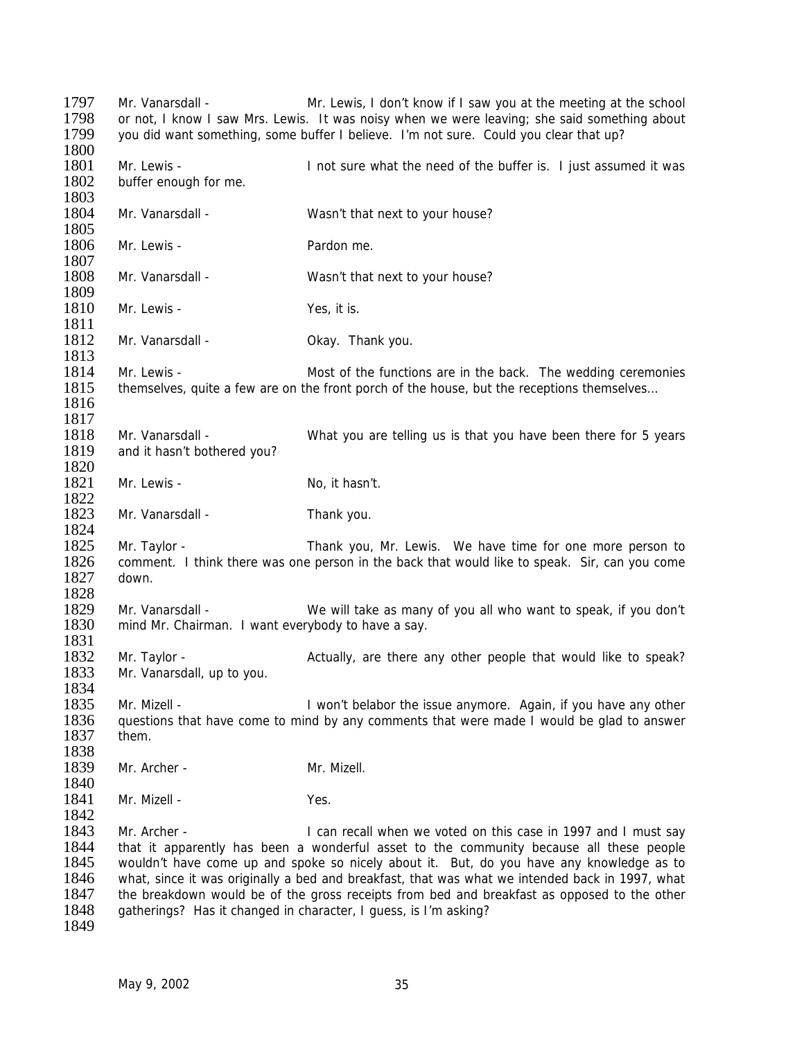| 1797<br>1798<br>1799<br>1800                         | Mr. Vanarsdall -                                                       | Mr. Lewis, I don't know if I saw you at the meeting at the school<br>or not, I know I saw Mrs. Lewis. It was noisy when we were leaving; she said something about<br>you did want something, some buffer I believe. I'm not sure. Could you clear that up?                                                                                                                                                                                                                                                                  |
|------------------------------------------------------|------------------------------------------------------------------------|-----------------------------------------------------------------------------------------------------------------------------------------------------------------------------------------------------------------------------------------------------------------------------------------------------------------------------------------------------------------------------------------------------------------------------------------------------------------------------------------------------------------------------|
| 1801<br>1802<br>1803                                 | Mr. Lewis -<br>buffer enough for me.                                   | I not sure what the need of the buffer is. I just assumed it was                                                                                                                                                                                                                                                                                                                                                                                                                                                            |
| 1804<br>1805                                         | Mr. Vanarsdall -                                                       | Wasn't that next to your house?                                                                                                                                                                                                                                                                                                                                                                                                                                                                                             |
| 1806<br>1807                                         | Mr. Lewis -                                                            | Pardon me.                                                                                                                                                                                                                                                                                                                                                                                                                                                                                                                  |
| 1808<br>1809                                         | Mr. Vanarsdall -                                                       | Wasn't that next to your house?                                                                                                                                                                                                                                                                                                                                                                                                                                                                                             |
| 1810<br>1811                                         | Mr. Lewis -                                                            | Yes, it is.                                                                                                                                                                                                                                                                                                                                                                                                                                                                                                                 |
| 1812<br>1813                                         | Mr. Vanarsdall -                                                       | Okay. Thank you.                                                                                                                                                                                                                                                                                                                                                                                                                                                                                                            |
| 1814<br>1815<br>1816<br>1817                         | Mr. Lewis -                                                            | Most of the functions are in the back. The wedding ceremonies<br>themselves, quite a few are on the front porch of the house, but the receptions themselves                                                                                                                                                                                                                                                                                                                                                                 |
| 1818<br>1819<br>1820                                 | Mr. Vanarsdall -<br>and it hasn't bothered you?                        | What you are telling us is that you have been there for 5 years                                                                                                                                                                                                                                                                                                                                                                                                                                                             |
| 1821<br>1822                                         | Mr. Lewis -                                                            | No, it hasn't.                                                                                                                                                                                                                                                                                                                                                                                                                                                                                                              |
| 1823<br>1824                                         | Mr. Vanarsdall -                                                       | Thank you.                                                                                                                                                                                                                                                                                                                                                                                                                                                                                                                  |
| 1825<br>1826<br>1827<br>1828                         | Mr. Taylor -<br>down.                                                  | Thank you, Mr. Lewis. We have time for one more person to<br>comment. I think there was one person in the back that would like to speak. Sir, can you come                                                                                                                                                                                                                                                                                                                                                                  |
| 1829<br>1830<br>1831                                 | Mr. Vanarsdall -<br>mind Mr. Chairman. I want everybody to have a say. | We will take as many of you all who want to speak, if you don't                                                                                                                                                                                                                                                                                                                                                                                                                                                             |
| 1832<br>1833                                         | Mr. Taylor -<br>Mr. Vanarsdall, up to you.                             | Actually, are there any other people that would like to speak?                                                                                                                                                                                                                                                                                                                                                                                                                                                              |
| 1834<br>1835<br>1836<br>1837<br>1838                 | Mr. Mizell -<br>them.                                                  | I won't belabor the issue anymore. Again, if you have any other<br>questions that have come to mind by any comments that were made I would be glad to answer                                                                                                                                                                                                                                                                                                                                                                |
| 1839<br>1840                                         | Mr. Archer -                                                           | Mr. Mizell.                                                                                                                                                                                                                                                                                                                                                                                                                                                                                                                 |
| 1841<br>1842                                         | Mr. Mizell -                                                           | Yes.                                                                                                                                                                                                                                                                                                                                                                                                                                                                                                                        |
| 1843<br>1844<br>1845<br>1846<br>1847<br>1848<br>1849 | Mr. Archer -                                                           | I can recall when we voted on this case in 1997 and I must say<br>that it apparently has been a wonderful asset to the community because all these people<br>wouldn't have come up and spoke so nicely about it. But, do you have any knowledge as to<br>what, since it was originally a bed and breakfast, that was what we intended back in 1997, what<br>the breakdown would be of the gross receipts from bed and breakfast as opposed to the other<br>gatherings? Has it changed in character, I guess, is I'm asking? |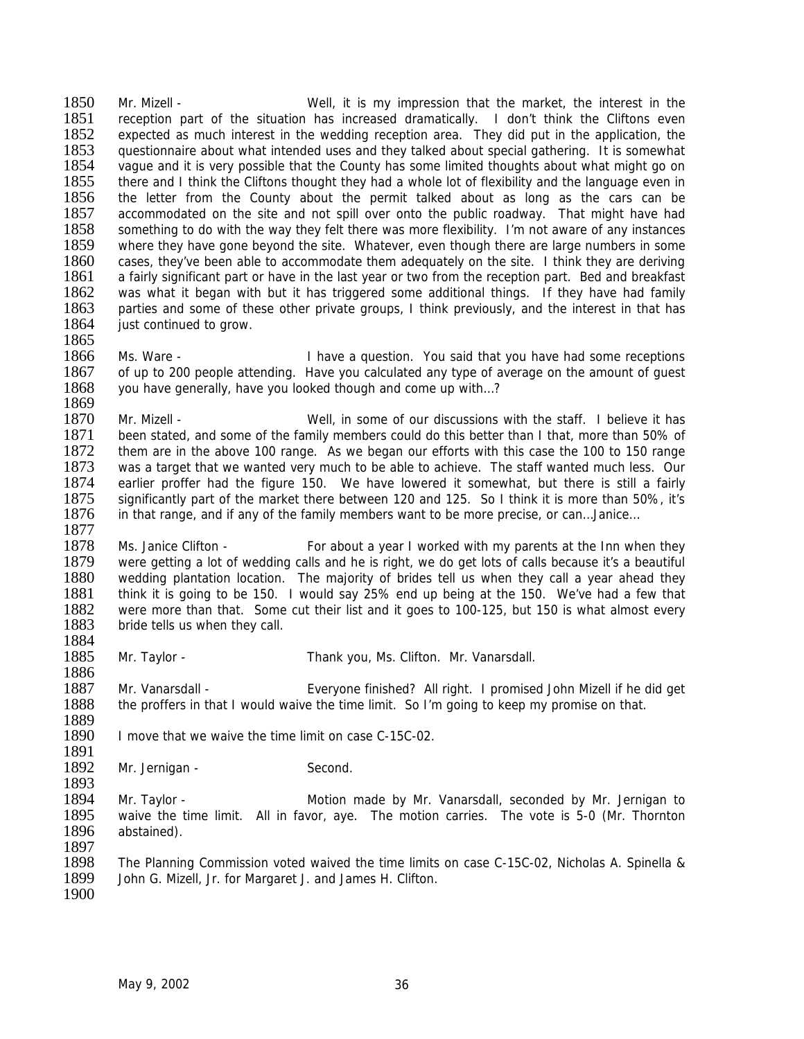1850 Mr. Mizell - Well, it is my impression that the market, the interest in the 1851 reception part of the situation has increased dramatically. I don't think the Cliftons even 1852 expected as much interest in the wedding reception area. They did put in the application, the 1853 questionnaire about what intended uses and they talked about special gathering. It is somewhat 1854 vague and it is very possible that the County has some limited thoughts about what might go on 1855 there and I think the Cliftons thought they had a whole lot of flexibility and the language even in 1856 the letter from the County about the permit talked about as long as the cars can be 1856 the letter from the County about the permit talked about as long as the cars can be 1857 accommodated on the site and not spill over onto the public roadway. That might have had accommodated on the site and not spill over onto the public roadway. That might have had 1858 something to do with the way they felt there was more flexibility. I'm not aware of any instances 1859 where they have gone beyond the site. Whatever, even though there are large numbers in some 1859 where they have gone beyond the site. Whatever, even though there are large numbers in some 1860 cases, they've been able to accommodate them adequately on the site. I think they are deriving cases, they've been able to accommodate them adequately on the site. I think they are deriving 1861 a fairly significant part or have in the last year or two from the reception part. Bed and breakfast 1862 was what it began with but it has triggered some additional things. If they have had family 1863 parties and some of these other private groups, I think previously, and the interest in that has 1864 iust continued to grow. just continued to grow.

1865<br>1866 1866 Ms. Ware - I have a question. You said that you have had some receptions<br>1867 of up to 200 people attending. Have you calculated any type of average on the amount of quest of up to 200 people attending. Have you calculated any type of average on the amount of quest 1868 you have generally, have you looked though and come up with…?

1869<br>1870 1870 Mr. Mizell - Well, in some of our discussions with the staff. I believe it has 1871 been stated, and some of the family members could do this better than I that, more than 50% of been stated, and some of the family members could do this better than I that, more than 50% of 1872 them are in the above 100 range. As we began our efforts with this case the 100 to 150 range 1873 was a target that we wanted very much to be able to achieve. The staff wanted much less. Our 1874 earlier proffer had the figure 150. We have lowered it somewhat, but there is still a fairly 1875 significantly part of the market there between 120 and 125. So I think it is more than 50%, it's significantly part of the market there between 120 and 125. So I think it is more than 50%, it's 1876 in that range, and if any of the family members want to be more precise, or can…Janice…

1877<br>1878 1878 Ms. Janice Clifton - For about a year I worked with my parents at the Inn when they<br>1879 vere getting a lot of wedding calls and he is right, we do get lots of calls because it's a beautiful 1879 were getting a lot of wedding calls and he is right, we do get lots of calls because it's a beautiful<br>1880 wedding plantation location. The maiority of brides tell us when they call a year ahead they 1880 wedding plantation location. The majority of brides tell us when they call a year ahead they<br>1881 think it is going to be 150. I would say 25% end up being at the 150. We've had a few that 1881 think it is going to be 150. I would say 25% end up being at the 150. We've had a few that 1882 were more than that. Some cut their list and it goes to 100-125, but 150 is what almost every 1882 were more than that. Some cut their list and it goes to 100-125, but 150 is what almost every 1883 bride tells us when they call. bride tells us when they call.

1884<br>1885 Mr. Taylor - Thank you, Ms. Clifton. Mr. Vanarsdall.

1887 Mr. Vanarsdall - Everyone finished? All right. I promised John Mizell if he did get 1888 the proffers in that I would waive the time limit. So I'm going to keep my promise on that. the proffers in that I would waive the time limit. So I'm going to keep my promise on that.

1889 I move that we waive the time limit on case C-15C-02.

1891<br>1892 Mr. Jernigan - Second.

- 1894 Mr. Taylor Motion made by Mr. Vanarsdall, seconded by Mr. Jernigan to 1895 waive the time limit. All in favor, aye. The motion carries. The vote is 5-0 (Mr. Thornton waive the time limit. All in favor, aye. The motion carries. The vote is 5-0 (Mr. Thornton 1896 abstained).
- 1897

1893

1886

1898 The Planning Commission voted waived the time limits on case C-15C-02, Nicholas A. Spinella & 1899 John G. Mizell. Jr. for Margaret J. and James H. Clifton. John G. Mizell, Jr. for Margaret J. and James H. Clifton.

1900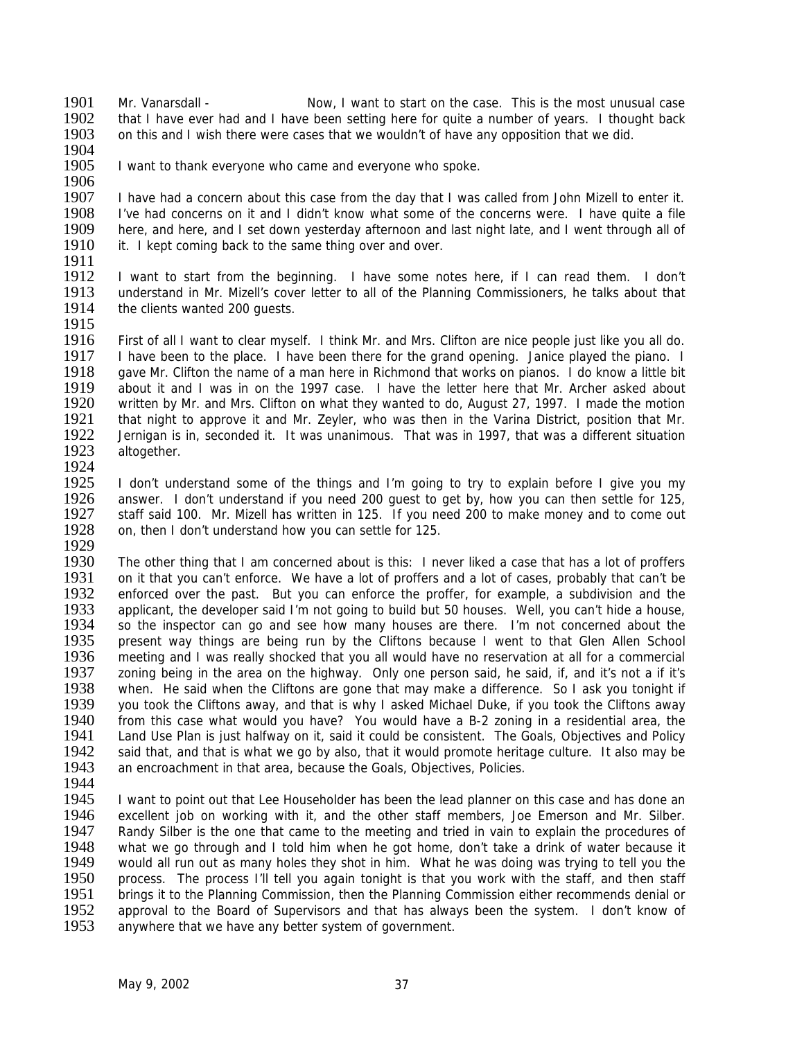1901 Mr. Vanarsdall - Now, I want to start on the case. This is the most unusual case 1902 that I have ever had and I have been setting here for quite a number of years. I thought back 1903 on this and I wish there were cases that we wouldn't of have any opposition that we did.

- 1904<br>1905
- 

I want to thank everyone who came and everyone who spoke.

1906<br>1907 1907 I have had a concern about this case from the day that I was called from John Mizell to enter it.<br>1908 I 've had concerns on it and I didn't know what some of the concerns were. I have quite a file 1908 I've had concerns on it and I didn't know what some of the concerns were. I have quite a file<br>1909 here, and here, and I set down vesterday afternoon and last night late, and I went through all of 1909 here, and here, and I set down yesterday afternoon and last night late, and I went through all of 1910 it. I kept coming back to the same thing over and over. it. I kept coming back to the same thing over and over.

1911<br>1912

I want to start from the beginning. I have some notes here, if I can read them. I don't 1913 understand in Mr. Mizell's cover letter to all of the Planning Commissioners, he talks about that 1914 the clients wanted 200 guests.

1915

1916 First of all I want to clear myself. I think Mr. and Mrs. Clifton are nice people just like you all do.<br>1917 Have been to the place. I have been there for the grand opening. Janice played the piano. I 1917 I have been to the place. I have been there for the grand opening. Janice played the piano. I<br>1918 Gave Mr. Clifton the name of a man here in Richmond that works on pianos. I do know a little bit 1918 gave Mr. Clifton the name of a man here in Richmond that works on pianos. I do know a little bit 1919 about it and I was in on the 1997 case. I have the letter here that Mr. Archer asked about 1919 about it and I was in on the 1997 case. I have the letter here that Mr. Archer asked about 1920 written by Mr. and Mrs. Clifton on what they wanted to do. August 27, 1997. I made the motion 1920 written by Mr. and Mrs. Clifton on what they wanted to do, August 27, 1997. I made the motion 1921 that night to approve it and Mr. Zevler, who was then in the Varina District, position that Mr. 1921 that night to approve it and Mr. Zeyler, who was then in the Varina District, position that Mr.<br>1922 Lernigan is in, seconded it. It was unanimous. That was in 1997, that was a different situation Jernigan is in, seconded it. It was unanimous. That was in 1997, that was a different situation 1923 altogether. 1924

1925 I don't understand some of the things and I'm going to try to explain before I give you my<br>1926 answer. I don't understand if you need 200 quest to get by, how you can then settle for 125. 1926 answer. I don't understand if you need 200 guest to get by, how you can then settle for 125, 1927 staff said 100. Mr. Mizell has written in 125. If you need 200 to make money and to come out staff said 100. Mr. Mizell has written in 125. If you need 200 to make money and to come out 1928 on, then I don't understand how you can settle for 125.

1929<br>1930

1930 The other thing that I am concerned about is this: I never liked a case that has a lot of proffers 1931 on it that you can't enforce. We have a lot of proffers and a lot of cases, probably that can't be 1931 on it that you can't enforce. We have a lot of proffers and a lot of cases, probably that can't be 1932 enforced over the past. But you can enforce the proffer, for example, a subdivision and the 1932 enforced over the past. But you can enforce the proffer, for example, a subdivision and the 1933 applicant, the developer said I'm not going to build but 50 houses. Well, you can't hide a house. 1933 applicant, the developer said I'm not going to build but 50 houses. Well, you can't hide a house, 1934 so the inspector can go and see how many houses are there. I'm not concerned about the so the inspector can go and see how many houses are there. I'm not concerned about the 1935 present way things are being run by the Cliftons because I went to that Glen Allen School<br>1936 meeting and I was really shocked that you all would have no reservation at all for a commercial meeting and I was really shocked that you all would have no reservation at all for a commercial 1937 zoning being in the area on the highway. Only one person said, he said, if, and it's not a if it's 1938 when. He said when the Cliftons are gone that may make a difference. So I ask vou tonight if 1938 when. He said when the Cliftons are gone that may make a difference. So I ask you tonight if 1939 vou took the Cliftons away 1939 you took the Cliftons away, and that is why I asked Michael Duke, if you took the Cliftons away<br>1940 from this case what would you have? You would have a B-2 zoning in a residential area, the 1940 from this case what would you have? You would have a B-2 zoning in a residential area, the 1941 Land Use Plan is just halfway on it, said it could be consistent. The Goals, Objectives and Policy 1941 Land Use Plan is just halfway on it, said it could be consistent. The Goals, Objectives and Policy<br>1942 said that, and that is what we go by also, that it would promote heritage culture. It also may be 1942 said that, and that is what we go by also, that it would promote heritage culture. It also may be 1943 an encroachment in that area, because the Goals. Objectives, Policies. an encroachment in that area, because the Goals, Objectives, Policies.

1944

1945 I want to point out that Lee Householder has been the lead planner on this case and has done an<br>1946 excellent job on working with it, and the other staff members, Joe Emerson and Mr. Silber. 1946 excellent job on working with it, and the other staff members, Joe Emerson and Mr. Silber.<br>1947 Randy Silber is the one that came to the meeting and tried in vain to explain the procedures of 1947 Randy Silber is the one that came to the meeting and tried in vain to explain the procedures of 1948 what we go through and I told him when he got home, don't take a drink of water because it 1948 what we go through and I told him when he got home, don't take a drink of water because it 1949 would all run out as many holes they shot in him. What he was doing was trying to tell you the 1949 would all run out as many holes they shot in him. What he was doing was trying to tell you the 1950 process. The process I'll tell you again tonight is that you work with the staff, and then staff 1950 process. The process I'll tell you again tonight is that you work with the staff, and then staff<br>1951 brings it to the Planning Commission, then the Planning Commission either recommends denial or 1951 brings it to the Planning Commission, then the Planning Commission either recommends denial or 1952 approval to the Board of Supervisors and that has always been the system. I don't know of 1952 approval to the Board of Supervisors and that has always been the system. I don't know of 1953 anywhere that we have any better system of government. anywhere that we have any better system of government.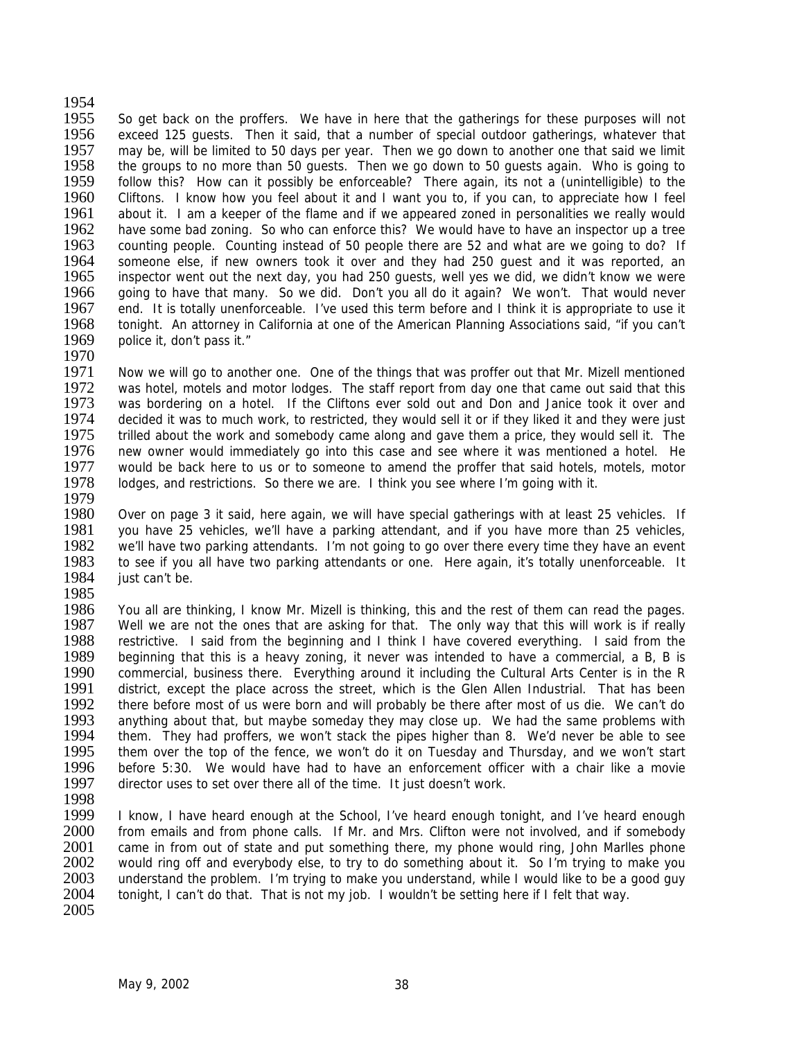1954 1955 So get back on the proffers. We have in here that the gatherings for these purposes will not 1956 exceed 125 guests. Then it said, that a number of special outdoor gatherings, whatever that 1957 may be, will be limited to 50 days per year. Then we go down to another one that said we limit 1958 the groups to no more than 50 quests. Then we go down to 50 quests again. Who is going to 1958 the groups to no more than 50 guests. Then we go down to 50 guests again. Who is going to 1959 follow this? How can it possibly be enforceable? There again, its not a (unintelligible) to the 1959 follow this? How can it possibly be enforceable? There again, its not a (unintelligible) to the 1960 Cliftons. I know how you feel about it and I want you to, if you can, to appreciate how I feel 1960 Cliftons. I know how you feel about it and I want you to, if you can, to appreciate how I feel<br>1961 about it. I am a keeper of the flame and if we appeared zoned in personalities we really would about it. I am a keeper of the flame and if we appeared zoned in personalities we really would 1962 have some bad zoning. So who can enforce this? We would have to have an inspector up a tree<br>1963 counting people. Counting instead of 50 people there are 52 and what are we going to do? If 1963 counting people. Counting instead of 50 people there are 52 and what are we going to do? If 1964 someone else, if new owners took it over and they had 250 quest and it was reported, an 1964 someone else, if new owners took it over and they had 250 guest and it was reported, an 1965 inspector went out the next day, you had 250 quests, well yes we did, we didn't know we were inspector went out the next day, you had 250 guests, well yes we did, we didn't know we were 1966 going to have that many. So we did. Don't you all do it again? We won't. That would never 1967 end. It is totally unenforceable. I've used this term before and I think it is appropriate to use it 1968 tonight. An attorney in California at one of the American Planning Associations said, "if you can't tonight. An attorney in California at one of the American Planning Associations said, "if you can't 1969 police it, don't pass it."

- 1970<br>1971 1971 Now we will go to another one. One of the things that was proffer out that Mr. Mizell mentioned 1972 was hotel, motels and motor lodges. The staff report from day one that came out said that this 1972 was hotel, motels and motor lodges. The staff report from day one that came out said that this 1973 was bordering on a hotel. If the Cliftons ever sold out and Don and Janice took it over and 1973 was bordering on a hotel. If the Cliftons ever sold out and Don and Janice took it over and 1974 decided it was to much work, to restricted, they would sell it or if they liked it and they were just 1974 decided it was to much work, to restricted, they would sell it or if they liked it and they were just 1975 trilled about the work and somebody came along and gave them a price, they would sell it. The trilled about the work and somebody came along and gave them a price, they would sell it. The 1976 new owner would immediately go into this case and see where it was mentioned a hotel. He 1977 would be back here to us or to someone to amend the proffer that said hotels, motels, motor 1978 lodges, and restrictions. So there we are. I think you see where I'm going with it.
- 1979<br>1980 Over on page 3 it said, here again, we will have special gatherings with at least 25 vehicles. If 1981 you have 25 vehicles, we'll have a parking attendant, and if you have more than 25 vehicles, 1982 we'll have two parking attendants. I'm not going to go over there every time they have an event 1982 we'll have two parking attendants. I'm not going to go over there every time they have an event 1983 to see if you all have two parking attendants or one. Here again, it's totally unenforceable. It 1983 to see if you all have two parking attendants or one. Here again, it's totally unenforceable. It<br>1984 iust can't be. just can't be.
- 1985<br>1986

1986 You all are thinking, I know Mr. Mizell is thinking, this and the rest of them can read the pages.<br>1987 Well we are not the ones that are asking for that. The only way that this will work is if really Well we are not the ones that are asking for that. The only way that this will work is if really 1988 restrictive. I said from the beginning and I think I have covered everything. I said from the 1989 beginning that this is a heavy zoning, it never was intended to have a commercial, a B. B is beginning that this is a heavy zoning, it never was intended to have a commercial, a B, B is 1990 commercial, business there. Everything around it including the Cultural Arts Center is in the R<br>1991 district, except the place across the street, which is the Glen Allen Industrial. That has been 1991 district, except the place across the street, which is the Glen Allen Industrial. That has been<br>1992 there before most of us were born and will probably be there after most of us die. We can't do 1992 there before most of us were born and will probably be there after most of us die. We can't do 1993 anything about that, but maybe someday they may close up. We had the same problems with 1993 anything about that, but maybe someday they may close up. We had the same problems with 1994 them. They had proffers, we won't stack the pipes higher than 8. We'd never be able to see 1994 them. They had proffers, we won't stack the pipes higher than 8. We'd never be able to see<br>1995 them over the top of the fence, we won't do it on Tuesday and Thursday, and we won't start 1995 them over the top of the fence, we won't do it on Tuesday and Thursday, and we won't start 1996 before 5:30. We would have had to have an enforcement officer with a chair like a movie 1996 before 5:30. We would have had to have an enforcement officer with a chair like a movie 1997 director uses to set over there all of the time. It just doesn't work. director uses to set over there all of the time. It just doesn't work.

1998<br>1999

1999 I know, I have heard enough at the School, I've heard enough tonight, and I've heard enough 2000 from emails and from phone calls. If Mr. and Mrs. Clifton were not involved, and if somebody from emails and from phone calls. If Mr. and Mrs. Clifton were not involved, and if somebody 2001 came in from out of state and put something there, my phone would ring, John Marlles phone<br>2002 vould ring off and everybody else, to try to do something about it. So I'm trying to make you 2002 would ring off and everybody else, to try to do something about it. So I'm trying to make you<br>2003 understand the problem. I'm trying to make you understand, while I would like to be a good guy 2003 understand the problem. I'm trying to make you understand, while I would like to be a good guy <br>2004 tonight. I can't do that. That is not my job. I wouldn't be setting here if I felt that way. tonight, I can't do that. That is not my job. I wouldn't be setting here if I felt that way. 2005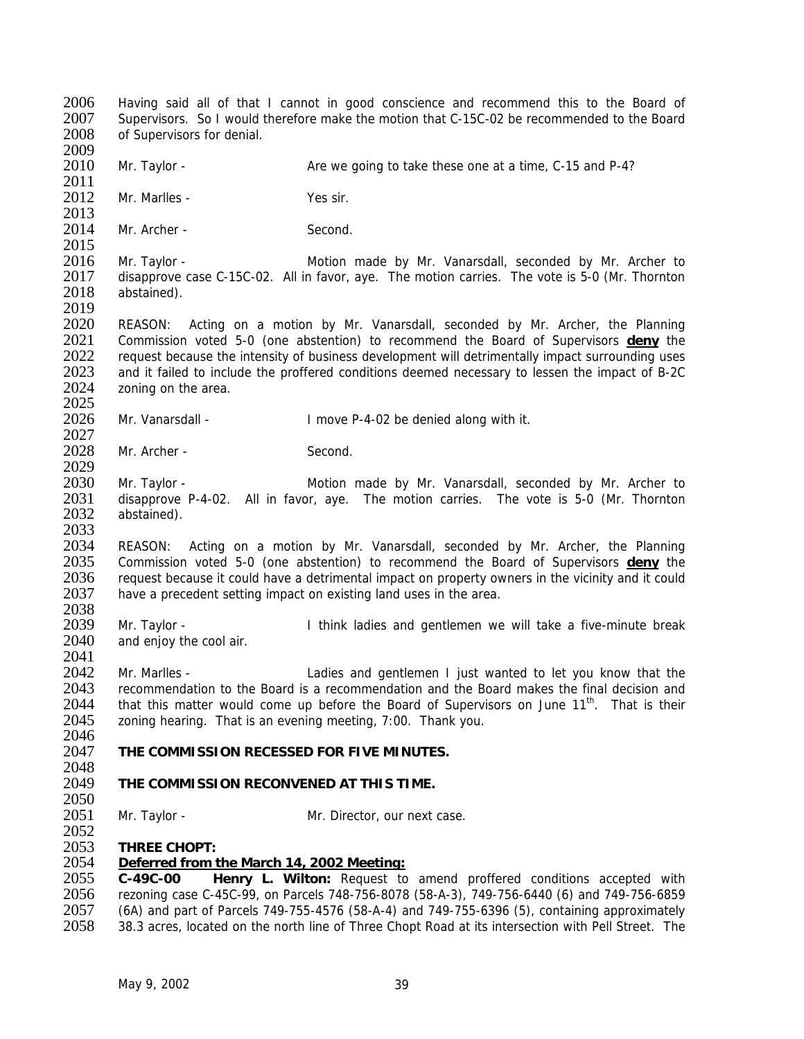2006 Having said all of that I cannot in good conscience and recommend this to the Board of 2007 Supervisors. So I would therefore make the motion that C-15C-02 be recommended to the Board 2008 of Supervisors for denial. of Supervisors for denial. 2009<br>2010 Mr. Taylor - **Are we going to take these one at a time, C-15 and P-4?** 2011<br>2012 Mr. Marlles - Yes sir.  $\frac{2013}{2014}$ Mr. Archer - Second. 2015<br>2016 2016 Mr. Taylor - Motion made by Mr. Vanarsdall, seconded by Mr. Archer to 2017 disapprove case C-15C-02. All in favor, ave. The motion carries. The vote is 5-0 (Mr. Thornton 2017 disapprove case C-15C-02. All in favor, aye. The motion carries. The vote is 5-0 (Mr. Thornton 2018 abstained). 2019<br>2020 REASON: Acting on a motion by Mr. Vanarsdall, seconded by Mr. Archer, the Planning 2021 Commission voted 5-0 (one abstention) to recommend the Board of Supervisors **deny** the 2022 request because the intensity of business development will detrimentally impact surrounding uses<br>2023 and it failed to include the proffered conditions deemed necessary to lessen the impact of B-2C 2023 and it failed to include the proffered conditions deemed necessary to lessen the impact of B-2C<br>2024 zoning on the area. zoning on the area. 2025<br>2026 Mr. Vanarsdall - The Music Cover P-4-02 be denied along with it. 2027 2028 Mr. Archer - Second. 2029 2030 Mr. Taylor - Motion made by Mr. Vanarsdall, seconded by Mr. Archer to 2031 disapprove P-4-02. All in favor, ave. The motion carries. The vote is 5-0 (Mr. Thornton 2031 disapprove P-4-02. All in favor, aye. The motion carries. The vote is 5-0 (Mr. Thornton 2032 abstained). abstained). 2033<br>2034 2034 REASON: Acting on a motion by Mr. Vanarsdall, seconded by Mr. Archer, the Planning<br>2035 Commission voted 5-0 (one abstention) to recommend the Board of Supervisors **deny** the 2035 Commission voted 5-0 (one abstention) to recommend the Board of Supervisors **deny** the 2036 request because it could have a detrimental impact on property owners in the vicinity and it could 2037 have a precedent setting impact on existing land uses in the area. have a precedent setting impact on existing land uses in the area. 2038<br>2039 2039 Mr. Taylor - I think ladies and gentlemen we will take a five-minute break 2040 and enjoy the cool air. 2041 2042 Mr. Marlles - Ladies and gentlemen I just wanted to let you know that the 2043 recommendation to the Board is a recommendation and the Board makes the final decision and  $2044$  that this matter would come up before the Board of Supervisors on June  $11<sup>th</sup>$ . That is their 2044 that this matter would come up before the Board of Supervisors on June  $11^{th}$ . That is their 2045 zoning hearing. That is an evening meeting, 7:00. Thank you. zoning hearing. That is an evening meeting, 7:00. Thank you. 2046<br>2047 **THE COMMISSION RECESSED FOR FIVE MINUTES.** 2048<br>2049 2049 **THE COMMISSION RECONVENED AT THIS TIME.**  2050<br>2051 Mr. Taylor - Mr. Director, our next case. 2052 2053 **THREE CHOPT:** 2054 *Deferred from the March 14, 2002 Meeting:* 2055 **C-49C-00 Henry L. Wilton:** Request to amend proffered conditions accepted with 2056 rezoning case C-45C-99, on Parcels 748-756-8078 (58-A-3), 749-756-6440 (6) and 749-756-6859<br>2057 (6A) and part of Parcels 749-755-4576 (58-A-4) and 749-755-6396 (5), containing approximately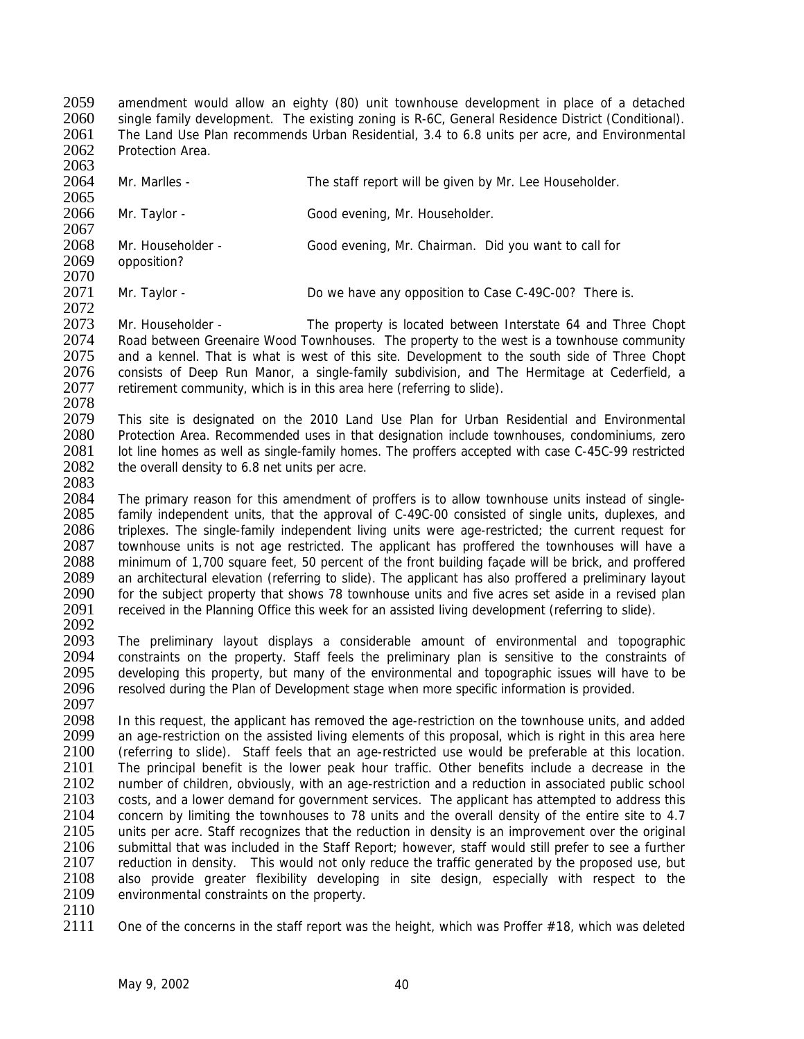amendment would allow an eighty (80) unit townhouse development in place of a detached single family development. The existing zoning is R-6C, General Residence District (Conditional). The Land Use Plan recommends Urban Residential, 3.4 to 6.8 units per acre, and Environmental Protection Area.

- 2063 2064 Mr. Marlles - The staff report will be given by Mr. Lee Householder. 2065<br>2066 Mr. Taylor - Good evening, Mr. Householder. 2067<br>2068 2068 Mr. Householder - Good evening, Mr. Chairman. Did you want to call for 2069 opposition? opposition? 2070
- 2071 Mr. Taylor Do we have any opposition to Case C-49C-00? There is.

2072<br>2073 2073 Mr. Householder - The property is located between Interstate 64 and Three Chopt 2074 Road between Greenaire Wood Townhouses. The property to the west is a townhouse community<br>2075 and a kennel. That is what is west of this site. Development to the south side of Three Chopt 2075 and a kennel. That is what is west of this site. Development to the south side of Three Chopt 2076 consists of Deep Run Manor, a single-family subdivision, and The Hermitage at Cederfield, a 2076 consists of Deep Run Manor, a single-family subdivision, and The Hermitage at Cederfield, a<br>2077 retirement community, which is in this area here (referring to slide). retirement community, which is in this area here (referring to slide).

2078<br>2079

2079 This site is designated on the 2010 Land Use Plan for Urban Residential and Environmental 2080 Protection Area. Recommended uses in that designation include townhouses, condominiums, zero Protection Area. Recommended uses in that designation include townhouses, condominiums, zero 2081 lot line homes as well as single-family homes. The proffers accepted with case C-45C-99 restricted 2082 the overall density to 6.8 net units per acre.

2083<br>2084

The primary reason for this amendment of proffers is to allow townhouse units instead of single-2085 family independent units, that the approval of C-49C-00 consisted of single units, duplexes, and 2086 triplexes. The single-family independent living units were age-restricted; the current request for 2087 townhouse units is not age restricted. The applicant has proffered the townhouses will have a 2087 townhouse units is not age restricted. The applicant has proffered the townhouses will have a<br>2088 minimum of 1.700 square feet. 50 percent of the front building facade will be brick, and proffered 2088 minimum of 1,700 square feet, 50 percent of the front building façade will be brick, and proffered<br>2089 an architectural elevation (referring to slide). The applicant has also proffered a preliminary layout 2089 an architectural elevation (referring to slide). The applicant has also proffered a preliminary layout 2090 for the subject property that shows 78 townhouse units and five acres set aside in a revised plan 2090 for the subject property that shows 78 townhouse units and five acres set aside in a revised plan<br>2091 ecceived in the Planning Office this week for an assisted living development (referring to slide). received in the Planning Office this week for an assisted living development (referring to slide). 2092

2093 The preliminary layout displays a considerable amount of environmental and topographic<br>2094 constraints on the property. Staff feels the preliminary plan is sensitive to the constraints of constraints on the property. Staff feels the preliminary plan is sensitive to the constraints of 2095 developing this property, but many of the environmental and topographic issues will have to be 2096 resolved during the Plan of Development stage when more specific information is provided.

2097<br>2098 2098 In this request, the applicant has removed the age-restriction on the townhouse units, and added 2099 an age-restriction on the assisted living elements of this proposal, which is right in this area here 2099 an age-restriction on the assisted living elements of this proposal, which is right in this area here<br>2100 (referring to slide). Staff feels that an age-restricted use would be preferable at this location. 2100 (referring to slide). Staff feels that an age-restricted use would be preferable at this location.<br>2101 The principal benefit is the lower peak hour traffic. Other benefits include a decrease in the 2101 The principal benefit is the lower peak hour traffic. Other benefits include a decrease in the 2102 number of children obviously with an age-restriction and a reduction in associated public school number of children, obviously, with an age-restriction and a reduction in associated public school 2103 costs, and a lower demand for government services. The applicant has attempted to address this 2104 concern by limiting the townhouses to 78 units and the overall density of the entire site to 4.7<br>2105 units per acre. Staff recognizes that the reduction in density is an improvement over the original units per acre. Staff recognizes that the reduction in density is an improvement over the original 2106 submittal that was included in the Staff Report; however, staff would still prefer to see a further 2107 reduction in density. This would not only reduce the traffic generated by the proposed use, but 2107 reduction in density. This would not only reduce the traffic generated by the proposed use, but 2108 also provide areater flexibility developing in site design, especially with respect to the 2108 also provide greater flexibility developing in site design, especially with respect to the 2109 environmental constraints on the property. environmental constraints on the property.

 $\frac{2110}{2111}$ 

One of the concerns in the staff report was the height, which was Proffer  $#18$ , which was deleted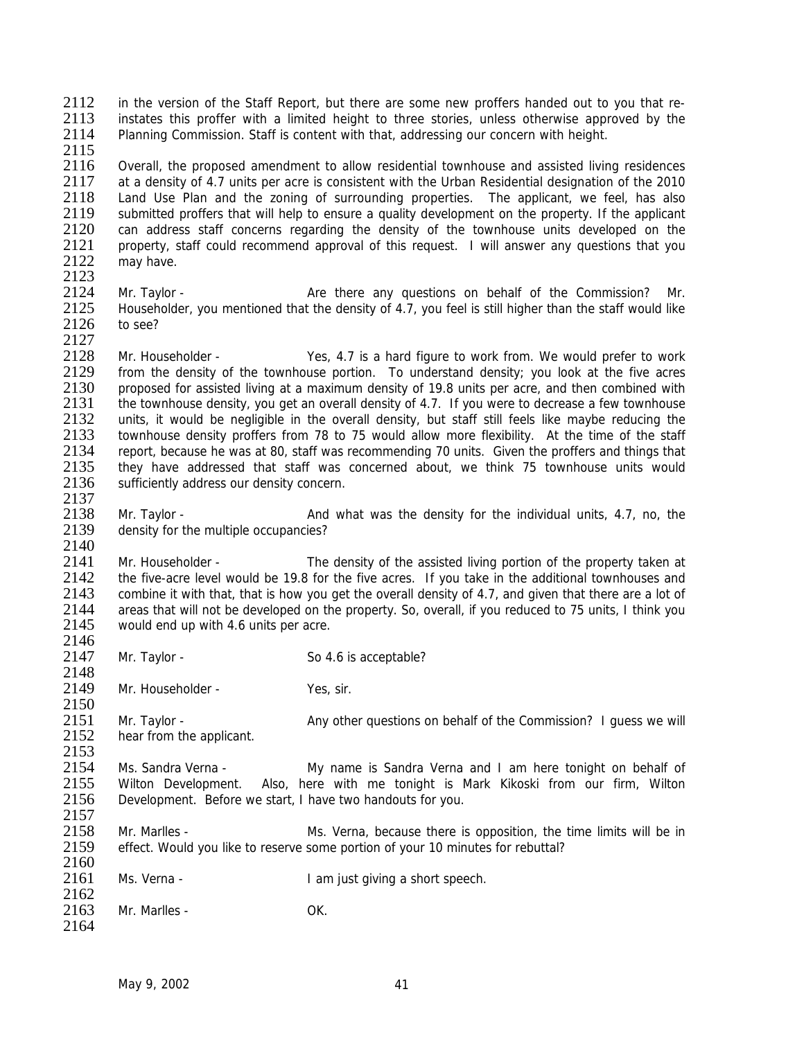2112 in the version of the Staff Report, but there are some new proffers handed out to you that re-<br>2113 instates this proffer with a limited height to three stories unless otherwise approved by the 2113 instates this proffer with a limited height to three stories, unless otherwise approved by the 2114 Planning Commission. Staff is content with that, addressing our concern with height. Planning Commission. Staff is content with that, addressing our concern with height.

2115<br>2116 Overall, the proposed amendment to allow residential townhouse and assisted living residences 2117 at a density of 4.7 units per acre is consistent with the Urban Residential designation of the 2010<br>2118 Land Use Plan and the zoning of surrounding properties. The applicant, we feel, has also 2118 Land Use Plan and the zoning of surrounding properties. The applicant, we feel, has also<br>2119 Submitted proffers that will help to ensure a quality development on the property. If the applicant 2119 submitted proffers that will help to ensure a quality development on the property. If the applicant 2120 can address staff concerns regarding the density of the townhouse units developed on the 2120 can address staff concerns regarding the density of the townhouse units developed on the 2121 property, staff could recommend approval of this request. I will answer any questions that you 2121 property, staff could recommend approval of this request. I will answer any questions that you<br>2122 may have may have. 2123

2124 Mr. Taylor - Are there any questions on behalf of the Commission? Mr. 2125 Householder, you mentioned that the density of 4.7, you feel is still higher than the staff would like 2126 to see? to see?

2127<br>2128 2128 Mr. Householder - Yes, 4.7 is a hard figure to work from. We would prefer to work<br>2129 from the density of the townhouse portion. To understand density: you look at the five acres 2129 from the density of the townhouse portion. To understand density; you look at the five acres<br>2130 proposed for assisted living at a maximum density of 19.8 units per acre, and then combined with 2130 proposed for assisted living at a maximum density of 19.8 units per acre, and then combined with 2131 the townhouse density, you get an overall density of 4.7. If you were to decrease a few townhouse 2131 the townhouse density, you get an overall density of 4.7. If you were to decrease a few townhouse<br>2132 units, it would be negligible in the overall density, but staff still feels like maybe reducing the 2132 units, it would be negligible in the overall density, but staff still feels like maybe reducing the 2133 townhouse density proffers from 78 to 75 would allow more flexibility. At the time of the staff townhouse density proffers from 78 to 75 would allow more flexibility. At the time of the staff 2134 report, because he was at 80, staff was recommending 70 units. Given the proffers and things that 2135 they have addressed that staff was concerned about, we think 75 townhouse units would 2136 sufficiently address our density concern. 2137

2138 Mr. Taylor - And what was the density for the individual units, 4.7, no, the 2139 density for the multiple occupancies?

2140<br>2141 2141 Mr. Householder - The density of the assisted living portion of the property taken at 2142 the five-acre level would be 19.8 for the five acres. If you take in the additional townhouses and 2142 the five-acre level would be 19.8 for the five acres. If you take in the additional townhouses and 2143 combine it with that, that is how you get the overall density of 4.7, and given that there are a lot of 2143 combine it with that, that is how you get the overall density of 4.7, and given that there are a lot of 2144 areas that will not be developed on the property. So overall if you reduced to 75 units. I think you 2144 areas that will not be developed on the property. So, overall, if you reduced to 75 units, I think you 2145 would end up with 4.6 units per acre would end up with 4.6 units per acre.

- 2146<br>2147 Mr. Taylor - So 4.6 is acceptable?
- 2148<br>2149 Mr. Householder - Yes, sir.

2150<br>2151 2151 Mr. Taylor - Any other questions on behalf of the Commission? I guess we will<br>2152 hear from the applicant. hear from the applicant.

- $2153$ <br> $2154$ 2154 Ms. Sandra Verna - My name is Sandra Verna and I am here tonight on behalf of 2155 Wilton Development. Also, here with me tonight is Mark Kikoski from our firm, Wilton Also, here with me tonight is Mark Kikoski from our firm, Wilton 2156 Development. Before we start, I have two handouts for you.
- 2157<br>2158 Mr. Marlles - The Mr. Werna, because there is opposition, the time limits will be in 2159 effect. Would you like to reserve some portion of your 10 minutes for rebuttal?
- 2160<br>2161 Ms. Verna - I am just giving a short speech.
- 2162<br>2163 Mr. Marlles - OK. 2164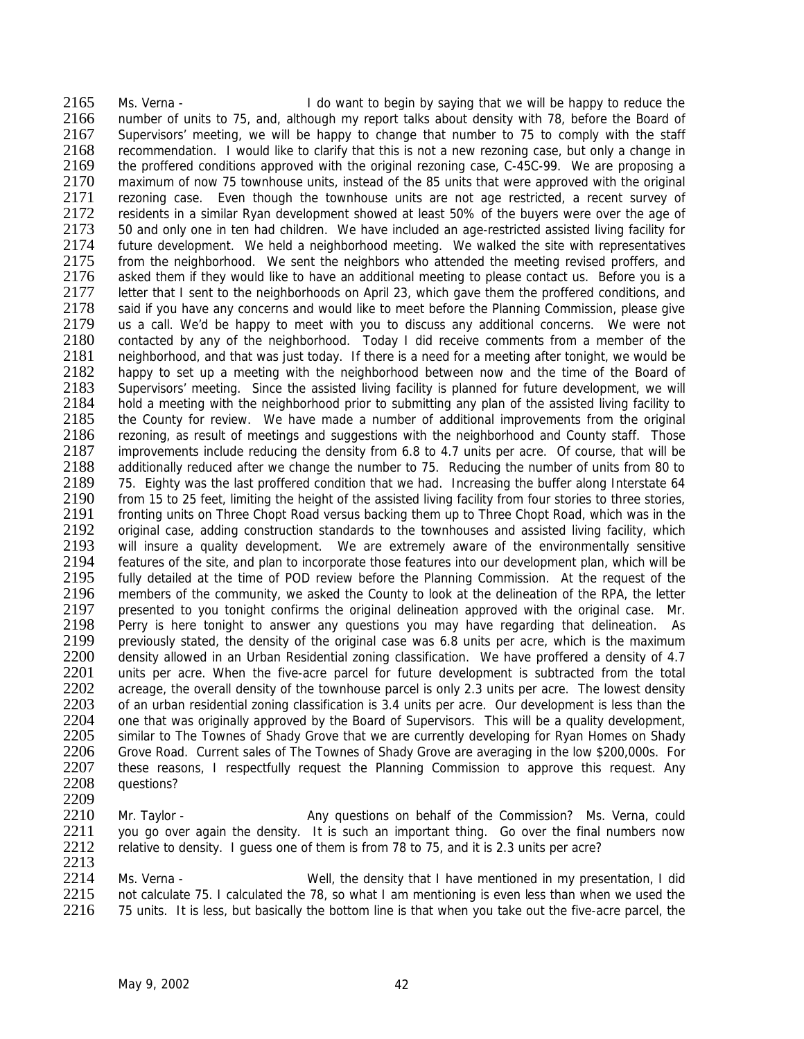2165 Ms. Verna - I do want to begin by saying that we will be happy to reduce the 2166 number of units to 75, and, although my report talks about density with 78, before the Board of 2167 Supervisors' meeting, we will be happy to change that number to 75 to comply with the staff 2168 recommendation. I would like to clarify that this is not a new rezoning case, but only a change in 2169 the proffered conditions approved with the original rezoning case, C-45C-99. We are proposing a the proffered conditions approved with the original rezoning case, C-45C-99. We are proposing a 2170 maximum of now 75 townhouse units, instead of the 85 units that were approved with the original 2171 rezoning case. Fyen though the townhouse units are not age restricted, a recent survey of 2171 rezoning case. Even though the townhouse units are not age restricted, a recent survey of 2172 residents in a similar Rvan development showed at least 50% of the buvers were over the age of 2172 residents in a similar Ryan development showed at least 50% of the buyers were over the age of 2173 50 and only one in ten had children. We have included an age-restricted assisted living facility for 2173 50 and only one in ten had children. We have included an age-restricted assisted living facility for 2174 future development. We held a neighborhood meeting. We walked the site with representatives 2174 future development. We held a neighborhood meeting. We walked the site with representatives<br>2175 from the neighborhood. We sent the neighbors who attended the meeting revised proffers, and 2175 from the neighborhood. We sent the neighbors who attended the meeting revised proffers, and 2176 asked them if they would like to have an additional meeting to please contact us. Before you is a asked them if they would like to have an additional meeting to please contact us. Before you is a 2177 letter that I sent to the neighborhoods on April 23, which gave them the proffered conditions, and 2178 said if you have any concerns and would like to meet before the Planning Commission, please give<br>2179 us a call. We'd be happy to meet with you to discuss any additional concerns. We were not us a call. We'd be happy to meet with you to discuss any additional concerns. We were not 2180 contacted by any of the neighborhood. Today I did receive comments from a member of the 2181 reighborhood, and that was just today. If there is a need for a meeting after tonight, we would be 2181 neighborhood, and that was just today. If there is a need for a meeting after tonight, we would be 2182 happy to set up a meeting with the neighborhood between now and the time of the Board of 2182 happy to set up a meeting with the neighborhood between now and the time of the Board of 2183 Supervisors' meeting. Since the assisted living facility is planned for future development, we will 2183 Supervisors' meeting. Since the assisted living facility is planned for future development, we will 2184 hold a meeting with the neighborhood prior to submitting any plan of the assisted living facility to 2185 the County for review. We have made a number of additional improvements from the original 2185 the County for review. We have made a number of additional improvements from the original 2186 rezoning, as result of meetings and suggestions with the neighborhood and County staff. Those rezoning, as result of meetings and suggestions with the neighborhood and County staff. Those 2187 improvements include reducing the density from 6.8 to 4.7 units per acre. Of course, that will be 2188 additionally reduced after we change the number to 75. Reducing the number of units from 80 to 2189 75. Eighty was the last proffered condition that we had. Increasing the buffer along Interstate 64<br>2190 from 15 to 25 feet. limiting the height of the assisted living facility from four stories to three stories. from 15 to 25 feet, limiting the height of the assisted living facility from four stories to three stories, 2191 fronting units on Three Chopt Road versus backing them up to Three Chopt Road, which was in the 2192 original case, adding construction standards to the townhouses and assisted living facility, which<br>2193 vill insure a quality development. We are extremely aware of the environmentally sensitive 2193 will insure a quality development. We are extremely aware of the environmentally sensitive<br>2194 features of the site, and plan to incorporate those features into our development plan, which will be 2194 features of the site, and plan to incorporate those features into our development plan, which will be 2195 fully detailed at the time of POD review before the Planning Commission. At the request of the 2195 fully detailed at the time of POD review before the Planning Commission. At the request of the 2196 members of the community, we asked the County to look at the delineation of the RPA, the letter 2196 members of the community, we asked the County to look at the delineation of the RPA, the letter 2197 presented to you tonight confirms the original delineation approved with the original case. Mr. 2197 presented to you tonight confirms the original delineation approved with the original case. Mr.<br>2198 Perry is here tonight to answer any questions you may have regarding that delineation. As Perry is here tonight to answer any questions you may have regarding that delineation. As 2199 previously stated, the density of the original case was 6.8 units per acre, which is the maximum<br>2200 density allowed in an Urban Residential zoning classification. We have proffered a density of 4.7 2200 density allowed in an Urban Residential zoning classification. We have proffered a density of 4.7<br>2201 units per acre. When the five-acre parcel for future development is subtracted from the total units per acre. When the five-acre parcel for future development is subtracted from the total 2202 acreage, the overall density of the townhouse parcel is only 2.3 units per acre. The lowest density<br>2203 of an urban residential zoning classification is 3.4 units per acre. Our development is less than the 2203 of an urban residential zoning classification is 3.4 units per acre. Our development is less than the 2204 one that was originally approved by the Board of Supervisors. This will be a quality development. 2204 one that was originally approved by the Board of Supervisors. This will be a quality development,<br>2205 similar to The Townes of Shady Grove that we are currently developing for Ryan Homes on Shady 2205 similar to The Townes of Shady Grove that we are currently developing for Ryan Homes on Shady<br>2206 Grove Road. Current sales of The Townes of Shady Grove are averaging in the low \$200,000s. For 2206 Grove Road. Current sales of The Townes of Shady Grove are averaging in the low \$200,000s. For 2207 these reasons. I respectfully request the Planning Commission to approve this request. Any 2207 these reasons, I respectfully request the Planning Commission to approve this request. Any 2208 questions? questions?

2209<br>2210 2210 Mr. Taylor - Any questions on behalf of the Commission? Ms. Verna, could<br>2211 vou go over again the density. It is such an important thing. Go over the final numbers now vou go over again the density. It is such an important thing. Go over the final numbers now 2212 relative to density. I guess one of them is from 78 to 75, and it is 2.3 units per acre?

2213<br>2214 2214 Ms. Verna - Well, the density that I have mentioned in my presentation, I did<br>2215 not calculate 75. I calculated the 78, so what I am mentioning is even less than when we used the 2215 not calculate 75. I calculated the 78, so what I am mentioning is even less than when we used the 2216 75 units. It is less, but basically the bottom line is that when you take out the five-acre parcel, the 75 units. It is less, but basically the bottom line is that when you take out the five-acre parcel, the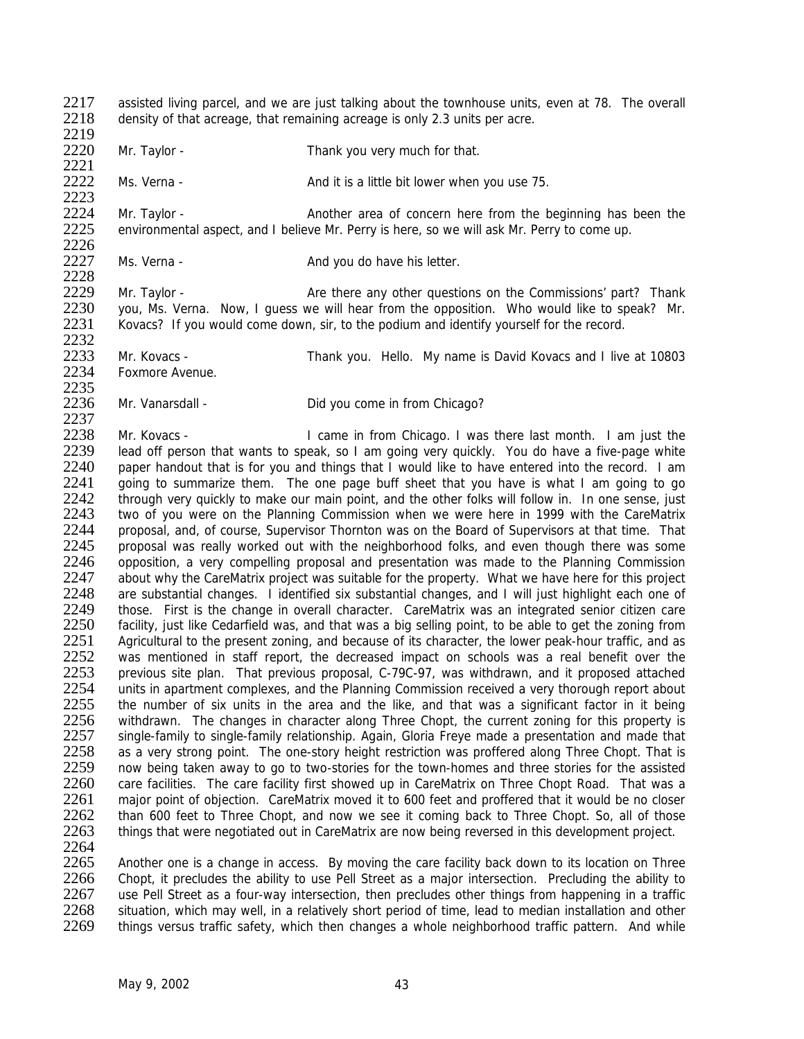2217 assisted living parcel, and we are just talking about the townhouse units, even at 78. The overall 2218 density of that acreage that remaining acreage is only 2.3 units per acre density of that acreage, that remaining acreage is only 2.3 units per acre.

2219

2221<br>2222

2220 Mr. Taylor - Thank you very much for that.

Ms. Verna - And it is a little bit lower when you use 75.

2223<br>2224 2224 Mr. Taylor - Another area of concern here from the beginning has been the 2225 environmental aspect, and I believe Mr. Perry is here, so we will ask Mr. Perry to come up. environmental aspect, and I believe Mr. Perry is here, so we will ask Mr. Perry to come up.

2226<br>2227 Ms. Verna - And you do have his letter. 2228

2229 Mr. Taylor - Are there any other questions on the Commissions' part? Thank 2230 you, Ms. Verna. Now, I guess we will hear from the opposition. Who would like to speak? Mr.<br>2231 Kovacs? If you would come down, sir, to the podium and identify yourself for the record. Kovacs? If you would come down, sir, to the podium and identify yourself for the record.

2232<br>2233 2233 Mr. Kovacs - Thank you. Hello. My name is David Kovacs and I live at 10803<br>2234 Foxmore Avenue. Foxmore Avenue.

2235<br>2236 Mr. Vanarsdall - **Did you come in from Chicago?** 

2237<br>2238 Mr. Kovacs - The I came in from Chicago. I was there last month. I am just the 2239 lead off person that wants to speak, so I am going very quickly. You do have a five-page white 2240 paper handout that is for you and things that I would like to have entered into the record. I am 2241 going to summarize them. The one page buff sheet that you have is what I am going to go<br>2242 through very quickly to make our main point, and the other folks will follow in. In one sense, just 2242 through very quickly to make our main point, and the other folks will follow in. In one sense, just 2243 two of vou were on the Planning Commission when we were here in 1999 with the CareMatrix two of you were on the Planning Commission when we were here in 1999 with the CareMatrix 2244 proposal, and, of course, Supervisor Thornton was on the Board of Supervisors at that time. That 2245 proposal was really worked out with the neighborhood folks, and even though there was some 2245 proposal was really worked out with the neighborhood folks, and even though there was some 2246 opposition, a very compelling proposal and presentation was made to the Planning Commission 2246 opposition, a very compelling proposal and presentation was made to the Planning Commission<br>2247 about why the CareMatrix project was suitable for the property. What we have here for this project 2247 about why the CareMatrix project was suitable for the property. What we have here for this project 2248 are substantial changes. I identified six substantial changes, and I will just highlight each one of 2248 are substantial changes. I identified six substantial changes, and I will just highlight each one of 2249 those. First is the change in overall character. CareMatrix was an integrated senior citizen care 2249 those. First is the change in overall character. CareMatrix was an integrated senior citizen care<br>2250 facility, just like Cedarfield was, and that was a big selling point, to be able to get the zoning from facility, just like Cedarfield was, and that was a big selling point, to be able to get the zoning from 2251 Agricultural to the present zoning, and because of its character, the lower peak-hour traffic, and as <br>2252 was mentioned in staff report, the decreased impact on schools was a real benefit over the 2252 was mentioned in staff report, the decreased impact on schools was a real benefit over the 2253 previous site plan. That previous proposal, C-79C-97, was withdrawn, and it proposed attached 2253 previous site plan. That previous proposal, C-79C-97, was withdrawn, and it proposed attached<br>2254 units in apartment complexes, and the Planning Commission received a very thorough report about 2254 units in apartment complexes, and the Planning Commission received a very thorough report about 2255 the number of six units in the area and the like, and that was a significant factor in it being 2255 the number of six units in the area and the like, and that was a significant factor in it being<br>2256 withdrawn. The changes in character along Three Chopt, the current zoning for this property is 2256 withdrawn. The changes in character along Three Chopt, the current zoning for this property is 2257 single-family to single-family relationship. Again, Gloria Freye made a presentation and made that 2257 single-family to single-family relationship. Again, Gloria Freye made a presentation and made that 2258 as a very strong point. The one-story height restriction was proffered along Three Chopt. That is 2258 as a very strong point. The one-story height restriction was proffered along Three Chopt. That is<br>2259 now being taken away to go to two-stories for the town-homes and three stories for the assisted 2259 now being taken away to go to two-stories for the town-homes and three stories for the assisted<br>2260 care facilities. The care facility first showed up in CareMatrix on Three Chopt Road. That was a care facilities. The care facility first showed up in CareMatrix on Three Chopt Road. That was a 2261 major point of objection. CareMatrix moved it to 600 feet and proffered that it would be no closer<br>2262 than 600 feet to Three Chopt, and now we see it coming back to Three Chopt. So, all of those 2262 than 600 feet to Three Chopt, and now we see it coming back to Three Chopt. So, all of those 2263 things that were negotiated out in CareMatrix are now being reversed in this development project. things that were negotiated out in CareMatrix are now being reversed in this development project.

2264<br>2265 2265 Another one is a change in access. By moving the care facility back down to its location on Three<br>2266 Chopt, it precludes the ability to use Pell Street as a maior intersection. Precluding the ability to 2266 Chopt, it precludes the ability to use Pell Street as a major intersection. Precluding the ability to 2267 use Pell Street as a four-way intersection, then precludes other things from happening in a traffic 2267 use Pell Street as a four-way intersection, then precludes other things from happening in a traffic<br>2268 situation, which may well, in a relatively short period of time, lead to median installation and other 2268 situation, which may well, in a relatively short period of time, lead to median installation and other<br>2269 things versus traffic safety, which then changes a whole neighborhood traffic pattern. And while things versus traffic safety, which then changes a whole neighborhood traffic pattern. And while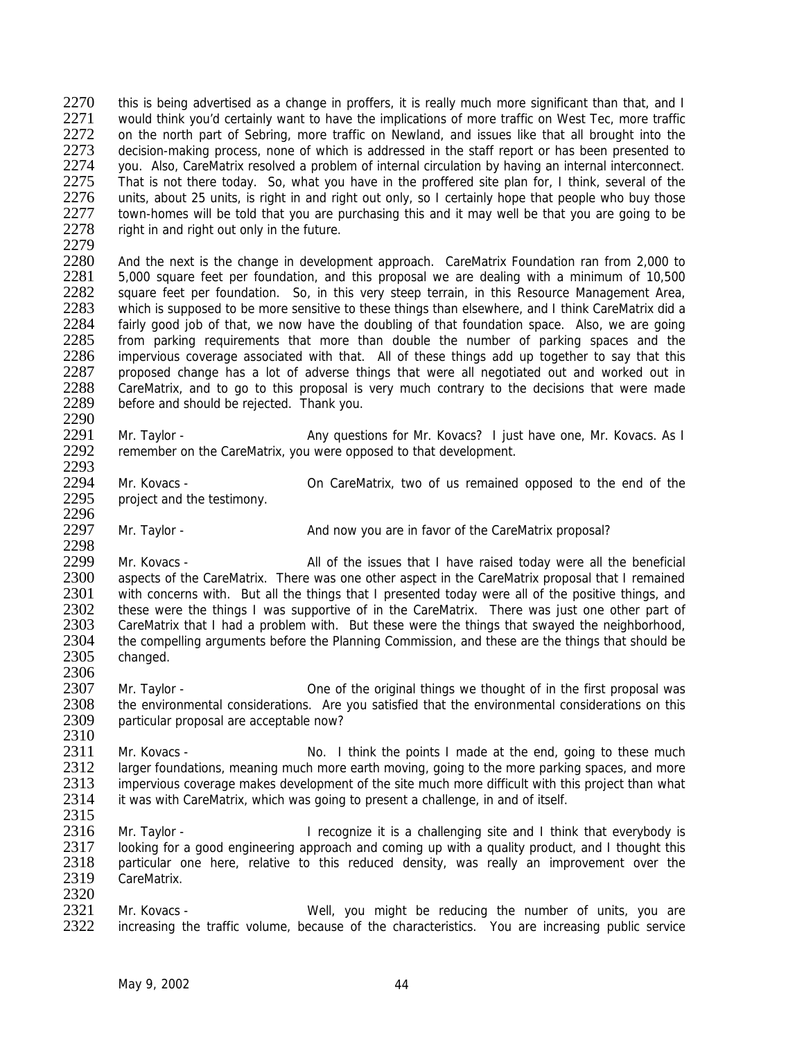2270 this is being advertised as a change in proffers, it is really much more significant than that, and I<br>2271 vould think vou'd certainly want to have the implications of more traffic on West Tec. more traffic 2271 would think you'd certainly want to have the implications of more traffic on West Tec, more traffic<br>2272 on the north part of Sebring, more traffic on Newland, and issues like that all brought into the on the north part of Sebring, more traffic on Newland, and issues like that all brought into the 2273 decision-making process, none of which is addressed in the staff report or has been presented to<br>2274 vou. Also, CareMatrix resolved a problem of internal circulation by having an internal interconnect. 2274 you. Also, CareMatrix resolved a problem of internal circulation by having an internal interconnect.<br>2275 That is not there today. So, what you have in the proffered site plan for. I think, several of the 2275 That is not there today. So, what you have in the proffered site plan for, I think, several of the 2276 units, about 25 units, is right in and right out only, so I certainly hope that people who buy those 2276 units, about 25 units, is right in and right out only, so I certainly hope that people who buy those 2277 town-homes will be told that you are purchasing this and it may well be that you are going to be 2277 town-homes will be told that you are purchasing this and it may well be that you are going to be 2278 right in and right out only in the future. right in and right out only in the future.

2279<br>2280

2280 And the next is the change in development approach. CareMatrix Foundation ran from 2,000 to<br>2281 5.000 square feet per foundation, and this proposal we are dealing with a minimum of 10.500 5,000 square feet per foundation, and this proposal we are dealing with a minimum of 10,500 2282 square feet per foundation. So, in this very steep terrain, in this Resource Management Area, 2283 which is supposed to be more sensitive to these things than elsewhere, and I think CareMatrix did a<br>2284 fairly good job of that, we now have the doubling of that foundation space. Also, we are going 2284 fairly good job of that, we now have the doubling of that foundation space. Also, we are going<br>2285 from parking requirements that more than double the number of parking spaces and the 2285 from parking requirements that more than double the number of parking spaces and the 2286 impervious coverage associated with that. All of these things add up together to say that this 2286 impervious coverage associated with that. All of these things add up together to say that this 2287 increased change has a lot of adverse things that were all negotiated out and worked out in 2287 proposed change has a lot of adverse things that were all negotiated out and worked out in<br>2288 CareMatrix, and to go to this proposal is very much contrary to the decisions that were made 2288 CareMatrix, and to go to this proposal is very much contrary to the decisions that were made 2289 before and should be reiected. Thank you. before and should be rejected. Thank you.

2290<br>2291 Mr. Taylor - Any questions for Mr. Kovacs? I just have one, Mr. Kovacs. As I 2292 remember on the CareMatrix, you were opposed to that development. 2293

2294 Mr. Kovacs - Con CareMatrix, two of us remained opposed to the end of the 2295 project and the testimony. project and the testimony. 2296

2297 Mr. Taylor - And now you are in favor of the CareMatrix proposal?

2298<br>2299 2299 Mr. Kovacs - All of the issues that I have raised today were all the beneficial<br>2300 aspects of the CareMatrix. There was one other aspect in the CareMatrix proposal that I remained 2300 aspects of the CareMatrix. There was one other aspect in the CareMatrix proposal that I remained<br>2301 with concerns with. But all the things that I presented today were all of the positive things, and 2301 with concerns with. But all the things that I presented today were all of the positive things, and 2302 these were the things I was supportive of in the CareMatrix. There was just one other part of 2302 these were the things I was supportive of in the CareMatrix. There was just one other part of 2303 CareMatrix that I had a problem with. But these were the things that swaved the neighborhood. CareMatrix that I had a problem with. But these were the things that swayed the neighborhood, 2304 the compelling arguments before the Planning Commission, and these are the things that should be 2305 changed. changed. 2306

2307 Mr. Taylor - One of the original things we thought of in the first proposal was<br>2308 the environmental considerations. Are you satisfied that the environmental considerations on this 2308 the environmental considerations. Are you satisfied that the environmental considerations on this 2309 particular proposal are acceptable now? particular proposal are acceptable now?

2310<br>2311 2311 Mr. Kovacs - No. I think the points I made at the end, going to these much<br>2312 Iarger foundations, meaning much more earth moving, going to the more parking spaces, and more 2312 larger foundations, meaning much more earth moving, going to the more parking spaces, and more<br>2313 impervious coverage makes development of the site much more difficult with this project than what impervious coverage makes development of the site much more difficult with this project than what 2314 it was with CareMatrix, which was going to present a challenge, in and of itself.

2315<br>2316 Mr. Taylor - **I** recognize it is a challenging site and I think that everybody is 2317 looking for a good engineering approach and coming up with a quality product, and I thought this 2318 continuing product and interest and interest and interest and interest and the 2318 continuing product and interest 2318 particular one here, relative to this reduced density, was really an improvement over the 2319 CareMatrix. CareMatrix.

2320<br>2321 2321 Mr. Kovacs - Well, you might be reducing the number of units, you are<br>2322 increasing the traffic volume, because of the characteristics. You are increasing public service increasing the traffic volume, because of the characteristics. You are increasing public service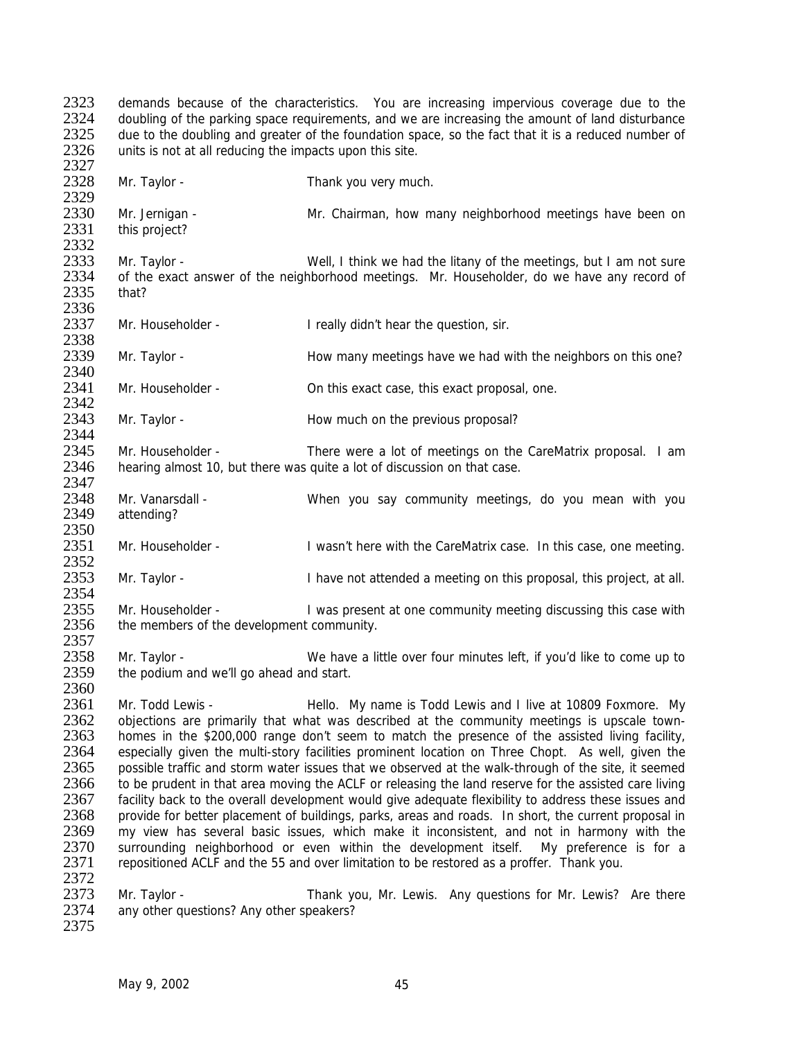2323 demands because of the characteristics. You are increasing impervious coverage due to the 2324 doubling of the parking space requirements, and we are increasing the amount of land disturbance 2324 doubling of the parking space requirements, and we are increasing the amount of land disturbance<br>2325 due to the doubling and greater of the foundation space, so the fact that it is a reduced number of due to the doubling and greater of the foundation space, so the fact that it is a reduced number of 2326 units is not at all reducing the impacts upon this site. 2327<br>2328 Mr. Taylor - Thank you very much. 2329<br>2330 2330 Mr. Jernigan - Mr. Chairman, how many neighborhood meetings have been on 2331 this project? this project? 2332<br>2333 2333 Mr. Taylor - Well, I think we had the litany of the meetings, but I am not sure<br>2334 of the exact answer of the neighborhood meetings. Mr. Householder, do we have any record of of the exact answer of the neighborhood meetings. Mr. Householder, do we have any record of 2335 that? 2336<br>2337 Mr. Householder - I really didn't hear the question, sir. 2338<br>2339 Mr. Taylor - **Example 23339 How many meetings have we had with the neighbors on this one?** 2340<br>2341 Mr. Householder - On this exact case, this exact proposal, one. 2342<br>2343 Mr. Taylor - **All and Struth How much on the previous proposal?** 2344 2345 Mr. Householder - There were a lot of meetings on the CareMatrix proposal. I am 2346 hearing almost 10, but there was quite a lot of discussion on that case. 2347<br>2348 2348 Mr. Vanarsdall - When you say community meetings, do you mean with you 2349 attending? attending? 2350<br>2351 Mr. Householder - I wasn't here with the CareMatrix case. In this case, one meeting. 2352<br>2353 Mr. Taylor - **I** have not attended a meeting on this proposal, this project, at all. 2354<br>2355 2355 Mr. Householder - I was present at one community meeting discussing this case with 2356 the members of the development community the members of the development community. 2357<br>2358 Mr. Taylor - We have a little over four minutes left, if you'd like to come up to 2359 the podium and we'll go ahead and start. 2360<br>2361 2361 Mr. Todd Lewis - Hello. My name is Todd Lewis and I live at 10809 Foxmore. My<br>2362 objections are primarily that what was described at the community meetings is upscale town-2362 objections are primarily that what was described at the community meetings is upscale town-<br>2363 bomes in the \$200,000 range don't seem to match the presence of the assisted living facility. 2363 homes in the \$200,000 range don't seem to match the presence of the assisted living facility,<br>2364 especially given the multi-story facilities prominent location on Three Chopt. As well, given the 2364 especially given the multi-story facilities prominent location on Three Chopt. As well, given the 2365 possible traffic and storm water issues that we observed at the walk-through of the site it seemed 2365 possible traffic and storm water issues that we observed at the walk-through of the site, it seemed<br>2366 to be prudent in that area moving the ACLE or releasing the land reserve for the assisted care living to be prudent in that area moving the ACLF or releasing the land reserve for the assisted care living 2367 facility back to the overall development would give adequate flexibility to address these issues and 2368 provide for better placement of buildings, parks, areas and roads. In short, the current proposal in 2369 my view has several basic issues, which make it inconsistent, and not in harmony with the my view has several basic issues, which make it inconsistent, and not in harmony with the 2370 surrounding neighborhood or even within the development itself. My preference is for a 2371 repositioned ACLF and the 55 and over limitation to be restored as a proffer. Thank you. repositioned ACLF and the 55 and over limitation to be restored as a proffer. Thank you. 2372<br>2373 2373 Mr. Taylor - Thank you, Mr. Lewis. Any questions for Mr. Lewis? Are there<br>2374 any other questions? Any other speakers? any other questions? Any other speakers? 2375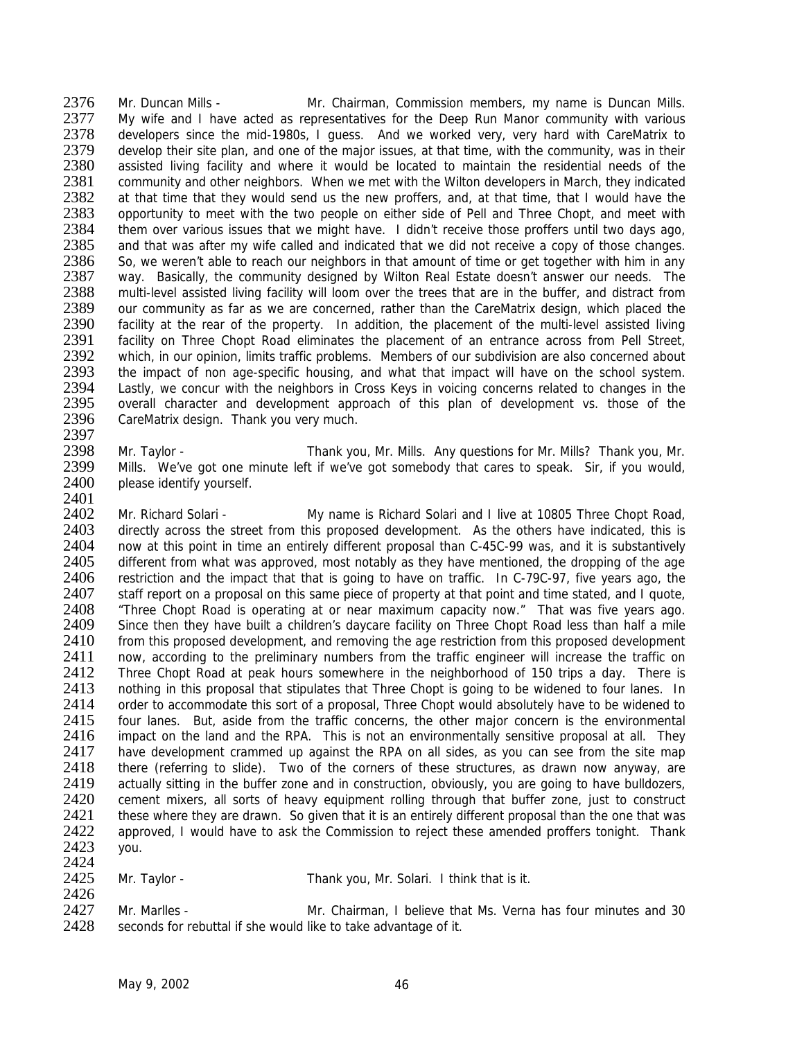2376 Mr. Duncan Mills - Mr. Chairman, Commission members, my name is Duncan Mills. 2377 My wife and I have acted as representatives for the Deep Run Manor community with various 2378 developers since the mid-1980s, I guess. And we worked very, very hard with CareMatrix to 2379 develop their site plan, and one of the major issues, at that time, with the community, was in their<br>2380 assisted living facility and where it would be located to maintain the residential needs of the 2380 assisted living facility and where it would be located to maintain the residential needs of the 2381 community and other neighbors. When we met with the Wilton developers in March, they indicated 2381 community and other neighbors. When we met with the Wilton developers in March, they indicated 2382 at that time that they would send us the new proffers, and, at that time, that I would have the 2382 at that time that they would send us the new proffers, and, at that time, that I would have the 2383 opportunity to meet with the two people on either side of Pell and Three Chopt, and meet with 2383 opportunity to meet with the two people on either side of Pell and Three Chopt, and meet with<br>2384 them over various issues that we might have. I didn't receive those proffers until two days ago, 2384 them over various issues that we might have. I didn't receive those proffers until two days ago, 2385 and that was after my wife called and indicated that we did not receive a copy of those changes. 2385 and that was after my wife called and indicated that we did not receive a copy of those changes.<br>2386 So, we weren't able to reach our neighbors in that amount of time or get together with him in any 2386 So, we weren't able to reach our neighbors in that amount of time or get together with him in any<br>2387 way. Basically, the community designed by Wilton Real Estate doesn't answer our needs. The way. Basically, the community designed by Wilton Real Estate doesn't answer our needs. The 2388 multi-level assisted living facility will loom over the trees that are in the buffer, and distract from 2389 our community as far as we are concerned, rather than the CareMatrix design, which placed the 2390 facility at the rear of the property. In addition, the placement of the multi-level assisted living 2390 facility at the rear of the property. In addition, the placement of the multi-level assisted living<br>2391 facility on Three Chopt Road eliminates the placement of an entrance across from Pell Street. 2391 facility on Three Chopt Road eliminates the placement of an entrance across from Pell Street,<br>2392 which in our opinion limits traffic problems. Members of our subdivision are also concerned about 2392 which, in our opinion, limits traffic problems. Members of our subdivision are also concerned about 2393 the impact of non age-specific housing, and what that impact will have on the school system. 2393 the impact of non age-specific housing, and what that impact will have on the school system.<br>2394 Lastly, we concur with the neighbors in Cross Keys in voicing concerns related to changes in the 2394 Lastly, we concur with the neighbors in Cross Keys in voicing concerns related to changes in the 2395 overall character and development approach of this plan of development vs. those of the 2395 overall character and development approach of this plan of development vs. those of the 2396 CareMatrix design. Thank you very much. CareMatrix design. Thank you very much. 2397

2398 Mr. Taylor - Thank you, Mr. Mills. Any questions for Mr. Mills? Thank you, Mr. 2399 Mills. We've got one minute left if we've got somebody that cares to speak. Sir, if you would, Mills. We've got one minute left if we've got somebody that cares to speak. Sir, if you would, 2400 please identify yourself.

2401<br>2402 Mr. Richard Solari - My name is Richard Solari and I live at 10805 Three Chopt Road, 2403 directly across the street from this proposed development. As the others have indicated, this is<br>2404 now at this point in time an entirely different proposal than C-45C-99 was, and it is substantively 2404 now at this point in time an entirely different proposal than C-45C-99 was, and it is substantively 2405 different from what was approved, most notably as they have mentioned, the dropping of the age 2405 different from what was approved, most notably as they have mentioned, the dropping of the age<br>2406 restriction and the impact that that is going to have on traffic. In C-79C-97, five vears ago, the 2406 restriction and the impact that that is going to have on traffic. In C-79C-97, five years ago, the 2407 staff report on a proposal on this same piece of property at that point and time stated, and I quote. 2407 staff report on a proposal on this same piece of property at that point and time stated, and I quote,<br>2408 Fibre Chopt Road is operating at or near maximum capacity now "That was five years ago 2408 Three Chopt Road is operating at or near maximum capacity now." That was five years ago.<br>2409 Since then they have built a children's daycare facility on Three Chopt Road less than half a mile Since then they have built a children's daycare facility on Three Chopt Road less than half a mile 2410 from this proposed development, and removing the age restriction from this proposed development<br>2411 one according to the preliminary numbers from the traffic engineer will increase the traffic on now, according to the preliminary numbers from the traffic engineer will increase the traffic on 2412 Three Chopt Road at peak hours somewhere in the neighborhood of 150 trips a day. There is 2413 nothing in this proposal that stipulates that Three Chopt is going to be widened to four lanes. In 2414 order to accommodate this sort of a proposal. Three Chopt would absolutely have to be widened to 2414 order to accommodate this sort of a proposal, Three Chopt would absolutely have to be widened to 2415 four lanes. But, aside from the traffic concerns, the other maior concern is the environmental 2415 four lanes. But, aside from the traffic concerns, the other major concern is the environmental 2416 impact on the land and the RPA. This is not an environmentally sensitive proposal at all. They 2416 impact on the land and the RPA. This is not an environmentally sensitive proposal at all. They<br>2417 have development crammed up against the RPA on all sides, as you can see from the site map 2417 have development crammed up against the RPA on all sides, as you can see from the site map 2418 there (referring to slide). Two of the corners of these structures, as drawn now anyway, are 2418 there (referring to slide). Two of the corners of these structures, as drawn now anyway, are 2419 actually sitting in the buffer zone and in construction, obviously, you are going to have bulldozers, actually sitting in the buffer zone and in construction, obviously, you are going to have bulldozers, 2420 cement mixers, all sorts of heavy equipment rolling through that buffer zone, just to construct 2421 these where they are drawn. So given that it is an entirely different proposal than the one that was 2421 these where they are drawn. So given that it is an entirely different proposal than the one that was<br>2422 approved. I would have to ask the Commission to reject these amended proffers tonight. Thank approved. I would have to ask the Commission to reject these amended proffers tonight. Thank 2423 you.

2424<br>2425

Mr. Taylor - Thank you, Mr. Solari. I think that is it.

2426<br>2427 2427 Mr. Marlles - Mr. Chairman, I believe that Ms. Verna has four minutes and 30<br>2428 seconds for rebuttal if she would like to take advantage of it. seconds for rebuttal if she would like to take advantage of it.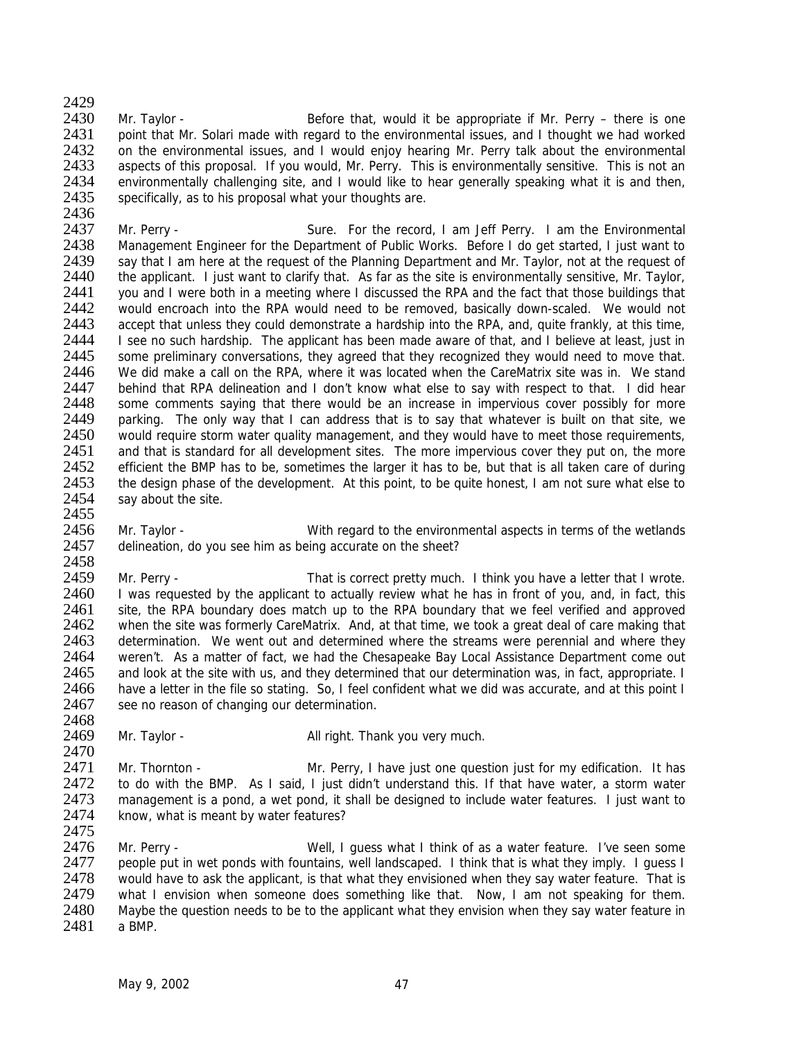$\frac{2429}{2430}$ Mr. Taylor - **Before that, would it be appropriate if Mr. Perry** – there is one 2431 point that Mr. Solari made with regard to the environmental issues, and I thought we had worked 2432 on the environmental issues, and I would enjoy hearing Mr. Perry talk about the environmental<br>2433 aspects of this proposal. If you would. Mr. Perry. This is environmentally sensitive. This is not an 2433 aspects of this proposal. If you would, Mr. Perry. This is environmentally sensitive. This is not an <br>2434 environmentally challenging site, and I would like to hear generally speaking what it is and then. 2434 environmentally challenging site, and I would like to hear generally speaking what it is and then, 2435 specifically, as to his proposal what your thoughts are. specifically, as to his proposal what your thoughts are.

2436<br>2437 2437 Mr. Perry - Sure. For the record, I am Jeff Perry. I am the Environmental<br>2438 Management Engineer for the Department of Public Works. Before I do get started. I just want to 2438 Management Engineer for the Department of Public Works. Before I do get started, I just want to 2439 say that I am here at the request of the Planning Department and Mr. Taylor, not at the request of 2439 say that I am here at the request of the Planning Department and Mr. Taylor, not at the request of 2440 the applicant I just want to clarify that As far as the site is environmentally sensitive. Mr. Taylor 2440 the applicant. I just want to clarify that. As far as the site is environmentally sensitive, Mr. Taylor, 2441 you and I were both in a meeting where I discussed the RPA and the fact that those buildings that 2442 would encroach into the RPA would need to be removed, basically down-scaled. We would not 2443 accept that unless they could demonstrate a hardship into the RPA, and, quite frankly, at this time, accept that unless they could demonstrate a hardship into the RPA, and, quite frankly, at this time, 2444 I see no such hardship. The applicant has been made aware of that, and I believe at least, just in 2445 some preliminary conversations, they agreed that they recognized they would need to move that. 2445 some preliminary conversations, they agreed that they recognized they would need to move that.<br>2446 We did make a call on the RPA, where it was located when the CareMatrix site was in. We stand 2446 We did make a call on the RPA, where it was located when the CareMatrix site was in. We stand 2447 behind that RPA delineation and I don't know what else to say with respect to that. I did hear 2447 behind that RPA delineation and I don't know what else to say with respect to that. I did hear<br>2448 some comments saving that there would be an increase in impervious cover possibly for more 2448 some comments saying that there would be an increase in impervious cover possibly for more<br>2449 parking. The only way that I can address that is to say that whatever is built on that site, we 2449 parking. The only way that I can address that is to say that whatever is built on that site, we 2450 would require storm water quality management, and they would have to meet those requirements. would require storm water quality management, and they would have to meet those requirements, 2451 and that is standard for all development sites. The more impervious cover they put on, the more 2452 efficient the BMP has to be, sometimes the larger it has to be, but that is all taken care of during 2453 the design phase of the development. At this point, to be quite honest, I am not sure what else to 2454 say about the site. say about the site.

2456 Mr. Taylor - With regard to the environmental aspects in terms of the wetlands<br>2457 delineation, do vou see him as being accurate on the sheet? delineation, do you see him as being accurate on the sheet?

2458<br>2459 2459 Mr. Perry - That is correct pretty much. I think you have a letter that I wrote.<br>2460 I was requested by the applicant to actually review what he has in front of you, and, in fact, this 2460 I was requested by the applicant to actually review what he has in front of you, and, in fact, this 2461 site the RPA boundary does match up to the RPA boundary that we feel verified and approved 2461 site, the RPA boundary does match up to the RPA boundary that we feel verified and approved 2462 when the site was formerly CareMatrix. And at that time we took a great deal of care making that when the site was formerly CareMatrix. And, at that time, we took a great deal of care making that 2463 determination. We went out and determined where the streams were perennial and where they<br>2464 veren't. As a matter of fact, we had the Chesapeake Bay Local Assistance Department come out weren't. As a matter of fact, we had the Chesapeake Bay Local Assistance Department come out 2465 and look at the site with us, and they determined that our determination was, in fact, appropriate. I 2466 have a letter in the file so stating. So, I feel confident what we did was accurate, and at this point I<br>2467 see no reason of changing our determination. see no reason of changing our determination.

2468<br>2469 Mr. Taylor - **All right. Thank you very much.** 

2470<br>2471 2471 Mr. Thornton - Mr. Perry, I have just one question just for my edification. It has 2472 to do with the BMP As I said I just didn't understand this If that have water a storm water to do with the BMP. As I said, I just didn't understand this. If that have water, a storm water 2473 management is a pond, a wet pond, it shall be designed to include water features. I just want to 2474 know, what is meant by water features? know, what is meant by water features? 2475

2476 Mr. Perry - Well, I guess what I think of as a water feature. I've seen some 2477 people put in wet ponds with fountains, well landscaped. I think that is what they imply. I guess I<br>2478 vould have to ask the applicant, is that what they envisioned when they say water feature. That is 2478 would have to ask the applicant, is that what they envisioned when they say water feature. That is 2479 what I envision when someone does something like that. Now, I am not speaking for them. 2479 what I envision when someone does something like that. Now, I am not speaking for them.<br>2480 Maybe the question needs to be to the applicant what they envision when they say water feature in 2480 Maybe the question needs to be to the applicant what they envision when they say water feature in 2481 a BMP. a BMP.

2455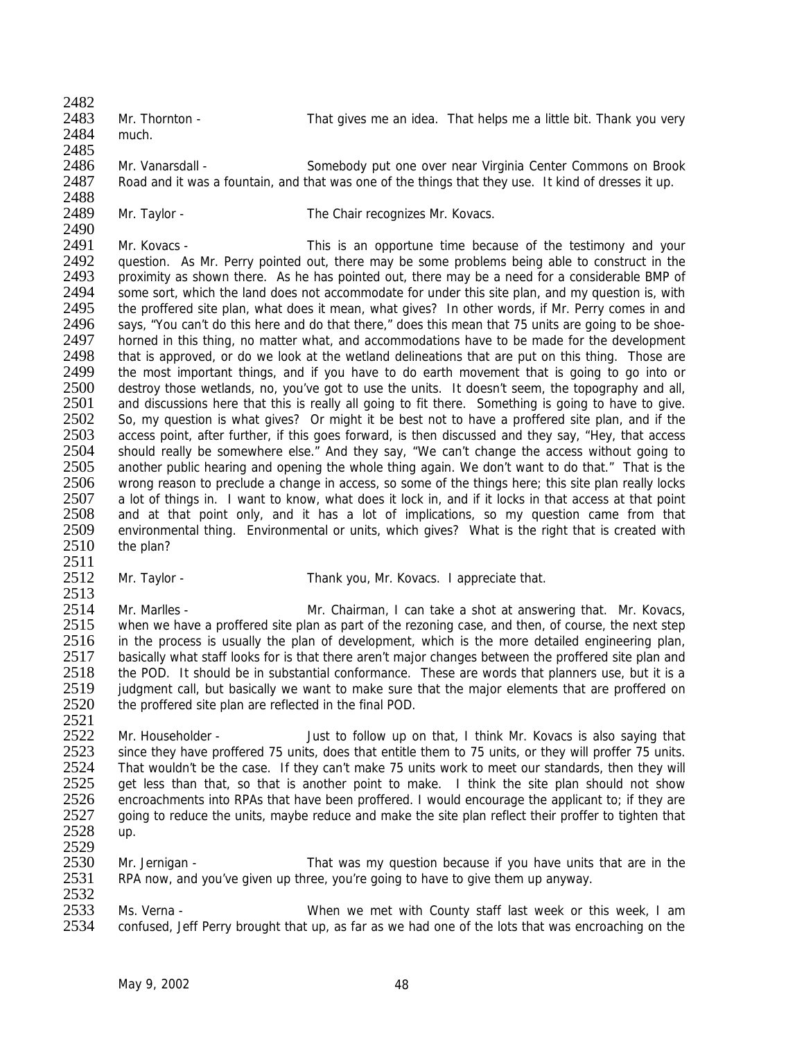2482 2483 Mr. Thornton - That gives me an idea. That helps me a little bit. Thank you very 2484 much.

2485

2486 Mr. Vanarsdall - Somebody put one over near Virginia Center Commons on Brook 2487 Road and it was a fountain, and that was one of the things that they use. It kind of dresses it up.

2488<br>2489

Mr. Taylor - The Chair recognizes Mr. Kovacs.

2490<br>2491 2491 Mr. Kovacs - This is an opportune time because of the testimony and your<br>2492 auestion. As Mr. Perry pointed out, there may be some problems being able to construct in the 2492 question. As Mr. Perry pointed out, there may be some problems being able to construct in the 2493 proximity as shown there. As he has pointed out, there may be a need for a considerable BMP of proximity as shown there. As he has pointed out, there may be a need for a considerable BMP of 2494 some sort, which the land does not accommodate for under this site plan, and my question is, with 2495 the proffered site plan, what does it mean, what gives? In other words, if Mr. Perry comes in and 2496 says, "You can't do this here and do that there," does this mean that 75 units are going to be shoesays, "You can't do this here and do that there," does this mean that 75 units are going to be shoe-2497 horned in this thing, no matter what, and accommodations have to be made for the development 2498 that is approved, or do we look at the wetland delineations that are put on this thing. Those are 2498 that is approved, or do we look at the wetland delineations that are put on this thing. Those are 2499 the most important things, and if you have to do earth movement that is going to go into or 2499 the most important things, and if you have to do earth movement that is going to go into or 2500 destrov those wetlands, no, vou've got to use the units. It doesn't seem, the topography and all, 2500 destroy those wetlands, no, you've got to use the units. It doesn't seem, the topography and all, 2501 and discussions here that this is really all going to fit there. Something is going to have to give. 2501 and discussions here that this is really all going to fit there. Something is going to have to give.<br>2502 So, my question is what gives? Or might it be best not to have a proffered site plan, and if the 2502 So, my question is what gives? Or might it be best not to have a proffered site plan, and if the 2503 access point, after further, if this goes forward, is then discussed and they say, "Hey, that access access point, after further, if this goes forward, is then discussed and they say, "Hey, that access 2504 should really be somewhere else." And they say, "We can't change the access without going to 2505 another public hearing and opening the whole thing again. We don't want to do that." That is the 2506 wrong reason to preclude a change in access, so some of the things here; this site plan really locks<br>2507 a lot of things in. I want to know, what does it lock in, and if it locks in that access at that point a lot of things in. I want to know, what does it lock in, and if it locks in that access at that point 2508 and at that point only, and it has a lot of implications, so my question came from that 2509 environmental thing. Environmental or units, which gives? What is the right that is created with 2510 the plan? the plan?

2511<br>2512

Mr. Taylor - Thank you, Mr. Kovacs. I appreciate that.

2513<br>2514 2514 Mr. Marlles - Mr. Chairman, I can take a shot at answering that. Mr. Kovacs,<br>2515 when we have a proffered site plan as part of the rezoning case, and then, of course, the next step when we have a proffered site plan as part of the rezoning case, and then, of course, the next step 2516 in the process is usually the plan of development, which is the more detailed engineering plan,<br>2517 basically what staff looks for is that there aren't maior changes between the proffered site plan and basically what staff looks for is that there aren't major changes between the proffered site plan and 2518 the POD. It should be in substantial conformance. These are words that planners use, but it is a 2519 judgment call, but basically we want to make sure that the major elements that are proffered on 2520 the proffered site plan are reflected in the final POD. the proffered site plan are reflected in the final POD.

2521<br>2522 2522 Mr. Householder - Just to follow up on that, I think Mr. Kovacs is also saying that 2523 since they have proffered 75 units, does that entitle them to 75 units, or they will proffer 75 units. 2523 since they have proffered 75 units, does that entitle them to 75 units, or they will proffer 75 units.<br>2524 That wouldn't be the case. If they can't make 75 units work to meet our standards, then they will 2524 That wouldn't be the case. If they can't make 75 units work to meet our standards, then they will<br>2525 oet less than that so that is another point to make I think the site plan should not show get less than that, so that is another point to make. I think the site plan should not show 2526 encroachments into RPAs that have been proffered. I would encourage the applicant to; if they are 2527 going to reduce the units, maybe reduce and make the site plan reflect their proffer to tighten that 2528 up. 2529

2530 Mr. Jernigan - That was my question because if you have units that are in the 2531 RPA now, and you've given up three, you're going to have to give them up anyway. RPA now, and you've given up three, you're going to have to give them up anyway.

2532<br>2533 2533 Ms. Verna - When we met with County staff last week or this week, I am<br>2534 confused. Jeff Perry brought that up, as far as we had one of the lots that was encroaching on the confused, Jeff Perry brought that up, as far as we had one of the lots that was encroaching on the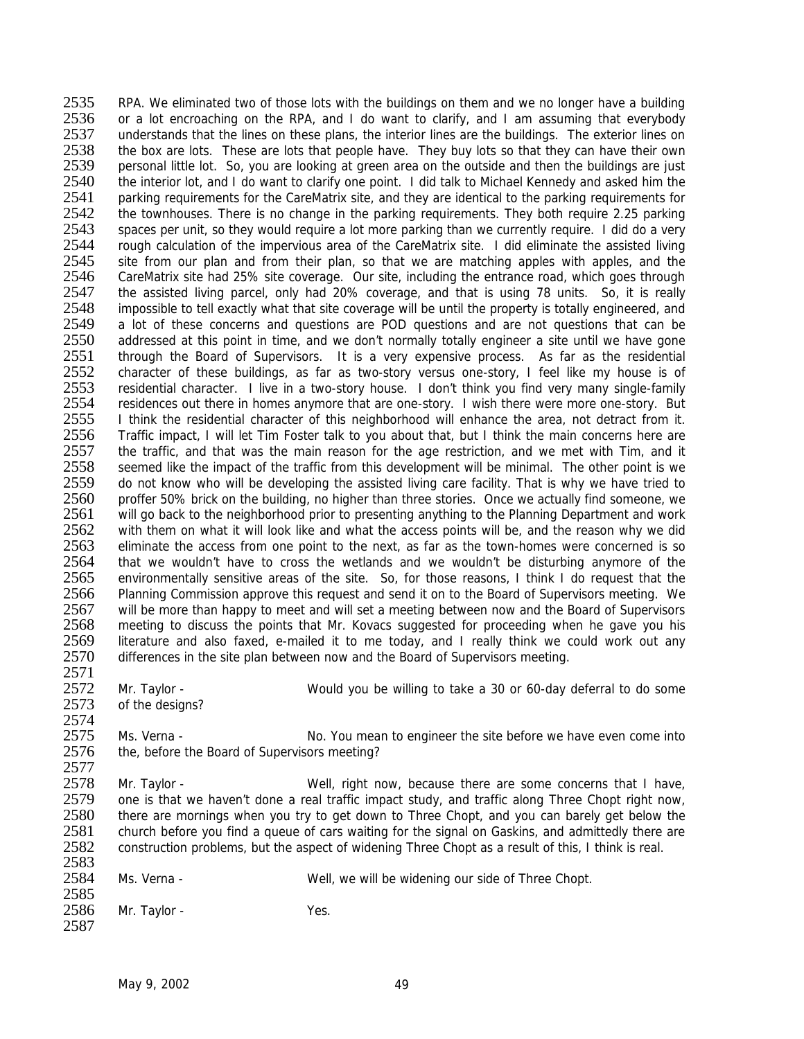2535 RPA. We eliminated two of those lots with the buildings on them and we no longer have a building<br>2536 or a lot encroaching on the RPA, and I do want to clarify, and I am assuming that everybody or a lot encroaching on the RPA, and I do want to clarify, and I am assuming that everybody 2537 understands that the lines on these plans, the interior lines are the buildings. The exterior lines on 2538 the box are lots. These are lots that people have. They buy lots so that they can have their own<br>2539 personal little lot. So, you are looking at green area on the outside and then the buildings are just 2539 personal little lot. So, you are looking at green area on the outside and then the buildings are just 2540 the interior lot, and I do want to clarify one point. I did talk to Michael Kennedy and asked him the 2540 the interior lot, and I do want to clarify one point. I did talk to Michael Kennedy and asked him the 2541 parking requirements for the CareMatrix site, and they are identical to the parking requirements for 2541 parking requirements for the CareMatrix site, and they are identical to the parking requirements for <br>2542 the townhouses. There is no change in the parking requirements. They both require 2.25 parking 2542 the townhouses. There is no change in the parking requirements. They both require 2.25 parking 2543 spaces per unit, so they would require a lot more parking than we currently require. I did do a very 2543 spaces per unit, so they would require a lot more parking than we currently require. I did do a very<br>2544 cough calculation of the impervious area of the CareMatrix site. I did eliminate the assisted living 2544 rough calculation of the impervious area of the CareMatrix site. I did eliminate the assisted living<br>2545 site from our plan and from their plan, so that we are matching apples with apples, and the 2545 site from our plan and from their plan, so that we are matching apples with apples, and the 2546 CareMatrix site had 25% site coverage. Our site including the entrance road, which goes through CareMatrix site had 25% site coverage. Our site, including the entrance road, which goes through 2547 the assisted living parcel, only had 20% coverage, and that is using 78 units. So, it is really 2548 impossible to tell exactly what that site coverage will be until the property is totally engineered, and<br>2549 a lot of these concerns and questions are POD questions and are not questions that can be a lot of these concerns and questions are POD questions and are not questions that can be 2550 addressed at this point in time, and we don't normally totally engineer a site until we have gone<br>2551 through the Board of Supervisors. It is a very expensive process. As far as the residential 2551 through the Board of Supervisors. It is a very expensive process. As far as the residential 2552 character of these buildings, as far as two-story versus one-story. I feel like my house is of 2552 character of these buildings, as far as two-story versus one-story, I feel like my house is of 2553 residential character. I live in a two-story house. I don't think you find very many single-family 2553 residential character. I live in a two-story house. I don't think you find very many single-family<br>2554 residences out there in homes anymore that are one-story. I wish there were more one-story. But 2554 residences out there in homes anymore that are one-story. I wish there were more one-story. But 2555 I think the residential character of this neighborhood will enhance the area, not detract from it. 2555 I think the residential character of this neighborhood will enhance the area, not detract from it.<br>2556 Traffic impact. I will let Tim Foster talk to you about that, but I think the main concerns here are 2556 Traffic impact, I will let Tim Foster talk to you about that, but I think the main concerns here are 2557 the traffic, and that was the main reason for the age restriction, and we met with Tim, and it 2558 seemed like the impact of the traffic from this development will be minimal. The other point is we 2559 do not know who will be developing the assisted living care facility. That is why we have tried to 2560 proffer 50% brick on the building, no higher than three stories. Once we actually find someone, we proffer 50% brick on the building, no higher than three stories. Once we actually find someone, we 2561 will go back to the neighborhood prior to presenting anything to the Planning Department and work 2562 with them on what it will look like and what the access points will be, and the reason why we did<br>2563 eliminate the access from one point to the next, as far as the town-homes were concerned is so 2563 eliminate the access from one point to the next, as far as the town-homes were concerned is so<br>2564 that we wouldn't have to cross the wetlands and we wouldn't be disturbing anymore of the 2564 that we wouldn't have to cross the wetlands and we wouldn't be disturbing anymore of the 2565 environmentally sensitive areas of the site. So, for those reasons. I think I do request that the 2565 environmentally sensitive areas of the site. So, for those reasons, I think I do request that the 2566 Planning Commission approve this request and send it on to the Board of Supervisors meeting. We 2566 Planning Commission approve this request and send it on to the Board of Supervisors meeting. We<br>2567 will be more than happy to meet and will set a meeting between now and the Board of Supervisors 2567 will be more than happy to meet and will set a meeting between now and the Board of Supervisors<br>2568 meeting to discuss the points that Mr. Kovacs suggested for proceeding when he gave you his meeting to discuss the points that Mr. Kovacs suggested for proceeding when he gave you his 2569 literature and also faxed, e-mailed it to me today, and I really think we could work out any <br>2570 differences in the site plan between now and the Board of Supervisors meeting. differences in the site plan between now and the Board of Supervisors meeting. 2571<br>2572 2572 Mr. Taylor - Would you be willing to take a 30 or 60-day deferral to do some 2573 of the designs?

of the designs? 2574<br>2575

2575 Ms. Verna - No. You mean to engineer the site before we have even come into<br>2576 the before the Board of Supervisors meeting? the, before the Board of Supervisors meeting?

2577<br>2578 Mr. Taylor - Well, right now, because there are some concerns that I have, 2579 one is that we haven't done a real traffic impact study, and traffic along Three Chopt right now,<br>2580 there are mornings when you try to get down to Three Chopt, and you can barely get below the 2580 there are mornings when you try to get down to Three Chopt, and you can barely get below the 2581 church before you find a queue of cars waiting for the signal on Gaskins, and admittedly there are church before you find a queue of cars waiting for the signal on Gaskins, and admittedly there are 2582 construction problems, but the aspect of widening Three Chopt as a result of this, I think is real.

2583<br>2584 Ms. Verna - The State of Three Chopt. Well, we will be widening our side of Three Chopt.

2585<br>2586 Mr. Taylor - Yes. 2587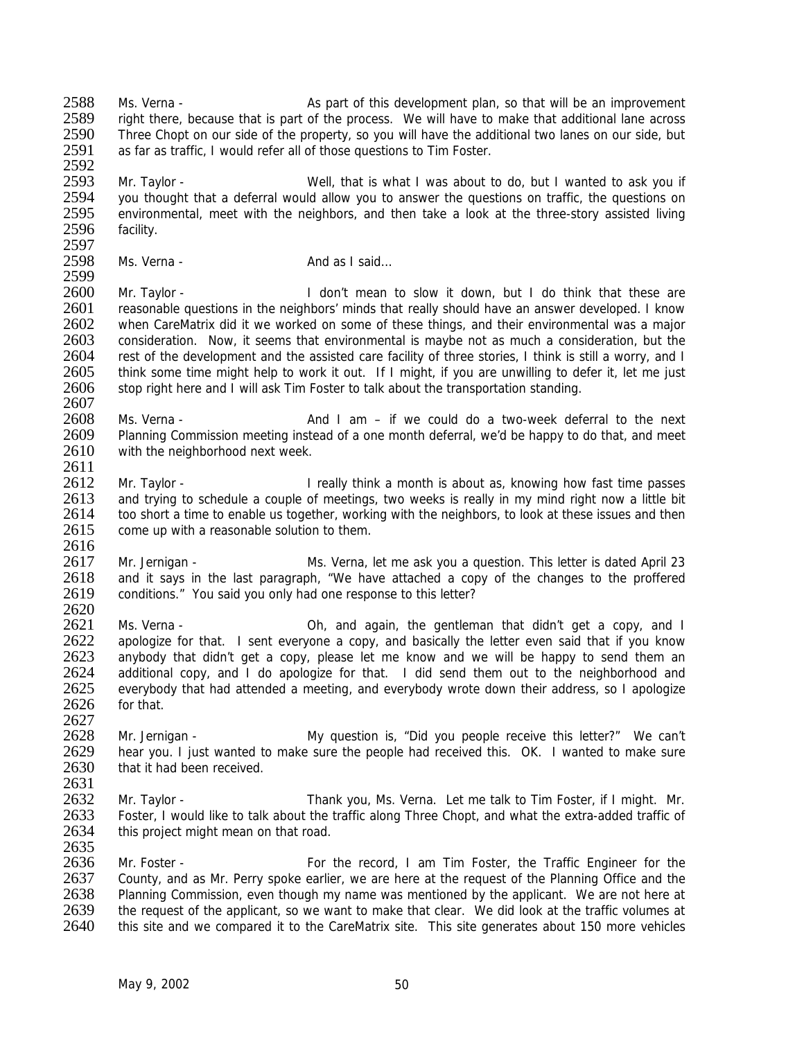2588 Ms. Verna - As part of this development plan, so that will be an improvement 2589 right there, because that is part of the process. We will have to make that additional lane across<br>2590 Three Chopt on our side of the property, so you will have the additional two lanes on our side, but Three Chopt on our side of the property, so you will have the additional two lanes on our side, but 2591 as far as traffic, I would refer all of those questions to Tim Foster.

2592<br>2593 2593 Mr. Taylor - Well, that is what I was about to do, but I wanted to ask you if 2594 vou thought that a deferral would allow you to answer the questions on traffic, the questions on 2594 you thought that a deferral would allow you to answer the questions on traffic, the questions on 2595 environmental, meet with the neighbors, and then take a look at the three-story assisted living 2595 environmental, meet with the neighbors, and then take a look at the three-story assisted living<br>2596 facility. facility.

2597<br>2598 Ms. Verna - And as I said... 2599

2600 Mr. Taylor - I don't mean to slow it down, but I do think that these are 2601 reasonable questions in the neighbors' minds that really should have an answer developed. I know<br>2602 when CareMatrix did it we worked on some of these things, and their environmental was a major when CareMatrix did it we worked on some of these things, and their environmental was a major 2603 consideration. Now, it seems that environmental is maybe not as much a consideration, but the 2604 rest of the development and the assisted care facility of three stories. I think is still a worry, and I 2604 rest of the development and the assisted care facility of three stories, I think is still a worry, and I<br>2605 think some time might help to work it out. If I might, if you are unwilling to defer it, let me just 2605 think some time might help to work it out. If I might, if you are unwilling to defer it, let me just 2606 stop right here and I will ask Tim Foster to talk about the transportation standing. stop right here and I will ask Tim Foster to talk about the transportation standing.

2607<br>2608 2608 Ms. Verna - And I am – if we could do a two-week deferral to the next<br>2609 Planning Commission meeting instead of a one month deferral, we'd be happy to do that, and meet Planning Commission meeting instead of a one month deferral, we'd be happy to do that, and meet 2610 with the neighborhood next week.

2612 Mr. Taylor - I really think a month is about as, knowing how fast time passes<br>2613 and trying to schedule a couple of meetings, two weeks is really in my mind right now a little bit and trying to schedule a couple of meetings, two weeks is really in my mind right now a little bit 2614 too short a time to enable us together, working with the neighbors, to look at these issues and then 2615 come up with a reasonable solution to them.

2616<br>2617 2617 Mr. Jernigan - Ms. Verna, let me ask you a question. This letter is dated April 23<br>2618 and it says in the last paragraph. "We have attached a copy of the changes to the proffered 2618 and it says in the last paragraph, "We have attached a copy of the changes to the proffered 2619 conditions." You said you only had one response to this letter? conditions." You said you only had one response to this letter?

 $\frac{2620}{2621}$ Ms. Verna - Chamber 2012 Ms. Verna - Oh, and again, the gentleman that didn't get a copy, and I 2622 apologize for that. I sent everyone a copy, and basically the letter even said that if you know<br>2623 anybody that didn't get a copy, please let me know and we will be happy to send them an anybody that didn't get a copy, please let me know and we will be happy to send them an 2624 additional copy, and I do apologize for that. I did send them out to the neighborhood and 2625 everybody that had attended a meeting, and everybody wrote down their address, so I apologize<br>2626 for that. for that.

2627<br>2628 2628 Mr. Jernigan - My question is, "Did you people receive this letter?" We can't<br>2629 hear you. I just wanted to make sure the people had received this. OK. I wanted to make sure 2629 hear you. I just wanted to make sure the people had received this. OK. I wanted to make sure 2630 that it had been received that it had been received 2631

2632 Mr. Taylor - Thank you, Ms. Verna. Let me talk to Tim Foster, if I might. Mr.<br>2633 Foster, I would like to talk about the traffic along Three Chopt, and what the extra-added traffic of Foster, I would like to talk about the traffic along Three Chopt, and what the extra-added traffic of 2634 this project might mean on that road. 2635

2636 Mr. Foster - For the record, I am Tim Foster, the Traffic Engineer for the 2637 County, and as Mr. Perry spoke earlier, we are here at the request of the Planning Office and the 2637 County, and as Mr. Perry spoke earlier, we are here at the request of the Planning Office and the 2638 Planning Commission, even though my name was mentioned by the applicant. We are not here at 2638 Planning Commission, even though my name was mentioned by the applicant. We are not here at 2639 the request of the applicant, so we want to make that clear. We did look at the traffic volumes at 2639 the request of the applicant, so we want to make that clear. We did look at the traffic volumes at 2640 this site and we compared it to the CareMatrix site. This site generates about 150 more vehicles this site and we compared it to the CareMatrix site. This site generates about 150 more vehicles

2611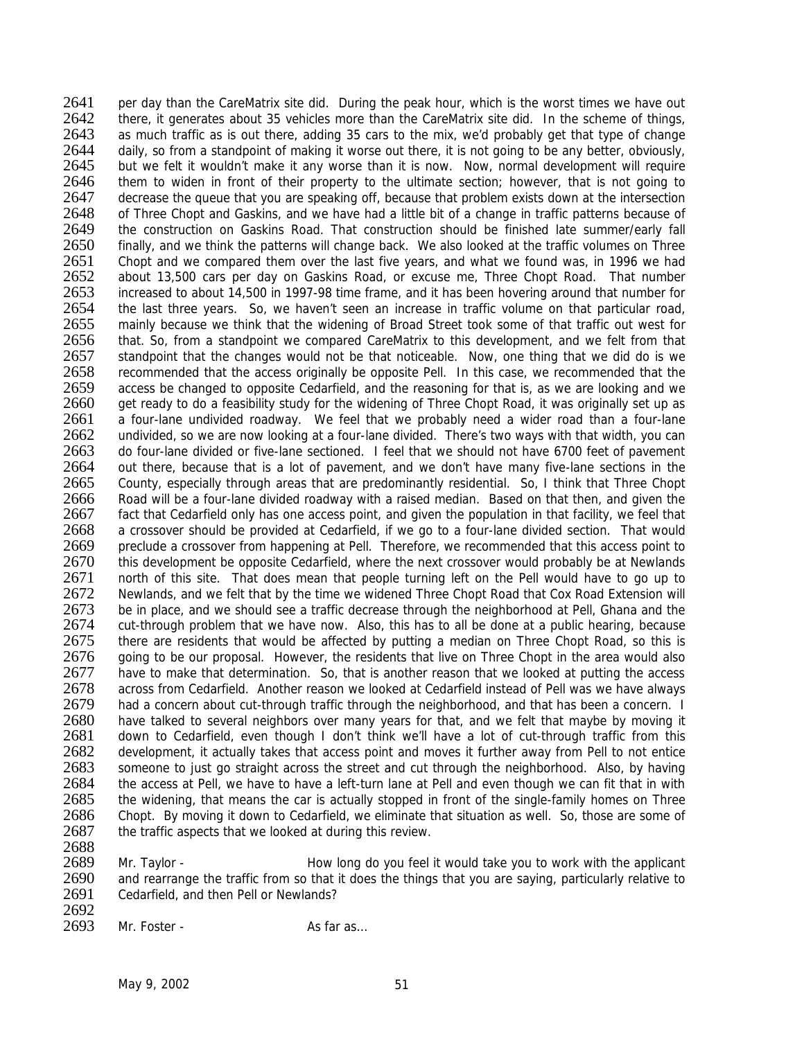2641 per day than the CareMatrix site did. During the peak hour, which is the worst times we have out 2642 there, it generates about 35 vehicles more than the CareMatrix site did. In the scheme of things, 2643 as much traffic as is out there, adding 35 cars to the mix, we'd probably get that type of change 2644 daily, so from a standpoint of making it worse out there, it is not going to be any better, obviously, <br>2645 but we felt it wouldn't make it any worse than it is now. Now, normal development will require but we felt it wouldn't make it any worse than it is now. Now, normal development will require 2646 them to widen in front of their property to the ultimate section; however, that is not going to 2647 decrease the queue that you are speaking off, because that problem exists down at the intersection 2647 decrease the queue that you are speaking off, because that problem exists down at the intersection 2648 of Three Chopt and Gaskins, and we have had a little bit of a change in traffic patterns because of 2648 of Three Chopt and Gaskins, and we have had a little bit of a change in traffic patterns because of 2649 the construction on Gaskins Road. That construction should be finished late summer/early fall 2649 the construction on Gaskins Road. That construction should be finished late summer/early fall<br>2650 finally, and we think the patterns will change back. We also looked at the traffic volumes on Three 2650 finally, and we think the patterns will change back. We also looked at the traffic volumes on Three 2651 Chopt and we compared them over the last five years, and what we found was, in 1996 we had 2651 Chopt and we compared them over the last five years, and what we found was, in 1996 we had<br>2652 about 13.500 cars per day on Gaskins Road, or excuse me. Three Chopt Road, That number about 13,500 cars per day on Gaskins Road, or excuse me, Three Chopt Road. That number 2653 increased to about 14,500 in 1997-98 time frame, and it has been hovering around that number for 2654 the last three years. So, we haven't seen an increase in traffic volume on that particular road,<br>2655 mainly because we think that the widening of Broad Street took some of that traffic out west for mainly because we think that the widening of Broad Street took some of that traffic out west for 2656 that. So, from a standpoint we compared CareMatrix to this development, and we felt from that 2657 standpoint that the changes would not be that noticeable. Now, one thing that we did do is we 2657 standpoint that the changes would not be that noticeable. Now, one thing that we did do is we<br>2658 recommended that the access originally be opposite Pell. In this case, we recommended that the 2658 recommended that the access originally be opposite Pell. In this case, we recommended that the 2659 access be changed to opposite Cedarfield, and the reasoning for that is, as we are looking and we 2659 access be changed to opposite Cedarfield, and the reasoning for that is, as we are looking and we<br>2660 aet ready to do a feasibility study for the widening of Three Chopt Road, it was originally set up as 2660 get ready to do a feasibility study for the widening of Three Chopt Road, it was originally set up as 2661 a four-lane undivided roadway. We feel that we probably need a wider road than a four-lane 2661 a four-lane undivided roadway. We feel that we probably need a wider road than a four-lane<br>2662 undivided, so we are now looking at a four-lane divided. There's two ways with that width, you can undivided, so we are now looking at a four-lane divided. There's two ways with that width, you can 2663 do four-lane divided or five-lane sectioned. I feel that we should not have 6700 feet of pavement 2664 out there, because that is a lot of pavement, and we don't have many five-lane sections in the 2665 County, especially through areas that are predominantly residential. So, I think that Three Chopt 2666 Road will be a four-lane divided roadway with a raised median. Based on that then, and given the 2667 fact that Cedarfield only has one access point, and given the population in that facility, we feel that 2668 a crossover should be provided at Cedarfield, if we go to a four-lane divided section. That would 2669 preclude a crossover from happening at Pell. Therefore, we recommended that this access point to 2670 this development be opposite Cedarfield, where the next crossover would probably be at Newlands 2670 this development be opposite Cedarfield, where the next crossover would probably be at Newlands<br>2671 north of this site. That does mean that people turning left on the Pell would have to go up to 2671 north of this site. That does mean that people turning left on the Pell would have to go up to 2672 Newlands, and we felt that by the time we widened Three Chopt Road that Cox Road Extension will 2672 Newlands, and we felt that by the time we widened Three Chopt Road that Cox Road Extension will<br>2673 be in place, and we should see a traffic decrease through the neighborhood at Pell. Ghana and the be in place, and we should see a traffic decrease through the neighborhood at Pell, Ghana and the 2674 cut-through problem that we have now. Also, this has to all be done at a public hearing, because<br>2675 there are residents that would be affected by putting a median on Three Chopt Road, so this is there are residents that would be affected by putting a median on Three Chopt Road, so this is 2676 going to be our proposal. However, the residents that live on Three Chopt in the area would also 2677 have to make that determination. So, that is another reason that we looked at putting the access 2678 across from Cedarfield. Another reason we looked at Cedarfield instead of Pell was we have always<br>2679 had a concern about cut-through traffic through the neighborhood, and that has been a concern. I 2679 had a concern about cut-through traffic through the neighborhood, and that has been a concern. I<br>2680 have talked to several neighbors over many vears for that, and we felt that maybe by moving it 2680 have talked to several neighbors over many years for that, and we felt that maybe by moving it 2681 down to Cedarfield, even though I don't think we'll have a lot of cut-through traffic from this 2681 down to Cedarfield, even though I don't think we'll have a lot of cut-through traffic from this 2682 development, it actually takes that access point and moves it further away from Pell to not entice 2682 development, it actually takes that access point and moves it further away from Pell to not entice<br>2683 someone to just go straight across the street and cut through the neighborhood. Also, by having someone to just go straight across the street and cut through the neighborhood. Also, by having 2684 the access at Pell, we have to have a left-turn lane at Pell and even though we can fit that in with 2685 the widening, that means the car is actually stopped in front of the single-family homes on Three 2686 Chopt. By moving it down to Cedarfield, we eliminate that situation as well. So, those are some of 2687 the traffic aspects that we looked at during this review. 2688

2689 Mr. Taylor - How long do you feel it would take you to work with the applicant 2690 and rearrange the traffic from so that it does the things that you are saying, particularly relative to 2690 and rearrange the traffic from so that it does the things that you are saying, particularly relative to 2691 Cedarfield, and then Pell or Newlands? Cedarfield, and then Pell or Newlands?

2692<br>2693 Mr. Foster - As far as...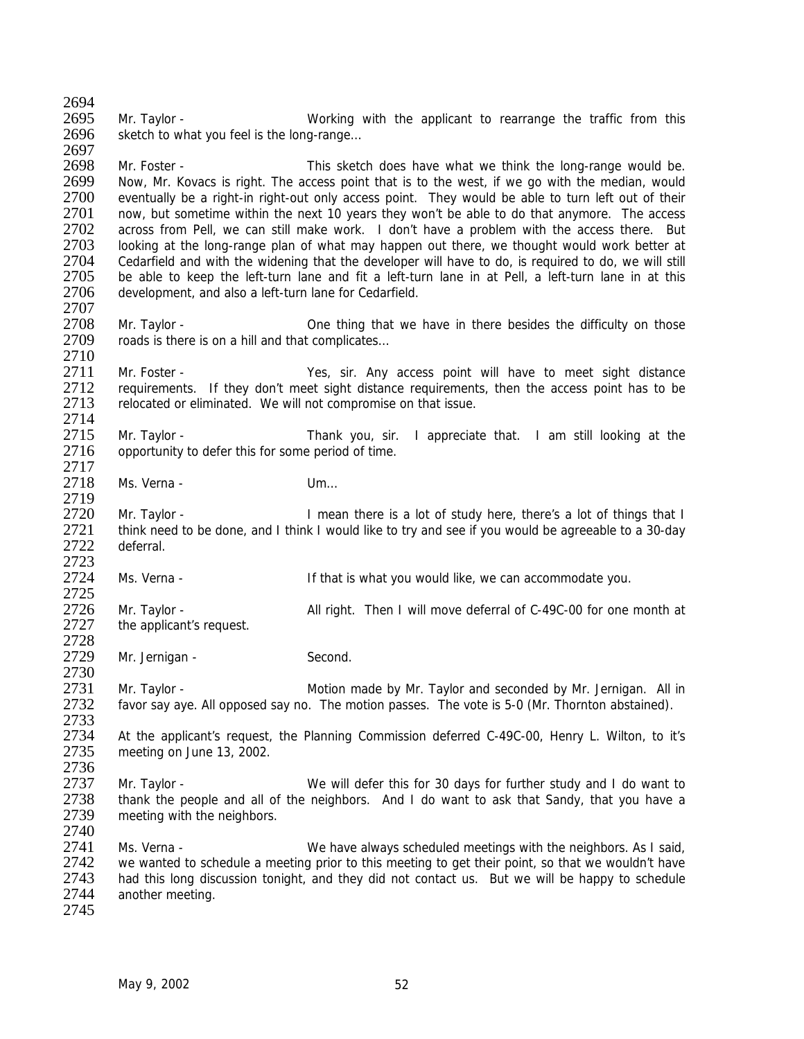2695 Mr. Taylor - Working with the applicant to rearrange the traffic from this 2696 sketch to what you feel is the long-range...

2697<br>2698 2698 Mr. Foster - This sketch does have what we think the long-range would be.<br>2699 Now, Mr. Kovacs is right. The access point that is to the west, if we go with the median, would 2699 Now, Mr. Kovacs is right. The access point that is to the west, if we go with the median, would 2700 eventually be a right-in right-out only access point. They would be able to turn left out of their 2700 eventually be a right-in right-out only access point. They would be able to turn left out of their 2701 now, but sometime within the next 10 years they won't be able to do that anymore. The access 2701 now, but sometime within the next 10 years they won't be able to do that anymore. The access 2702 across from Pell. we can still make work. I don't have a problem with the access there. But 2702 across from Pell, we can still make work. I don't have a problem with the access there. But 2703 looking at the long-range plan of what may happen out there, we thought would work better at 2703 looking at the long-range plan of what may happen out there, we thought would work better at 2704 cedarfield and with the widening that the developer will have to do, is required to do, we will still 2704 Cedarfield and with the widening that the developer will have to do, is required to do, we will still<br>2705 be able to keep the left-turn lane and fit a left-turn lane in at Pell, a left-turn lane in at this be able to keep the left-turn lane and fit a left-turn lane in at Pell, a left-turn lane in at this 2706 development, and also a left-turn lane for Cedarfield.

- 2707<br>2708 2708 Mr. Taylor - One thing that we have in there besides the difficulty on those 2709 roads is there is on a hill and that complicates... roads is there is on a hill and that complicates...
- 2710<br>2711 2711 Mr. Foster - Yes, sir. Any access point will have to meet sight distance<br>2712 requirements. If they don't meet sight distance requirements, then the access point has to be 2712 requirements. If they don't meet sight distance requirements, then the access point has to be 2713 relocated or eliminated. We will not compromise on that issue. relocated or eliminated. We will not compromise on that issue.
- 2714<br>2715 2715 Mr. Taylor - Thank you, sir. I appreciate that. I am still looking at the 2716 opportunity to defer this for some period of time. 2717
- 2718 Ms. Verna Um… 2719
- 2720 Mr. Taylor I mean there is a lot of study here, there's a lot of things that I 2721 think need to be done, and I think I would like to try and see if you would be agreeable to a 30-day 2722 deferral.
- 2723<br>2724 Ms. Verna - The Same Commodate vould like, we can accommodate you.
- 2725<br>2726 2726 Mr. Taylor - All right. Then I will move deferral of C-49C-00 for one month at 2727 the applicant's request. the applicant's request.
- 2728<br>2729 Mr. Jernigan - Second.
- 2731 Mr. Taylor Motion made by Mr. Taylor and seconded by Mr. Jernigan. All in<br>2732 favor say ave. All opposed say no. The motion passes. The vote is 5-0 (Mr. Thornton abstained). favor say aye. All opposed say no. The motion passes. The vote is 5-0 (Mr. Thornton abstained).
- 2733<br>2734 2734 At the applicant's request, the Planning Commission deferred C-49C-00, Henry L. Wilton, to it's 2735 meeting on June 13, 2002. meeting on June 13, 2002.
- 2736<br>2737 Mr. Taylor - We will defer this for 30 days for further study and I do want to 2738 thank the people and all of the neighbors. And I do want to ask that Sandy, that you have a 2739 meeting with the neighbors. meeting with the neighbors. 2740
- 2741 Ms. Verna We have always scheduled meetings with the neighbors. As I said,<br>2742 we wanted to schedule a meeting prior to this meeting to get their point, so that we wouldn't have 2742 we wanted to schedule a meeting prior to this meeting to get their point, so that we wouldn't have 2743 had this long discussion tonight, and they did not contact us. But we will be happy to schedule 2743 had this long discussion tonight, and they did not contact us. But we will be happy to schedule 2744 another meeting. another meeting.
- 2745

2730

2694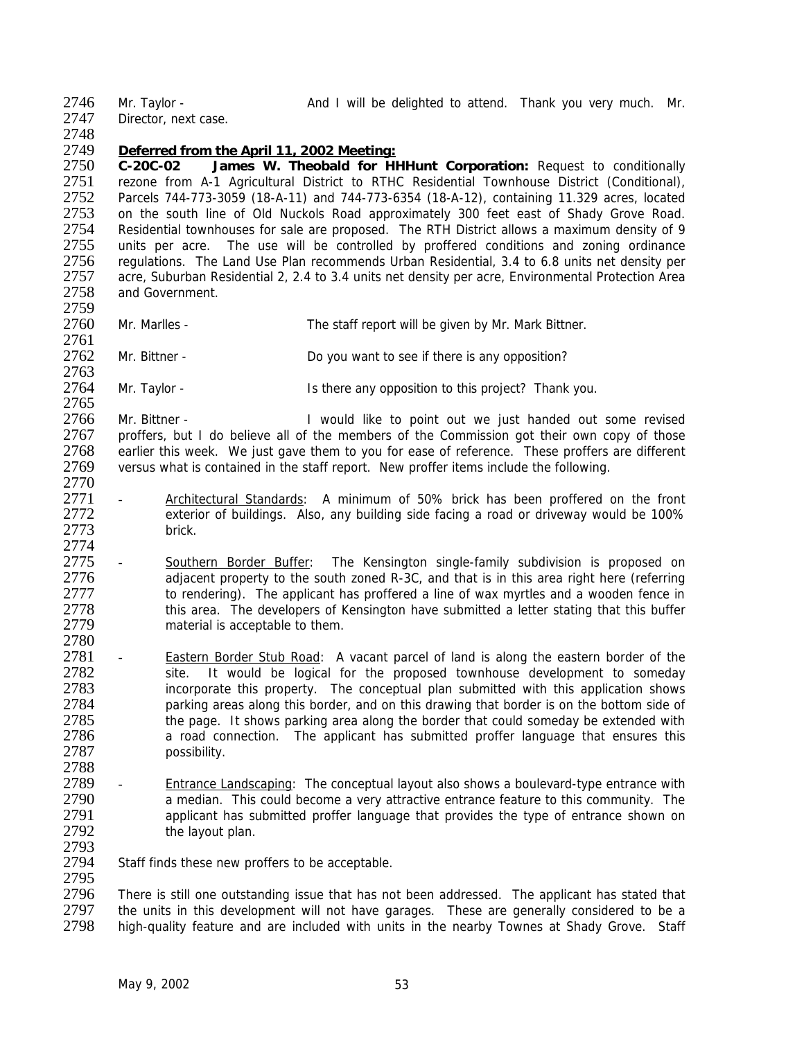2746 Mr. Taylor - And I will be delighted to attend. Thank you very much. Mr.

2747 Director, next case. 2748

## 2749 *Deferred from the April 11, 2002 Meeting:*

2750 **C-20C-02 James W. Theobald for HHHunt Corporation:** Request to conditionally 2751 rezone from A-1 Agricultural District to RTHC Residential Townhouse District (Conditional),<br>2752 Parcels 744-773-3059 (18-A-11) and 744-773-6354 (18-A-12), containing 11.329 acres, located 2752 Parcels 744-773-3059 (18-A-11) and 744-773-6354 (18-A-12), containing 11.329 acres, located 2753 on the south line of Old Nuckols Road approximately 300 feet east of Shady Grove Road.<br>2754 Residential townhouses for sale are proposed. The RTH District allows a maximum density of 9 2754 Residential townhouses for sale are proposed. The RTH District allows a maximum density of 9<br>2755 units per acre. The use will be controlled by proffered conditions and zoning ordinance 2755 units per acre. The use will be controlled by proffered conditions and zoning ordinance<br>2756 regulations. The Land Use Plan recommends Urban Residential, 3.4 to 6.8 units net density per 2756 regulations. The Land Use Plan recommends Urban Residential, 3.4 to 6.8 units net density per 2757 acre. Suburban Residential 2. 2.4 to 3.4 units net density per 2757 acre, Suburban Residential 2, 2.4 to 3.4 units net density per acre, Environmental Protection Area 2758 and Government.

2759<br>2760 Mr. Marlles - The staff report will be given by Mr. Mark Bittner.

2761<br>2762 Mr. Bittner - Do you want to see if there is any opposition?

2763<br>2764 Mr. Taylor - **IS there any opposition to this project?** Thank you.

2765<br>2766 2766 Mr. Bittner - I would like to point out we just handed out some revised<br>2767 proffers, but I do believe all of the members of the Commission got their own copy of those 2767 proffers, but I do believe all of the members of the Commission got their own copy of those 2768 earlier this week. We just gave them to you for ease of reference. These proffers are different 2769 versus what is contained in the staff report. New proffer items include the following*.*

- 2770<br>2771 Architectural Standards: A minimum of 50% brick has been proffered on the front 2772 exterior of buildings. Also, any building side facing a road or driveway would be 100% 2773 brick.
- 2774<br>2775 2775 - Southern Border Buffer: The Kensington single-family subdivision is proposed on<br>2776 adiacent property to the south zoned R-3C, and that is in this area right here (referring 2776 adjacent property to the south zoned R-3C, and that is in this area right here (referring<br>2777 to rendering). The applicant has proffered a line of wax myrtles and a wooden fence in 2777 to rendering). The applicant has proffered a line of wax myrtles and a wooden fence in<br>2778 this area. The developers of Kensington have submitted a letter stating that this buffer 2778 this area. The developers of Kensington have submitted a letter stating that this buffer<br>2779 material is acceptable to them. material is acceptable to them.
- 2780<br>2781 Eastern Border Stub Road: A vacant parcel of land is along the eastern border of the 2782 site. It would be logical for the proposed townhouse development to someday 2783 incorporate this property. The conceptual plan submitted with this application shows<br>2784 parking areas along this border, and on this drawing that border is on the bottom side of 2784 parking areas along this border, and on this drawing that border is on the bottom side of 2785 the page. It shows parking area along the border that could someday be extended with 2785 the page. It shows parking area along the border that could someday be extended with<br>2786 a road connection. The applicant has submitted proffer language that ensures this 2786 a road connection. The applicant has submitted proffer language that ensures this 2787 possibility.
- 2788<br>2789 Entrance Landscaping: The conceptual layout also shows a boulevard-type entrance with 2790 a median. This could become a very attractive entrance feature to this community. The 2791 applicant has submitted proffer language that provides the type of entrance shown on 2791 applicant has submitted proffer language that provides the type of entrance shown on 2792 the layout plan.
- 2793<br>2794 Staff finds these new proffers to be acceptable.

2795<br>2796 2796 There is still one outstanding issue that has not been addressed. The applicant has stated that 2797 the units in this development will not have garages. These are generally considered to be a 2797 the units in this development will not have garages. These are generally considered to be a<br>2798 high-quality feature and are included with units in the nearby Townes at Shady Grove. Staff high-quality feature and are included with units in the nearby Townes at Shady Grove. Staff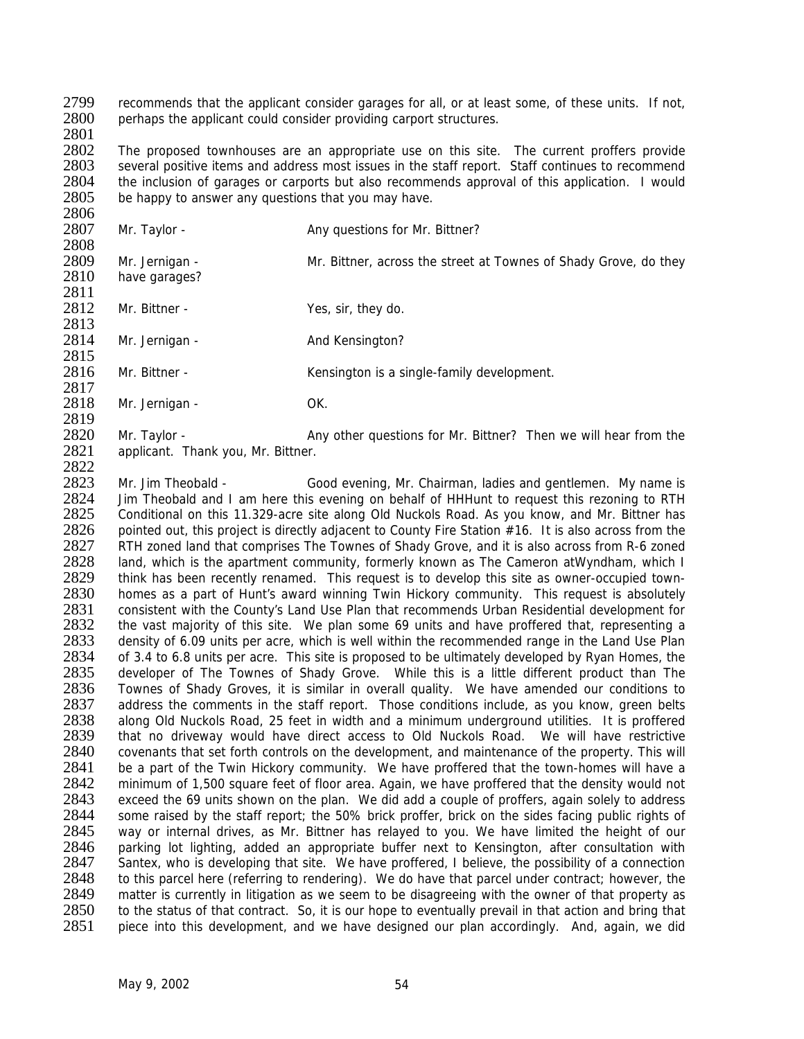2799 recommends that the applicant consider garages for all, or at least some, of these units. If not, 2800 perhaps the applicant could consider providing carport structures. perhaps the applicant could consider providing carport structures.

2801

2802 The proposed townhouses are an appropriate use on this site. The current proffers provide<br>2803 several positive items and address most issues in the staff report. Staff continues to recommend several positive items and address most issues in the staff report. Staff continues to recommend 2804 the inclusion of garages or carports but also recommends approval of this application. I would 2805 be happy to answer any questions that you may have. be happy to answer any questions that you may have.

2806<br>2807 Mr. Taylor - Any questions for Mr. Bittner? 2808<br>2809 2809 Mr. Jernigan - Mr. Bittner, across the street at Townes of Shady Grove, do they<br>2810 have garages? have garages? 2811 2812 Mr. Bittner - Yes, sir, they do. 2813 2814 Mr. Jernigan - And Kensington? 2815<br>2816 Mr. Bittner - Kensington is a single-family development. 2817<br>2818 Mr. Jernigan - OK. 2819<br>2820 Mr. Taylor - **Any other questions for Mr. Bittner?** Then we will hear from the 2821 applicant. Thank you, Mr. Bittner. 2822

2823 Mr. Jim Theobald - Good evening, Mr. Chairman, ladies and gentlemen. My name is 2824 Jim Theobald and I am here this evening on behalf of HHHunt to request this rezoning to RTH Jim Theobald and I am here this evening on behalf of HHHunt to request this rezoning to RTH 2825 Conditional on this 11.329-acre site along Old Nuckols Road. As you know, and Mr. Bittner has 2826 pointed out, this project is directly adjacent to County Fire Station #16. It is also across from the 2827 RTH zoned land that comprises The Townes of Shady Grove, and it is also across from R-6 zoned 2827 RTH zoned land that comprises The Townes of Shady Grove, and it is also across from R-6 zoned<br>2828 Land, which is the apartment community, formerly known as The Cameron at Wyndham, which I 2828 land, which is the apartment community, formerly known as The Cameron atWyndham, which I<br>2829 think has been recently renamed. This request is to develop this site as owner-occupied town-2829 think has been recently renamed. This request is to develop this site as owner-occupied town-<br>2830 homes as a part of Hunt's award winning Twin Hickory community. This request is absolutely 2830 homes as a part of Hunt's award winning Twin Hickory community. This request is absolutely<br>2831 consistent with the County's Land Use Plan that recommends Urban Residential development for 2831 consistent with the County's Land Use Plan that recommends Urban Residential development for<br>2832 the vast majority of this site. We plan some 69 units and have proffered that, representing a the vast majority of this site. We plan some 69 units and have proffered that, representing a 2833 density of 6.09 units per acre, which is well within the recommended range in the Land Use Plan<br>2834 of 3.4 to 6.8 units per acre. This site is proposed to be ultimately developed by Ryan Homes, the of 3.4 to 6.8 units per acre. This site is proposed to be ultimately developed by Ryan Homes, the 2835 developer of The Townes of Shady Grove. While this is a little different product than The 2836 Townes of Shady Groves, it is similar in overall quality. We have amended our conditions to 2837 address the comments in the staff report. Those conditions include, as you know, green belts 2837 address the comments in the staff report. Those conditions include, as you know, green belts 2838 along Old Nuckols Road, 25 feet in width and a minimum underground utilities. It is proffered 2838 along Old Nuckols Road, 25 feet in width and a minimum underground utilities. It is proffered<br>2839 bthat no driveway would have direct access to Old Nuckols Road. We will have restrictive 2839 that no driveway would have direct access to Old Nuckols Road. We will have restrictive 2840 covenants that set forth controls on the development, and maintenance of the property. This will 2840 covenants that set forth controls on the development, and maintenance of the property. This will<br>2841 be a part of the Twin Hickory community. We have proffered that the town-homes will have a 2841 be a part of the Twin Hickory community. We have proffered that the town-homes will have a<br>2842 minimum of 1.500 square feet of floor area. Again, we have proffered that the density would not minimum of 1,500 square feet of floor area. Again, we have proffered that the density would not 2843 exceed the 69 units shown on the plan. We did add a couple of proffers, again solely to address<br>2844 some raised by the staff report; the 50% brick proffer, brick on the sides facing public rights of 2844 some raised by the staff report; the 50% brick proffer, brick on the sides facing public rights of 2845 way or internal drives, as Mr. Bittner has relayed to you. We have limited the height of our way or internal drives, as Mr. Bittner has relayed to you. We have limited the height of our 2846 parking lot lighting, added an appropriate buffer next to Kensington, after consultation with 2847 Santex who is developing that site. We have proffered. I believe, the possibility of a connection 2847 Santex, who is developing that site. We have proffered, I believe, the possibility of a connection 2848 to this parcel here (referring to rendering). We do have that parcel under contract: however, the 2848 to this parcel here (referring to rendering). We do have that parcel under contract; however, the 2849 matter is currently in litigation as we seem to be disagreeing with the owner of that property as 2849 matter is currently in litigation as we seem to be disagreeing with the owner of that property as 2850 to the status of that contract. So, it is our hope to eventually prevail in that action and bring that 2850 to the status of that contract. So, it is our hope to eventually prevail in that action and bring that 2851 piece into this development, and we have designed our plan accordingly. And, again, we did piece into this development, and we have designed our plan accordingly. And, again, we did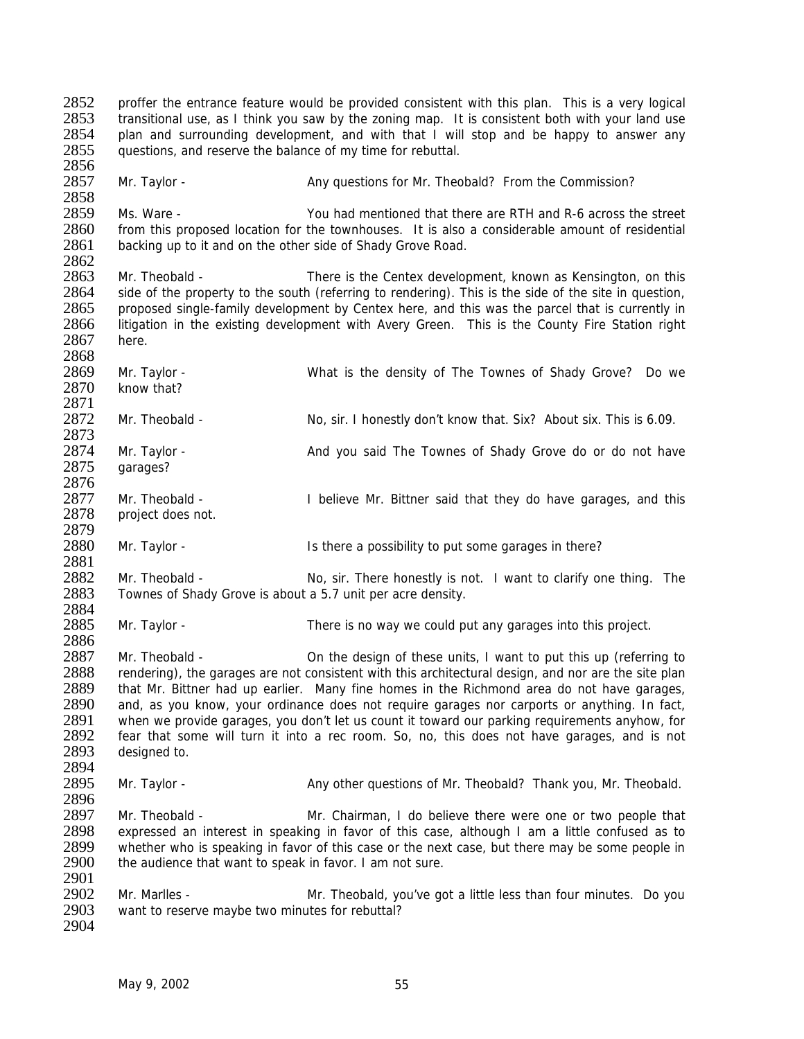2852 proffer the entrance feature would be provided consistent with this plan. This is a very logical 2853 transitional use, as I think you saw by the zoning map. It is consistent both with your land use 2854 plan and surrounding development, and with that I will stop and be happy to answer any 2855 guestions, and reserve the balance of my time for rebuttal. 2856 2857 Mr. Taylor - Any questions for Mr. Theobald? From the Commission? 2858<br>2859 2859 Ms. Ware - You had mentioned that there are RTH and R-6 across the street<br>2860 from this proposed location for the townhouses. It is also a considerable amount of residential 2860 from this proposed location for the townhouses. It is also a considerable amount of residential 2861 backing up to it and on the other side of Shady Grove Road. backing up to it and on the other side of Shady Grove Road. 2862<br>2863 Mr. Theobald - There is the Centex development, known as Kensington, on this 2864 side of the property to the south (referring to rendering). This is the side of the site in question, 2865 proposed single-family development by Centex here, and this was the parcel that is currently in 2866 litigation in the existing development with Avery Green. This is the County Fire Station right litigation in the existing development with Avery Green. This is the County Fire Station right 2867 here. 2868<br>2869 2869 Mr. Taylor - What is the density of The Townes of Shady Grove? Do we<br>2870 know that? know that? 2871<br>2872 Mr. Theobald - No, sir. I honestly don't know that. Six? About six. This is 6.09. 2873 2874 Mr. Taylor - And you said The Townes of Shady Grove do or do not have 2875 garages? 2876<br>2877 Mr. Theobald - **I** believe Mr. Bittner said that they do have garages, and this 2878 project does not. 2879<br>2880 Mr. Taylor - The Is there a possibility to put some garages in there? 2881<br>2882 2882 Mr. Theobald - No, sir. There honestly is not. I want to clarify one thing. The 2883 Townes of Shady Grove is about a 5.7 unit per acre density. Townes of Shady Grove is about a 5.7 unit per acre density. 2884<br>2885 Mr. Taylor - There is no way we could put any garages into this project. 2886<br>2887 Mr. Theobald - Con the design of these units, I want to put this up (referring to 2888 rendering), the garages are not consistent with this architectural design, and nor are the site plan 2889 that Mr. Bittner had up earlier. Many fine homes in the Richmond area do not have garages, 2890 and, as you know, your ordinance does not require garages nor carports or anything. In fact, 2890 and, as you know, your ordinance does not require garages nor carports or anything. In fact, 2891 when we provide garages, you don't let us count it toward our parking requirements anyhow, for 2891 when we provide garages, you don't let us count it toward our parking requirements anyhow, for 2892 fear that some will turn it into a rec room. So, no, this does not have garages, and is not 2892 fear that some will turn it into a rec room. So, no, this does not have garages, and is not 2893 designed to. designed to. 2894<br>2895 Mr. Taylor - Any other questions of Mr. Theobald? Thank you, Mr. Theobald. 2896<br>2897 2897 Mr. Theobald - Mr. Chairman, I do believe there were one or two people that<br>2898 expressed an interest in speaking in favor of this case, although I am a little confused as to 2898 expressed an interest in speaking in favor of this case, although I am a little confused as to 2899 whether who is speaking in favor of this case or the next case, but there may be some people in 2899 whether who is speaking in favor of this case or the next case, but there may be some people in 2900 the audience that want to speak in favor. I am not sure. the audience that want to speak in favor. I am not sure. 2901<br>2902 2902 Mr. Marlles - Mr. Theobald, you've got a little less than four minutes. Do you<br>2903 want to reserve maybe two minutes for rebuttal? want to reserve maybe two minutes for rebuttal? 2904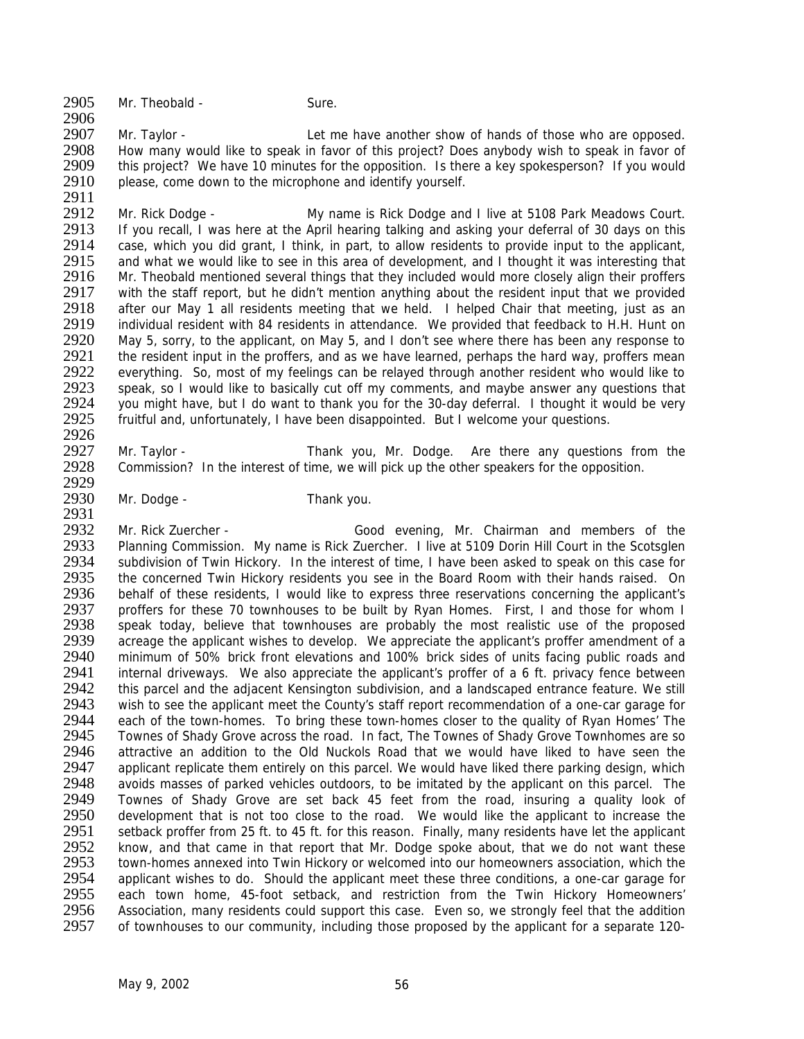2905 Mr. Theobald - Sure.

2906<br>2907 Mr. Taylor - Let me have another show of hands of those who are opposed. 2908 How many would like to speak in favor of this project? Does anybody wish to speak in favor of 2909 this project? We have 10 minutes for the opposition. Is there a key spokesperson? If you would 2909 this project? We have 10 minutes for the opposition. Is there a key spokesperson? If you would 2910 please, come down to the microphone and identify vourself. please, come down to the microphone and identify yourself.

2911<br>2912 2912 Mr. Rick Dodge - My name is Rick Dodge and I live at 5108 Park Meadows Court.<br>2913 If you recall. I was here at the April hearing talking and asking your deferral of 30 days on this 2913 If you recall, I was here at the April hearing talking and asking your deferral of 30 days on this 2914 case, which you did grant. I think, in part, to allow residents to provide input to the applicant. 2914 case, which you did grant, I think, in part, to allow residents to provide input to the applicant, 2915 and what we would like to see in this area of development, and I thought it was interesting that 2915 and what we would like to see in this area of development, and I thought it was interesting that 2916 Mr. Theobald mentioned several things that they included would more closely align their proffers Mr. Theobald mentioned several things that they included would more closely align their proffers 2917 with the staff report, but he didn't mention anything about the resident input that we provided 2918 after our May 1 all residents meeting that we held. I helped Chair that meeting, just as an 2919 individual resident with 84 residents in attendance. We provided that feedback to H.H. Hunt on 2919 individual resident with 84 residents in attendance. We provided that feedback to H.H. Hunt on<br>2920 May 5, sorry, to the applicant, on May 5, and I don't see where there has been any response to 2920 May 5, sorry, to the applicant, on May 5, and I don't see where there has been any response to 2921 the resident input in the proffers, and as we have learned, perhaps the hard way, proffers mean 2921 the resident input in the proffers, and as we have learned, perhaps the hard way, proffers mean<br>2922 everything. So, most of my feelings can be relayed through another resident who would like to 2922 everything. So, most of my feelings can be relayed through another resident who would like to 2923 speak, so I would like to basically cut off my comments, and maybe answer any questions that 2923 speak, so I would like to basically cut off my comments, and maybe answer any questions that 2924 vou might have, but I do want to thank you for the 30-day deferral. I thought it would be very 2924 you might have, but I do want to thank you for the 30-day deferral. I thought it would be very 2925 fruitful and, unfortunately. I have been disappointed. But I welcome your questions. fruitful and, unfortunately, I have been disappointed. But I welcome your questions. 2926

2927 Mr. Taylor - Thank you, Mr. Dodge. Are there any questions from the 2928 Commission? In the interest of time, we will pick up the other speakers for the opposition. Commission? In the interest of time, we will pick up the other speakers for the opposition.

2929<br>2930 Mr. Dodge - Thank you.

2931

2932 Mr. Rick Zuercher - Good evening, Mr. Chairman and members of the 2933 Planning Commission. My name is Rick Zuercher. I live at 5109 Dorin Hill Court in the Scotsglen 2933 Planning Commission. My name is Rick Zuercher. I live at 5109 Dorin Hill Court in the Scotsglen<br>2934 Subdivision of Twin Hickory. In the interest of time, I have been asked to speak on this case for 2934 subdivision of Twin Hickory. In the interest of time, I have been asked to speak on this case for 2935 the concerned Twin Hickory residents you see in the Board Room with their hands raised. On 2935 the concerned Twin Hickory residents you see in the Board Room with their hands raised. On 2936 behalf of these residents. I would like to express three reservations concerning the applicant's 2936 behalf of these residents, I would like to express three reservations concerning the applicant's 2937 proffers for these 70 townhouses to be built by Ryan Homes. First, I and those for whom I 2937 proffers for these 70 townhouses to be built by Ryan Homes. First, I and those for whom I<br>2938 speak today, believe that townhouses are probably the most realistic use of the proposed speak today, believe that townhouses are probably the most realistic use of the proposed 2939 acreage the applicant wishes to develop. We appreciate the applicant's proffer amendment of a<br>2940 minimum of 50% brick front elevations and 100% brick sides of units facing public roads and 2940 minimum of 50% brick front elevations and 100% brick sides of units facing public roads and 2941 internal driveways. We also appreciate the applicant's proffer of a 6 ft, privacy fence between 2941 internal driveways. We also appreciate the applicant's proffer of a 6 ft. privacy fence between<br>2942 this parcel and the adiacent Kensington subdivision, and a landscaped entrance feature. We still 2942 this parcel and the adjacent Kensington subdivision, and a landscaped entrance feature. We still<br>2943 wish to see the applicant meet the County's staff report recommendation of a one-car garage for 2943 wish to see the applicant meet the County's staff report recommendation of a one-car garage for 2944 each of the town-homes. To bring these town-homes closer to the quality of Ryan Homes' The 2944 each of the town-homes. To bring these town-homes closer to the quality of Ryan Homes' The 2945 Townes of Shady Grove across the road. In fact, The Townes of Shady Grove across the road. In fact, The Townes of Shady G 2945 Townes of Shady Grove across the road. In fact, The Townes of Shady Grove Townhomes are so<br>2946 attractive an addition to the Old Nuckols Road that we would have liked to have seen the 2946 attractive an addition to the Old Nuckols Road that we would have liked to have seen the 2947 applicant replicate them entirely on this parcel. We would have liked there parking design, which 2947 applicant replicate them entirely on this parcel. We would have liked there parking design, which<br>2948 avoids masses of parked vehicles outdoors to be imitated by the applicant on this parcel. The 2948 avoids masses of parked vehicles outdoors, to be imitated by the applicant on this parcel. The 2949 Townes of Shady Grove are set back 45 feet from the road, insuring a quality look of 2949 Townes of Shady Grove are set back 45 feet from the road, insuring a quality look of 2950 development that is not too close to the road. We would like the applicant to increase the 2950 development that is not too close to the road. We would like the applicant to increase the 2951 setback proffer from 25 ft, to 45 ft, for this reason. Finally, many residents have let the applicant 2951 setback proffer from 25 ft. to 45 ft. for this reason. Finally, many residents have let the applicant 2952 know, and that came in that report that Mr. Dodge spoke about, that we do not want these 2952 know, and that came in that report that Mr. Dodge spoke about, that we do not want these<br>2953 town-homes annexed into Twin Hickory or welcomed into our homeowners association, which the 2953 town-homes annexed into Twin Hickory or welcomed into our homeowners association, which the 2954 applicant wishes to do. Should the applicant meet these three conditions, a one-car garage for 2954 applicant wishes to do. Should the applicant meet these three conditions, a one-car garage for 2955 each town home. 45-foot setback, and restriction from the Twin Hickory Homeowners' 2955 each town home, 45-foot setback, and restriction from the Twin Hickory Homeowners'<br>2956 Association, many residents could support this case. Even so, we strongly feel that the addition 2956 Association, many residents could support this case. Even so, we strongly feel that the addition<br>2957 of townhouses to our community, including those proposed by the applicant for a separate 120-2957 of townhouses to our community, including those proposed by the applicant for a separate 120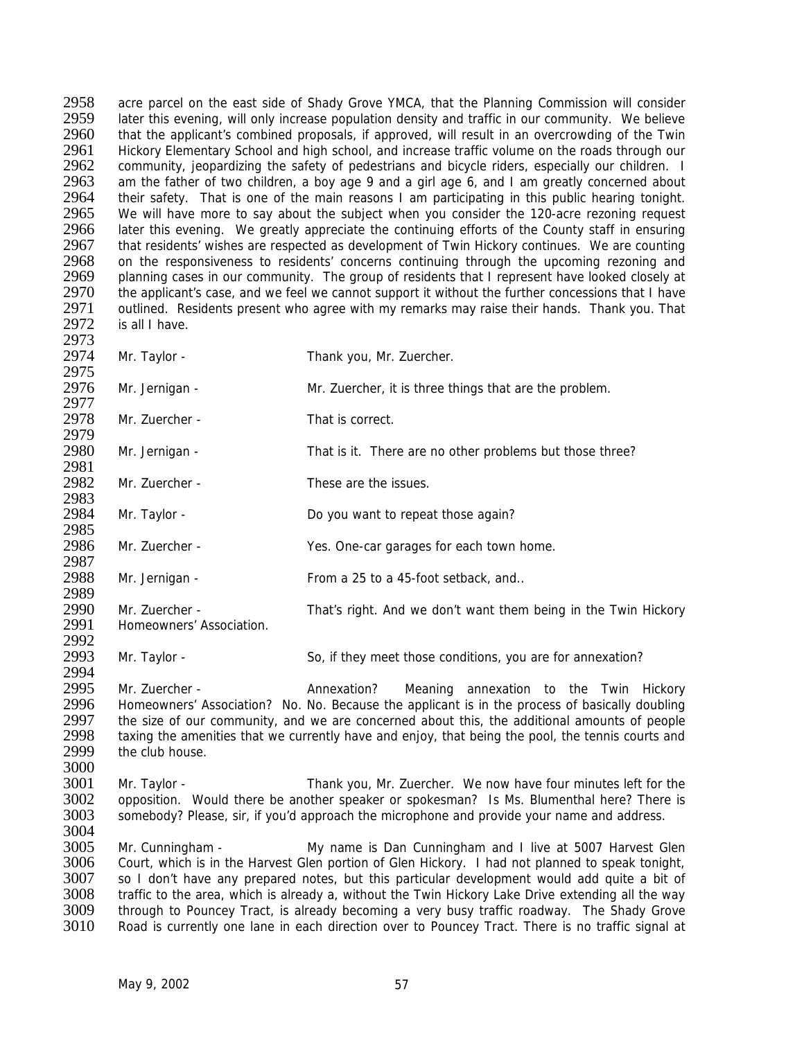2958 acre parcel on the east side of Shady Grove YMCA, that the Planning Commission will consider<br>2959 later this evening, will only increase population density and traffic in our community. We believe 2959 later this evening, will only increase population density and traffic in our community. We believe 2960 that the applicant's combined proposals, if approved, will result in an overcrowding of the Twin that the applicant's combined proposals, if approved, will result in an overcrowding of the Twin 2961 Hickory Elementary School and high school, and increase traffic volume on the roads through our 2962 community, ieopardizing the safety of pedestrians and bicycle riders, especially our children. I 2962 community, jeopardizing the safety of pedestrians and bicycle riders, especially our children. I<br>2963 am the father of two children, a boy age 9 and a girl age 6, and I am greatly concerned about 2963 am the father of two children, a boy age 9 and a girl age 6, and 1 am greatly concerned about 2964 their safety. That is one of the main reasons 1 am participating in this public hearing tonight. 2964 their safety. That is one of the main reasons I am participating in this public hearing tonight.<br>2965 We will have more to say about the subject when you consider the 120-acre rezoning request 2965 We will have more to say about the subject when you consider the 120-acre rezoning request<br>2966 Later this evening. We greatly appreciate the continuing efforts of the County staff in ensuring 2966 later this evening. We greatly appreciate the continuing efforts of the County staff in ensuring<br>2967 that residents' wishes are respected as development of Twin Hickory continues. We are counting 2967 that residents' wishes are respected as development of Twin Hickory continues. We are counting<br>2968 on the responsiveness to residents' concerns continuing through the upcoming rezoning and 2968 on the responsiveness to residents' concerns continuing through the upcoming rezoning and 2969 planning cases in our community. The group of residents that I represent have looked closely at planning cases in our community. The group of residents that I represent have looked closely at 2970 the applicant's case, and we feel we cannot support it without the further concessions that I have 2971 outlined. Residents present who agree with my remarks may raise their hands. Thank you. That 2972 is all I have. is all I have.

2973<br>2974

Mr. Taylor - Thank you, Mr. Zuercher.

2975<br>2976 Mr. Jernigan - Mr. Zuercher, it is three things that are the problem.

2977<br>2978 Mr. Zuercher - That is correct. 2979

2980 Mr. Jernigan - That is it. There are no other problems but those three? 2981

2982 Mr. Zuercher - These are the issues.

2983<br>2984 Mr. Taylor - Do you want to repeat those again?

2985<br>2986 Mr. Zuercher - Yes. One-car garages for each town home.

2987<br>2988 Mr. Jernigan - From a 25 to a 45-foot setback, and..

2989<br>2990 2990 Mr. Zuercher - That's right. And we don't want them being in the Twin Hickory<br>2991 Homeowners' Association. Homeowners' Association.

2992<br>2993 Mr. Taylor - So, if they meet those conditions, you are for annexation?

2994<br>2995 2995 Mr. Zuercher - Annexation? Meaning annexation to the Twin Hickory<br>2996 Homeowners' Association? No. No. Because the applicant is in the process of basically doubling 2996 Homeowners' Association? No. No. Because the applicant is in the process of basically doubling<br>2997 the size of our community, and we are concerned about this, the additional amounts of people 2997 the size of our community, and we are concerned about this, the additional amounts of people 2998 taxing the amenities that we currently have and enjoy, that being the pool, the tennis courts and 2998 taxing the amenities that we currently have and enjoy, that being the pool, the tennis courts and 2999 the club house. the club house.

3000<br>3001 Mr. Taylor - Thank you, Mr. Zuercher. We now have four minutes left for the 3002 opposition. Would there be another speaker or spokesman? Is Ms. Blumenthal here? There is 3003 somebody? Please, sir, if you'd approach the microphone and provide your name and address. somebody? Please, sir, if you'd approach the microphone and provide your name and address.

3004

3005 Mr. Cunningham - My name is Dan Cunningham and I live at 5007 Harvest Glen<br>3006 Court, which is in the Harvest Glen portion of Glen Hickory. I had not planned to speak tonight. 3006 Court, which is in the Harvest Glen portion of Glen Hickory. I had not planned to speak tonight, 3007 so I don't have any prepared notes, but this particular development would add quite a bit of 3007 so I don't have any prepared notes, but this particular development would add quite a bit of 3008 traffic to the area, which is already a, without the Twin Hickory Lake Drive extending all the way 3008 traffic to the area, which is already a, without the Twin Hickory Lake Drive extending all the way<br>3009 through to Pouncey Tract, is already becoming a very busy traffic roadway. The Shady Grove 3009 through to Pouncey Tract, is already becoming a very busy traffic roadway. The Shady Grove 3010 Road is currently one lane in each direction over to Pouncey Tract. There is no traffic signal at Road is currently one lane in each direction over to Pouncey Tract. There is no traffic signal at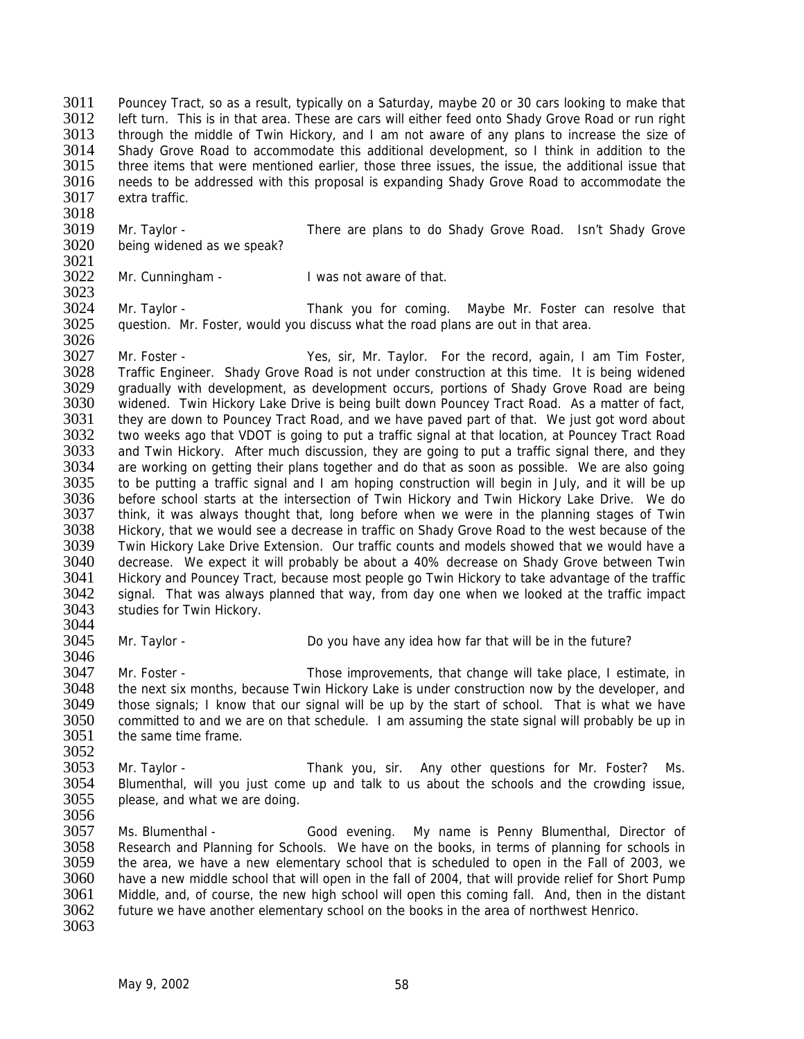3011 Pouncey Tract, so as a result, typically on a Saturday, maybe 20 or 30 cars looking to make that 3012 left turn. This is in that area. These are cars will either feed onto Shady Grove Road or run right left turn. This is in that area. These are cars will either feed onto Shady Grove Road or run right 3013 through the middle of Twin Hickory, and I am not aware of any plans to increase the size of 3014 Shady Grove Road to accommodate this additional development, so I think in addition to the 3015 three items that were mentioned earlier, those three issues, the issue, the additional issue that three items that were mentioned earlier, those three issues, the issue, the additional issue that 3016 needs to be addressed with this proposal is expanding Shady Grove Road to accommodate the 3017 extra traffic. extra traffic.

- 3018<br>3019 3019 Mr. Taylor - There are plans to do Shady Grove Road. Isn't Shady Grove 3020 being widened as we speak? being widened as we speak?
- 3021<br>3022 Mr. Cunningham - I was not aware of that.

3024 Mr. Taylor - Thank you for coming. Maybe Mr. Foster can resolve that 3025 question. Mr. Foster, would you discuss what the road plans are out in that area. question. Mr. Foster, would you discuss what the road plans are out in that area.

3026<br>3027 3027 Mr. Foster - Yes, sir, Mr. Taylor. For the record, again, I am Tim Foster, 3028 Traffic Engineer. Shady Grove Road is not under construction at this time. It is being widened 3028 Traffic Engineer. Shady Grove Road is not under construction at this time. It is being widened<br>3029 Trandually with development, as development occurs, portions of Shady Grove Road are being 3029 gradually with development, as development occurs, portions of Shady Grove Road are being<br>3030 videned. Twin Hickory Lake Drive is being built down Pouncey Tract Road. As a matter of fact. 3030 widened. Twin Hickory Lake Drive is being built down Pouncey Tract Road. As a matter of fact, 3031 they are down to Pouncey Tract Road, and we have paved part of that. We just got word about 3031 they are down to Pouncey Tract Road, and we have paved part of that. We just got word about 3032 two weeks ago that VDOT is going to put a traffic signal at that location, at Pouncey Tract Road two weeks ago that VDOT is going to put a traffic signal at that location, at Pouncey Tract Road 3033 and Twin Hickory. After much discussion, they are going to put a traffic signal there, and they 3034 are working on getting their plans together and do that as soon as possible. We are also going 3035 to be putting a traffic signal and I am hoping construction will begin in July, and it will be up<br>3036 before school starts at the intersection of Twin Hickory and Twin Hickory Lake Drive. We do before school starts at the intersection of Twin Hickory and Twin Hickory Lake Drive. We do 3037 think, it was always thought that, long before when we were in the planning stages of Twin 3038 Hickory, that we would see a decrease in traffic on Shady Grove Road to the west because of the<br>3039 Twin Hickory Lake Drive Extension. Our traffic counts and models showed that we would have a 3039 Twin Hickory Lake Drive Extension. Our traffic counts and models showed that we would have a<br>3040 decrease. We expect it will probably be about a 40% decrease on Shady Grove between Twin 3040 decrease. We expect it will probably be about a 40% decrease on Shady Grove between Twin<br>3041 Hickory and Pouncey Tract, because most people go Twin Hickory to take advantage of the traffic 3041 Hickory and Pouncey Tract, because most people go Twin Hickory to take advantage of the traffic<br>3042 signal. That was always planned that way, from day one when we looked at the traffic impact 3042 signal. That was always planned that way, from day one when we looked at the traffic impact 3043 studies for Twin Hickory. studies for Twin Hickory.

3023

3044

3046

3045 Mr. Taylor - Do you have any idea how far that will be in the future?

3047 Mr. Foster - Those improvements, that change will take place, I estimate, in 3048 the next six months, because Twin Hickory Lake is under construction now by the developer, and 3049 those signals: I know that our signal will be up by the start of school. That is what we have 3049 those signals; I know that our signal will be up by the start of school. That is what we have 3050 committed to and we are on that schedule. I am assuming the state signal will probably be up in 3050 committed to and we are on that schedule. I am assuming the state signal will probably be up in 3051 the same time frame. the same time frame.

- 3052<br>3053 3053 Mr. Taylor - Thank you, sir. Any other questions for Mr. Foster? Ms. 3054 Blumenthal, will you just come up and talk to us about the schools and the crowding issue, 3055 please, and what we are doing. 3056
- 3057 Ms. Blumenthal Good evening. My name is Penny Blumenthal, Director of 3058 Research and Planning for Schools. We have on the books, in terms of planning for schools in 3059 the area, we have a new elementary school that is scheduled to open in the Fall of 2003, we<br>3060 have a new middle school that will open in the fall of 2004, that will provide relief for Short Pump 3060 have a new middle school that will open in the fall of 2004, that will provide relief for Short Pump<br>3061 Middle, and, of course, the new high school will open this coming fall. And, then in the distant 3061 Middle, and, of course, the new high school will open this coming fall. And, then in the distant 3062 future we have another elementary school on the books in the area of northwest Henrico. future we have another elementary school on the books in the area of northwest Henrico. 3063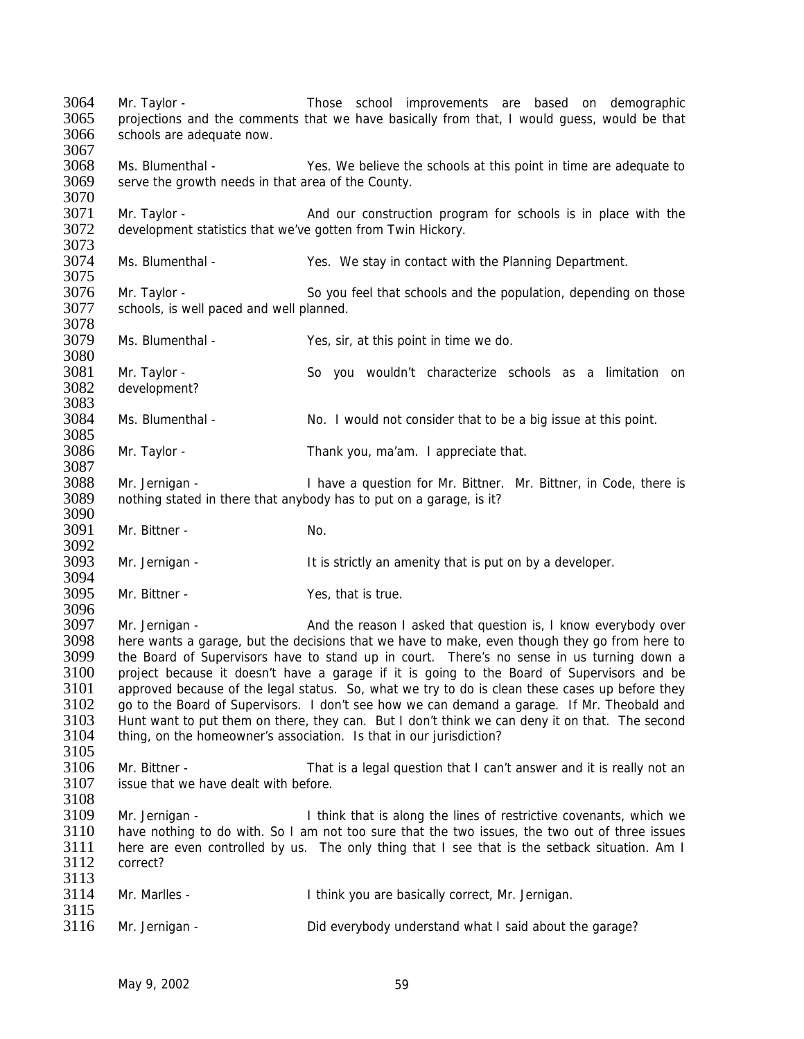3064 Mr. Taylor - Those school improvements are based on demographic 3065 projections and the comments that we have basically from that, I would guess, would be that 3066 schools are adequate now. 3067<br>3068 Ms. Blumenthal - Yes. We believe the schools at this point in time are adequate to 3069 serve the growth needs in that area of the County. 3070<br>3071 3071 Mr. Taylor - And our construction program for schools is in place with the 3072 development statistics that we've gotten from Twin Hickory. development statistics that we've gotten from Twin Hickory. 3073<br>3074 Ms. Blumenthal - The Yes. We stay in contact with the Planning Department. 3075 3076 Mr. Taylor - So you feel that schools and the population, depending on those 3077 schools, is well paced and well planned. 3078 3079 Ms. Blumenthal - Yes, sir, at this point in time we do. 3080<br>3081 3081 Mr. Taylor - So you wouldn't characterize schools as a limitation on 3082 development? development? 3083<br>3084 Ms. Blumenthal - No. I would not consider that to be a big issue at this point. 3085 3086 Mr. Taylor - Thank you, ma'am. I appreciate that. 3087 3088 Mr. Jernigan - I have a question for Mr. Bittner. Mr. Bittner, in Code, there is 3089 nothing stated in there that anybody has to put on a garage, is it? nothing stated in there that anybody has to put on a garage, is it? 3090 3091 Mr. Bittner - No. 3092<br>3093 Mr. Jernigan - The Strictly an amenity that is put on by a developer. 3094<br>3095 3095 Mr. Bittner - Yes, that is true. 3096<br>3097 Mr. Jernigan - And the reason I asked that question is, I know everybody over 3098 here wants a garage, but the decisions that we have to make, even though they go from here to 3099 the Board of Supervisors have to stand up in court. There's no sense in us turning down a the Board of Supervisors have to stand up in court. There's no sense in us turning down a 3100 project because it doesn't have a garage if it is going to the Board of Supervisors and be 3101 approved because of the legal status. So, what we try to do is clean these cases up before they<br>3102 oo to the Board of Supervisors. I don't see how we can demand a garage. If Mr. Theobald and 3102 go to the Board of Supervisors. I don't see how we can demand a garage. If Mr. Theobald and 3103 Hunt want to put them on there, they can. But I don't think we can deny it on that. The second 3103 Hunt want to put them on there, they can. But I don't think we can deny it on that. The second 3104 thing on the homeowner's association. Is that in our iurisdiction? thing, on the homeowner's association. Is that in our jurisdiction? 3105<br>3106 3106 Mr. Bittner - That is a legal question that I can't answer and it is really not an 3107 issue that we have dealt with before issue that we have dealt with before. 3108<br>3109 Mr. Jernigan - Think that is along the lines of restrictive covenants, which we 3110 have nothing to do with. So I am not too sure that the two issues, the two out of three issues 3111 here are even controlled by us. The only thing that I see that is the setback situation. Am I 3112 correct?  $\frac{3113}{3114}$ Mr. Marlles - Think you are basically correct, Mr. Jernigan.  $3115$ <br> $3116$ 3116 Mr. Jernigan - Did everybody understand what I said about the garage?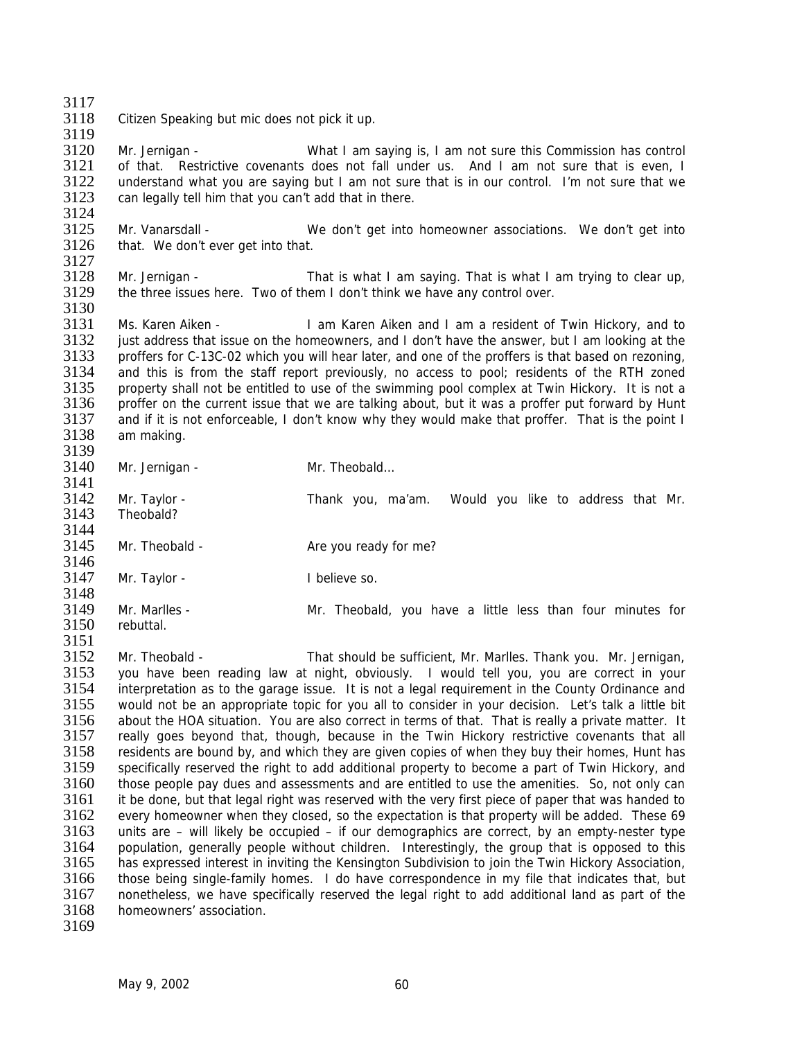3117

3118 Citizen Speaking but mic does not pick it up. 3119

3120 Mr. Jernigan - What I am saying is, I am not sure this Commission has control 3121 of that. Restrictive covenants does not fall under us. And I am not sure that is even, I 3122 understand what you are saying but I am not sure that is in our control. I'm not sure that we<br>3123 can legally tell him that you can't add that in there. can legally tell him that you can't add that in there.

3124<br>3125 3125 Mr. Vanarsdall - We don't get into homeowner associations. We don't get into 3126 that. We don't ever get into that. that. We don't ever get into that.

3127<br>3128 3128 Mr. Jernigan - That is what I am saying. That is what I am trying to clear up, 3129 the three issues here. Two of them I don't think we have any control over.

3130<br>3131 Ms. Karen Aiken - I am Karen Aiken and I am a resident of Twin Hickory, and to 3132 just address that issue on the homeowners, and I don't have the answer, but I am looking at the 3133 proffers for C-13C-02 which you will hear later, and one of the proffers is that based on rezoning. 3133 proffers for C-13C-02 which you will hear later, and one of the proffers is that based on rezoning, 3134 and this is from the staff report previously, no access to pool; residents of the RTH zoned 3135 property shall not be entitled to use of the swimming pool complex at Twin Hickory. It is not a 3135 property shall not be entitled to use of the swimming pool complex at Twin Hickory. It is not a<br>3136 proffer on the current issue that we are talking about, but it was a proffer put forward by Hunt 3136 proffer on the current issue that we are talking about, but it was a proffer put forward by Hunt 3137 and if it is not enforceable. I don't know why they would make that proffer. That is the point I 3137 and if it is not enforceable, I don't know why they would make that proffer. That is the point I am making.

3139 3140 Mr. Jernigan - Mr. Theobald... 3141<br>3142 3142 Mr. Taylor - Thank you, ma'am. Would you like to address that Mr. 3143 Theobald? 3144<br>3145 Mr. Theobald - Are you ready for me? 3146<br>3147 Mr. Taylor - I believe so.

3148<br>3149 3149 Mr. Marlles - Mr. Theobald, you have a little less than four minutes for 3150 rebuttal rebuttal

3151<br>3152 3152 Mr. Theobald - That should be sufficient, Mr. Marlles. Thank you. Mr. Jernigan, 3153 you have been reading law at night, obviously. I would tell you, you are correct in your 3154 interpretation as to the garage issue. It is not a legal requirement in the County Ordinance and 3155 would not be an appropriate topic for you all to consider in your decision. Let's talk a little bit 3156 about the HOA situation. You are also correct in terms of that. That is really a private matter. It 3157 really goes bevond that, though, because in the Twin Hickory restrictive covenants that all 3157 really goes beyond that, though, because in the Twin Hickory restrictive covenants that all<br>3158 residents are bound by, and which they are given copies of when they buy their homes. Hunt has 3158 residents are bound by, and which they are given copies of when they buy their homes, Hunt has 3159 specifically reserved the right to add additional property to become a part of Twin Hickory, and specifically reserved the right to add additional property to become a part of Twin Hickory, and 3160 those people pay dues and assessments and are entitled to use the amenities. So, not only can 3161 it be done, but that legal right was reserved with the very first piece of paper that was handed to 3162 every homeowner when they closed, so the expectation is that property will be added. These 69<br>3163 units are – will likely be occupied – if our demographics are correct, by an empty-nester type units are – will likely be occupied – if our demographics are correct, by an empty-nester type 3164 population, generally people without children. Interestingly, the group that is opposed to this 3165 has expressed interest in inviting the Kensington Subdivision to join the Twin Hickory Association. 3165 has expressed interest in inviting the Kensington Subdivision to join the Twin Hickory Association, 3166 those being single-family homes. I do have correspondence in my file that indicates that, but 3167 nonetheless, we have specifically reserved the legal right to add additional land as part of the 3167 nonetheless, we have specifically reserved the legal right to add additional land as part of the 3168 homeowners' association. homeowners' association. 3169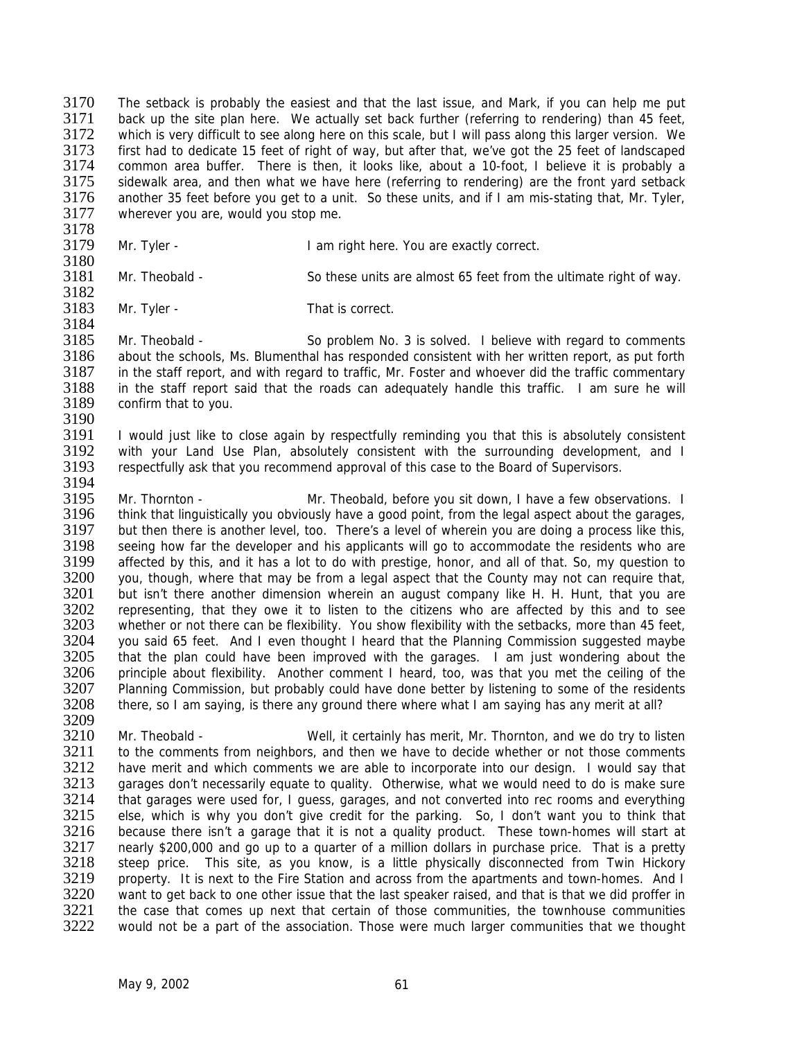3170 The setback is probably the easiest and that the last issue, and Mark, if you can help me put 3171 back up the site plan here. We actually set back further (referring to rendering) than 45 feet. back up the site plan here. We actually set back further (referring to rendering) than 45 feet, 3172 which is very difficult to see along here on this scale, but I will pass along this larger version. We 3173 first had to dedicate 15 feet of right of way, but after that, we've got the 25 feet of landscaped<br>3174 common area buffer. There is then, it looks like, about a 10-foot. I believe it is probably a common area buffer. There is then, it looks like, about a 10-foot, I believe it is probably a 3175 sidewalk area, and then what we have here (referring to rendering) are the front yard setback<br>3176 another 35 feet before you get to a unit. So these units, and if I am mis-stating that. Mr. Tyler, 3176 another 35 feet before you get to a unit. So these units, and if I am mis-stating that, Mr. Tyler, 3177 wherever you are, would you stop me. wherever you are, would you stop me.

- 3178<br>3179
	- Mr. Tyler The State of I am right here. You are exactly correct.
- 3180<br>3181

Mr. Theobald - So these units are almost 65 feet from the ultimate right of way. 3182

3183 Mr. Tyler - That is correct. 3184

3185 Mr. Theobald - So problem No. 3 is solved. I believe with regard to comments<br>3186 about the schools. Ms. Blumenthal has responded consistent with her written report, as put forth 3186 about the schools, Ms. Blumenthal has responded consistent with her written report, as put forth 3187 in the staff report, and with regard to traffic. Mr. Foster and whoever did the traffic commentary 3187 in the staff report, and with regard to traffic, Mr. Foster and whoever did the traffic commentary<br>3188 in the staff report said that the roads can adequately handle this traffic. I am sure he will 3188 in the staff report said that the roads can adequately handle this traffic. I am sure he will 3189 confirm that to you. confirm that to you.

3190<br>3191 I would just like to close again by respectfully reminding you that this is absolutely consistent 3192 with your Land Use Plan, absolutely consistent with the surrounding development, and I 3193 respectfully ask that you recommend approval of this case to the Board of Supervisors.

3194<br>3195 Mr. Thornton - Mr. Theobald, before you sit down, I have a few observations. I 3196 think that linguistically you obviously have a good point, from the legal aspect about the garages, 3197 but then there is another level, too. There's a level of wherein you are doing a process like this,<br>3198 seeing how far the developer and his applicants will go to accommodate the residents who are 3198 seeing how far the developer and his applicants will go to accommodate the residents who are<br>3199 affected by this, and it has a lot to do with prestige, honor, and all of that. So, my question to 3199 affected by this, and it has a lot to do with prestige, honor, and all of that. So, my question to 3200 vou, though, where that may be from a legal aspect that the County may not can require that. 3200 you, though, where that may be from a legal aspect that the County may not can require that,<br>3201 but isn't there another dimension wherein an august company like H. H. Hunt, that you are 3201 but isn't there another dimension wherein an august company like H. H. Hunt, that you are<br>3202 representing, that they owe it to listen to the citizens who are affected by this and to see 3202 representing, that they owe it to listen to the citizens who are affected by this and to see<br>3203 whether or not there can be flexibility. You show flexibility with the setbacks, more than 45 feet. whether or not there can be flexibility. You show flexibility with the setbacks, more than 45 feet, 3204 you said 65 feet. And I even thought I heard that the Planning Commission suggested maybe<br>3205 that the plan could have been improved with the garages. I am just wondering about the that the plan could have been improved with the garages. I am just wondering about the 3206 principle about flexibility. Another comment I heard, too, was that you met the ceiling of the 3207 Planning Commission, but probably could have done better by listening to some of the residents<br>3208 there, so I am saving, is there any ground there where what I am saving has any merit at all? there, so I am saying, is there any ground there where what I am saying has any merit at all?

3209<br>3210 3210 Mr. Theobald - Well, it certainly has merit, Mr. Thornton, and we do try to listen<br>3211 to the comments from neighbors, and then we have to decide whether or not those comments 3211 to the comments from neighbors, and then we have to decide whether or not those comments<br>3212 have merit and which comments we are able to incorporate into our design. I would say that 3212 have merit and which comments we are able to incorporate into our design. I would say that 3213 arrages don't necessarily equate to quality. Otherwise, what we would need to do is make sure garages don't necessarily equate to quality. Otherwise, what we would need to do is make sure 3214 that garages were used for, I guess, garages, and not converted into rec rooms and everything 3215 else, which is why you don't give credit for the parking. So, I don't want you to think that 3216 because there isn't a garage that it is not a quality product. These town-homes will start at because there isn't a garage that it is not a quality product. These town-homes will start at 3217 nearly \$200,000 and go up to a quarter of a million dollars in purchase price. That is a pretty 3218 steep price. This site, as you know, is a little physically disconnected from Twin Hickory<br>3219 property. It is next to the Fire Station and across from the apartments and town-homes. And I 3219 property. It is next to the Fire Station and across from the apartments and town-homes. And I<br>3220 vant to get back to one other issue that the last speaker raised, and that is that we did proffer in 3220 want to get back to one other issue that the last speaker raised, and that is that we did proffer in 3221 the case that comes up next that certain of those communities, the townhouse communities 3221 the case that comes up next that certain of those communities, the townhouse communities<br>3222 would not be a part of the association. Those were much larger communities that we thought would not be a part of the association. Those were much larger communities that we thought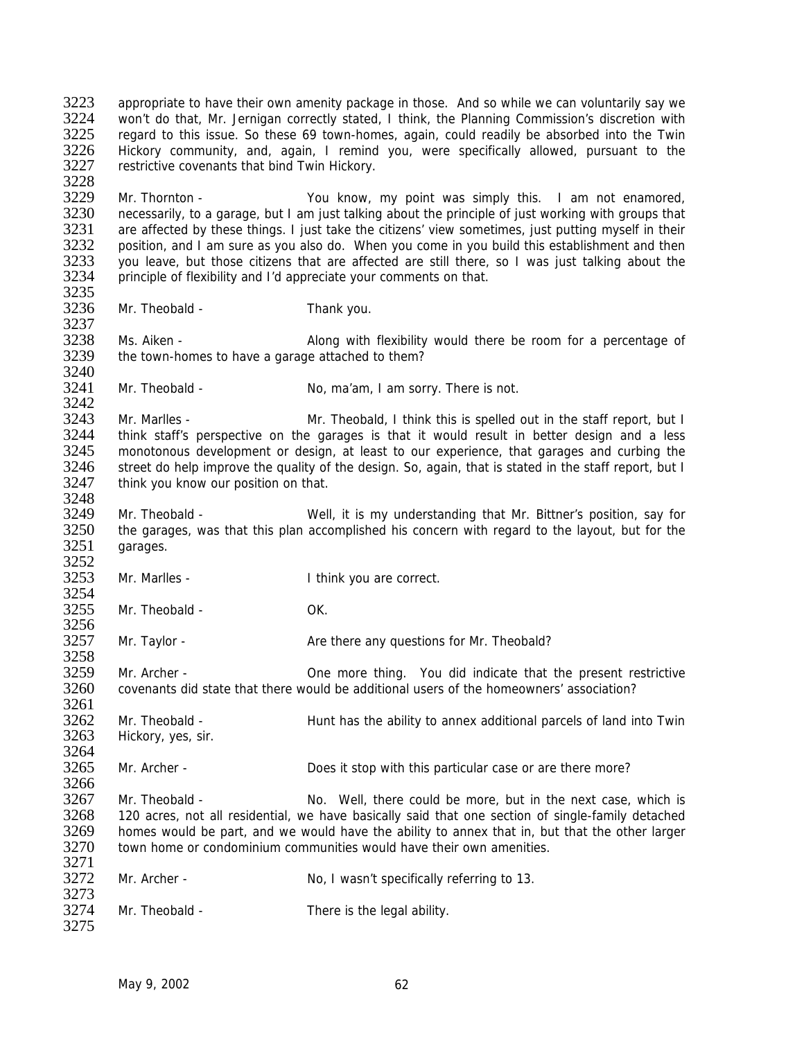3223 appropriate to have their own amenity package in those. And so while we can voluntarily say we<br>3224 von't do that. Mr. Jernigan correctly stated. I think, the Planning Commission's discretion with 3224 won't do that, Mr. Jernigan correctly stated, I think, the Planning Commission's discretion with<br>3225 regard to this issue. So these 69 town-homes, again, could readily be absorbed into the Twin 3225 regard to this issue. So these 69 town-homes, again, could readily be absorbed into the Twin<br>3226 Hickory community, and, again, I remind you, were specifically allowed, pursuant to the 3226 Hickory community, and, again, I remind you, were specifically allowed, pursuant to the 3227 restrictive covenants that bind Twin Hickory. restrictive covenants that bind Twin Hickory. 3228<br>3229 3229 Mr. Thornton - You know, my point was simply this. I am not enamored, 3230 necessarily, to a garage, but I am just talking about the principle of just working with groups that 3230 necessarily, to a garage, but I am just talking about the principle of just working with groups that 3231 are affected by these things. I just take the citizens' view sometimes, just putting myself in their 3231 are affected by these things. I just take the citizens' view sometimes, just putting myself in their 3232 position, and I am sure as you also do. When you come in you build this establishment and then 3232 position, and I am sure as you also do. When you come in you build this establishment and then<br>3233 vou leave, but those citizens that are affected are still there, so I was just talking about the 3233 you leave, but those citizens that are affected are still there, so I was just talking about the 3234 principle of flexibility and I'd appreciate your comments on that. principle of flexibility and I'd appreciate your comments on that. 3235 3236 Mr. Theobald - Thank you. 3237 3238 Ms. Aiken - Along with flexibility would there be room for a percentage of 3239 the town-homes to have a garage attached to them? the town-homes to have a garage attached to them? 3240<br>3241 Mr. Theobald - No, ma'am, I am sorry. There is not. 3242<br>3243 3243 Mr. Marlles - Mr. Theobald, I think this is spelled out in the staff report, but I<br>3244 think staff's perspective on the garages is that it would result in better design and a less 3244 think staff's perspective on the garages is that it would result in better design and a less 3245 monotonous development or design, at least to our experience, that garages and curbing the 3246 street do help improve the quality of the design. So, again, that is stated in the staff report, but I 3247 think you know our position on that. 3248 3249 Mr. Theobald - Well, it is my understanding that Mr. Bittner's position, say for 3250 the garages, was that this plan accomplished his concern with regard to the layout, but for the 3251 carages. garages. 3252<br>3253 Mr. Marlles - Think you are correct. 3254<br>3255 Mr. Theobald - OK. 3256 3257 Mr. Taylor - Are there any questions for Mr. Theobald? 3258 3259 Mr. Archer - One more thing. You did indicate that the present restrictive 3260 covenants did state that there would be additional users of the homeowners' association? 3261<br>3262 3262 Mr. Theobald - Same Hunt has the ability to annex additional parcels of land into Twin<br>3263 Hickory, ves. sir. Hickory, yes, sir. 3264<br>3265 3265 Mr. Archer - Does it stop with this particular case or are there more? 3266 3267 Mr. Theobald - No. Well, there could be more, but in the next case, which is 3268 120 acres, not all residential, we have basically said that one section of single-family detached 3269 homes would be part, and we would have the ability to annex that in, but that the other larger 3270 town home or condominium communities would have their own amenities. 3271<br>3272 Mr. Archer - No, I wasn't specifically referring to 13. 3273<br>3274 Mr. Theobald - There is the legal ability. 3275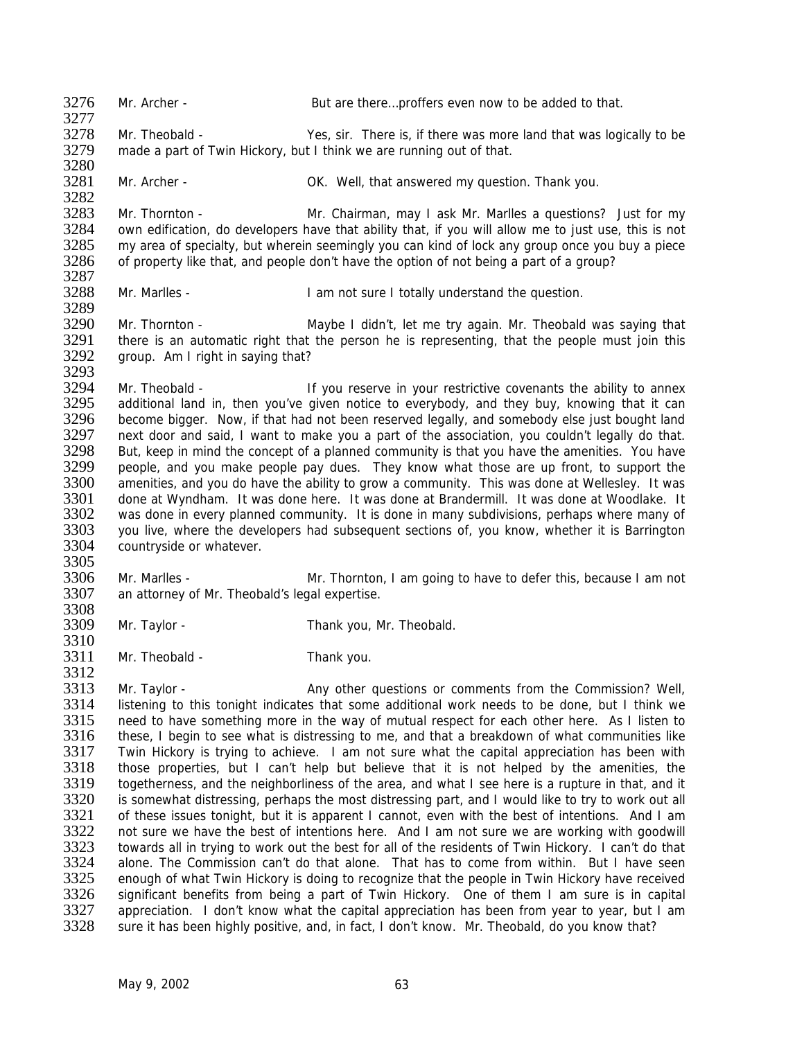3276 Mr. Archer - But are there...proffers even now to be added to that. 3277 3278 Mr. Theobald - Yes, sir. There is, if there was more land that was logically to be 3279 made a part of Twin Hickory, but I think we are running out of that. 3280<br>3281 Mr. Archer - **OK.** Well, that answered my question. Thank you. 3282<br>3283 3283 Mr. Thornton - Mr. Chairman, may I ask Mr. Marlles a questions? Just for my<br>3284 own edification, do developers have that ability that, if you will allow me to just use, this is not 3284 own edification, do developers have that ability that, if you will allow me to just use, this is not 3285 my area of specialty, but wherein seemingly you can kind of lock any group once you buy a piece 3285 my area of specialty, but wherein seemingly you can kind of lock any group once you buy a piece<br>3286 of property like that, and people don't have the option of not being a part of a group? of property like that, and people don't have the option of not being a part of a group? 3287 3288 Mr. Marlles - I am not sure I totally understand the question. 3289<br>3290 Mr. Thornton - Maybe I didn't, let me try again. Mr. Theobald was saying that 3291 there is an automatic right that the person he is representing, that the people must join this 3292 aroup. Am I right in saving that? group. Am I right in saying that? 3293<br>3294 3294 Mr. Theobald - If you reserve in your restrictive covenants the ability to annex<br>3295 additional land in, then you've given notice to everybody, and they buy, knowing that it can 3295 additional land in, then you've given notice to everybody, and they buy, knowing that it can<br>3296 become bigger. Now, if that had not been reserved legally, and somebody else just bought land 3296 become bigger. Now, if that had not been reserved legally, and somebody else just bought land<br>3297 next door and said. I want to make you a part of the association, you couldn't legally do that. next door and said, I want to make you a part of the association, you couldn't legally do that. 3298 But, keep in mind the concept of a planned community is that you have the amenities. You have 3299 people, and you make people pay dues. They know what those are up front, to support the 3300 amenities, and you do have the ability to grow a community. This was done at Wellesley. It was 3301 done at Wyndham. It was done here. It was done at Brandermill. It was done at Woodlake. It 3301 done at Wyndham. It was done here. It was done at Brandermill. It was done at Woodlake. It<br>3302 vas done in every planned community. It is done in many subdivisions, perhaps where many of 3302 was done in every planned community. It is done in many subdivisions, perhaps where many of 3303 vou live, where the developers had subsequent sections of, you know, whether it is Barrington 3303 you live, where the developers had subsequent sections of, you know, whether it is Barrington<br>3304 countryside or whatever. countryside or whatever. 3305<br>3306 3306 Mr. Marlles - Mr. Thornton, I am going to have to defer this, because I am not 3307 an attorney of Mr. Theobald's legal expertise. an attorney of Mr. Theobald's legal expertise. 3308<br>3309 Mr. Taylor - Thank you, Mr. Theobald. 3310<br>3311 Mr. Theobald - Thank you. 3312 3313 Mr. Taylor - Any other questions or comments from the Commission? Well, 3314 Iistening to this tonight indicates that some additional work needs to be done, but I think we<br>3315 Ineed to have something more in the way of mutual respect for each other here. As I listen to 3315 need to have something more in the way of mutual respect for each other here. As I listen to 3316 these. I begin to see what is distressing to me. and that a breakdown of what communities like 3316 these, I begin to see what is distressing to me, and that a breakdown of what communities like<br>3317 Twin Hickory is trying to achieve. I am not sure what the capital appreciation has been with 3317 Twin Hickory is trying to achieve. I am not sure what the capital appreciation has been with 3318 those properties, but I can't help but believe that it is not helped by the amenities, the 3318 those properties, but I can't help but believe that it is not helped by the amenities, the 3319 togetherness, and the neighborliness of the area, and what I see here is a rupture in that, and it togetherness, and the neighborliness of the area, and what I see here is a rupture in that, and it 3320 is somewhat distressing, perhaps the most distressing part, and I would like to try to work out all 3321 of these issues tonight, but it is apparent I cannot, even with the best of intentions. And I am<br>3322 on t sure we have the best of intentions here. And I am not sure we are working with goodwill not sure we have the best of intentions here. And I am not sure we are working with goodwill 3323 towards all in trying to work out the best for all of the residents of Twin Hickory. I can't do that 3324 alone. The Commission can't do that alone. That has to come from within. But I have seen<br>3325 enough of what Twin Hickory is doing to recognize that the people in Twin Hickory have received 3325 enough of what Twin Hickory is doing to recognize that the people in Twin Hickory have received<br>3326 significant benefits from being a part of Twin Hickory. One of them I am sure is in capital 3326 significant benefits from being a part of Twin Hickory. One of them I am sure is in capital 3327 appreciation. I don't know what the capital appreciation bas been from year to year, but I am 3327 appreciation. I don't know what the capital appreciation has been from year to year, but I am<br>3328 sure it has been highly positive, and, in fact, I don't know. Mr. Theobald, do you know that? sure it has been highly positive, and, in fact, I don't know. Mr. Theobald, do you know that?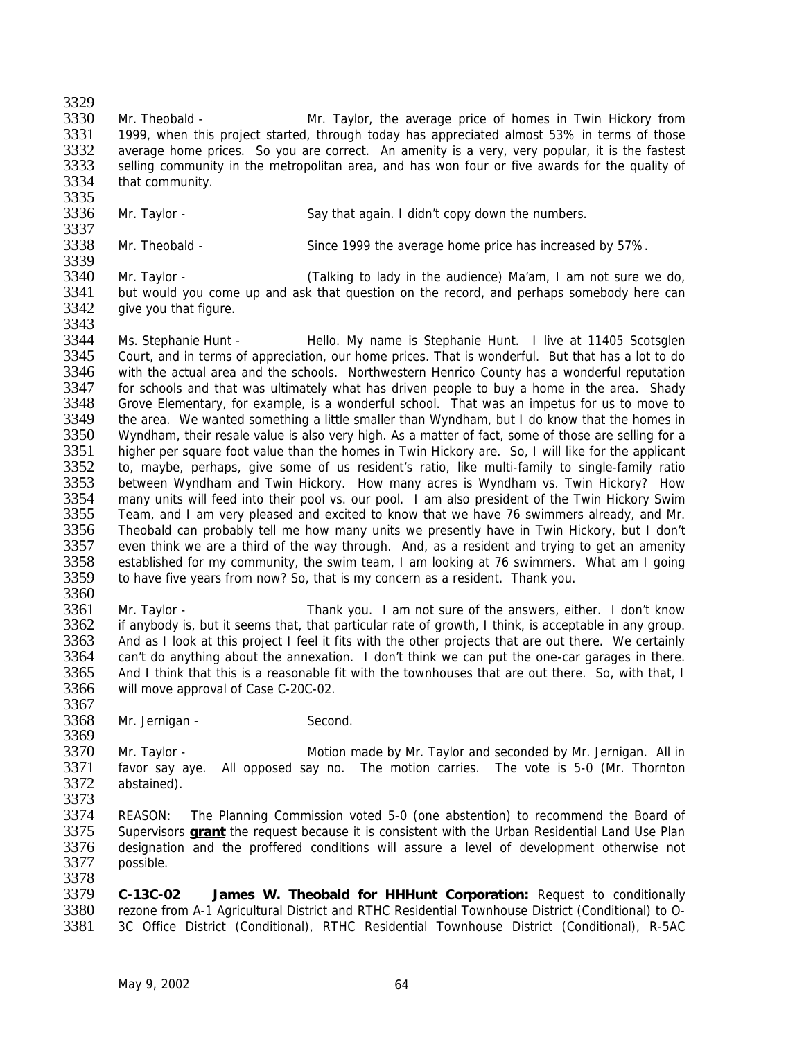3329

3330 Mr. Theobald - Mr. Taylor, the average price of homes in Twin Hickory from 3331 1999, when this project started, through today has appreciated almost 53% in terms of those 3332 average home prices. So you are correct. An amenity is a very, very popular, it is the fastest 3333 selling community in the metropolitan area, and has won four or five awards for the quality of 3333 selling community in the metropolitan area, and has won four or five awards for the quality of 3334 that community. that community.

3335<br>3336 Mr. Taylor - Say that again. I didn't copy down the numbers.

3337<br>3338 Mr. Theobald - Since 1999 the average home price has increased by 57%.

3339<br>3340 3340 Mr. Taylor - (Talking to lady in the audience) Ma'am, I am not sure we do, 3341 but would you come up and ask that question on the record, and perhaps somebody here can 3342 give you that figure. 3343

3344 Ms. Stephanie Hunt - Thello. My name is Stephanie Hunt. I live at 11405 Scotsglen<br>3345 Court, and in terms of appreciation, our home prices. That is wonderful. But that has a lot to do 3345 Court, and in terms of appreciation, our home prices. That is wonderful. But that has a lot to do<br>3346 with the actual area and the schools. Northwestern Henrico County has a wonderful reputation 3346 buith the actual area and the schools. Northwestern Henrico County has a wonderful reputation<br>3347 bior schools and that was ultimately what has driven people to buy a home in the area. Shady 3347 for schools and that was ultimately what has driven people to buy a home in the area. Shady<br>3348 Grove Elementary, for example, is a wonderful school. That was an impetus for us to move to 3348 Grove Elementary, for example, is a wonderful school. That was an impetus for us to move to 3349 the area. We wanted something a little smaller than Wyndham, but I do know that the homes in 3349 the area. We wanted something a little smaller than Wyndham, but I do know that the homes in 3350 Wyndham, their resale value is also very high. As a matter of fact, some of those are selling for a Wyndham, their resale value is also very high. As a matter of fact, some of those are selling for a 3351 higher per square foot value than the homes in Twin Hickory are. So, I will like for the applicant 3352 to, maybe, perhaps, give some of us resident's ratio, like multi-family to single-family ratio 3353 between Wyndham and Twin Hickory. How many acres is Wyndham vs. Twin Hickory? How<br>3354 many units will feed into their pool vs. our pool. I am also president of the Twin Hickory Swim many units will feed into their pool vs. our pool. I am also president of the Twin Hickory Swim 3355 Team, and I am very pleased and excited to know that we have 76 swimmers already, and Mr. 3356 Theobald can probably tell me how many units we presently have in Twin Hickory, but I don't 3357 even think we are a third of the way through. And, as a resident and trying to get an amenity 3357 even think we are a third of the way through. And, as a resident and trying to get an amenity 3358 established for my community, the swim team, I am looking at 76 swimmers. What am I going 3358 established for my community, the swim team, I am looking at 76 swimmers. What am I going 3359 to have five vears from now? So, that is my concern as a resident. Thank you. to have five years from now? So, that is my concern as a resident. Thank you.

3360<br>3361

 Mr. Taylor - Thank you. I am not sure of the answers, either. I don't know if anybody is, but it seems that, that particular rate of growth, I think, is acceptable in any group. 3363 And as I look at this project I feel it fits with the other projects that are out there. We certainly 3364 can't do anything about the annexation. I don't think we can put the one-car garages in there. can't do anything about the annexation. I don't think we can put the one-car garages in there. And I think that this is a reasonable fit with the townhouses that are out there. So, with that, I will move approval of Case C-20C-02.

3367<br>3368 Mr. Jernigan - Second.

3369<br>3370 3370 Mr. Taylor - Motion made by Mr. Taylor and seconded by Mr. Jernigan. All in<br>3371 Favor say ave. All opposed say no. The motion carries. The yote is 5-0 (Mr. Thornton 3371 favor say aye. All opposed say no. The motion carries. The vote is 5-0 (Mr. Thornton 3372 abstained). abstained). 3373

3374 REASON: The Planning Commission voted 5-0 (one abstention) to recommend the Board of 3375 Supervisors **grant** the request because it is consistent with the Urban Residential Land Use Plan Supervisors **grant** the request because it is consistent with the Urban Residential Land Use Plan 3376 designation and the proffered conditions will assure a level of development otherwise not 3377 possible.

3378<br>3379 3379 **C-13C-02 James W. Theobald for HHHunt Corporation:** Request to conditionally 3380 rezone from A-1 Agricultural District and RTHC Residential Townhouse District (Conditional) to O-<br>3381 3C Office District (Conditional), RTHC Residential Townhouse District (Conditional), R-5AC 3381 3C Office District (Conditional), RTHC Residential Townhouse District (Conditional), R-5AC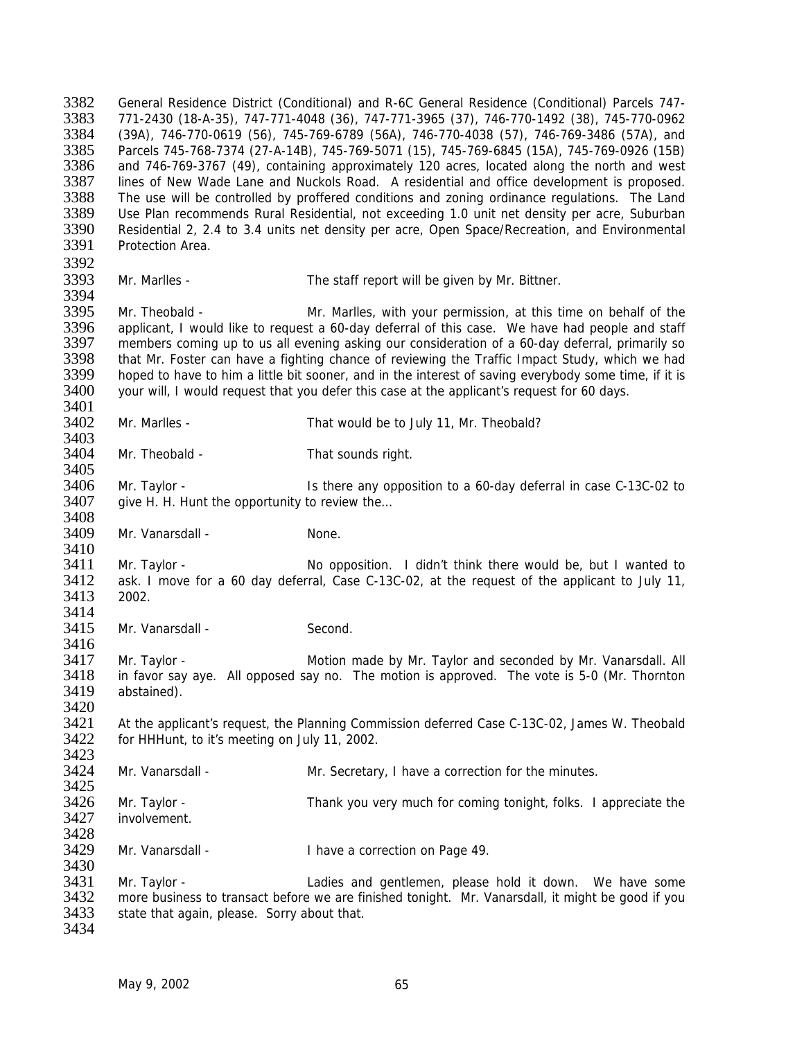3382 General Residence District (Conditional) and R-6C General Residence (Conditional) Parcels 747- 3383 771-2430 (18-A-35), 747-771-4048 (36), 747-771-3965 (37), 746-770-1492 (38), 745-770-0962 3384 (39A), 746-770-0619 (56), 745-769-6789 (56A), 746-770-4038 (57), 746-769-3486 (57A), and 3385 Parcels 745-768-7374 (27-A-14B), 745-769-5071 (15), 745-769-6845 (15A), 745-769-0926 (15B) 3386 and 746-769-3767 (49), containing approximately 120 acres, located along the north and west 3387 lines of New Wade Lane and Nuckols Road. A residential and office development is proposed. 3388 The use will be controlled by proffered conditions and zoning ordinance regulations. The Land<br>3389 Use Plan recommends Rural Residential, not exceeding 1.0 unit net density per acre, Suburban Use Plan recommends Rural Residential, not exceeding 1.0 unit net density per acre, Suburban 3390 Residential 2, 2.4 to 3.4 units net density per acre, Open Space/Recreation, and Environmental 3391 Protection Area. Protection Area. 3392<br>3393 Mr. Marlles - The staff report will be given by Mr. Bittner. 3394<br>3395 3395 Mr. Theobald - Same Mr. Marlles, with your permission, at this time on behalf of the 3396 applicant. I would like to request a 60-day deferral of this case. We have had people and staff applicant, I would like to request a 60-day deferral of this case. We have had people and staff 3397 members coming up to us all evening asking our consideration of a 60-day deferral, primarily so<br>3398 that Mr. Foster can have a fighting chance of reviewing the Traffic Impact Study, which we had 3398 that Mr. Foster can have a fighting chance of reviewing the Traffic Impact Study, which we had<br>3399 boped to have to him a little bit sooner, and in the interest of saving everybody some time, if it is 3399 hoped to have to him a little bit sooner, and in the interest of saving everybody some time, if it is 3400 vour will. I would request that you defer this case at the applicant's request for 60 days. your will, I would request that you defer this case at the applicant's request for 60 days. 3401 3402 Mr. Marlles - That would be to July 11, Mr. Theobald? 3403 3404 Mr. Theobald - That sounds right. 3405<br>3406 3406 Mr. Taylor - Is there any opposition to a 60-day deferral in case C-13C-02 to<br>3407 aive H. H. Hunt the opportunity to review the... give H. H. Hunt the opportunity to review the... 3408<br>3409 Mr. Vanarsdall - None. 3410 3411 Mr. Taylor - No opposition. I didn't think there would be, but I wanted to 3412 ask. I move for a 60 day deferral, Case C-13C-02, at the request of the applicant to July 11, 3413 2002. 3414 3415 Mr. Vanarsdall - Second. 3416 3417 Mr. Taylor - Motion made by Mr. Taylor and seconded by Mr. Vanarsdall. All 3418 in favor say aye. All opposed say no. The motion is approved. The vote is 5-0 (Mr. Thornton 3419 in abstained). abstained). 3420<br>3421 3421 At the applicant's request, the Planning Commission deferred Case C-13C-02, James W. Theobald 3422 for HHHunt to it's meeting on July 11 2002 for HHHunt, to it's meeting on July 11, 2002. 3423 3424 Mr. Vanarsdall - Mr. Secretary, I have a correction for the minutes. 3425 3426 Mr. Taylor - Thank you very much for coming tonight, folks. I appreciate the 3427 involvement. 3428<br>3429 Mr. Vanarsdall - Thave a correction on Page 49. 3430<br>3431 3431 Mr. Taylor - Ladies and gentlemen, please hold it down. We have some<br>3432 more business to transact before we are finished tonight. Mr. Vanarsdall it might be good if you 3432 more business to transact before we are finished tonight. Mr. Vanarsdall, it might be good if you 3433 state that again, please. Sorry about that. state that again, please. Sorry about that. 3434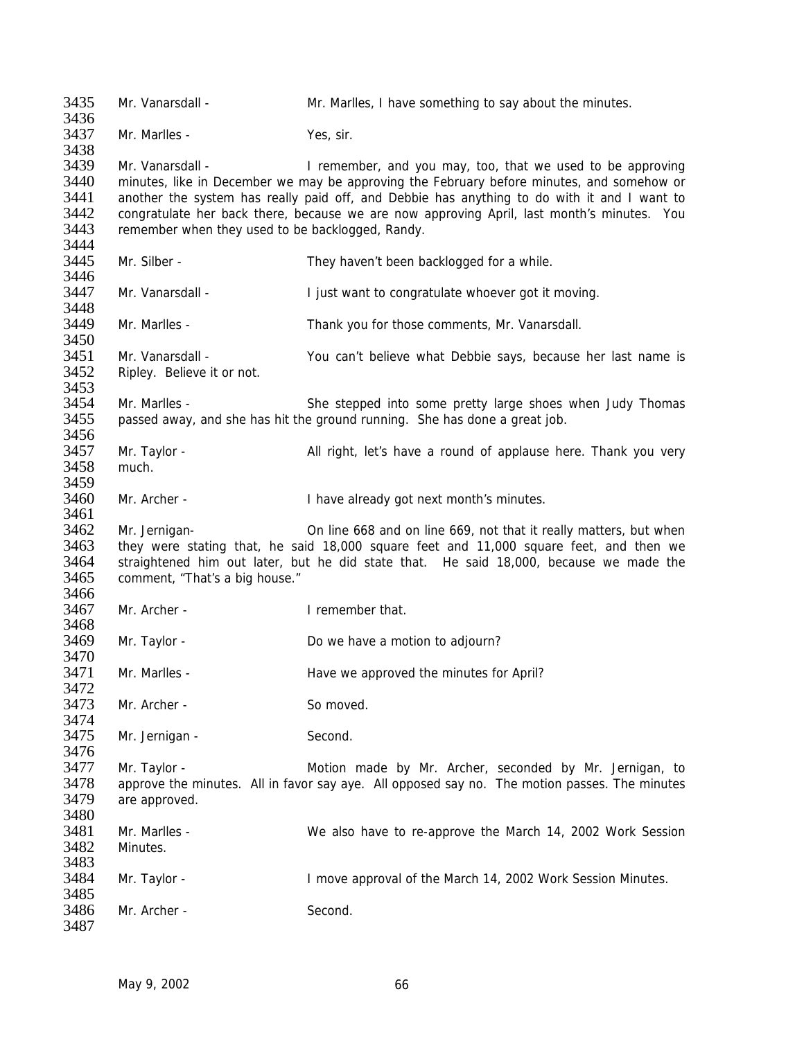3435 Mr. Vanarsdall - Mr. Marlles, I have something to say about the minutes. 3436 3437 Mr. Marlles - Yes, sir. 3438<br>3439 Mr. Vanarsdall - The I remember, and you may, too, that we used to be approving 3440 minutes, like in December we may be approving the February before minutes, and somehow or<br>3441 another the system has really paid off, and Debbie has anything to do with it and I want to 3441 another the system has really paid off, and Debbie has anything to do with it and I want to 3442 congratulate her back there, because we are now approving April last month's minutes. You 3442 congratulate her back there, because we are now approving April, last month's minutes. You 3443 remember when they used to be backlogoed. Randy, remember when they used to be backlogged, Randy. 3444<br>3445 Mr. Silber - They haven't been backlogged for a while. 3446 3447 Mr. Vanarsdall - I just want to congratulate whoever got it moving. 3448<br>3449 Mr. Marlles - Thank you for those comments, Mr. Vanarsdall. 3450<br>3451 3451 Mr. Vanarsdall - <br>3452 Ripley, Believe it or not.<br>3452 Ripley, Believe it or not. Ripley. Believe it or not. 3453<br>3454 3454 Mr. Marlles - She stepped into some pretty large shoes when Judy Thomas 3455 passed away, and she has hit the ground running. She has done a great job. passed away, and she has hit the ground running. She has done a great job. 3456 3457 Mr. Taylor - All right, let's have a round of applause here. Thank you very 3458 much. 3459<br>3460 Mr. Archer - Thave already got next month's minutes. 3461 3462 Mr. Jernigan- 0n line 668 and on line 669, not that it really matters, but when<br>3463 they were stating that, he said 18,000 square feet and 11,000 square feet, and then we 3463 they were stating that, he said 18,000 square feet and 11,000 square feet, and then we 3464 straightened him out later, but he did state that. He said 18,000, because we made the 3465 comment. "That's a big house." comment, "That's a big house." 3466<br>3467 Mr. Archer - **I** remember that. 3468 3469 Mr. Taylor - Do we have a motion to adjourn? 3470 3471 Mr. Marlles - Have we approved the minutes for April? 3472<br>3473 Mr. Archer - So moved. 3474<br>3475 Mr. Jernigan - Second. 3476<br>3477 3477 Mr. Taylor - Motion made by Mr. Archer, seconded by Mr. Jernigan, to 3478 approve the minutes. All in favor say aye. All opposed say no. The motion passes. The minutes 3479 are approved. 3480 3481 Mr. Marlles - We also have to re-approve the March 14, 2002 Work Session 3482 Minutes. 3483<br>3484 Mr. Taylor - **I** move approval of the March 14, 2002 Work Session Minutes. 3485<br>3486 Mr. Archer - Second. 3487